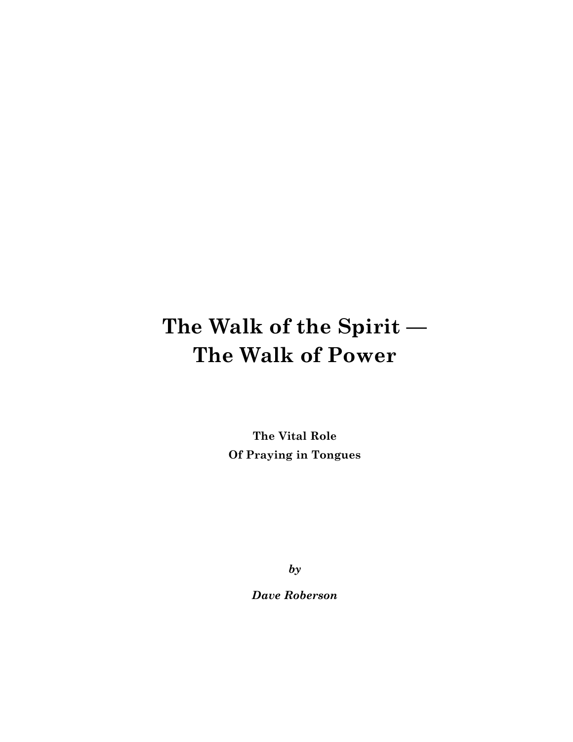# **The Walk of the Spirit — The Walk of Power**

**The Vital Role Of Praying in Tongues**

*by*

*Dave Roberson*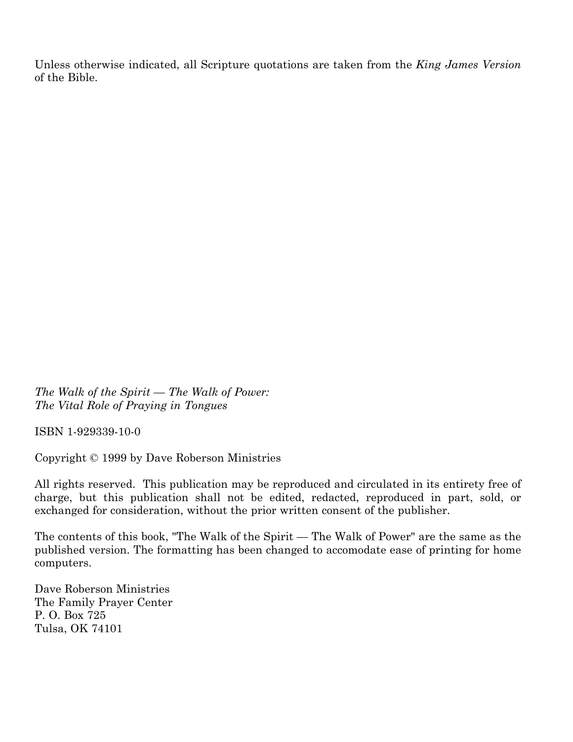Unless otherwise indicated, all Scripture quotations are taken from the *King James Version* of the Bible.

*The Walk of the Spirit — The Walk of Power: The Vital Role of Praying in Tongues*

ISBN 1-929339-10-0

Copyright © 1999 by Dave Roberson Ministries

All rights reserved. This publication may be reproduced and circulated in its entirety free of charge, but this publication shall not be edited, redacted, reproduced in part, sold, or exchanged for consideration, without the prior written consent of the publisher.

The contents of this book, "The Walk of the Spirit — The Walk of Power" are the same as the published version. The formatting has been changed to accomodate ease of printing for home computers.

Dave Roberson Ministries The Family Prayer Center P. O. Box 725 Tulsa, OK 74101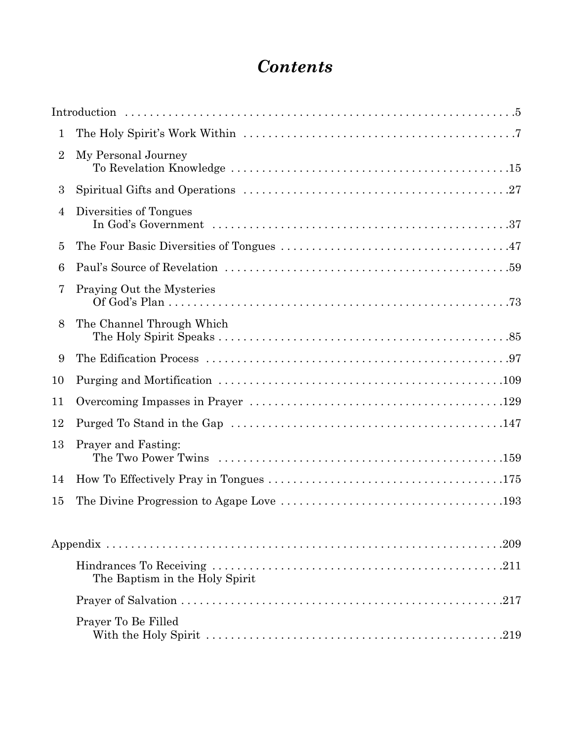# *Contents*

| 1              |                                |  |
|----------------|--------------------------------|--|
| $\overline{2}$ | My Personal Journey            |  |
| 3              |                                |  |
| 4              | Diversities of Tongues         |  |
| 5              |                                |  |
| 6              |                                |  |
| 7              | Praying Out the Mysteries      |  |
| 8              | The Channel Through Which      |  |
| 9              |                                |  |
| 10             |                                |  |
| 11             |                                |  |
| 12             |                                |  |
| 13             | Prayer and Fasting:            |  |
| 14             |                                |  |
| 15             |                                |  |
|                |                                |  |
|                | The Baptism in the Holy Spirit |  |
|                |                                |  |
|                | Prayer To Be Filled            |  |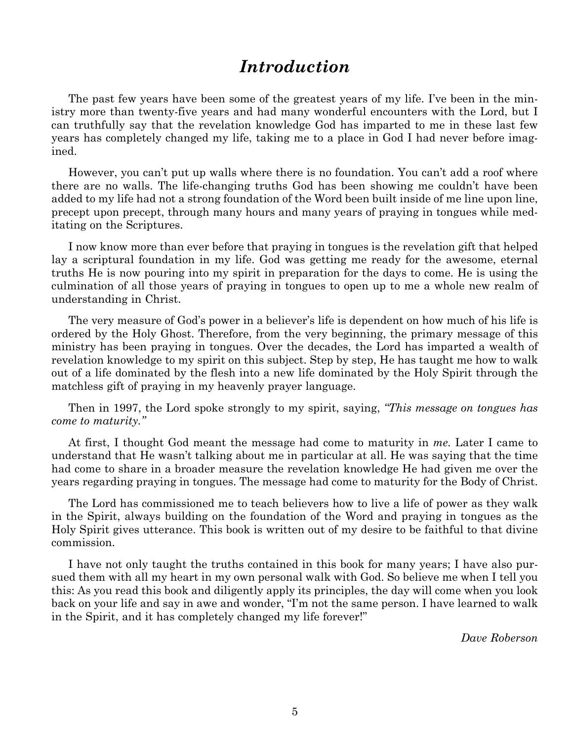# *Introduction*

The past few years have been some of the greatest years of my life. I've been in the ministry more than twenty-five years and had many wonderful encounters with the Lord, but I can truthfully say that the revelation knowledge God has imparted to me in these last few years has completely changed my life, taking me to a place in God I had never before imagined.

However, you can't put up walls where there is no foundation. You can't add a roof where there are no walls. The life-changing truths God has been showing me couldn't have been added to my life had not a strong foundation of the Word been built inside of me line upon line, precept upon precept, through many hours and many years of praying in tongues while meditating on the Scriptures.

I now know more than ever before that praying in tongues is the revelation gift that helped lay a scriptural foundation in my life. God was getting me ready for the awesome, eternal truths He is now pouring into my spirit in preparation for the days to come. He is using the culmination of all those years of praying in tongues to open up to me a whole new realm of understanding in Christ.

The very measure of God's power in a believer's life is dependent on how much of his life is ordered by the Holy Ghost. Therefore, from the very beginning, the primary message of this ministry has been praying in tongues. Over the decades, the Lord has imparted a wealth of revelation knowledge to my spirit on this subject. Step by step, He has taught me how to walk out of a life dominated by the flesh into a new life dominated by the Holy Spirit through the matchless gift of praying in my heavenly prayer language.

Then in 1997, the Lord spoke strongly to my spirit, saying, *"This message on tongues has come to maturity."* 

At first, I thought God meant the message had come to maturity in *me.* Later I came to understand that He wasn't talking about me in particular at all. He was saying that the time had come to share in a broader measure the revelation knowledge He had given me over the years regarding praying in tongues. The message had come to maturity for the Body of Christ.

The Lord has commissioned me to teach believers how to live a life of power as they walk in the Spirit, always building on the foundation of the Word and praying in tongues as the Holy Spirit gives utterance. This book is written out of my desire to be faithful to that divine commission.

I have not only taught the truths contained in this book for many years; I have also pursued them with all my heart in my own personal walk with God. So believe me when I tell you this: As you read this book and diligently apply its principles, the day will come when you look back on your life and say in awe and wonder, "I'm not the same person. I have learned to walk in the Spirit, and it has completely changed my life forever!"

*Dave Roberson*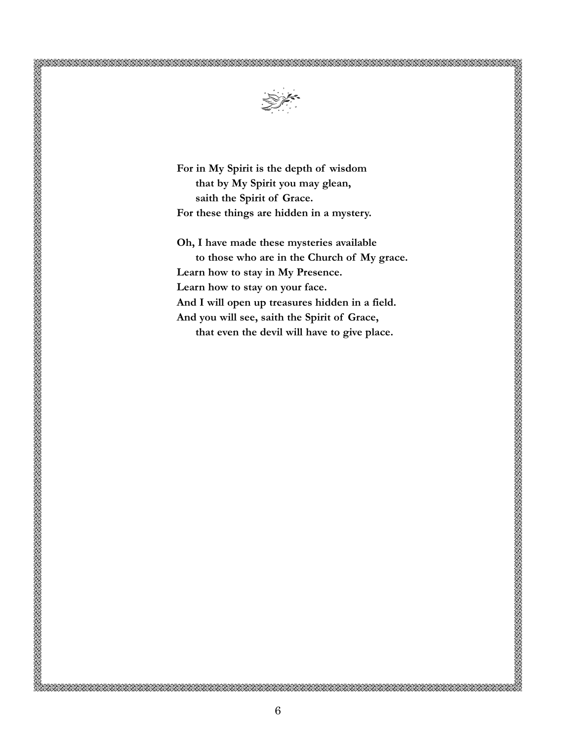

**For in My Spirit is the depth of wisdom that by My Spirit you may glean, saith the Spirit of Grace. For these things are hidden in a mystery.**

**Oh, I have made these mysteries available to those who are in the Church of My grace. Learn how to stay in My Presence. Learn how to stay on your face. And I will open up treasures hidden in a field. And you will see, saith the Spirit of Grace, that even the devil will have to give place.**

A A TELEVIS EN ELEKTROM ER ELEKTROM ER ELEKTROM ER ELEKTROM ER ELEKTROM ER ELEKTROM ER ELEKTROM ELEKTROM ELEKT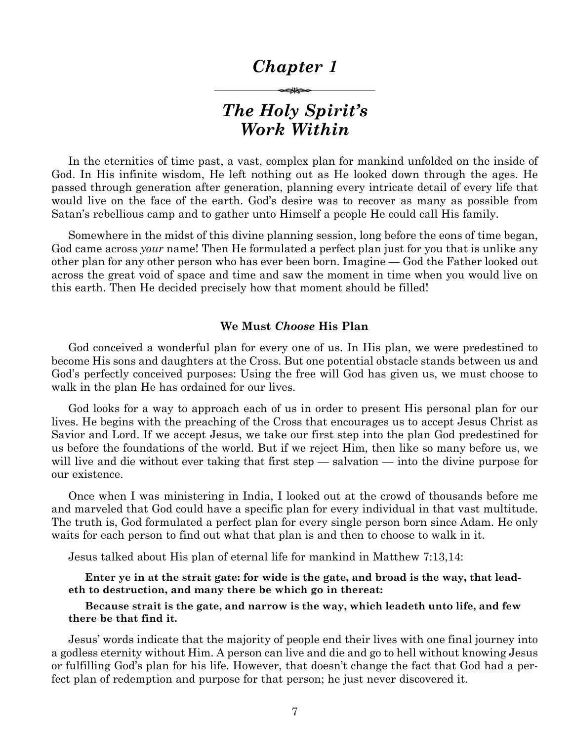### *Chapter 1*

# *The Holy Spirit's Work Within*

In the eternities of time past, a vast, complex plan for mankind unfolded on the inside of God. In His infinite wisdom, He left nothing out as He looked down through the ages. He passed through generation after generation, planning every intricate detail of every life that would live on the face of the earth. God's desire was to recover as many as possible from Satan's rebellious camp and to gather unto Himself a people He could call His family.

Somewhere in the midst of this divine planning session, long before the eons of time began, God came across *your* name! Then He formulated a perfect plan just for you that is unlike any other plan for any other person who has ever been born. Imagine — God the Father looked out across the great void of space and time and saw the moment in time when you would live on this earth. Then He decided precisely how that moment should be filled!

#### **We Must** *Choose* **His Plan**

God conceived a wonderful plan for every one of us. In His plan, we were predestined to become His sons and daughters at the Cross. But one potential obstacle stands between us and God's perfectly conceived purposes: Using the free will God has given us, we must choose to walk in the plan He has ordained for our lives.

God looks for a way to approach each of us in order to present His personal plan for our lives. He begins with the preaching of the Cross that encourages us to accept Jesus Christ as Savior and Lord. If we accept Jesus, we take our first step into the plan God predestined for us before the foundations of the world. But if we reject Him, then like so many before us, we will live and die without ever taking that first step — salvation — into the divine purpose for our existence.

Once when I was ministering in India, I looked out at the crowd of thousands before me and marveled that God could have a specific plan for every individual in that vast multitude. The truth is, God formulated a perfect plan for every single person born since Adam. He only waits for each person to find out what that plan is and then to choose to walk in it.

Jesus talked about His plan of eternal life for mankind in Matthew 7:13,14:

**Enter ye in at the strait gate: for wide is the gate, and broad is the way, that leadeth to destruction, and many there be which go in thereat:** 

#### **Because strait is the gate, and narrow is the way, which leadeth unto life, and few there be that find it.**

Jesus' words indicate that the majority of people end their lives with one final journey into a godless eternity without Him. A person can live and die and go to hell without knowing Jesus or fulfilling God's plan for his life. However, that doesn't change the fact that God had a perfect plan of redemption and purpose for that person; he just never discovered it.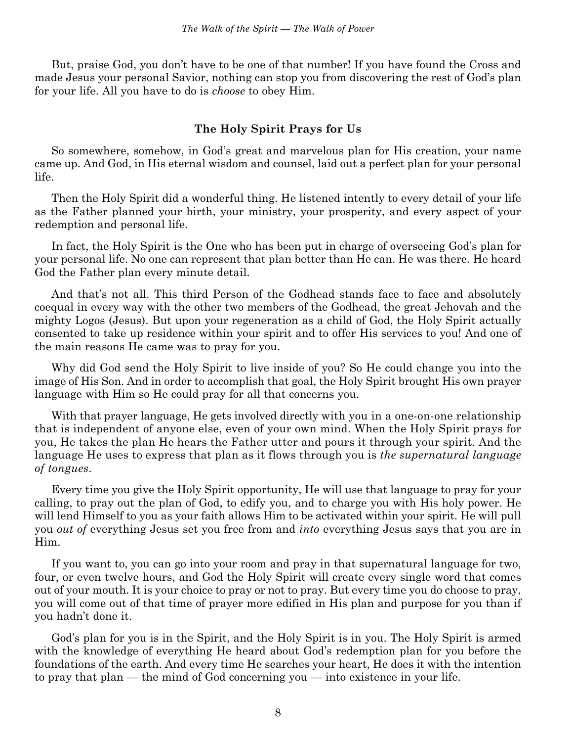But, praise God, you don't have to be one of that number! If you have found the Cross and made Jesus your personal Savior, nothing can stop you from discovering the rest of God's plan for your life. All you have to do is *choose* to obey Him.

### **The Holy Spirit Prays for Us**

So somewhere, somehow, in God's great and marvelous plan for His creation, your name came up. And God, in His eternal wisdom and counsel, laid out a perfect plan for your personal life.

Then the Holy Spirit did a wonderful thing. He listened intently to every detail of your life as the Father planned your birth, your ministry, your prosperity, and every aspect of your redemption and personal life.

In fact, the Holy Spirit is the One who has been put in charge of overseeing God's plan for your personal life. No one can represent that plan better than He can. He was there. He heard God the Father plan every minute detail.

And that's not all. This third Person of the Godhead stands face to face and absolutely coequal in every way with the other two members of the Godhead, the great Jehovah and the mighty Logos (Jesus). But upon your regeneration as a child of God, the Holy Spirit actually consented to take up residence within your spirit and to offer His services to you! And one of the main reasons He came was to pray for you.

Why did God send the Holy Spirit to live inside of you? So He could change you into the image of His Son. And in order to accomplish that goal, the Holy Spirit brought His own prayer language with Him so He could pray for all that concerns you.

With that prayer language, He gets involved directly with you in a one-on-one relationship that is independent of anyone else, even of your own mind. When the Holy Spirit prays for you, He takes the plan He hears the Father utter and pours it through your spirit. And the language He uses to express that plan as it flows through you is *the supernatural language of tongues*.

Every time you give the Holy Spirit opportunity, He will use that language to pray for your calling, to pray out the plan of God, to edify you, and to charge you with His holy power. He will lend Himself to you as your faith allows Him to be activated within your spirit. He will pull you *out of* everything Jesus set you free from and *into* everything Jesus says that you are in Him.

If you want to, you can go into your room and pray in that supernatural language for two, four, or even twelve hours, and God the Holy Spirit will create every single word that comes out of your mouth. It is your choice to pray or not to pray. But every time you do choose to pray, you will come out of that time of prayer more edified in His plan and purpose for you than if you hadn't done it.

God's plan for you is in the Spirit, and the Holy Spirit is in you. The Holy Spirit is armed with the knowledge of everything He heard about God's redemption plan for you before the foundations of the earth. And every time He searches your heart, He does it with the intention to pray that plan — the mind of God concerning you — into existence in your life.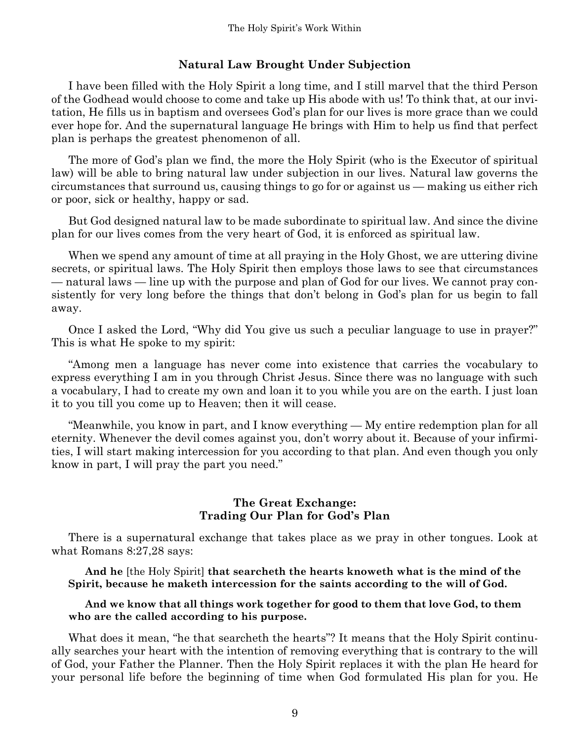### **Natural Law Brought Under Subjection**

I have been filled with the Holy Spirit a long time, and I still marvel that the third Person of the Godhead would choose to come and take up His abode with us! To think that, at our invitation, He fills us in baptism and oversees God's plan for our lives is more grace than we could ever hope for. And the supernatural language He brings with Him to help us find that perfect plan is perhaps the greatest phenomenon of all.

The more of God's plan we find, the more the Holy Spirit (who is the Executor of spiritual law) will be able to bring natural law under subjection in our lives. Natural law governs the circumstances that surround us, causing things to go for or against us — making us either rich or poor, sick or healthy, happy or sad.

But God designed natural law to be made subordinate to spiritual law. And since the divine plan for our lives comes from the very heart of God, it is enforced as spiritual law.

When we spend any amount of time at all praying in the Holy Ghost, we are uttering divine secrets, or spiritual laws. The Holy Spirit then employs those laws to see that circumstances — natural laws — line up with the purpose and plan of God for our lives. We cannot pray consistently for very long before the things that don't belong in God's plan for us begin to fall away.

Once I asked the Lord, "Why did You give us such a peculiar language to use in prayer?" This is what He spoke to my spirit:

"Among men a language has never come into existence that carries the vocabulary to express everything I am in you through Christ Jesus. Since there was no language with such a vocabulary, I had to create my own and loan it to you while you are on the earth. I just loan it to you till you come up to Heaven; then it will cease.

"Meanwhile, you know in part, and I know everything — My entire redemption plan for all eternity. Whenever the devil comes against you, don't worry about it. Because of your infirmities, I will start making intercession for you according to that plan. And even though you only know in part, I will pray the part you need."

#### **The Great Exchange: Trading Our Plan for God's Plan**

There is a supernatural exchange that takes place as we pray in other tongues. Look at what Romans 8:27,28 says:

**And he** [the Holy Spirit] **that searcheth the hearts knoweth what is the mind of the Spirit, because he maketh intercession for the saints according to the will of God.**

#### **And we know that all things work together for good to them that love God, to them who are the called according to his purpose.**

What does it mean, "he that searcheth the hearts"? It means that the Holy Spirit continually searches your heart with the intention of removing everything that is contrary to the will of God, your Father the Planner. Then the Holy Spirit replaces it with the plan He heard for your personal life before the beginning of time when God formulated His plan for you. He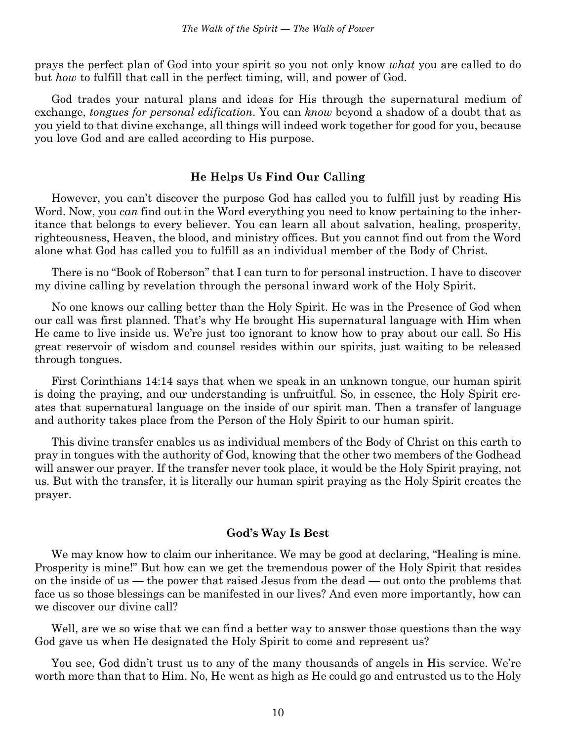prays the perfect plan of God into your spirit so you not only know *what* you are called to do but *how* to fulfill that call in the perfect timing, will, and power of God.

God trades your natural plans and ideas for His through the supernatural medium of exchange, *tongues for personal edification*. You can *know* beyond a shadow of a doubt that as you yield to that divine exchange, all things will indeed work together for good for you, because you love God and are called according to His purpose.

#### **He Helps Us Find Our Calling**

However, you can't discover the purpose God has called you to fulfill just by reading His Word. Now, you *can* find out in the Word everything you need to know pertaining to the inheritance that belongs to every believer. You can learn all about salvation, healing, prosperity, righteousness, Heaven, the blood, and ministry offices. But you cannot find out from the Word alone what God has called you to fulfill as an individual member of the Body of Christ.

There is no "Book of Roberson" that I can turn to for personal instruction. I have to discover my divine calling by revelation through the personal inward work of the Holy Spirit.

No one knows our calling better than the Holy Spirit. He was in the Presence of God when our call was first planned. That's why He brought His supernatural language with Him when He came to live inside us. We're just too ignorant to know how to pray about our call. So His great reservoir of wisdom and counsel resides within our spirits, just waiting to be released through tongues.

First Corinthians 14:14 says that when we speak in an unknown tongue, our human spirit is doing the praying, and our understanding is unfruitful. So, in essence, the Holy Spirit creates that supernatural language on the inside of our spirit man. Then a transfer of language and authority takes place from the Person of the Holy Spirit to our human spirit.

This divine transfer enables us as individual members of the Body of Christ on this earth to pray in tongues with the authority of God, knowing that the other two members of the Godhead will answer our prayer. If the transfer never took place, it would be the Holy Spirit praying, not us. But with the transfer, it is literally our human spirit praying as the Holy Spirit creates the prayer.

#### **God's Way Is Best**

We may know how to claim our inheritance. We may be good at declaring, "Healing is mine. Prosperity is mine!" But how can we get the tremendous power of the Holy Spirit that resides on the inside of us — the power that raised Jesus from the dead — out onto the problems that face us so those blessings can be manifested in our lives? And even more importantly, how can we discover our divine call?

Well, are we so wise that we can find a better way to answer those questions than the way God gave us when He designated the Holy Spirit to come and represent us?

You see, God didn't trust us to any of the many thousands of angels in His service. We're worth more than that to Him. No, He went as high as He could go and entrusted us to the Holy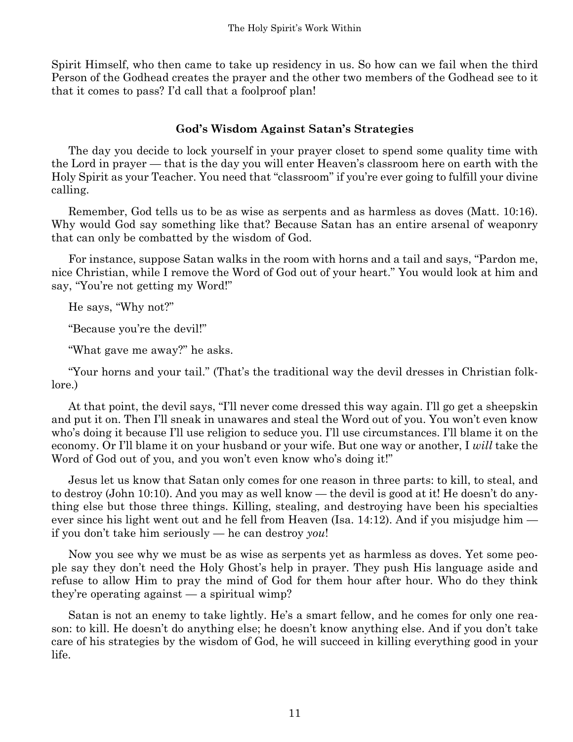Spirit Himself, who then came to take up residency in us. So how can we fail when the third Person of the Godhead creates the prayer and the other two members of the Godhead see to it that it comes to pass? I'd call that a foolproof plan!

### **God's Wisdom Against Satan's Strategies**

The day you decide to lock yourself in your prayer closet to spend some quality time with the Lord in prayer — that is the day you will enter Heaven's classroom here on earth with the Holy Spirit as your Teacher. You need that "classroom" if you're ever going to fulfill your divine calling.

Remember, God tells us to be as wise as serpents and as harmless as doves (Matt. 10:16). Why would God say something like that? Because Satan has an entire arsenal of weaponry that can only be combatted by the wisdom of God.

For instance, suppose Satan walks in the room with horns and a tail and says, "Pardon me, nice Christian, while I remove the Word of God out of your heart." You would look at him and say, "You're not getting my Word!"

He says, "Why not?"

"Because you're the devil!"

"What gave me away?" he asks.

"Your horns and your tail." (That's the traditional way the devil dresses in Christian folklore.)

At that point, the devil says, "I'll never come dressed this way again. I'll go get a sheepskin and put it on. Then I'll sneak in unawares and steal the Word out of you. You won't even know who's doing it because I'll use religion to seduce you. I'll use circumstances. I'll blame it on the economy. Or I'll blame it on your husband or your wife. But one way or another, I *will* take the Word of God out of you, and you won't even know who's doing it!"

Jesus let us know that Satan only comes for one reason in three parts: to kill, to steal, and to destroy (John 10:10). And you may as well know — the devil is good at it! He doesn't do anything else but those three things. Killing, stealing, and destroying have been his specialties ever since his light went out and he fell from Heaven (Isa. 14:12). And if you misjudge him if you don't take him seriously — he can destroy *you*!

Now you see why we must be as wise as serpents yet as harmless as doves. Yet some people say they don't need the Holy Ghost's help in prayer. They push His language aside and refuse to allow Him to pray the mind of God for them hour after hour. Who do they think they're operating against — a spiritual wimp?

Satan is not an enemy to take lightly. He's a smart fellow, and he comes for only one reason: to kill. He doesn't do anything else; he doesn't know anything else. And if you don't take care of his strategies by the wisdom of God, he will succeed in killing everything good in your life.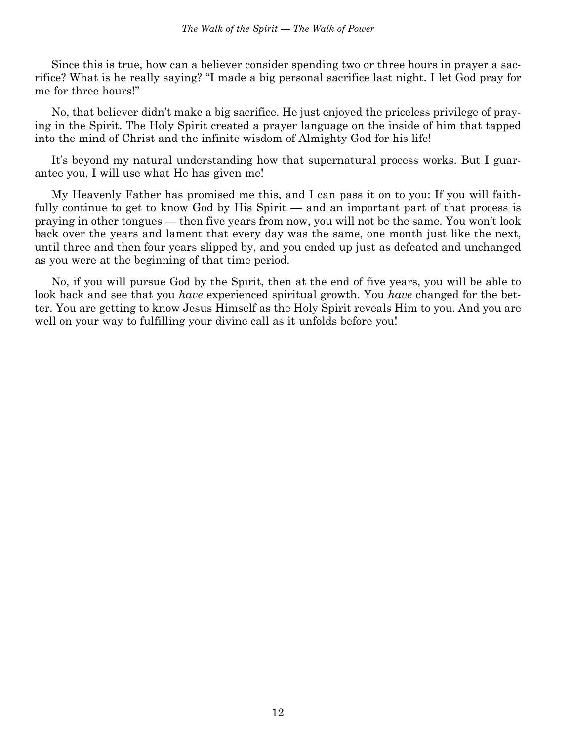Since this is true, how can a believer consider spending two or three hours in prayer a sacrifice? What is he really saying? "I made a big personal sacrifice last night. I let God pray for me for three hours!"

No, that believer didn't make a big sacrifice. He just enjoyed the priceless privilege of praying in the Spirit. The Holy Spirit created a prayer language on the inside of him that tapped into the mind of Christ and the infinite wisdom of Almighty God for his life!

It's beyond my natural understanding how that supernatural process works. But I guarantee you, I will use what He has given me!

My Heavenly Father has promised me this, and I can pass it on to you: If you will faithfully continue to get to know God by His Spirit — and an important part of that process is praying in other tongues — then five years from now, you will not be the same. You won't look back over the years and lament that every day was the same, one month just like the next, until three and then four years slipped by, and you ended up just as defeated and unchanged as you were at the beginning of that time period.

No, if you will pursue God by the Spirit, then at the end of five years, you will be able to look back and see that you *have* experienced spiritual growth. You *have* changed for the better. You are getting to know Jesus Himself as the Holy Spirit reveals Him to you. And you are well on your way to fulfilling your divine call as it unfolds before you!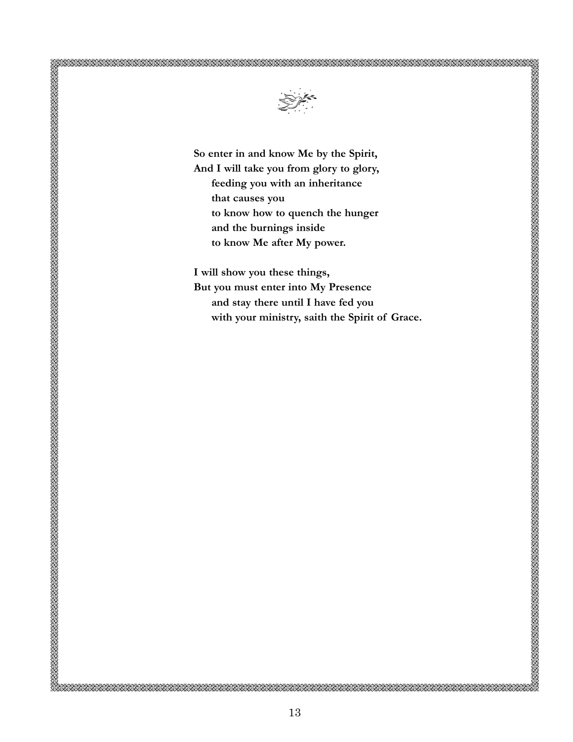

**So enter in and know Me by the Spirit, And I will take you from glory to glory, feeding you with an inheritance that causes you to know how to quench the hunger and the burnings inside to know Me after My power.**

**I will show you these things, But you must enter into My Presence and stay there until I have fed you with your ministry, saith the Spirit of Grace.**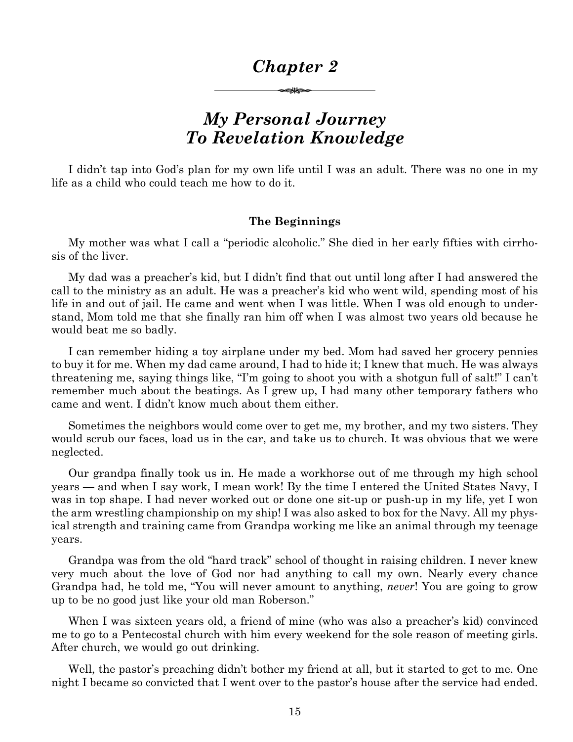# *Chapter 2*

# *My Personal Journey To Revelation Knowledge*

I didn't tap into God's plan for my own life until I was an adult. There was no one in my life as a child who could teach me how to do it.

#### **The Beginnings**

My mother was what I call a "periodic alcoholic." She died in her early fifties with cirrhosis of the liver.

My dad was a preacher's kid, but I didn't find that out until long after I had answered the call to the ministry as an adult. He was a preacher's kid who went wild, spending most of his life in and out of jail. He came and went when I was little. When I was old enough to understand, Mom told me that she finally ran him off when I was almost two years old because he would beat me so badly.

I can remember hiding a toy airplane under my bed. Mom had saved her grocery pennies to buy it for me. When my dad came around, I had to hide it; I knew that much. He was always threatening me, saying things like, "I'm going to shoot you with a shotgun full of salt!" I can't remember much about the beatings. As I grew up, I had many other temporary fathers who came and went. I didn't know much about them either.

Sometimes the neighbors would come over to get me, my brother, and my two sisters. They would scrub our faces, load us in the car, and take us to church. It was obvious that we were neglected.

Our grandpa finally took us in. He made a workhorse out of me through my high school years — and when I say work, I mean work! By the time I entered the United States Navy, I was in top shape. I had never worked out or done one sit-up or push-up in my life, yet I won the arm wrestling championship on my ship! I was also asked to box for the Navy. All my physical strength and training came from Grandpa working me like an animal through my teenage years.

Grandpa was from the old "hard track" school of thought in raising children. I never knew very much about the love of God nor had anything to call my own. Nearly every chance Grandpa had, he told me, "You will never amount to anything, *never*! You are going to grow up to be no good just like your old man Roberson."

When I was sixteen years old, a friend of mine (who was also a preacher's kid) convinced me to go to a Pentecostal church with him every weekend for the sole reason of meeting girls. After church, we would go out drinking.

Well, the pastor's preaching didn't bother my friend at all, but it started to get to me. One night I became so convicted that I went over to the pastor's house after the service had ended.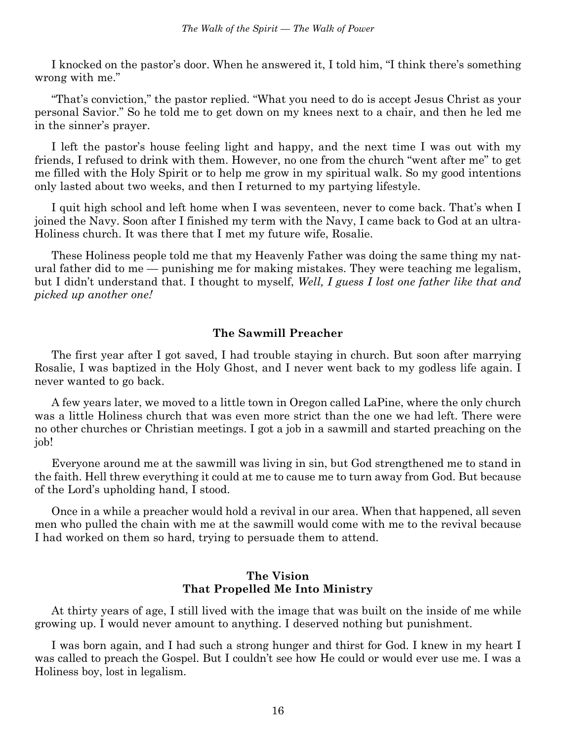I knocked on the pastor's door. When he answered it, I told him, "I think there's something wrong with me."

"That's conviction," the pastor replied. "What you need to do is accept Jesus Christ as your personal Savior." So he told me to get down on my knees next to a chair, and then he led me in the sinner's prayer.

I left the pastor's house feeling light and happy, and the next time I was out with my friends, I refused to drink with them. However, no one from the church "went after me" to get me filled with the Holy Spirit or to help me grow in my spiritual walk. So my good intentions only lasted about two weeks, and then I returned to my partying lifestyle.

I quit high school and left home when I was seventeen, never to come back. That's when I joined the Navy. Soon after I finished my term with the Navy, I came back to God at an ultra-Holiness church. It was there that I met my future wife, Rosalie.

These Holiness people told me that my Heavenly Father was doing the same thing my natural father did to me — punishing me for making mistakes. They were teaching me legalism, but I didn't understand that. I thought to myself, *Well, I guess I lost one father like that and picked up another one!*

#### **The Sawmill Preacher**

The first year after I got saved, I had trouble staying in church. But soon after marrying Rosalie, I was baptized in the Holy Ghost, and I never went back to my godless life again. I never wanted to go back.

A few years later, we moved to a little town in Oregon called LaPine, where the only church was a little Holiness church that was even more strict than the one we had left. There were no other churches or Christian meetings. I got a job in a sawmill and started preaching on the job!

Everyone around me at the sawmill was living in sin, but God strengthened me to stand in the faith. Hell threw everything it could at me to cause me to turn away from God. But because of the Lord's upholding hand, I stood.

Once in a while a preacher would hold a revival in our area. When that happened, all seven men who pulled the chain with me at the sawmill would come with me to the revival because I had worked on them so hard, trying to persuade them to attend.

#### **The Vision That Propelled Me Into Ministry**

At thirty years of age, I still lived with the image that was built on the inside of me while growing up. I would never amount to anything. I deserved nothing but punishment.

I was born again, and I had such a strong hunger and thirst for God. I knew in my heart I was called to preach the Gospel. But I couldn't see how He could or would ever use me. I was a Holiness boy, lost in legalism.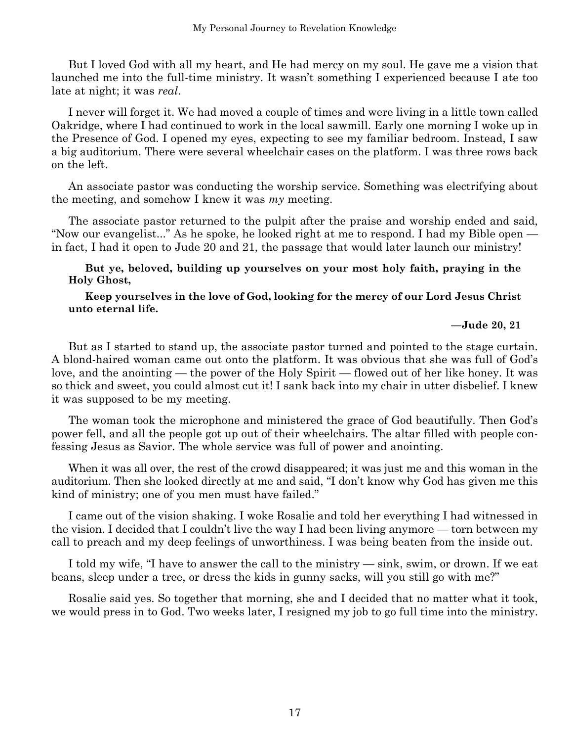But I loved God with all my heart, and He had mercy on my soul. He gave me a vision that launched me into the full-time ministry. It wasn't something I experienced because I ate too late at night; it was *real*.

I never will forget it. We had moved a couple of times and were living in a little town called Oakridge, where I had continued to work in the local sawmill. Early one morning I woke up in the Presence of God. I opened my eyes, expecting to see my familiar bedroom. Instead, I saw a big auditorium. There were several wheelchair cases on the platform. I was three rows back on the left.

An associate pastor was conducting the worship service. Something was electrifying about the meeting, and somehow I knew it was *my* meeting.

The associate pastor returned to the pulpit after the praise and worship ended and said, "Now our evangelist..." As he spoke, he looked right at me to respond. I had my Bible open in fact, I had it open to Jude 20 and 21, the passage that would later launch our ministry!

#### **But ye, beloved, building up yourselves on your most holy faith, praying in the Holy Ghost,**

#### **Keep yourselves in the love of God, looking for the mercy of our Lord Jesus Christ unto eternal life.**

#### **—Jude 20, 21**

But as I started to stand up, the associate pastor turned and pointed to the stage curtain. A blond-haired woman came out onto the platform. It was obvious that she was full of God's love, and the anointing — the power of the Holy Spirit — flowed out of her like honey. It was so thick and sweet, you could almost cut it! I sank back into my chair in utter disbelief. I knew it was supposed to be my meeting.

The woman took the microphone and ministered the grace of God beautifully. Then God's power fell, and all the people got up out of their wheelchairs. The altar filled with people confessing Jesus as Savior. The whole service was full of power and anointing.

When it was all over, the rest of the crowd disappeared; it was just me and this woman in the auditorium. Then she looked directly at me and said, "I don't know why God has given me this kind of ministry; one of you men must have failed."

I came out of the vision shaking. I woke Rosalie and told her everything I had witnessed in the vision. I decided that I couldn't live the way I had been living anymore — torn between my call to preach and my deep feelings of unworthiness. I was being beaten from the inside out.

I told my wife, "I have to answer the call to the ministry — sink, swim, or drown. If we eat beans, sleep under a tree, or dress the kids in gunny sacks, will you still go with me?"

Rosalie said yes. So together that morning, she and I decided that no matter what it took, we would press in to God. Two weeks later, I resigned my job to go full time into the ministry.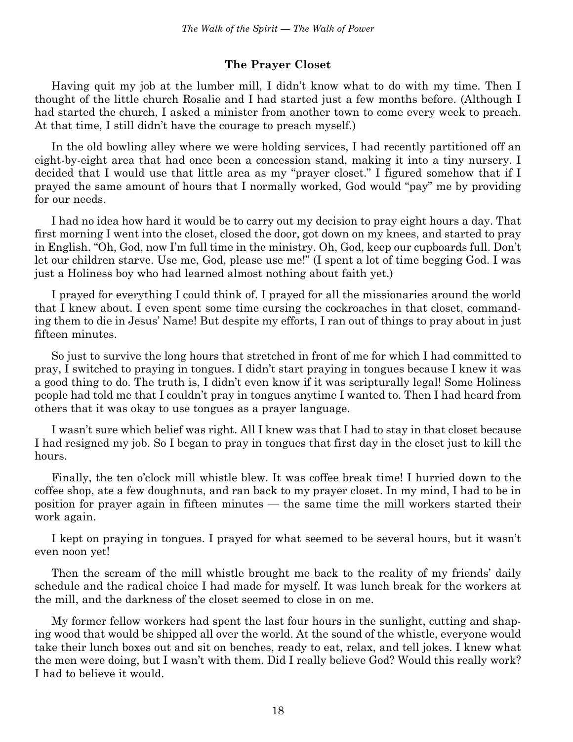#### **The Prayer Closet**

Having quit my job at the lumber mill, I didn't know what to do with my time. Then I thought of the little church Rosalie and I had started just a few months before. (Although I had started the church, I asked a minister from another town to come every week to preach. At that time, I still didn't have the courage to preach myself.)

In the old bowling alley where we were holding services, I had recently partitioned off an eight-by-eight area that had once been a concession stand, making it into a tiny nursery. I decided that I would use that little area as my "prayer closet." I figured somehow that if I prayed the same amount of hours that I normally worked, God would "pay" me by providing for our needs.

I had no idea how hard it would be to carry out my decision to pray eight hours a day. That first morning I went into the closet, closed the door, got down on my knees, and started to pray in English. "Oh, God, now I'm full time in the ministry. Oh, God, keep our cupboards full. Don't let our children starve. Use me, God, please use me!" (I spent a lot of time begging God. I was just a Holiness boy who had learned almost nothing about faith yet.)

I prayed for everything I could think of. I prayed for all the missionaries around the world that I knew about. I even spent some time cursing the cockroaches in that closet, commanding them to die in Jesus' Name! But despite my efforts, I ran out of things to pray about in just fifteen minutes.

So just to survive the long hours that stretched in front of me for which I had committed to pray, I switched to praying in tongues. I didn't start praying in tongues because I knew it was a good thing to do. The truth is, I didn't even know if it was scripturally legal! Some Holiness people had told me that I couldn't pray in tongues anytime I wanted to. Then I had heard from others that it was okay to use tongues as a prayer language.

I wasn't sure which belief was right. All I knew was that I had to stay in that closet because I had resigned my job. So I began to pray in tongues that first day in the closet just to kill the hours.

Finally, the ten o'clock mill whistle blew. It was coffee break time! I hurried down to the coffee shop, ate a few doughnuts, and ran back to my prayer closet. In my mind, I had to be in position for prayer again in fifteen minutes — the same time the mill workers started their work again.

I kept on praying in tongues. I prayed for what seemed to be several hours, but it wasn't even noon yet!

Then the scream of the mill whistle brought me back to the reality of my friends' daily schedule and the radical choice I had made for myself. It was lunch break for the workers at the mill, and the darkness of the closet seemed to close in on me.

My former fellow workers had spent the last four hours in the sunlight, cutting and shaping wood that would be shipped all over the world. At the sound of the whistle, everyone would take their lunch boxes out and sit on benches, ready to eat, relax, and tell jokes. I knew what the men were doing, but I wasn't with them. Did I really believe God? Would this really work? I had to believe it would.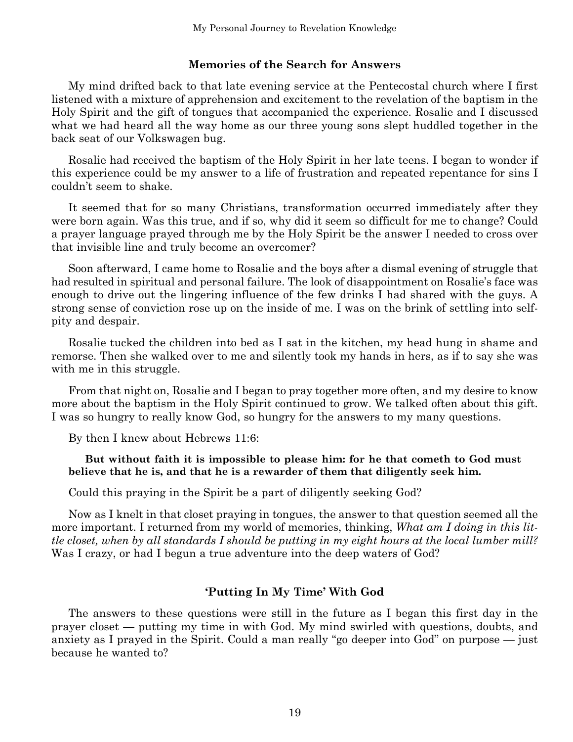### **Memories of the Search for Answers**

My mind drifted back to that late evening service at the Pentecostal church where I first listened with a mixture of apprehension and excitement to the revelation of the baptism in the Holy Spirit and the gift of tongues that accompanied the experience. Rosalie and I discussed what we had heard all the way home as our three young sons slept huddled together in the back seat of our Volkswagen bug.

Rosalie had received the baptism of the Holy Spirit in her late teens. I began to wonder if this experience could be my answer to a life of frustration and repeated repentance for sins I couldn't seem to shake.

It seemed that for so many Christians, transformation occurred immediately after they were born again. Was this true, and if so, why did it seem so difficult for me to change? Could a prayer language prayed through me by the Holy Spirit be the answer I needed to cross over that invisible line and truly become an overcomer?

Soon afterward, I came home to Rosalie and the boys after a dismal evening of struggle that had resulted in spiritual and personal failure. The look of disappointment on Rosalie's face was enough to drive out the lingering influence of the few drinks I had shared with the guys. A strong sense of conviction rose up on the inside of me. I was on the brink of settling into selfpity and despair.

Rosalie tucked the children into bed as I sat in the kitchen, my head hung in shame and remorse. Then she walked over to me and silently took my hands in hers, as if to say she was with me in this struggle.

From that night on, Rosalie and I began to pray together more often, and my desire to know more about the baptism in the Holy Spirit continued to grow. We talked often about this gift. I was so hungry to really know God, so hungry for the answers to my many questions.

By then I knew about Hebrews 11:6:

#### **But without faith it is impossible to please him: for he that cometh to God must believe that he is, and that he is a rewarder of them that diligently seek him.**

Could this praying in the Spirit be a part of diligently seeking God?

Now as I knelt in that closet praying in tongues, the answer to that question seemed all the more important. I returned from my world of memories, thinking, *What am I doing in this little closet, when by all standards I should be putting in my eight hours at the local lumber mill?* Was I crazy, or had I begun a true adventure into the deep waters of God?

### **'Putting In My Time' With God**

The answers to these questions were still in the future as I began this first day in the prayer closet — putting my time in with God. My mind swirled with questions, doubts, and anxiety as I prayed in the Spirit. Could a man really "go deeper into God" on purpose — just because he wanted to?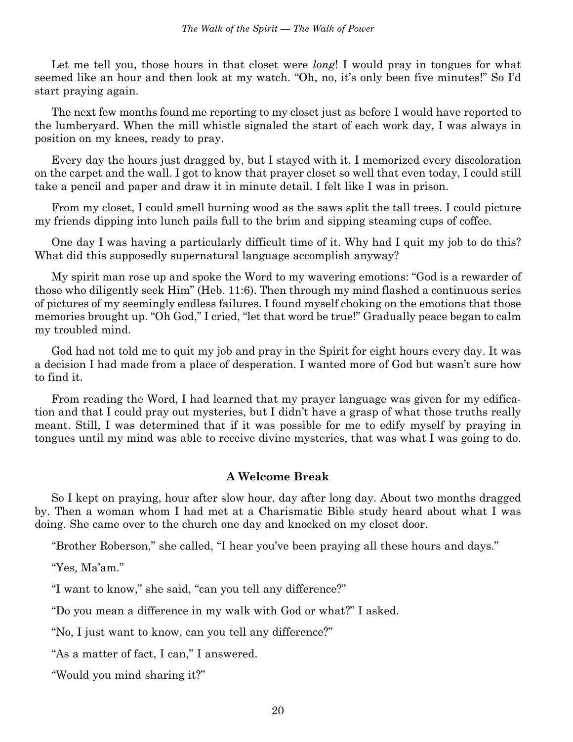Let me tell you, those hours in that closet were *long*! I would pray in tongues for what seemed like an hour and then look at my watch. "Oh, no, it's only been five minutes!" So I'd start praying again.

The next few months found me reporting to my closet just as before I would have reported to the lumberyard. When the mill whistle signaled the start of each work day, I was always in position on my knees, ready to pray.

Every day the hours just dragged by, but I stayed with it. I memorized every discoloration on the carpet and the wall. I got to know that prayer closet so well that even today, I could still take a pencil and paper and draw it in minute detail. I felt like I was in prison.

From my closet, I could smell burning wood as the saws split the tall trees. I could picture my friends dipping into lunch pails full to the brim and sipping steaming cups of coffee.

One day I was having a particularly difficult time of it. Why had I quit my job to do this? What did this supposedly supernatural language accomplish anyway?

My spirit man rose up and spoke the Word to my wavering emotions: "God is a rewarder of those who diligently seek Him" (Heb. 11:6). Then through my mind flashed a continuous series of pictures of my seemingly endless failures. I found myself choking on the emotions that those memories brought up. "Oh God," I cried, "let that word be true!" Gradually peace began to calm my troubled mind.

God had not told me to quit my job and pray in the Spirit for eight hours every day. It was a decision I had made from a place of desperation. I wanted more of God but wasn't sure how to find it.

From reading the Word, I had learned that my prayer language was given for my edification and that I could pray out mysteries, but I didn't have a grasp of what those truths really meant. Still, I was determined that if it was possible for me to edify myself by praying in tongues until my mind was able to receive divine mysteries, that was what I was going to do.

#### **A Welcome Break**

So I kept on praying, hour after slow hour, day after long day. About two months dragged by. Then a woman whom I had met at a Charismatic Bible study heard about what I was doing. She came over to the church one day and knocked on my closet door.

"Brother Roberson," she called, "I hear you've been praying all these hours and days."

"Yes, Ma'am."

"I want to know," she said, "can you tell any difference?"

"Do you mean a difference in my walk with God or what?" I asked.

"No, I just want to know, can you tell any difference?"

"As a matter of fact, I can," I answered.

"Would you mind sharing it?"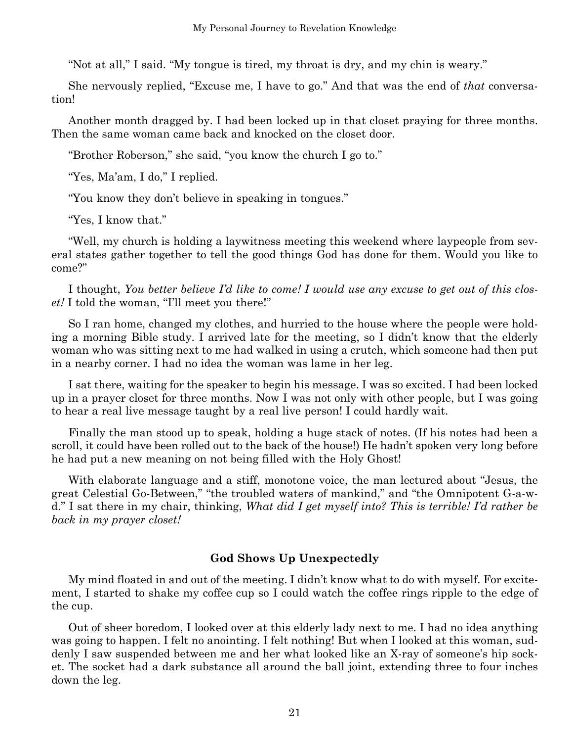"Not at all," I said. "My tongue is tired, my throat is dry, and my chin is weary."

She nervously replied, "Excuse me, I have to go." And that was the end of *that* conversation!

Another month dragged by. I had been locked up in that closet praying for three months. Then the same woman came back and knocked on the closet door.

"Brother Roberson," she said, "you know the church I go to."

"Yes, Ma'am, I do," I replied.

"You know they don't believe in speaking in tongues."

"Yes, I know that."

"Well, my church is holding a laywitness meeting this weekend where laypeople from several states gather together to tell the good things God has done for them. Would you like to come?"

I thought, *You better believe I'd like to come! I would use any excuse to get out of this closet!* I told the woman, "I'll meet you there!"

So I ran home, changed my clothes, and hurried to the house where the people were holding a morning Bible study. I arrived late for the meeting, so I didn't know that the elderly woman who was sitting next to me had walked in using a crutch, which someone had then put in a nearby corner. I had no idea the woman was lame in her leg.

I sat there, waiting for the speaker to begin his message. I was so excited. I had been locked up in a prayer closet for three months. Now I was not only with other people, but I was going to hear a real live message taught by a real live person! I could hardly wait.

Finally the man stood up to speak, holding a huge stack of notes. (If his notes had been a scroll, it could have been rolled out to the back of the house!) He hadn't spoken very long before he had put a new meaning on not being filled with the Holy Ghost!

With elaborate language and a stiff, monotone voice, the man lectured about "Jesus, the great Celestial Go-Between," "the troubled waters of mankind," and "the Omnipotent G-a-wd." I sat there in my chair, thinking, *What did I get myself into? This is terrible! I'd rather be back in my prayer closet!* 

### **God Shows Up Unexpectedly**

My mind floated in and out of the meeting. I didn't know what to do with myself. For excitement, I started to shake my coffee cup so I could watch the coffee rings ripple to the edge of the cup.

Out of sheer boredom, I looked over at this elderly lady next to me. I had no idea anything was going to happen. I felt no anointing. I felt nothing! But when I looked at this woman, suddenly I saw suspended between me and her what looked like an X-ray of someone's hip socket. The socket had a dark substance all around the ball joint, extending three to four inches down the leg.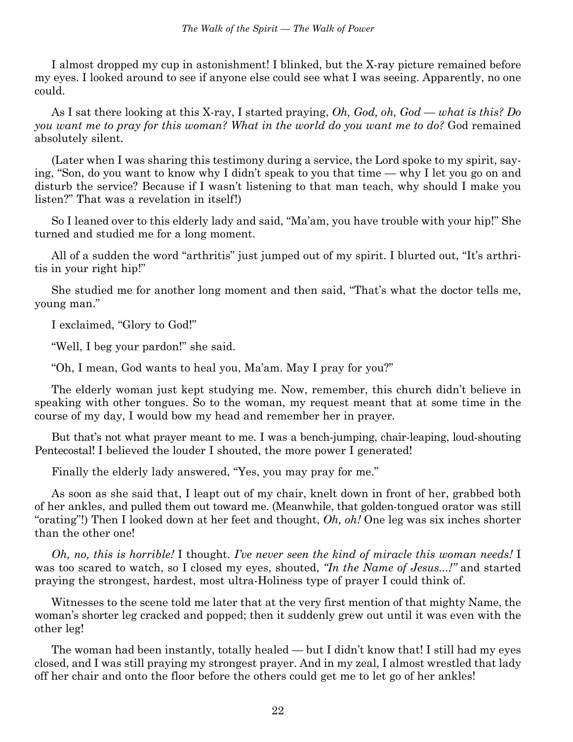I almost dropped my cup in astonishment! I blinked, but the X-ray picture remained before my eyes. I looked around to see if anyone else could see what I was seeing. Apparently, no one could.

As I sat there looking at this X-ray, I started praying, *Oh, God, oh, God — what is this? Do you want me to pray for this woman? What in the world do you want me to do?* God remained absolutely silent.

(Later when I was sharing this testimony during a service, the Lord spoke to my spirit, saying, "Son, do you want to know why I didn't speak to you that time — why I let you go on and disturb the service? Because if I wasn't listening to that man teach, why should I make you listen?" That was a revelation in itself!)

So I leaned over to this elderly lady and said, "Ma'am, you have trouble with your hip!" She turned and studied me for a long moment.

All of a sudden the word "arthritis" just jumped out of my spirit. I blurted out, "It's arthritis in your right hip!"

She studied me for another long moment and then said, "That's what the doctor tells me, young man."

I exclaimed, "Glory to God!"

"Well, I beg your pardon!" she said.

"Oh, I mean, God wants to heal you, Ma'am. May I pray for you?"

The elderly woman just kept studying me. Now, remember, this church didn't believe in speaking with other tongues. So to the woman, my request meant that at some time in the course of my day, I would bow my head and remember her in prayer.

But that's not what prayer meant to me. I was a bench-jumping, chair-leaping, loud-shouting Pentecostal! I believed the louder I shouted, the more power I generated!

Finally the elderly lady answered, "Yes, you may pray for me."

As soon as she said that, I leapt out of my chair, knelt down in front of her, grabbed both of her ankles, and pulled them out toward me. (Meanwhile, that golden-tongued orator was still "orating"!) Then I looked down at her feet and thought, *Oh, oh!* One leg was six inches shorter than the other one!

*Oh, no, this is horrible!* I thought. *I've never seen the kind of miracle this woman needs!* I was too scared to watch, so I closed my eyes, shouted, *"In the Name of Jesus...!"* and started praying the strongest, hardest, most ultra-Holiness type of prayer I could think of.

Witnesses to the scene told me later that at the very first mention of that mighty Name, the woman's shorter leg cracked and popped; then it suddenly grew out until it was even with the other leg!

The woman had been instantly, totally healed — but I didn't know that! I still had my eyes closed, and I was still praying my strongest prayer. And in my zeal, I almost wrestled that lady off her chair and onto the floor before the others could get me to let go of her ankles!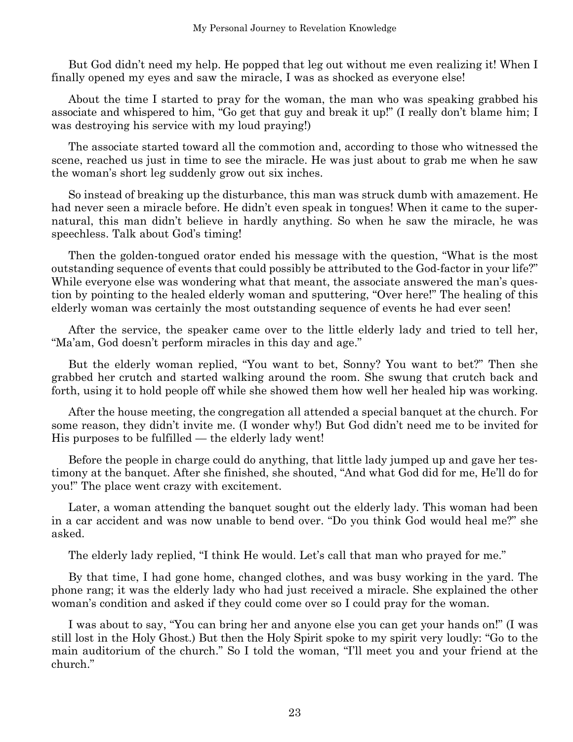But God didn't need my help. He popped that leg out without me even realizing it! When I finally opened my eyes and saw the miracle, I was as shocked as everyone else!

About the time I started to pray for the woman, the man who was speaking grabbed his associate and whispered to him, "Go get that guy and break it up!" (I really don't blame him; I was destroying his service with my loud praying!)

The associate started toward all the commotion and, according to those who witnessed the scene, reached us just in time to see the miracle. He was just about to grab me when he saw the woman's short leg suddenly grow out six inches.

So instead of breaking up the disturbance, this man was struck dumb with amazement. He had never seen a miracle before. He didn't even speak in tongues! When it came to the supernatural, this man didn't believe in hardly anything. So when he saw the miracle, he was speechless. Talk about God's timing!

Then the golden-tongued orator ended his message with the question, "What is the most outstanding sequence of events that could possibly be attributed to the God-factor in your life?" While everyone else was wondering what that meant, the associate answered the man's question by pointing to the healed elderly woman and sputtering, "Over here!" The healing of this elderly woman was certainly the most outstanding sequence of events he had ever seen!

After the service, the speaker came over to the little elderly lady and tried to tell her, "Ma'am, God doesn't perform miracles in this day and age."

But the elderly woman replied, "You want to bet, Sonny? You want to bet?" Then she grabbed her crutch and started walking around the room. She swung that crutch back and forth, using it to hold people off while she showed them how well her healed hip was working.

After the house meeting, the congregation all attended a special banquet at the church. For some reason, they didn't invite me. (I wonder why!) But God didn't need me to be invited for His purposes to be fulfilled — the elderly lady went!

Before the people in charge could do anything, that little lady jumped up and gave her testimony at the banquet. After she finished, she shouted, "And what God did for me, He'll do for you!" The place went crazy with excitement.

Later, a woman attending the banquet sought out the elderly lady. This woman had been in a car accident and was now unable to bend over. "Do you think God would heal me?" she asked.

The elderly lady replied, "I think He would. Let's call that man who prayed for me."

By that time, I had gone home, changed clothes, and was busy working in the yard. The phone rang; it was the elderly lady who had just received a miracle. She explained the other woman's condition and asked if they could come over so I could pray for the woman.

I was about to say, "You can bring her and anyone else you can get your hands on!" (I was still lost in the Holy Ghost.) But then the Holy Spirit spoke to my spirit very loudly: "Go to the main auditorium of the church." So I told the woman, "I'll meet you and your friend at the church."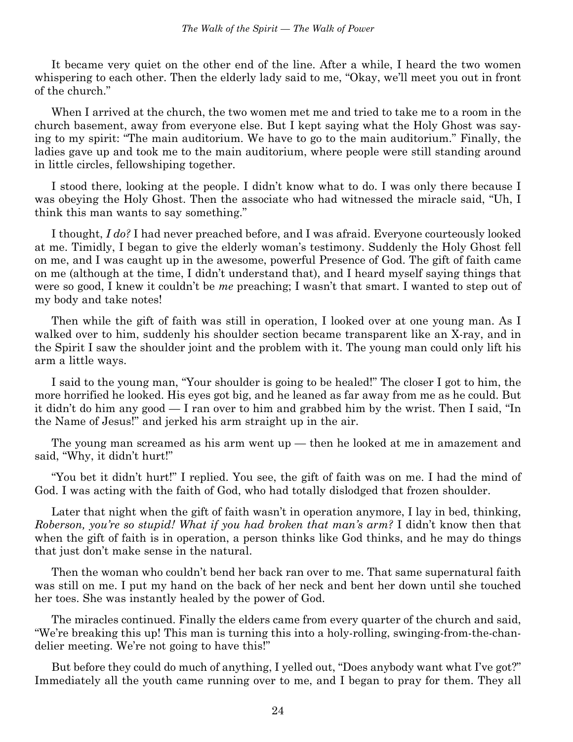It became very quiet on the other end of the line. After a while, I heard the two women whispering to each other. Then the elderly lady said to me, "Okay, we'll meet you out in front of the church."

When I arrived at the church, the two women met me and tried to take me to a room in the church basement, away from everyone else. But I kept saying what the Holy Ghost was saying to my spirit: "The main auditorium. We have to go to the main auditorium." Finally, the ladies gave up and took me to the main auditorium, where people were still standing around in little circles, fellowshiping together.

I stood there, looking at the people. I didn't know what to do. I was only there because I was obeying the Holy Ghost. Then the associate who had witnessed the miracle said, "Uh, I think this man wants to say something."

I thought, *I do?* I had never preached before, and I was afraid. Everyone courteously looked at me. Timidly, I began to give the elderly woman's testimony. Suddenly the Holy Ghost fell on me, and I was caught up in the awesome, powerful Presence of God. The gift of faith came on me (although at the time, I didn't understand that), and I heard myself saying things that were so good, I knew it couldn't be *me* preaching; I wasn't that smart. I wanted to step out of my body and take notes!

Then while the gift of faith was still in operation, I looked over at one young man. As I walked over to him, suddenly his shoulder section became transparent like an X-ray, and in the Spirit I saw the shoulder joint and the problem with it. The young man could only lift his arm a little ways.

I said to the young man, "Your shoulder is going to be healed!" The closer I got to him, the more horrified he looked. His eyes got big, and he leaned as far away from me as he could. But it didn't do him any good — I ran over to him and grabbed him by the wrist. Then I said, "In the Name of Jesus!" and jerked his arm straight up in the air.

The young man screamed as his arm went up — then he looked at me in amazement and said, "Why, it didn't hurt!"

"You bet it didn't hurt!" I replied. You see, the gift of faith was on me. I had the mind of God. I was acting with the faith of God, who had totally dislodged that frozen shoulder.

Later that night when the gift of faith wasn't in operation anymore, I lay in bed, thinking, *Roberson, you're so stupid! What if you had broken that man's arm?* I didn't know then that when the gift of faith is in operation, a person thinks like God thinks, and he may do things that just don't make sense in the natural.

Then the woman who couldn't bend her back ran over to me. That same supernatural faith was still on me. I put my hand on the back of her neck and bent her down until she touched her toes. She was instantly healed by the power of God.

The miracles continued. Finally the elders came from every quarter of the church and said, "We're breaking this up! This man is turning this into a holy-rolling, swinging-from-the-chandelier meeting. We're not going to have this!"

But before they could do much of anything, I yelled out, "Does anybody want what I've got?" Immediately all the youth came running over to me, and I began to pray for them. They all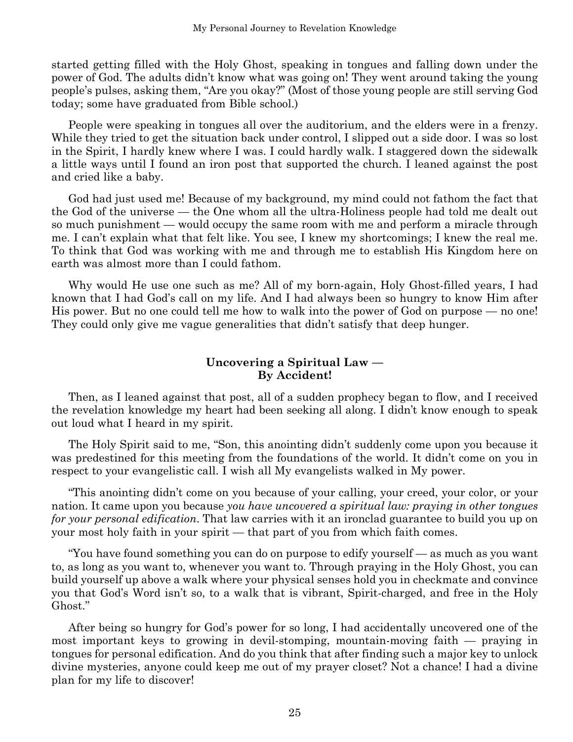started getting filled with the Holy Ghost, speaking in tongues and falling down under the power of God. The adults didn't know what was going on! They went around taking the young people's pulses, asking them, "Are you okay?" (Most of those young people are still serving God today; some have graduated from Bible school.)

People were speaking in tongues all over the auditorium, and the elders were in a frenzy. While they tried to get the situation back under control, I slipped out a side door. I was so lost in the Spirit, I hardly knew where I was. I could hardly walk. I staggered down the sidewalk a little ways until I found an iron post that supported the church. I leaned against the post and cried like a baby.

God had just used me! Because of my background, my mind could not fathom the fact that the God of the universe — the One whom all the ultra-Holiness people had told me dealt out so much punishment — would occupy the same room with me and perform a miracle through me. I can't explain what that felt like. You see, I knew my shortcomings; I knew the real me. To think that God was working with me and through me to establish His Kingdom here on earth was almost more than I could fathom.

Why would He use one such as me? All of my born-again, Holy Ghost-filled years, I had known that I had God's call on my life. And I had always been so hungry to know Him after His power. But no one could tell me how to walk into the power of God on purpose — no one! They could only give me vague generalities that didn't satisfy that deep hunger.

### **Uncovering a Spiritual Law — By Accident!**

Then, as I leaned against that post, all of a sudden prophecy began to flow, and I received the revelation knowledge my heart had been seeking all along. I didn't know enough to speak out loud what I heard in my spirit.

The Holy Spirit said to me, "Son, this anointing didn't suddenly come upon you because it was predestined for this meeting from the foundations of the world. It didn't come on you in respect to your evangelistic call. I wish all My evangelists walked in My power.

"This anointing didn't come on you because of your calling, your creed, your color, or your nation. It came upon you because *you have uncovered a spiritual law: praying in other tongues for your personal edification*. That law carries with it an ironclad guarantee to build you up on your most holy faith in your spirit — that part of you from which faith comes.

"You have found something you can do on purpose to edify yourself — as much as you want to, as long as you want to, whenever you want to. Through praying in the Holy Ghost, you can build yourself up above a walk where your physical senses hold you in checkmate and convince you that God's Word isn't so, to a walk that is vibrant, Spirit-charged, and free in the Holy Ghost."

After being so hungry for God's power for so long, I had accidentally uncovered one of the most important keys to growing in devil-stomping, mountain-moving faith — praying in tongues for personal edification. And do you think that after finding such a major key to unlock divine mysteries, anyone could keep me out of my prayer closet? Not a chance! I had a divine plan for my life to discover!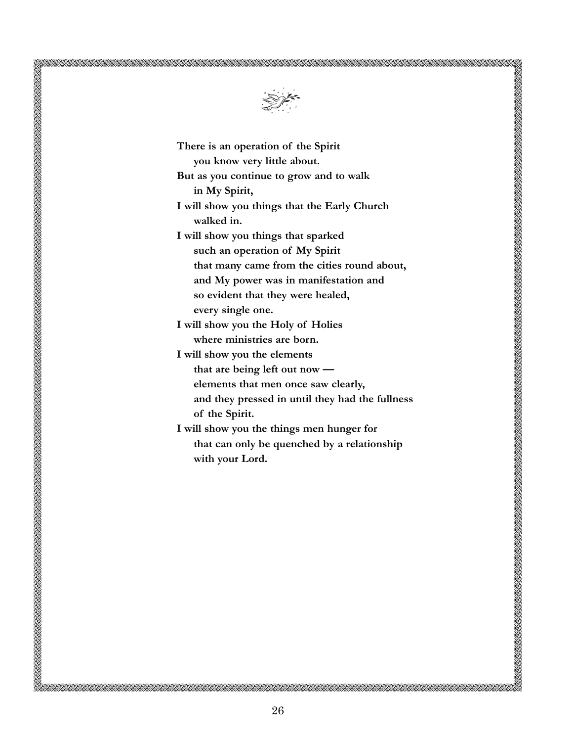

**There is an operation of the Spirit you know very little about. But as you continue to grow and to walk in My Spirit, I will show you things that the Early Church walked in. I will show you things that sparked such an operation of My Spirit that many came from the cities round about, and My power was in manifestation and so evident that they were healed, every single one. I will show you the Holy of Holies where ministries are born. I will show you the elements that are being left out now elements that men once saw clearly, and they pressed in until they had the fullness of the Spirit. I will show you the things men hunger for that can only be quenched by a relationship with your Lord.**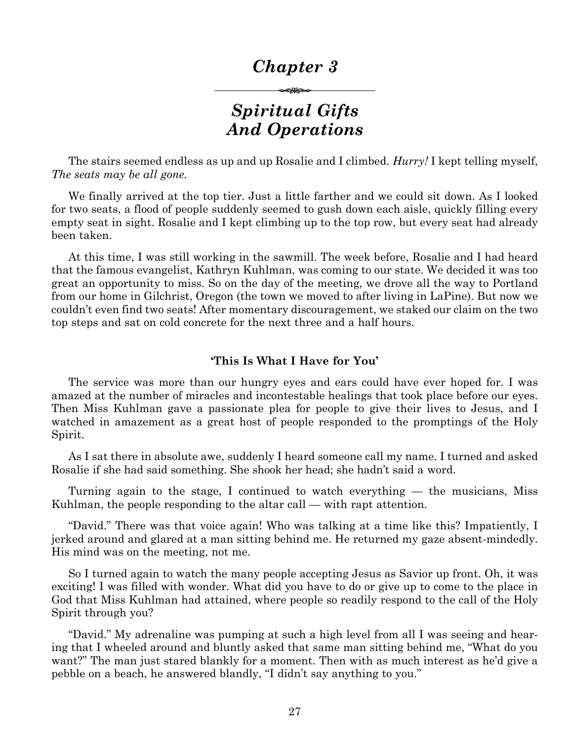# *Chapter 3*

# *Spiritual Gifts And Operations*

The stairs seemed endless as up and up Rosalie and I climbed. *Hurry!* I kept telling myself, *The seats may be all gone.*

We finally arrived at the top tier. Just a little farther and we could sit down. As I looked for two seats, a flood of people suddenly seemed to gush down each aisle, quickly filling every empty seat in sight. Rosalie and I kept climbing up to the top row, but every seat had already been taken.

At this time, I was still working in the sawmill. The week before, Rosalie and I had heard that the famous evangelist, Kathryn Kuhlman, was coming to our state. We decided it was too great an opportunity to miss. So on the day of the meeting, we drove all the way to Portland from our home in Gilchrist, Oregon (the town we moved to after living in LaPine). But now we couldn't even find two seats! After momentary discouragement, we staked our claim on the two top steps and sat on cold concrete for the next three and a half hours.

#### **'This Is What I Have for You'**

The service was more than our hungry eyes and ears could have ever hoped for. I was amazed at the number of miracles and incontestable healings that took place before our eyes. Then Miss Kuhlman gave a passionate plea for people to give their lives to Jesus, and I watched in amazement as a great host of people responded to the promptings of the Holy Spirit.

As I sat there in absolute awe, suddenly I heard someone call my name. I turned and asked Rosalie if she had said something. She shook her head; she hadn't said a word.

Turning again to the stage, I continued to watch everything — the musicians, Miss Kuhlman, the people responding to the altar call — with rapt attention.

"David." There was that voice again! Who was talking at a time like this? Impatiently, I jerked around and glared at a man sitting behind me. He returned my gaze absent-mindedly. His mind was on the meeting, not me.

So I turned again to watch the many people accepting Jesus as Savior up front. Oh, it was exciting! I was filled with wonder. What did you have to do or give up to come to the place in God that Miss Kuhlman had attained, where people so readily respond to the call of the Holy Spirit through you?

"David." My adrenaline was pumping at such a high level from all I was seeing and hearing that I wheeled around and bluntly asked that same man sitting behind me, "What do you want?" The man just stared blankly for a moment. Then with as much interest as he'd give a pebble on a beach, he answered blandly, "I didn't say anything to you."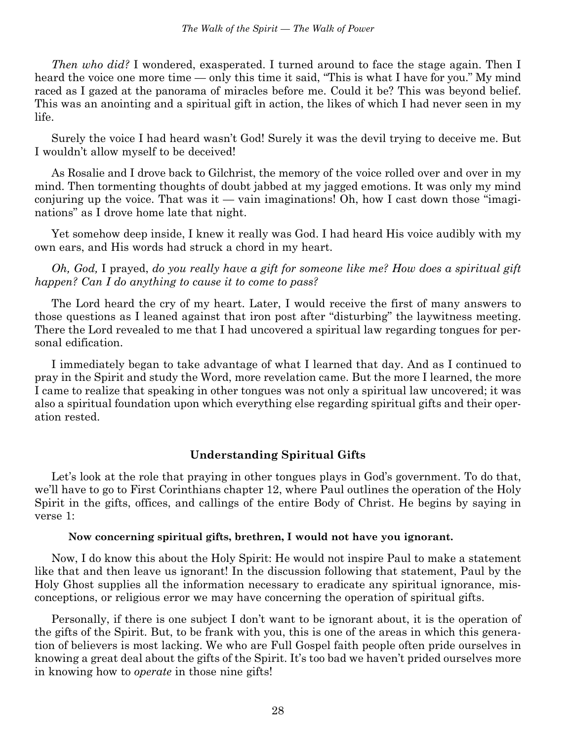*Then who did?* I wondered, exasperated. I turned around to face the stage again. Then I heard the voice one more time — only this time it said, "This is what I have for you." My mind raced as I gazed at the panorama of miracles before me. Could it be? This was beyond belief. This was an anointing and a spiritual gift in action, the likes of which I had never seen in my life.

Surely the voice I had heard wasn't God! Surely it was the devil trying to deceive me. But I wouldn't allow myself to be deceived!

As Rosalie and I drove back to Gilchrist, the memory of the voice rolled over and over in my mind. Then tormenting thoughts of doubt jabbed at my jagged emotions. It was only my mind conjuring up the voice. That was it — vain imaginations! Oh, how I cast down those "imaginations" as I drove home late that night.

Yet somehow deep inside, I knew it really was God. I had heard His voice audibly with my own ears, and His words had struck a chord in my heart.

*Oh, God,* I prayed, *do you really have a gift for someone like me? How does a spiritual gift happen? Can I do anything to cause it to come to pass?*

The Lord heard the cry of my heart. Later, I would receive the first of many answers to those questions as I leaned against that iron post after "disturbing" the laywitness meeting. There the Lord revealed to me that I had uncovered a spiritual law regarding tongues for personal edification.

I immediately began to take advantage of what I learned that day. And as I continued to pray in the Spirit and study the Word, more revelation came. But the more I learned, the more I came to realize that speaking in other tongues was not only a spiritual law uncovered; it was also a spiritual foundation upon which everything else regarding spiritual gifts and their operation rested.

### **Understanding Spiritual Gifts**

Let's look at the role that praying in other tongues plays in God's government. To do that, we'll have to go to First Corinthians chapter 12, where Paul outlines the operation of the Holy Spirit in the gifts, offices, and callings of the entire Body of Christ. He begins by saying in verse 1:

#### **Now concerning spiritual gifts, brethren, I would not have you ignorant.**

Now, I do know this about the Holy Spirit: He would not inspire Paul to make a statement like that and then leave us ignorant! In the discussion following that statement, Paul by the Holy Ghost supplies all the information necessary to eradicate any spiritual ignorance, misconceptions, or religious error we may have concerning the operation of spiritual gifts.

Personally, if there is one subject I don't want to be ignorant about, it is the operation of the gifts of the Spirit. But, to be frank with you, this is one of the areas in which this generation of believers is most lacking. We who are Full Gospel faith people often pride ourselves in knowing a great deal about the gifts of the Spirit. It's too bad we haven't prided ourselves more in knowing how to *operate* in those nine gifts!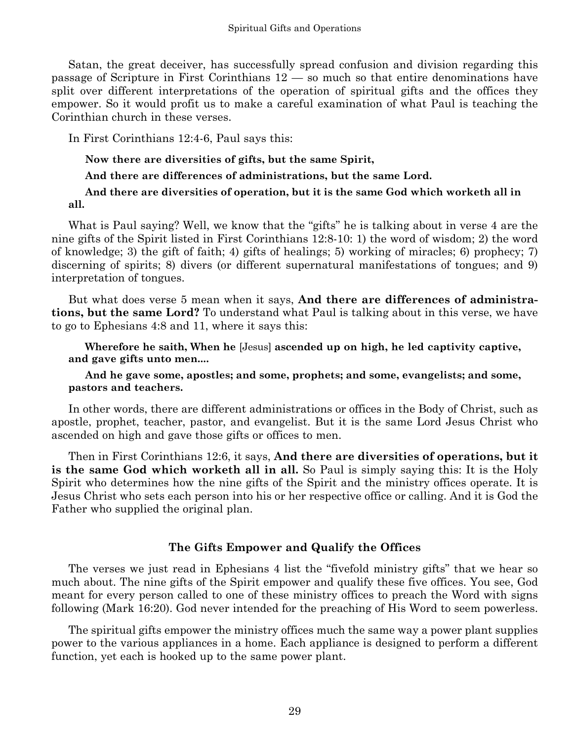Satan, the great deceiver, has successfully spread confusion and division regarding this passage of Scripture in First Corinthians 12 — so much so that entire denominations have split over different interpretations of the operation of spiritual gifts and the offices they empower. So it would profit us to make a careful examination of what Paul is teaching the Corinthian church in these verses.

In First Corinthians 12:4-6, Paul says this:

**Now there are diversities of gifts, but the same Spirit,**

**And there are differences of administrations, but the same Lord.**

**And there are diversities of operation, but it is the same God which worketh all in all.**

What is Paul saying? Well, we know that the "gifts" he is talking about in verse 4 are the nine gifts of the Spirit listed in First Corinthians 12:8-10: 1) the word of wisdom; 2) the word of knowledge; 3) the gift of faith; 4) gifts of healings; 5) working of miracles; 6) prophecy; 7) discerning of spirits; 8) divers (or different supernatural manifestations of tongues; and 9) interpretation of tongues.

But what does verse 5 mean when it says, **And there are differences of administrations, but the same Lord?** To understand what Paul is talking about in this verse, we have to go to Ephesians 4:8 and 11, where it says this:

**Wherefore he saith, When he** [Jesus] **ascended up on high, he led captivity captive, and gave gifts unto men....**

**And he gave some, apostles; and some, prophets; and some, evangelists; and some, pastors and teachers.** 

In other words, there are different administrations or offices in the Body of Christ, such as apostle, prophet, teacher, pastor, and evangelist. But it is the same Lord Jesus Christ who ascended on high and gave those gifts or offices to men.

Then in First Corinthians 12:6, it says, **And there are diversities of operations, but it is the same God which worketh all in all.** So Paul is simply saying this: It is the Holy Spirit who determines how the nine gifts of the Spirit and the ministry offices operate. It is Jesus Christ who sets each person into his or her respective office or calling. And it is God the Father who supplied the original plan.

### **The Gifts Empower and Qualify the Offices**

The verses we just read in Ephesians 4 list the "fivefold ministry gifts" that we hear so much about. The nine gifts of the Spirit empower and qualify these five offices. You see, God meant for every person called to one of these ministry offices to preach the Word with signs following (Mark 16:20). God never intended for the preaching of His Word to seem powerless.

The spiritual gifts empower the ministry offices much the same way a power plant supplies power to the various appliances in a home. Each appliance is designed to perform a different function, yet each is hooked up to the same power plant.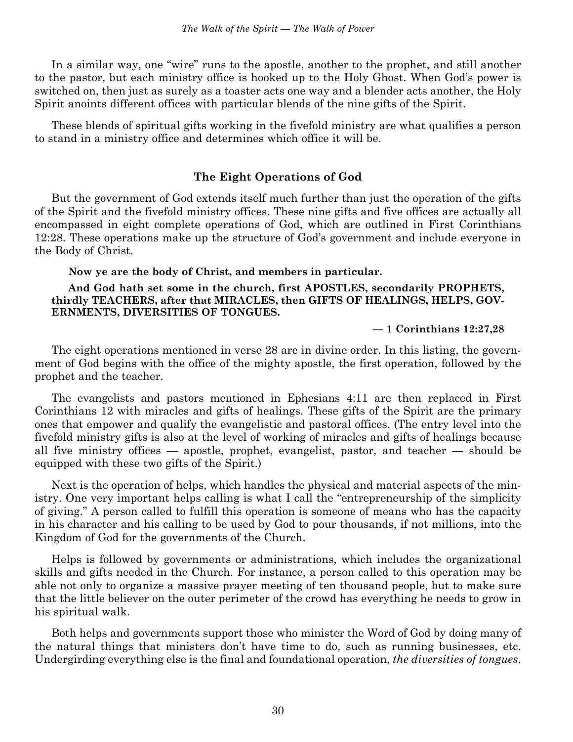In a similar way, one "wire" runs to the apostle, another to the prophet, and still another to the pastor, but each ministry office is hooked up to the Holy Ghost. When God's power is switched on, then just as surely as a toaster acts one way and a blender acts another, the Holy Spirit anoints different offices with particular blends of the nine gifts of the Spirit.

These blends of spiritual gifts working in the fivefold ministry are what qualifies a person to stand in a ministry office and determines which office it will be.

#### **The Eight Operations of God**

But the government of God extends itself much further than just the operation of the gifts of the Spirit and the fivefold ministry offices. These nine gifts and five offices are actually all encompassed in eight complete operations of God, which are outlined in First Corinthians 12:28. These operations make up the structure of God's government and include everyone in the Body of Christ.

#### **Now ye are the body of Christ, and members in particular.**

**And God hath set some in the church, first APOSTLES, secondarily PROPHETS, thirdly TEACHERS, after that MIRACLES, then GIFTS OF HEALINGS, HELPS, GOV-ERNMENTS, DIVERSITIES OF TONGUES.**

#### **— 1 Corinthians 12:27,28**

The eight operations mentioned in verse 28 are in divine order. In this listing, the government of God begins with the office of the mighty apostle, the first operation, followed by the prophet and the teacher.

The evangelists and pastors mentioned in Ephesians 4:11 are then replaced in First Corinthians 12 with miracles and gifts of healings. These gifts of the Spirit are the primary ones that empower and qualify the evangelistic and pastoral offices. (The entry level into the fivefold ministry gifts is also at the level of working of miracles and gifts of healings because all five ministry offices — apostle, prophet, evangelist, pastor, and teacher — should be equipped with these two gifts of the Spirit.)

Next is the operation of helps, which handles the physical and material aspects of the ministry. One very important helps calling is what I call the "entrepreneurship of the simplicity of giving." A person called to fulfill this operation is someone of means who has the capacity in his character and his calling to be used by God to pour thousands, if not millions, into the Kingdom of God for the governments of the Church.

Helps is followed by governments or administrations, which includes the organizational skills and gifts needed in the Church. For instance, a person called to this operation may be able not only to organize a massive prayer meeting of ten thousand people, but to make sure that the little believer on the outer perimeter of the crowd has everything he needs to grow in his spiritual walk.

Both helps and governments support those who minister the Word of God by doing many of the natural things that ministers don't have time to do, such as running businesses, etc. Undergirding everything else is the final and foundational operation, *the diversities of tongues*.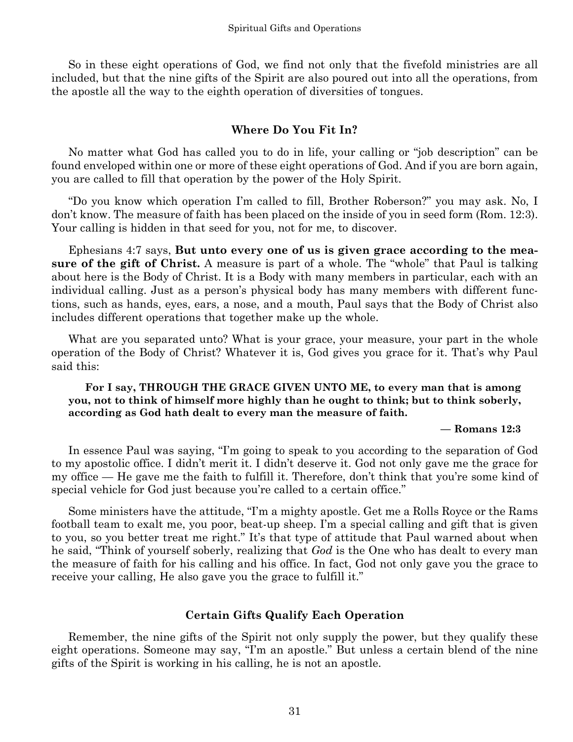So in these eight operations of God, we find not only that the fivefold ministries are all included, but that the nine gifts of the Spirit are also poured out into all the operations, from the apostle all the way to the eighth operation of diversities of tongues.

### **Where Do You Fit In?**

No matter what God has called you to do in life, your calling or "job description" can be found enveloped within one or more of these eight operations of God. And if you are born again, you are called to fill that operation by the power of the Holy Spirit.

"Do you know which operation I'm called to fill, Brother Roberson?" you may ask. No, I don't know. The measure of faith has been placed on the inside of you in seed form (Rom. 12:3). Your calling is hidden in that seed for you, not for me, to discover.

Ephesians 4:7 says, **But unto every one of us is given grace according to the measure of the gift of Christ.** A measure is part of a whole. The "whole" that Paul is talking about here is the Body of Christ. It is a Body with many members in particular, each with an individual calling. Just as a person's physical body has many members with different functions, such as hands, eyes, ears, a nose, and a mouth, Paul says that the Body of Christ also includes different operations that together make up the whole.

What are you separated unto? What is your grace, your measure, your part in the whole operation of the Body of Christ? Whatever it is, God gives you grace for it. That's why Paul said this:

#### **For I say, THROUGH THE GRACE GIVEN UNTO ME, to every man that is among you, not to think of himself more highly than he ought to think; but to think soberly, according as God hath dealt to every man the measure of faith.**

#### **— Romans 12:3**

In essence Paul was saying, "I'm going to speak to you according to the separation of God to my apostolic office. I didn't merit it. I didn't deserve it. God not only gave me the grace for my office — He gave me the faith to fulfill it. Therefore, don't think that you're some kind of special vehicle for God just because you're called to a certain office."

Some ministers have the attitude, "I'm a mighty apostle. Get me a Rolls Royce or the Rams football team to exalt me, you poor, beat-up sheep. I'm a special calling and gift that is given to you, so you better treat me right." It's that type of attitude that Paul warned about when he said, "Think of yourself soberly, realizing that *God* is the One who has dealt to every man the measure of faith for his calling and his office. In fact, God not only gave you the grace to receive your calling, He also gave you the grace to fulfill it."

### **Certain Gifts Qualify Each Operation**

Remember, the nine gifts of the Spirit not only supply the power, but they qualify these eight operations. Someone may say, "I'm an apostle." But unless a certain blend of the nine gifts of the Spirit is working in his calling, he is not an apostle.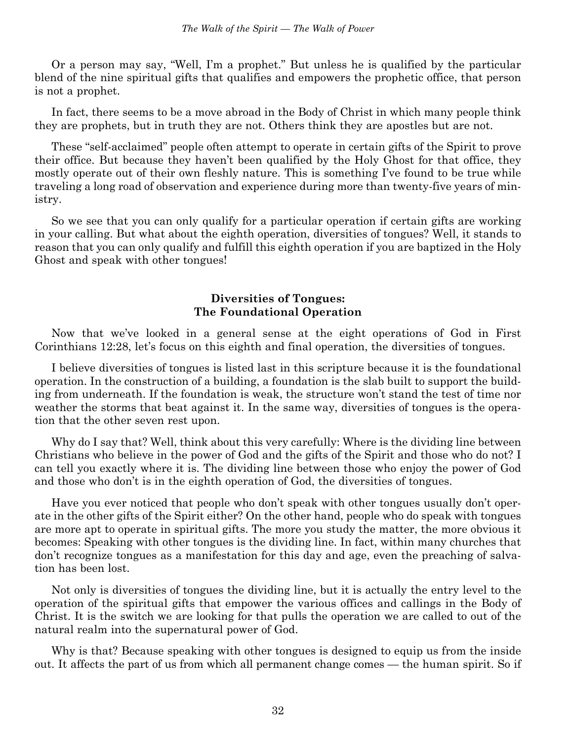Or a person may say, "Well, I'm a prophet." But unless he is qualified by the particular blend of the nine spiritual gifts that qualifies and empowers the prophetic office, that person is not a prophet.

In fact, there seems to be a move abroad in the Body of Christ in which many people think they are prophets, but in truth they are not. Others think they are apostles but are not.

These "self-acclaimed" people often attempt to operate in certain gifts of the Spirit to prove their office. But because they haven't been qualified by the Holy Ghost for that office, they mostly operate out of their own fleshly nature. This is something I've found to be true while traveling a long road of observation and experience during more than twenty-five years of ministry.

So we see that you can only qualify for a particular operation if certain gifts are working in your calling. But what about the eighth operation, diversities of tongues? Well, it stands to reason that you can only qualify and fulfill this eighth operation if you are baptized in the Holy Ghost and speak with other tongues!

#### **Diversities of Tongues: The Foundational Operation**

Now that we've looked in a general sense at the eight operations of God in First Corinthians 12:28, let's focus on this eighth and final operation, the diversities of tongues.

I believe diversities of tongues is listed last in this scripture because it is the foundational operation. In the construction of a building, a foundation is the slab built to support the building from underneath. If the foundation is weak, the structure won't stand the test of time nor weather the storms that beat against it. In the same way, diversities of tongues is the operation that the other seven rest upon.

Why do I say that? Well, think about this very carefully: Where is the dividing line between Christians who believe in the power of God and the gifts of the Spirit and those who do not? I can tell you exactly where it is. The dividing line between those who enjoy the power of God and those who don't is in the eighth operation of God, the diversities of tongues.

Have you ever noticed that people who don't speak with other tongues usually don't operate in the other gifts of the Spirit either? On the other hand, people who do speak with tongues are more apt to operate in spiritual gifts. The more you study the matter, the more obvious it becomes: Speaking with other tongues is the dividing line. In fact, within many churches that don't recognize tongues as a manifestation for this day and age, even the preaching of salvation has been lost.

Not only is diversities of tongues the dividing line, but it is actually the entry level to the operation of the spiritual gifts that empower the various offices and callings in the Body of Christ. It is the switch we are looking for that pulls the operation we are called to out of the natural realm into the supernatural power of God.

Why is that? Because speaking with other tongues is designed to equip us from the inside out. It affects the part of us from which all permanent change comes — the human spirit. So if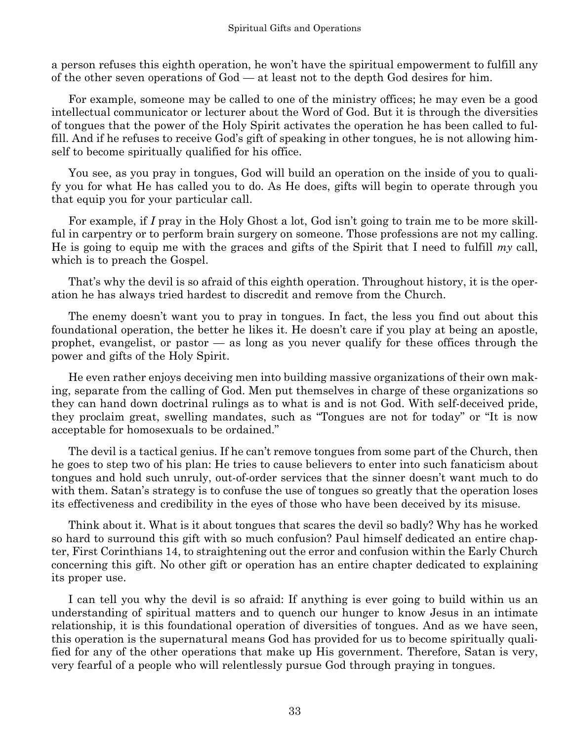a person refuses this eighth operation, he won't have the spiritual empowerment to fulfill any of the other seven operations of God — at least not to the depth God desires for him.

For example, someone may be called to one of the ministry offices; he may even be a good intellectual communicator or lecturer about the Word of God. But it is through the diversities of tongues that the power of the Holy Spirit activates the operation he has been called to fulfill. And if he refuses to receive God's gift of speaking in other tongues, he is not allowing himself to become spiritually qualified for his office.

You see, as you pray in tongues, God will build an operation on the inside of you to qualify you for what He has called you to do. As He does, gifts will begin to operate through you that equip you for your particular call.

For example, if *I* pray in the Holy Ghost a lot, God isn't going to train me to be more skillful in carpentry or to perform brain surgery on someone. Those professions are not my calling. He is going to equip me with the graces and gifts of the Spirit that I need to fulfill *my* call, which is to preach the Gospel.

That's why the devil is so afraid of this eighth operation. Throughout history, it is the operation he has always tried hardest to discredit and remove from the Church.

The enemy doesn't want you to pray in tongues. In fact, the less you find out about this foundational operation, the better he likes it. He doesn't care if you play at being an apostle, prophet, evangelist, or pastor — as long as you never qualify for these offices through the power and gifts of the Holy Spirit.

He even rather enjoys deceiving men into building massive organizations of their own making, separate from the calling of God. Men put themselves in charge of these organizations so they can hand down doctrinal rulings as to what is and is not God. With self-deceived pride, they proclaim great, swelling mandates, such as "Tongues are not for today" or "It is now acceptable for homosexuals to be ordained."

The devil is a tactical genius. If he can't remove tongues from some part of the Church, then he goes to step two of his plan: He tries to cause believers to enter into such fanaticism about tongues and hold such unruly, out-of-order services that the sinner doesn't want much to do with them. Satan's strategy is to confuse the use of tongues so greatly that the operation loses its effectiveness and credibility in the eyes of those who have been deceived by its misuse.

Think about it. What is it about tongues that scares the devil so badly? Why has he worked so hard to surround this gift with so much confusion? Paul himself dedicated an entire chapter, First Corinthians 14, to straightening out the error and confusion within the Early Church concerning this gift. No other gift or operation has an entire chapter dedicated to explaining its proper use.

I can tell you why the devil is so afraid: If anything is ever going to build within us an understanding of spiritual matters and to quench our hunger to know Jesus in an intimate relationship, it is this foundational operation of diversities of tongues. And as we have seen, this operation is the supernatural means God has provided for us to become spiritually qualified for any of the other operations that make up His government. Therefore, Satan is very, very fearful of a people who will relentlessly pursue God through praying in tongues.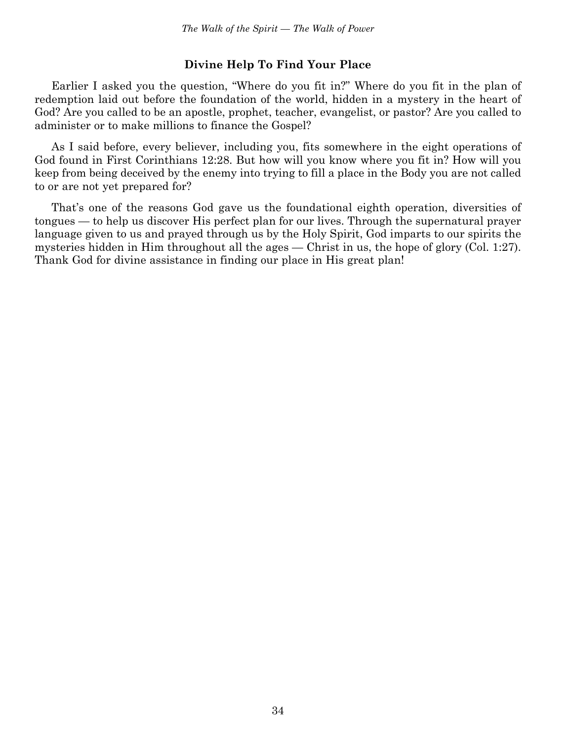#### **Divine Help To Find Your Place**

Earlier I asked you the question, "Where do you fit in?" Where do you fit in the plan of redemption laid out before the foundation of the world, hidden in a mystery in the heart of God? Are you called to be an apostle, prophet, teacher, evangelist, or pastor? Are you called to administer or to make millions to finance the Gospel?

As I said before, every believer, including you, fits somewhere in the eight operations of God found in First Corinthians 12:28. But how will you know where you fit in? How will you keep from being deceived by the enemy into trying to fill a place in the Body you are not called to or are not yet prepared for?

That's one of the reasons God gave us the foundational eighth operation, diversities of tongues — to help us discover His perfect plan for our lives. Through the supernatural prayer language given to us and prayed through us by the Holy Spirit, God imparts to our spirits the mysteries hidden in Him throughout all the ages — Christ in us, the hope of glory (Col. 1:27). Thank God for divine assistance in finding our place in His great plan!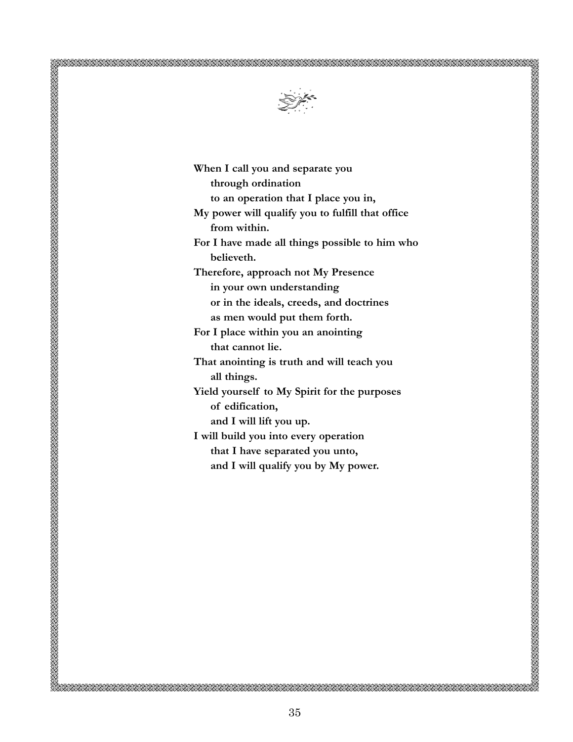

**When I call you and separate you through ordination to an operation that I place you in, My power will qualify you to fulfill that office from within. For I have made all things possible to him who believeth. Therefore, approach not My Presence in your own understanding or in the ideals, creeds, and doctrines as men would put them forth. For I place within you an anointing that cannot lie. That anointing is truth and will teach you all things. Yield yourself to My Spirit for the purposes of edification, and I will lift you up. I will build you into every operation that I have separated you unto, and I will qualify you by My power.**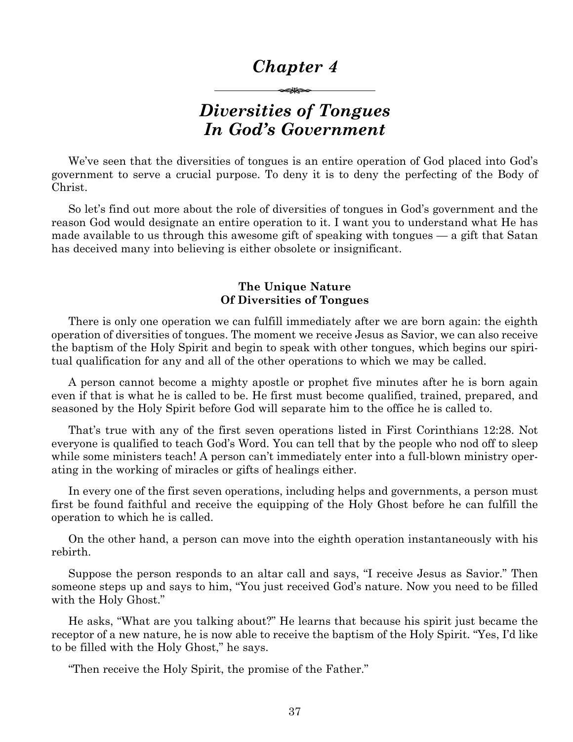# *Chapter 4*

# *Diversities of Tongues In God's Government*

We've seen that the diversities of tongues is an entire operation of God placed into God's government to serve a crucial purpose. To deny it is to deny the perfecting of the Body of Christ.

So let's find out more about the role of diversities of tongues in God's government and the reason God would designate an entire operation to it. I want you to understand what He has made available to us through this awesome gift of speaking with tongues — a gift that Satan has deceived many into believing is either obsolete or insignificant.

#### **The Unique Nature Of Diversities of Tongues**

There is only one operation we can fulfill immediately after we are born again: the eighth operation of diversities of tongues. The moment we receive Jesus as Savior, we can also receive the baptism of the Holy Spirit and begin to speak with other tongues, which begins our spiritual qualification for any and all of the other operations to which we may be called.

A person cannot become a mighty apostle or prophet five minutes after he is born again even if that is what he is called to be. He first must become qualified, trained, prepared, and seasoned by the Holy Spirit before God will separate him to the office he is called to.

That's true with any of the first seven operations listed in First Corinthians 12:28. Not everyone is qualified to teach God's Word. You can tell that by the people who nod off to sleep while some ministers teach! A person can't immediately enter into a full-blown ministry operating in the working of miracles or gifts of healings either.

In every one of the first seven operations, including helps and governments, a person must first be found faithful and receive the equipping of the Holy Ghost before he can fulfill the operation to which he is called.

On the other hand, a person can move into the eighth operation instantaneously with his rebirth.

Suppose the person responds to an altar call and says, "I receive Jesus as Savior." Then someone steps up and says to him, "You just received God's nature. Now you need to be filled with the Holy Ghost."

He asks, "What are you talking about?" He learns that because his spirit just became the receptor of a new nature, he is now able to receive the baptism of the Holy Spirit. "Yes, I'd like to be filled with the Holy Ghost," he says.

"Then receive the Holy Spirit, the promise of the Father."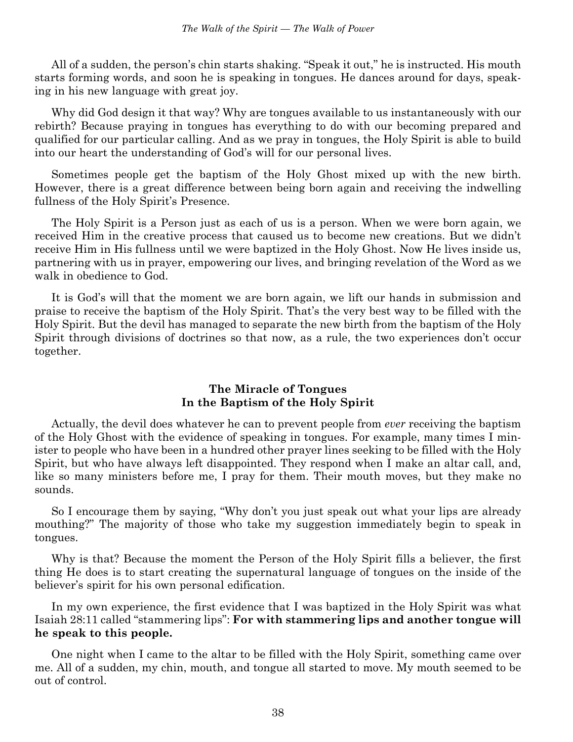All of a sudden, the person's chin starts shaking. "Speak it out," he is instructed. His mouth starts forming words, and soon he is speaking in tongues. He dances around for days, speaking in his new language with great joy.

Why did God design it that way? Why are tongues available to us instantaneously with our rebirth? Because praying in tongues has everything to do with our becoming prepared and qualified for our particular calling. And as we pray in tongues, the Holy Spirit is able to build into our heart the understanding of God's will for our personal lives.

Sometimes people get the baptism of the Holy Ghost mixed up with the new birth. However, there is a great difference between being born again and receiving the indwelling fullness of the Holy Spirit's Presence.

The Holy Spirit is a Person just as each of us is a person. When we were born again, we received Him in the creative process that caused us to become new creations. But we didn't receive Him in His fullness until we were baptized in the Holy Ghost. Now He lives inside us, partnering with us in prayer, empowering our lives, and bringing revelation of the Word as we walk in obedience to God.

It is God's will that the moment we are born again, we lift our hands in submission and praise to receive the baptism of the Holy Spirit. That's the very best way to be filled with the Holy Spirit. But the devil has managed to separate the new birth from the baptism of the Holy Spirit through divisions of doctrines so that now, as a rule, the two experiences don't occur together.

#### **The Miracle of Tongues In the Baptism of the Holy Spirit**

Actually, the devil does whatever he can to prevent people from *ever* receiving the baptism of the Holy Ghost with the evidence of speaking in tongues. For example, many times I minister to people who have been in a hundred other prayer lines seeking to be filled with the Holy Spirit, but who have always left disappointed. They respond when I make an altar call, and, like so many ministers before me, I pray for them. Their mouth moves, but they make no sounds.

So I encourage them by saying, "Why don't you just speak out what your lips are already mouthing?" The majority of those who take my suggestion immediately begin to speak in tongues.

Why is that? Because the moment the Person of the Holy Spirit fills a believer, the first thing He does is to start creating the supernatural language of tongues on the inside of the believer's spirit for his own personal edification.

In my own experience, the first evidence that I was baptized in the Holy Spirit was what Isaiah 28:11 called "stammering lips": **For with stammering lips and another tongue will he speak to this people.**

One night when I came to the altar to be filled with the Holy Spirit, something came over me. All of a sudden, my chin, mouth, and tongue all started to move. My mouth seemed to be out of control.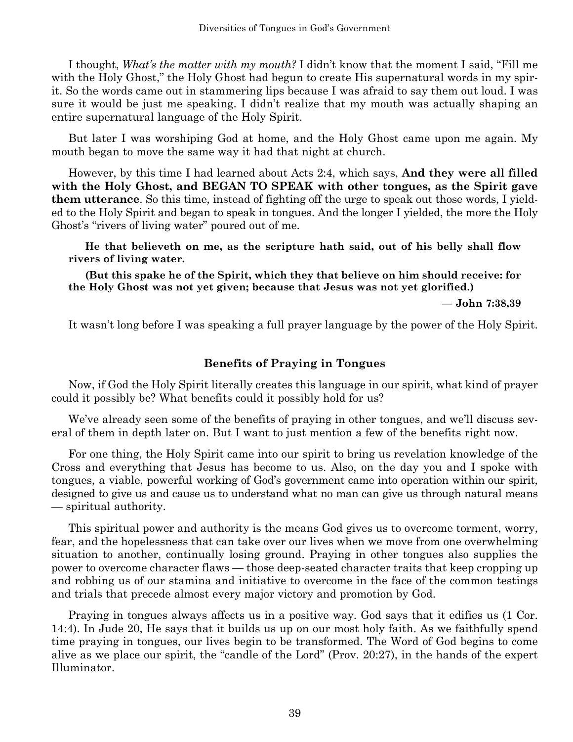I thought, *What's the matter with my mouth?* I didn't know that the moment I said, "Fill me with the Holy Ghost," the Holy Ghost had begun to create His supernatural words in my spirit. So the words came out in stammering lips because I was afraid to say them out loud. I was sure it would be just me speaking. I didn't realize that my mouth was actually shaping an entire supernatural language of the Holy Spirit.

But later I was worshiping God at home, and the Holy Ghost came upon me again. My mouth began to move the same way it had that night at church.

However, by this time I had learned about Acts 2:4, which says, **And they were all filled with the Holy Ghost, and BEGAN TO SPEAK with other tongues, as the Spirit gave them utterance**. So this time, instead of fighting off the urge to speak out those words, I yielded to the Holy Spirit and began to speak in tongues. And the longer I yielded, the more the Holy Ghost's "rivers of living water" poured out of me.

**He that believeth on me, as the scripture hath said, out of his belly shall flow rivers of living water.**

**(But this spake he of the Spirit, which they that believe on him should receive: for the Holy Ghost was not yet given; because that Jesus was not yet glorified.)**

**— John 7:38,39** 

It wasn't long before I was speaking a full prayer language by the power of the Holy Spirit.

# **Benefits of Praying in Tongues**

Now, if God the Holy Spirit literally creates this language in our spirit, what kind of prayer could it possibly be? What benefits could it possibly hold for us?

We've already seen some of the benefits of praying in other tongues, and we'll discuss several of them in depth later on. But I want to just mention a few of the benefits right now.

For one thing, the Holy Spirit came into our spirit to bring us revelation knowledge of the Cross and everything that Jesus has become to us. Also, on the day you and I spoke with tongues, a viable, powerful working of God's government came into operation within our spirit, designed to give us and cause us to understand what no man can give us through natural means — spiritual authority.

This spiritual power and authority is the means God gives us to overcome torment, worry, fear, and the hopelessness that can take over our lives when we move from one overwhelming situation to another, continually losing ground. Praying in other tongues also supplies the power to overcome character flaws — those deep-seated character traits that keep cropping up and robbing us of our stamina and initiative to overcome in the face of the common testings and trials that precede almost every major victory and promotion by God.

Praying in tongues always affects us in a positive way. God says that it edifies us (1 Cor. 14:4). In Jude 20, He says that it builds us up on our most holy faith. As we faithfully spend time praying in tongues, our lives begin to be transformed. The Word of God begins to come alive as we place our spirit, the "candle of the Lord" (Prov. 20:27), in the hands of the expert Illuminator.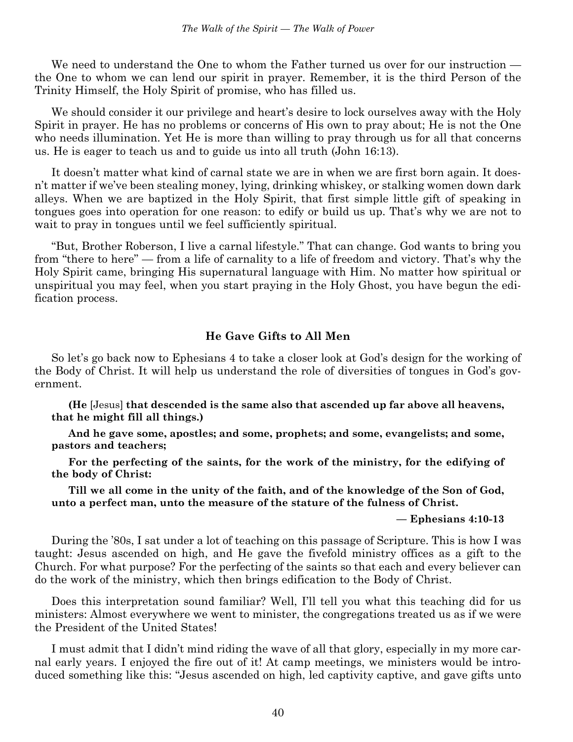We need to understand the One to whom the Father turned us over for our instruction the One to whom we can lend our spirit in prayer. Remember, it is the third Person of the Trinity Himself, the Holy Spirit of promise, who has filled us.

We should consider it our privilege and heart's desire to lock ourselves away with the Holy Spirit in prayer. He has no problems or concerns of His own to pray about; He is not the One who needs illumination. Yet He is more than willing to pray through us for all that concerns us. He is eager to teach us and to guide us into all truth (John 16:13).

It doesn't matter what kind of carnal state we are in when we are first born again. It doesn't matter if we've been stealing money, lying, drinking whiskey, or stalking women down dark alleys. When we are baptized in the Holy Spirit, that first simple little gift of speaking in tongues goes into operation for one reason: to edify or build us up. That's why we are not to wait to pray in tongues until we feel sufficiently spiritual.

"But, Brother Roberson, I live a carnal lifestyle." That can change. God wants to bring you from "there to here" — from a life of carnality to a life of freedom and victory. That's why the Holy Spirit came, bringing His supernatural language with Him. No matter how spiritual or unspiritual you may feel, when you start praying in the Holy Ghost, you have begun the edification process.

#### **He Gave Gifts to All Men**

So let's go back now to Ephesians 4 to take a closer look at God's design for the working of the Body of Christ. It will help us understand the role of diversities of tongues in God's government.

**(He** [Jesus] **that descended is the same also that ascended up far above all heavens, that he might fill all things.)**

**And he gave some, apostles; and some, prophets; and some, evangelists; and some, pastors and teachers;**

**For the perfecting of the saints, for the work of the ministry, for the edifying of the body of Christ:**

**Till we all come in the unity of the faith, and of the knowledge of the Son of God, unto a perfect man, unto the measure of the stature of the fulness of Christ.**

#### **— Ephesians 4:10-13**

During the '80s, I sat under a lot of teaching on this passage of Scripture. This is how I was taught: Jesus ascended on high, and He gave the fivefold ministry offices as a gift to the Church. For what purpose? For the perfecting of the saints so that each and every believer can do the work of the ministry, which then brings edification to the Body of Christ.

Does this interpretation sound familiar? Well, I'll tell you what this teaching did for us ministers: Almost everywhere we went to minister, the congregations treated us as if we were the President of the United States!

I must admit that I didn't mind riding the wave of all that glory, especially in my more carnal early years. I enjoyed the fire out of it! At camp meetings, we ministers would be introduced something like this: "Jesus ascended on high, led captivity captive, and gave gifts unto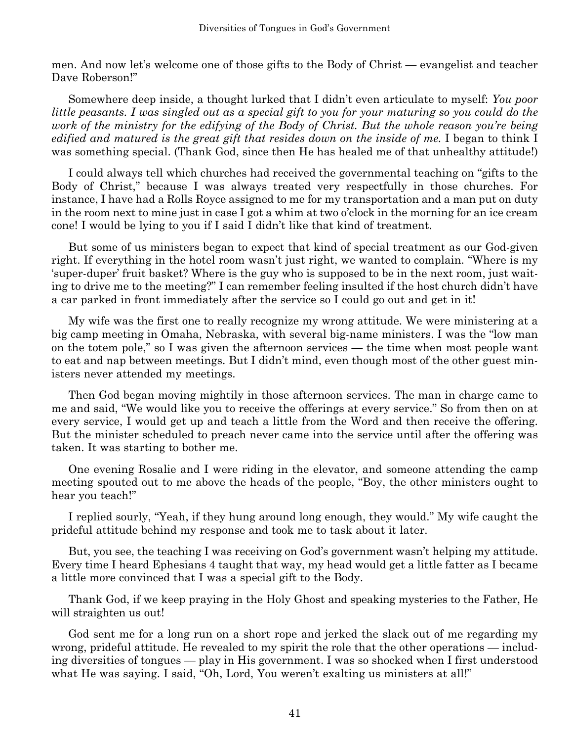men. And now let's welcome one of those gifts to the Body of Christ — evangelist and teacher Dave Roberson!"

Somewhere deep inside, a thought lurked that I didn't even articulate to myself: *You poor little peasants. I was singled out as a special gift to you for your maturing so you could do the work of the ministry for the edifying of the Body of Christ. But the whole reason you're being edified and matured is the great gift that resides down on the inside of me.* I began to think I was something special. (Thank God, since then He has healed me of that unhealthy attitude!)

I could always tell which churches had received the governmental teaching on "gifts to the Body of Christ," because I was always treated very respectfully in those churches. For instance, I have had a Rolls Royce assigned to me for my transportation and a man put on duty in the room next to mine just in case I got a whim at two o'clock in the morning for an ice cream cone! I would be lying to you if I said I didn't like that kind of treatment.

But some of us ministers began to expect that kind of special treatment as our God-given right. If everything in the hotel room wasn't just right, we wanted to complain. "Where is my 'super-duper' fruit basket? Where is the guy who is supposed to be in the next room, just waiting to drive me to the meeting?" I can remember feeling insulted if the host church didn't have a car parked in front immediately after the service so I could go out and get in it!

My wife was the first one to really recognize my wrong attitude. We were ministering at a big camp meeting in Omaha, Nebraska, with several big-name ministers. I was the "low man on the totem pole," so I was given the afternoon services — the time when most people want to eat and nap between meetings. But I didn't mind, even though most of the other guest ministers never attended my meetings.

Then God began moving mightily in those afternoon services. The man in charge came to me and said, "We would like you to receive the offerings at every service." So from then on at every service, I would get up and teach a little from the Word and then receive the offering. But the minister scheduled to preach never came into the service until after the offering was taken. It was starting to bother me.

One evening Rosalie and I were riding in the elevator, and someone attending the camp meeting spouted out to me above the heads of the people, "Boy, the other ministers ought to hear you teach!"

I replied sourly, "Yeah, if they hung around long enough, they would." My wife caught the prideful attitude behind my response and took me to task about it later.

But, you see, the teaching I was receiving on God's government wasn't helping my attitude. Every time I heard Ephesians 4 taught that way, my head would get a little fatter as I became a little more convinced that I was a special gift to the Body.

Thank God, if we keep praying in the Holy Ghost and speaking mysteries to the Father, He will straighten us out!

God sent me for a long run on a short rope and jerked the slack out of me regarding my wrong, prideful attitude. He revealed to my spirit the role that the other operations — including diversities of tongues — play in His government. I was so shocked when I first understood what He was saying. I said, "Oh, Lord, You weren't exalting us ministers at all!"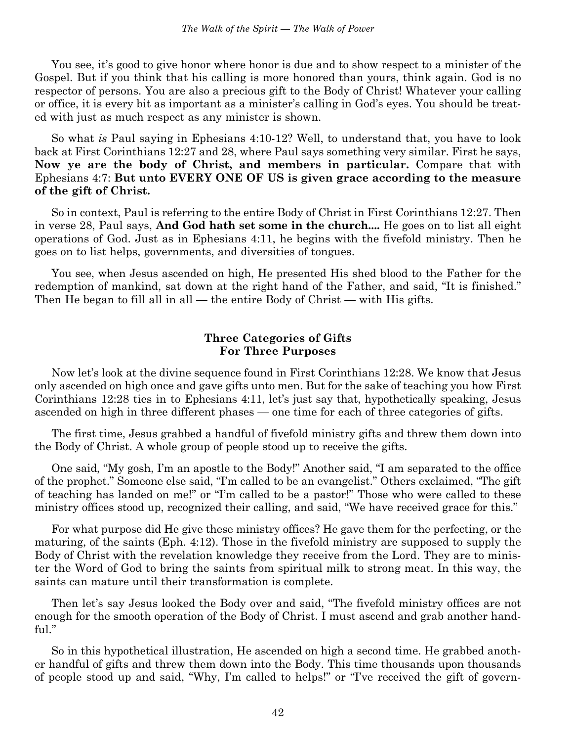You see, it's good to give honor where honor is due and to show respect to a minister of the Gospel. But if you think that his calling is more honored than yours, think again. God is no respector of persons. You are also a precious gift to the Body of Christ! Whatever your calling or office, it is every bit as important as a minister's calling in God's eyes. You should be treated with just as much respect as any minister is shown.

So what *is* Paul saying in Ephesians 4:10-12? Well, to understand that, you have to look back at First Corinthians 12:27 and 28, where Paul says something very similar. First he says, **Now ye are the body of Christ, and members in particular.** Compare that with Ephesians 4:7: **But unto EVERY ONE OF US is given grace according to the measure of the gift of Christ.** 

So in context, Paul is referring to the entire Body of Christ in First Corinthians 12:27. Then in verse 28, Paul says, **And God hath set some in the church....** He goes on to list all eight operations of God. Just as in Ephesians 4:11, he begins with the fivefold ministry. Then he goes on to list helps, governments, and diversities of tongues.

You see, when Jesus ascended on high, He presented His shed blood to the Father for the redemption of mankind, sat down at the right hand of the Father, and said, "It is finished." Then He began to fill all in all — the entire Body of Christ — with His gifts.

#### **Three Categories of Gifts For Three Purposes**

Now let's look at the divine sequence found in First Corinthians 12:28. We know that Jesus only ascended on high once and gave gifts unto men. But for the sake of teaching you how First Corinthians 12:28 ties in to Ephesians 4:11, let's just say that, hypothetically speaking, Jesus ascended on high in three different phases — one time for each of three categories of gifts.

The first time, Jesus grabbed a handful of fivefold ministry gifts and threw them down into the Body of Christ. A whole group of people stood up to receive the gifts.

One said, "My gosh, I'm an apostle to the Body!" Another said, "I am separated to the office of the prophet." Someone else said, "I'm called to be an evangelist." Others exclaimed, "The gift of teaching has landed on me!" or "I'm called to be a pastor!" Those who were called to these ministry offices stood up, recognized their calling, and said, "We have received grace for this."

For what purpose did He give these ministry offices? He gave them for the perfecting, or the maturing, of the saints (Eph. 4:12). Those in the fivefold ministry are supposed to supply the Body of Christ with the revelation knowledge they receive from the Lord. They are to minister the Word of God to bring the saints from spiritual milk to strong meat. In this way, the saints can mature until their transformation is complete.

Then let's say Jesus looked the Body over and said, "The fivefold ministry offices are not enough for the smooth operation of the Body of Christ. I must ascend and grab another handful."

So in this hypothetical illustration, He ascended on high a second time. He grabbed another handful of gifts and threw them down into the Body. This time thousands upon thousands of people stood up and said, "Why, I'm called to helps!" or "I've received the gift of govern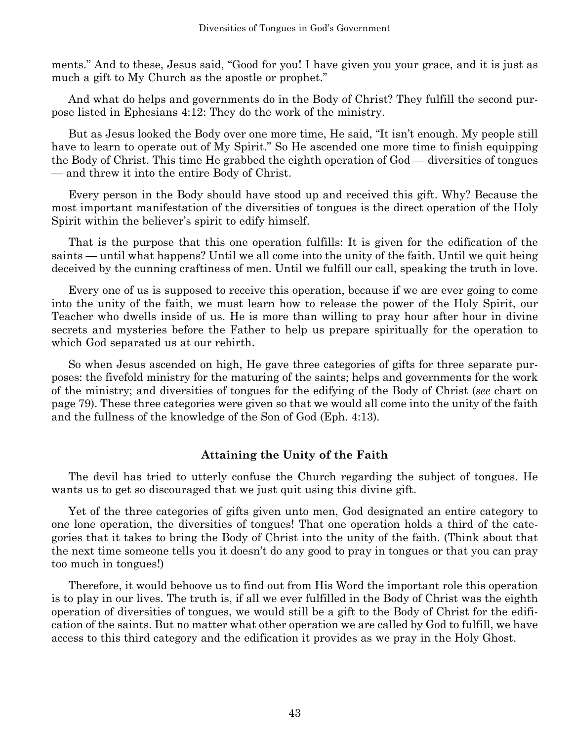ments." And to these, Jesus said, "Good for you! I have given you your grace, and it is just as much a gift to My Church as the apostle or prophet."

And what do helps and governments do in the Body of Christ? They fulfill the second purpose listed in Ephesians 4:12: They do the work of the ministry.

But as Jesus looked the Body over one more time, He said, "It isn't enough. My people still have to learn to operate out of My Spirit." So He ascended one more time to finish equipping the Body of Christ. This time He grabbed the eighth operation of God — diversities of tongues — and threw it into the entire Body of Christ.

Every person in the Body should have stood up and received this gift. Why? Because the most important manifestation of the diversities of tongues is the direct operation of the Holy Spirit within the believer's spirit to edify himself.

That is the purpose that this one operation fulfills: It is given for the edification of the saints — until what happens? Until we all come into the unity of the faith. Until we quit being deceived by the cunning craftiness of men. Until we fulfill our call, speaking the truth in love.

Every one of us is supposed to receive this operation, because if we are ever going to come into the unity of the faith, we must learn how to release the power of the Holy Spirit, our Teacher who dwells inside of us. He is more than willing to pray hour after hour in divine secrets and mysteries before the Father to help us prepare spiritually for the operation to which God separated us at our rebirth.

So when Jesus ascended on high, He gave three categories of gifts for three separate purposes: the fivefold ministry for the maturing of the saints; helps and governments for the work of the ministry; and diversities of tongues for the edifying of the Body of Christ (*see* chart on page 79). These three categories were given so that we would all come into the unity of the faith and the fullness of the knowledge of the Son of God (Eph. 4:13).

# **Attaining the Unity of the Faith**

The devil has tried to utterly confuse the Church regarding the subject of tongues. He wants us to get so discouraged that we just quit using this divine gift.

Yet of the three categories of gifts given unto men, God designated an entire category to one lone operation, the diversities of tongues! That one operation holds a third of the categories that it takes to bring the Body of Christ into the unity of the faith. (Think about that the next time someone tells you it doesn't do any good to pray in tongues or that you can pray too much in tongues!)

Therefore, it would behoove us to find out from His Word the important role this operation is to play in our lives. The truth is, if all we ever fulfilled in the Body of Christ was the eighth operation of diversities of tongues, we would still be a gift to the Body of Christ for the edification of the saints. But no matter what other operation we are called by God to fulfill, we have access to this third category and the edification it provides as we pray in the Holy Ghost.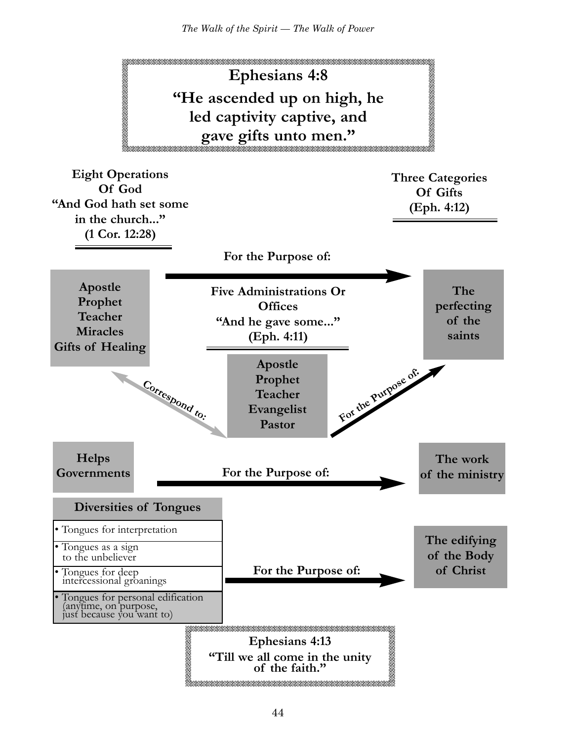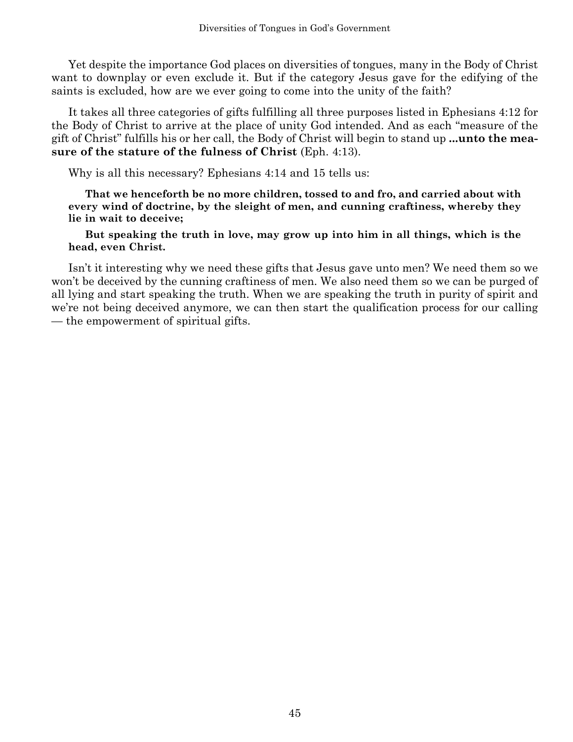Yet despite the importance God places on diversities of tongues, many in the Body of Christ want to downplay or even exclude it. But if the category Jesus gave for the edifying of the saints is excluded, how are we ever going to come into the unity of the faith?

It takes all three categories of gifts fulfilling all three purposes listed in Ephesians 4:12 for the Body of Christ to arrive at the place of unity God intended. And as each "measure of the gift of Christ" fulfills his or her call, the Body of Christ will begin to stand up **...unto the measure of the stature of the fulness of Christ** (Eph. 4:13).

Why is all this necessary? Ephesians 4:14 and 15 tells us:

**That we henceforth be no more children, tossed to and fro, and carried about with every wind of doctrine, by the sleight of men, and cunning craftiness, whereby they lie in wait to deceive;**

**But speaking the truth in love, may grow up into him in all things, which is the head, even Christ.**

Isn't it interesting why we need these gifts that Jesus gave unto men? We need them so we won't be deceived by the cunning craftiness of men. We also need them so we can be purged of all lying and start speaking the truth. When we are speaking the truth in purity of spirit and we're not being deceived anymore, we can then start the qualification process for our calling — the empowerment of spiritual gifts.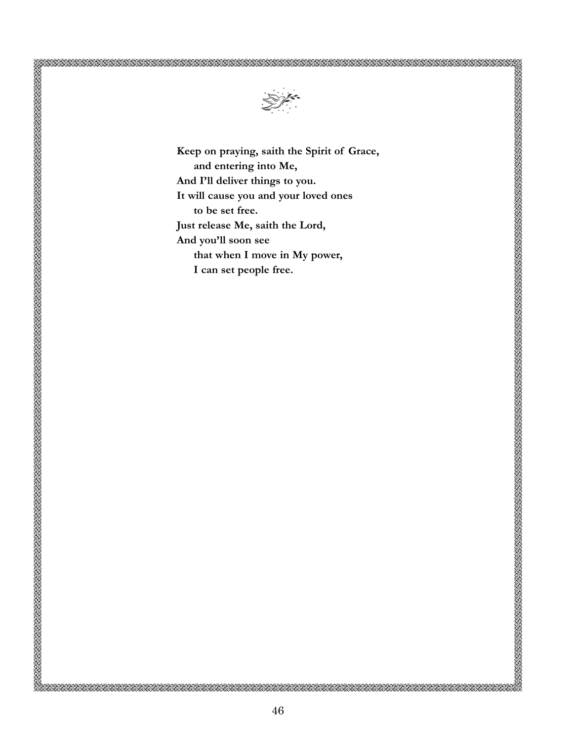

**Keep on praying, saith the Spirit of Grace, and entering into Me, And I'll deliver things to you. It will cause you and your loved ones to be set free. Just release Me, saith the Lord, And you'll soon see that when I move in My power, I can set people free.**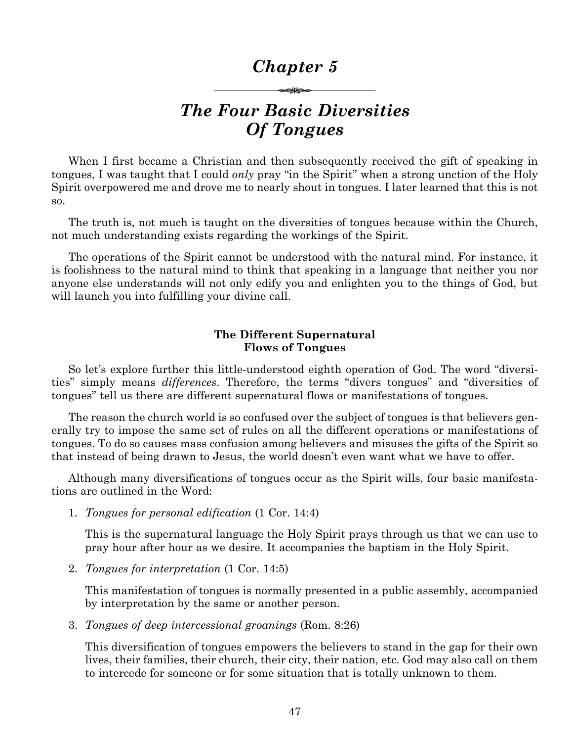# *Chapter 5*

# *The Four Basic Diversities Of Tongues*

When I first became a Christian and then subsequently received the gift of speaking in tongues, I was taught that I could *only* pray "in the Spirit" when a strong unction of the Holy Spirit overpowered me and drove me to nearly shout in tongues. I later learned that this is not so.

The truth is, not much is taught on the diversities of tongues because within the Church, not much understanding exists regarding the workings of the Spirit.

The operations of the Spirit cannot be understood with the natural mind. For instance, it is foolishness to the natural mind to think that speaking in a language that neither you nor anyone else understands will not only edify you and enlighten you to the things of God, but will launch you into fulfilling your divine call.

#### **The Different Supernatural Flows of Tongues**

So let's explore further this little-understood eighth operation of God. The word "diversities" simply means *differences*. Therefore, the terms "divers tongues" and "diversities of tongues" tell us there are different supernatural flows or manifestations of tongues.

The reason the church world is so confused over the subject of tongues is that believers generally try to impose the same set of rules on all the different operations or manifestations of tongues. To do so causes mass confusion among believers and misuses the gifts of the Spirit so that instead of being drawn to Jesus, the world doesn't even want what we have to offer.

Although many diversifications of tongues occur as the Spirit wills, four basic manifestations are outlined in the Word:

1. *Tongues for personal edification* (1 Cor. 14:4)

This is the supernatural language the Holy Spirit prays through us that we can use to pray hour after hour as we desire. It accompanies the baptism in the Holy Spirit.

2. *Tongues for interpretation* (1 Cor. 14:5)

This manifestation of tongues is normally presented in a public assembly, accompanied by interpretation by the same or another person.

3. *Tongues of deep intercessional groanings* (Rom. 8:26)

This diversification of tongues empowers the believers to stand in the gap for their own lives, their families, their church, their city, their nation, etc. God may also call on them to intercede for someone or for some situation that is totally unknown to them.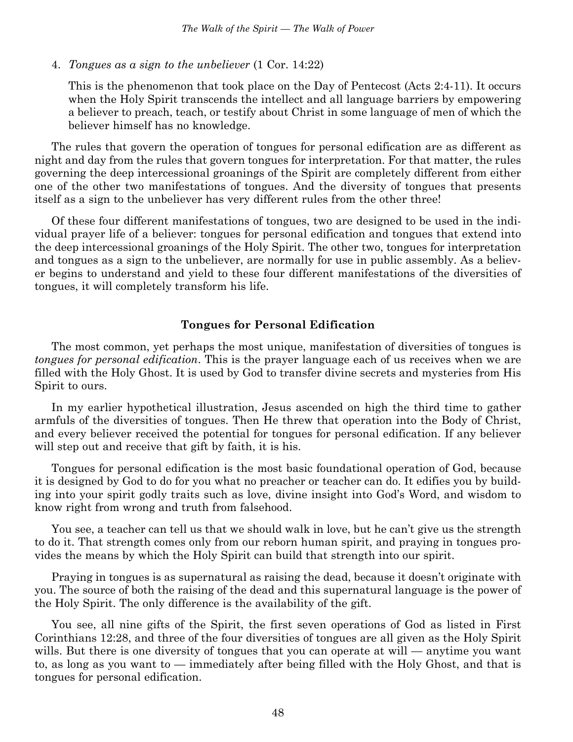#### 4. *Tongues as a sign to the unbeliever* (1 Cor. 14:22)

This is the phenomenon that took place on the Day of Pentecost (Acts 2:4-11). It occurs when the Holy Spirit transcends the intellect and all language barriers by empowering a believer to preach, teach, or testify about Christ in some language of men of which the believer himself has no knowledge.

The rules that govern the operation of tongues for personal edification are as different as night and day from the rules that govern tongues for interpretation. For that matter, the rules governing the deep intercessional groanings of the Spirit are completely different from either one of the other two manifestations of tongues. And the diversity of tongues that presents itself as a sign to the unbeliever has very different rules from the other three!

Of these four different manifestations of tongues, two are designed to be used in the individual prayer life of a believer: tongues for personal edification and tongues that extend into the deep intercessional groanings of the Holy Spirit. The other two, tongues for interpretation and tongues as a sign to the unbeliever, are normally for use in public assembly. As a believer begins to understand and yield to these four different manifestations of the diversities of tongues, it will completely transform his life.

#### **Tongues for Personal Edification**

The most common, yet perhaps the most unique, manifestation of diversities of tongues is *tongues for personal edification*. This is the prayer language each of us receives when we are filled with the Holy Ghost. It is used by God to transfer divine secrets and mysteries from His Spirit to ours.

In my earlier hypothetical illustration, Jesus ascended on high the third time to gather armfuls of the diversities of tongues. Then He threw that operation into the Body of Christ, and every believer received the potential for tongues for personal edification. If any believer will step out and receive that gift by faith, it is his.

Tongues for personal edification is the most basic foundational operation of God, because it is designed by God to do for you what no preacher or teacher can do. It edifies you by building into your spirit godly traits such as love, divine insight into God's Word, and wisdom to know right from wrong and truth from falsehood.

You see, a teacher can tell us that we should walk in love, but he can't give us the strength to do it. That strength comes only from our reborn human spirit, and praying in tongues provides the means by which the Holy Spirit can build that strength into our spirit.

Praying in tongues is as supernatural as raising the dead, because it doesn't originate with you. The source of both the raising of the dead and this supernatural language is the power of the Holy Spirit. The only difference is the availability of the gift.

You see, all nine gifts of the Spirit, the first seven operations of God as listed in First Corinthians 12:28, and three of the four diversities of tongues are all given as the Holy Spirit wills. But there is one diversity of tongues that you can operate at will — anytime you want to, as long as you want to — immediately after being filled with the Holy Ghost, and that is tongues for personal edification.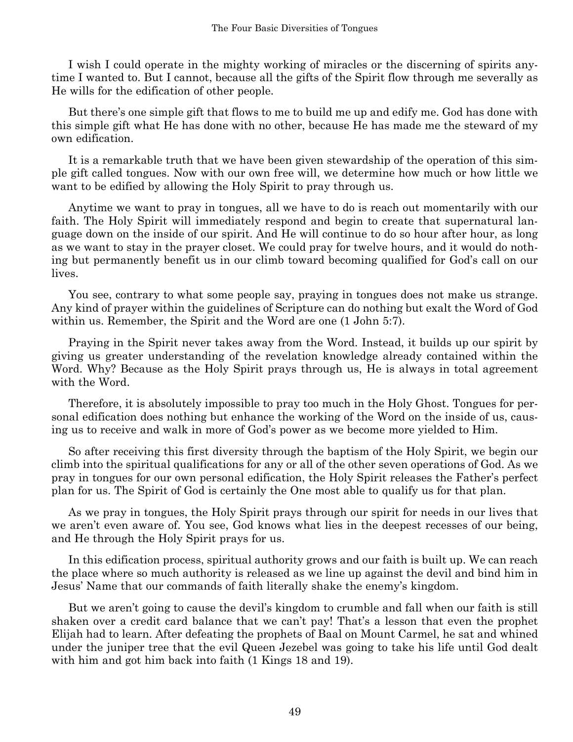I wish I could operate in the mighty working of miracles or the discerning of spirits anytime I wanted to. But I cannot, because all the gifts of the Spirit flow through me severally as He wills for the edification of other people.

But there's one simple gift that flows to me to build me up and edify me. God has done with this simple gift what He has done with no other, because He has made me the steward of my own edification.

It is a remarkable truth that we have been given stewardship of the operation of this simple gift called tongues. Now with our own free will, we determine how much or how little we want to be edified by allowing the Holy Spirit to pray through us.

Anytime we want to pray in tongues, all we have to do is reach out momentarily with our faith. The Holy Spirit will immediately respond and begin to create that supernatural language down on the inside of our spirit. And He will continue to do so hour after hour, as long as we want to stay in the prayer closet. We could pray for twelve hours, and it would do nothing but permanently benefit us in our climb toward becoming qualified for God's call on our lives.

You see, contrary to what some people say, praying in tongues does not make us strange. Any kind of prayer within the guidelines of Scripture can do nothing but exalt the Word of God within us. Remember, the Spirit and the Word are one (1 John 5:7).

Praying in the Spirit never takes away from the Word. Instead, it builds up our spirit by giving us greater understanding of the revelation knowledge already contained within the Word. Why? Because as the Holy Spirit prays through us, He is always in total agreement with the Word.

Therefore, it is absolutely impossible to pray too much in the Holy Ghost. Tongues for personal edification does nothing but enhance the working of the Word on the inside of us, causing us to receive and walk in more of God's power as we become more yielded to Him.

So after receiving this first diversity through the baptism of the Holy Spirit, we begin our climb into the spiritual qualifications for any or all of the other seven operations of God. As we pray in tongues for our own personal edification, the Holy Spirit releases the Father's perfect plan for us. The Spirit of God is certainly the One most able to qualify us for that plan.

As we pray in tongues, the Holy Spirit prays through our spirit for needs in our lives that we aren't even aware of. You see, God knows what lies in the deepest recesses of our being, and He through the Holy Spirit prays for us.

In this edification process, spiritual authority grows and our faith is built up. We can reach the place where so much authority is released as we line up against the devil and bind him in Jesus' Name that our commands of faith literally shake the enemy's kingdom.

But we aren't going to cause the devil's kingdom to crumble and fall when our faith is still shaken over a credit card balance that we can't pay! That's a lesson that even the prophet Elijah had to learn. After defeating the prophets of Baal on Mount Carmel, he sat and whined under the juniper tree that the evil Queen Jezebel was going to take his life until God dealt with him and got him back into faith (1 Kings 18 and 19).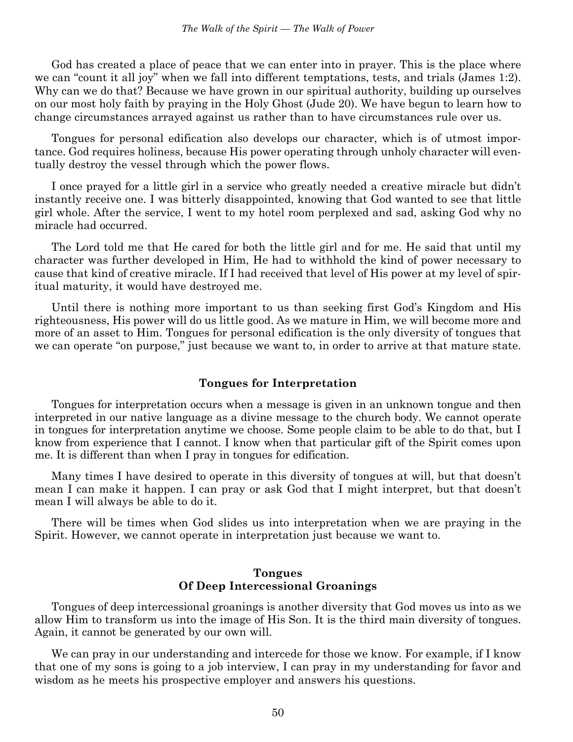God has created a place of peace that we can enter into in prayer. This is the place where we can "count it all joy" when we fall into different temptations, tests, and trials (James 1:2). Why can we do that? Because we have grown in our spiritual authority, building up ourselves on our most holy faith by praying in the Holy Ghost (Jude 20). We have begun to learn how to change circumstances arrayed against us rather than to have circumstances rule over us.

Tongues for personal edification also develops our character, which is of utmost importance. God requires holiness, because His power operating through unholy character will eventually destroy the vessel through which the power flows.

I once prayed for a little girl in a service who greatly needed a creative miracle but didn't instantly receive one. I was bitterly disappointed, knowing that God wanted to see that little girl whole. After the service, I went to my hotel room perplexed and sad, asking God why no miracle had occurred.

The Lord told me that He cared for both the little girl and for me. He said that until my character was further developed in Him, He had to withhold the kind of power necessary to cause that kind of creative miracle. If I had received that level of His power at my level of spiritual maturity, it would have destroyed me.

Until there is nothing more important to us than seeking first God's Kingdom and His righteousness, His power will do us little good. As we mature in Him, we will become more and more of an asset to Him. Tongues for personal edification is the only diversity of tongues that we can operate "on purpose," just because we want to, in order to arrive at that mature state.

#### **Tongues for Interpretation**

Tongues for interpretation occurs when a message is given in an unknown tongue and then interpreted in our native language as a divine message to the church body. We cannot operate in tongues for interpretation anytime we choose. Some people claim to be able to do that, but I know from experience that I cannot. I know when that particular gift of the Spirit comes upon me. It is different than when I pray in tongues for edification.

Many times I have desired to operate in this diversity of tongues at will, but that doesn't mean I can make it happen. I can pray or ask God that I might interpret, but that doesn't mean I will always be able to do it.

There will be times when God slides us into interpretation when we are praying in the Spirit. However, we cannot operate in interpretation just because we want to.

#### **Tongues Of Deep Intercessional Groanings**

Tongues of deep intercessional groanings is another diversity that God moves us into as we allow Him to transform us into the image of His Son. It is the third main diversity of tongues. Again, it cannot be generated by our own will.

We can pray in our understanding and intercede for those we know. For example, if I know that one of my sons is going to a job interview, I can pray in my understanding for favor and wisdom as he meets his prospective employer and answers his questions.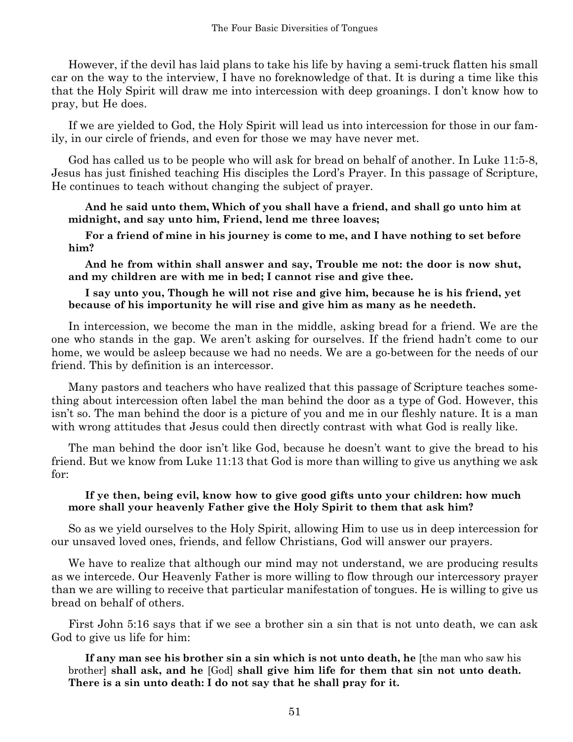However, if the devil has laid plans to take his life by having a semi-truck flatten his small car on the way to the interview, I have no foreknowledge of that. It is during a time like this that the Holy Spirit will draw me into intercession with deep groanings. I don't know how to pray, but He does.

If we are yielded to God, the Holy Spirit will lead us into intercession for those in our family, in our circle of friends, and even for those we may have never met.

God has called us to be people who will ask for bread on behalf of another. In Luke 11:5-8, Jesus has just finished teaching His disciples the Lord's Prayer. In this passage of Scripture, He continues to teach without changing the subject of prayer.

## **And he said unto them, Which of you shall have a friend, and shall go unto him at midnight, and say unto him, Friend, lend me three loaves;**

**For a friend of mine in his journey is come to me, and I have nothing to set before him?** 

**And he from within shall answer and say, Trouble me not: the door is now shut, and my children are with me in bed; I cannot rise and give thee.**

#### **I say unto you, Though he will not rise and give him, because he is his friend, yet because of his importunity he will rise and give him as many as he needeth.**

In intercession, we become the man in the middle, asking bread for a friend. We are the one who stands in the gap. We aren't asking for ourselves. If the friend hadn't come to our home, we would be asleep because we had no needs. We are a go-between for the needs of our friend. This by definition is an intercessor.

Many pastors and teachers who have realized that this passage of Scripture teaches something about intercession often label the man behind the door as a type of God. However, this isn't so. The man behind the door is a picture of you and me in our fleshly nature. It is a man with wrong attitudes that Jesus could then directly contrast with what God is really like.

The man behind the door isn't like God, because he doesn't want to give the bread to his friend. But we know from Luke 11:13 that God is more than willing to give us anything we ask for:

# **If ye then, being evil, know how to give good gifts unto your children: how much more shall your heavenly Father give the Holy Spirit to them that ask him?**

So as we yield ourselves to the Holy Spirit, allowing Him to use us in deep intercession for our unsaved loved ones, friends, and fellow Christians, God will answer our prayers.

We have to realize that although our mind may not understand, we are producing results as we intercede. Our Heavenly Father is more willing to flow through our intercessory prayer than we are willing to receive that particular manifestation of tongues. He is willing to give us bread on behalf of others.

First John 5:16 says that if we see a brother sin a sin that is not unto death, we can ask God to give us life for him:

**If any man see his brother sin a sin which is not unto death, he** [the man who saw his brother] **shall ask, and he** [God] **shall give him life for them that sin not unto death. There is a sin unto death: I do not say that he shall pray for it.**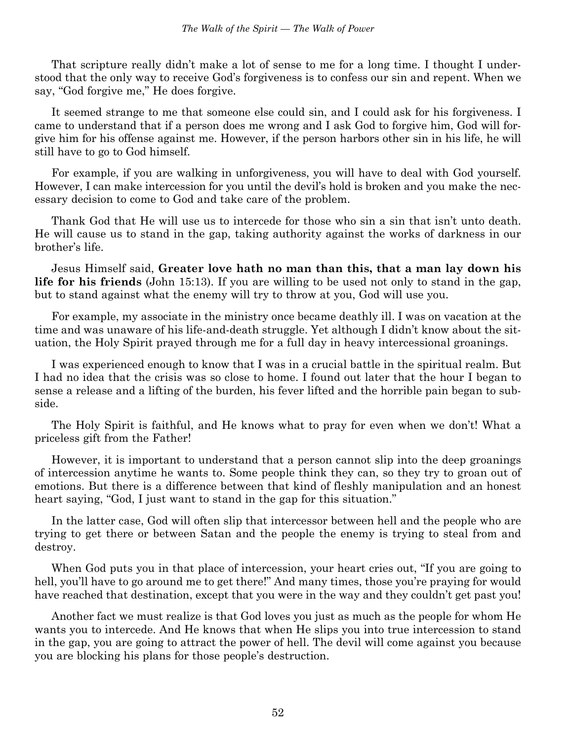That scripture really didn't make a lot of sense to me for a long time. I thought I understood that the only way to receive God's forgiveness is to confess our sin and repent. When we say, "God forgive me," He does forgive.

It seemed strange to me that someone else could sin, and I could ask for his forgiveness. I came to understand that if a person does me wrong and I ask God to forgive him, God will forgive him for his offense against me. However, if the person harbors other sin in his life, he will still have to go to God himself.

For example, if you are walking in unforgiveness, you will have to deal with God yourself. However, I can make intercession for you until the devil's hold is broken and you make the necessary decision to come to God and take care of the problem.

Thank God that He will use us to intercede for those who sin a sin that isn't unto death. He will cause us to stand in the gap, taking authority against the works of darkness in our brother's life.

Jesus Himself said, **Greater love hath no man than this, that a man lay down his life for his friends** (John 15:13). If you are willing to be used not only to stand in the gap, but to stand against what the enemy will try to throw at you, God will use you.

For example, my associate in the ministry once became deathly ill. I was on vacation at the time and was unaware of his life-and-death struggle. Yet although I didn't know about the situation, the Holy Spirit prayed through me for a full day in heavy intercessional groanings.

I was experienced enough to know that I was in a crucial battle in the spiritual realm. But I had no idea that the crisis was so close to home. I found out later that the hour I began to sense a release and a lifting of the burden, his fever lifted and the horrible pain began to subside.

The Holy Spirit is faithful, and He knows what to pray for even when we don't! What a priceless gift from the Father!

However, it is important to understand that a person cannot slip into the deep groanings of intercession anytime he wants to. Some people think they can, so they try to groan out of emotions. But there is a difference between that kind of fleshly manipulation and an honest heart saying, "God, I just want to stand in the gap for this situation."

In the latter case, God will often slip that intercessor between hell and the people who are trying to get there or between Satan and the people the enemy is trying to steal from and destroy.

When God puts you in that place of intercession, your heart cries out, "If you are going to hell, you'll have to go around me to get there!" And many times, those you're praying for would have reached that destination, except that you were in the way and they couldn't get past you!

Another fact we must realize is that God loves you just as much as the people for whom He wants you to intercede. And He knows that when He slips you into true intercession to stand in the gap, you are going to attract the power of hell. The devil will come against you because you are blocking his plans for those people's destruction.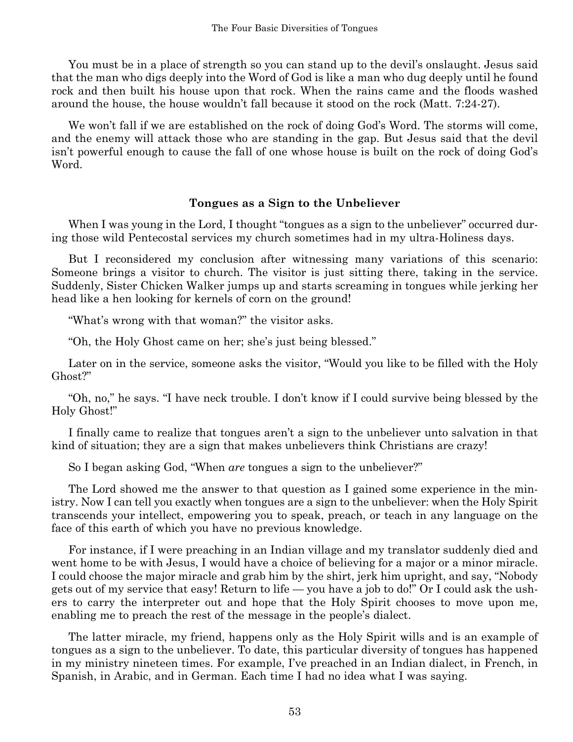You must be in a place of strength so you can stand up to the devil's onslaught. Jesus said that the man who digs deeply into the Word of God is like a man who dug deeply until he found rock and then built his house upon that rock. When the rains came and the floods washed around the house, the house wouldn't fall because it stood on the rock (Matt. 7:24-27).

We won't fall if we are established on the rock of doing God's Word. The storms will come, and the enemy will attack those who are standing in the gap. But Jesus said that the devil isn't powerful enough to cause the fall of one whose house is built on the rock of doing God's Word.

# **Tongues as a Sign to the Unbeliever**

When I was young in the Lord, I thought "tongues as a sign to the unbeliever" occurred during those wild Pentecostal services my church sometimes had in my ultra-Holiness days.

But I reconsidered my conclusion after witnessing many variations of this scenario: Someone brings a visitor to church. The visitor is just sitting there, taking in the service. Suddenly, Sister Chicken Walker jumps up and starts screaming in tongues while jerking her head like a hen looking for kernels of corn on the ground!

"What's wrong with that woman?" the visitor asks.

"Oh, the Holy Ghost came on her; she's just being blessed."

Later on in the service, someone asks the visitor, "Would you like to be filled with the Holy Ghost?"

"Oh, no," he says. "I have neck trouble. I don't know if I could survive being blessed by the Holy Ghost!"

I finally came to realize that tongues aren't a sign to the unbeliever unto salvation in that kind of situation; they are a sign that makes unbelievers think Christians are crazy!

So I began asking God, "When *are* tongues a sign to the unbeliever?"

The Lord showed me the answer to that question as I gained some experience in the ministry. Now I can tell you exactly when tongues are a sign to the unbeliever: when the Holy Spirit transcends your intellect, empowering you to speak, preach, or teach in any language on the face of this earth of which you have no previous knowledge.

For instance, if I were preaching in an Indian village and my translator suddenly died and went home to be with Jesus, I would have a choice of believing for a major or a minor miracle. I could choose the major miracle and grab him by the shirt, jerk him upright, and say, "Nobody gets out of my service that easy! Return to life — you have a job to do!" Or I could ask the ushers to carry the interpreter out and hope that the Holy Spirit chooses to move upon me, enabling me to preach the rest of the message in the people's dialect.

The latter miracle, my friend, happens only as the Holy Spirit wills and is an example of tongues as a sign to the unbeliever. To date, this particular diversity of tongues has happened in my ministry nineteen times. For example, I've preached in an Indian dialect, in French, in Spanish, in Arabic, and in German. Each time I had no idea what I was saying.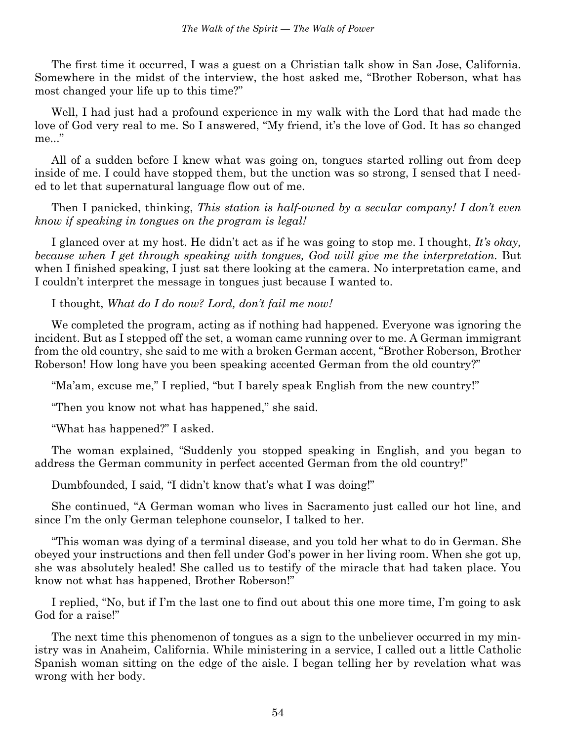The first time it occurred, I was a guest on a Christian talk show in San Jose, California. Somewhere in the midst of the interview, the host asked me, "Brother Roberson, what has most changed your life up to this time?"

Well, I had just had a profound experience in my walk with the Lord that had made the love of God very real to me. So I answered, "My friend, it's the love of God. It has so changed me..."

All of a sudden before I knew what was going on, tongues started rolling out from deep inside of me. I could have stopped them, but the unction was so strong, I sensed that I needed to let that supernatural language flow out of me.

Then I panicked, thinking, *This station is half-owned by a secular company! I don't even know if speaking in tongues on the program is legal!* 

I glanced over at my host. He didn't act as if he was going to stop me. I thought, *It's okay, because when I get through speaking with tongues, God will give me the interpretation.* But when I finished speaking, I just sat there looking at the camera. No interpretation came, and I couldn't interpret the message in tongues just because I wanted to.

I thought, *What do I do now? Lord, don't fail me now!*

We completed the program, acting as if nothing had happened. Everyone was ignoring the incident. But as I stepped off the set, a woman came running over to me. A German immigrant from the old country, she said to me with a broken German accent, "Brother Roberson, Brother Roberson! How long have you been speaking accented German from the old country?"

"Ma'am, excuse me," I replied, "but I barely speak English from the new country!"

"Then you know not what has happened," she said.

"What has happened?" I asked.

The woman explained, "Suddenly you stopped speaking in English, and you began to address the German community in perfect accented German from the old country!"

Dumbfounded, I said, "I didn't know that's what I was doing!"

She continued, "A German woman who lives in Sacramento just called our hot line, and since I'm the only German telephone counselor, I talked to her.

"This woman was dying of a terminal disease, and you told her what to do in German. She obeyed your instructions and then fell under God's power in her living room. When she got up, she was absolutely healed! She called us to testify of the miracle that had taken place. You know not what has happened, Brother Roberson!"

I replied, "No, but if I'm the last one to find out about this one more time, I'm going to ask God for a raise!"

The next time this phenomenon of tongues as a sign to the unbeliever occurred in my ministry was in Anaheim, California. While ministering in a service, I called out a little Catholic Spanish woman sitting on the edge of the aisle. I began telling her by revelation what was wrong with her body.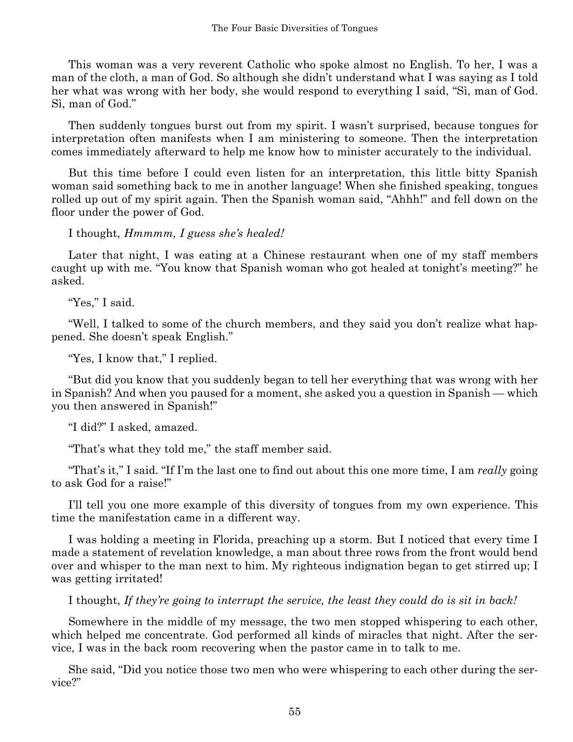This woman was a very reverent Catholic who spoke almost no English. To her, I was a man of the cloth, a man of God. So although she didn't understand what I was saying as I told her what was wrong with her body, she would respond to everything I said, "Sì, man of God. Sì, man of God."

Then suddenly tongues burst out from my spirit. I wasn't surprised, because tongues for interpretation often manifests when I am ministering to someone. Then the interpretation comes immediately afterward to help me know how to minister accurately to the individual.

But this time before I could even listen for an interpretation, this little bitty Spanish woman said something back to me in another language! When she finished speaking, tongues rolled up out of my spirit again. Then the Spanish woman said, "Ahhh!" and fell down on the floor under the power of God.

I thought, *Hmmmm, I guess she's healed!*

Later that night, I was eating at a Chinese restaurant when one of my staff members caught up with me. "You know that Spanish woman who got healed at tonight's meeting?" he asked.

"Yes," I said.

"Well, I talked to some of the church members, and they said you don't realize what happened. She doesn't speak English."

"Yes, I know that," I replied.

"But did you know that you suddenly began to tell her everything that was wrong with her in Spanish? And when you paused for a moment, she asked you a question in Spanish — which you then answered in Spanish!"

"I did?" I asked, amazed.

"That's what they told me," the staff member said.

"That's it," I said. "If I'm the last one to find out about this one more time, I am *really* going to ask God for a raise!"

I'll tell you one more example of this diversity of tongues from my own experience. This time the manifestation came in a different way.

I was holding a meeting in Florida, preaching up a storm. But I noticed that every time I made a statement of revelation knowledge, a man about three rows from the front would bend over and whisper to the man next to him. My righteous indignation began to get stirred up; I was getting irritated!

I thought, *If they're going to interrupt the service, the least they could do is sit in back!*

Somewhere in the middle of my message, the two men stopped whispering to each other, which helped me concentrate. God performed all kinds of miracles that night. After the service, I was in the back room recovering when the pastor came in to talk to me.

She said, "Did you notice those two men who were whispering to each other during the service?"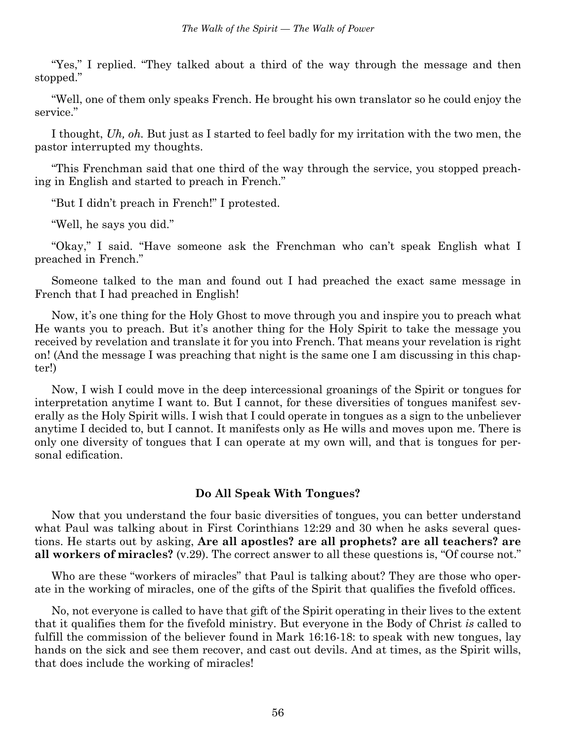"Yes," I replied. "They talked about a third of the way through the message and then stopped."

"Well, one of them only speaks French. He brought his own translator so he could enjoy the service."

I thought, *Uh, oh.* But just as I started to feel badly for my irritation with the two men, the pastor interrupted my thoughts.

"This Frenchman said that one third of the way through the service, you stopped preaching in English and started to preach in French."

"But I didn't preach in French!" I protested.

"Well, he says you did."

"Okay," I said. "Have someone ask the Frenchman who can't speak English what I preached in French."

Someone talked to the man and found out I had preached the exact same message in French that I had preached in English!

Now, it's one thing for the Holy Ghost to move through you and inspire you to preach what He wants you to preach. But it's another thing for the Holy Spirit to take the message you received by revelation and translate it for you into French. That means your revelation is right on! (And the message I was preaching that night is the same one I am discussing in this chapter!)

Now, I wish I could move in the deep intercessional groanings of the Spirit or tongues for interpretation anytime I want to. But I cannot, for these diversities of tongues manifest severally as the Holy Spirit wills. I wish that I could operate in tongues as a sign to the unbeliever anytime I decided to, but I cannot. It manifests only as He wills and moves upon me. There is only one diversity of tongues that I can operate at my own will, and that is tongues for personal edification.

#### **Do All Speak With Tongues?**

Now that you understand the four basic diversities of tongues, you can better understand what Paul was talking about in First Corinthians 12:29 and 30 when he asks several questions. He starts out by asking, **Are all apostles? are all prophets? are all teachers? are all workers of miracles?** (v.29). The correct answer to all these questions is, "Of course not."

Who are these "workers of miracles" that Paul is talking about? They are those who operate in the working of miracles, one of the gifts of the Spirit that qualifies the fivefold offices.

No, not everyone is called to have that gift of the Spirit operating in their lives to the extent that it qualifies them for the fivefold ministry. But everyone in the Body of Christ *is* called to fulfill the commission of the believer found in Mark 16:16-18: to speak with new tongues, lay hands on the sick and see them recover, and cast out devils. And at times, as the Spirit wills, that does include the working of miracles!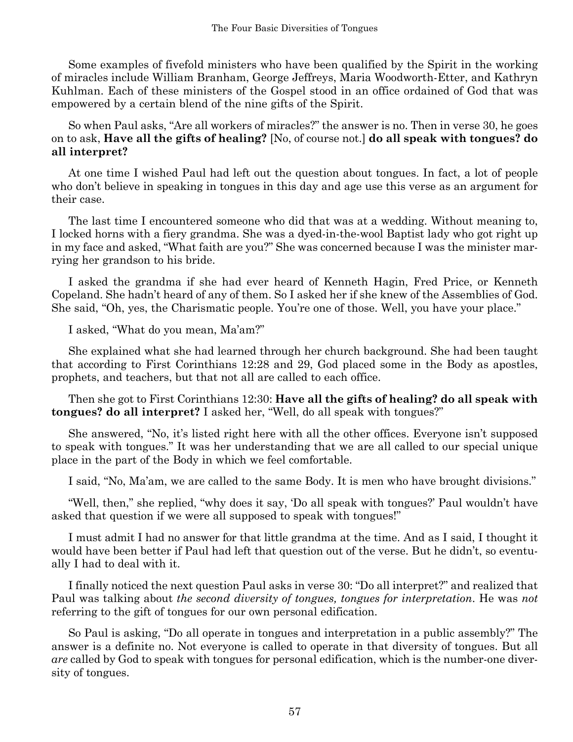Some examples of fivefold ministers who have been qualified by the Spirit in the working of miracles include William Branham, George Jeffreys, Maria Woodworth-Etter, and Kathryn Kuhlman. Each of these ministers of the Gospel stood in an office ordained of God that was empowered by a certain blend of the nine gifts of the Spirit.

So when Paul asks, "Are all workers of miracles?" the answer is no. Then in verse 30, he goes on to ask, **Have all the gifts of healing?** [No, of course not.] **do all speak with tongues? do all interpret?** 

At one time I wished Paul had left out the question about tongues. In fact, a lot of people who don't believe in speaking in tongues in this day and age use this verse as an argument for their case.

The last time I encountered someone who did that was at a wedding. Without meaning to, I locked horns with a fiery grandma. She was a dyed-in-the-wool Baptist lady who got right up in my face and asked, "What faith are you?" She was concerned because I was the minister marrying her grandson to his bride.

I asked the grandma if she had ever heard of Kenneth Hagin, Fred Price, or Kenneth Copeland. She hadn't heard of any of them. So I asked her if she knew of the Assemblies of God. She said, "Oh, yes, the Charismatic people. You're one of those. Well, you have your place."

I asked, "What do you mean, Ma'am?"

She explained what she had learned through her church background. She had been taught that according to First Corinthians 12:28 and 29, God placed some in the Body as apostles, prophets, and teachers, but that not all are called to each office.

Then she got to First Corinthians 12:30: **Have all the gifts of healing? do all speak with tongues? do all interpret?** I asked her, "Well, do all speak with tongues?"

She answered, "No, it's listed right here with all the other offices. Everyone isn't supposed to speak with tongues." It was her understanding that we are all called to our special unique place in the part of the Body in which we feel comfortable.

I said, "No, Ma'am, we are called to the same Body. It is men who have brought divisions."

"Well, then," she replied, "why does it say, 'Do all speak with tongues?' Paul wouldn't have asked that question if we were all supposed to speak with tongues!"

I must admit I had no answer for that little grandma at the time. And as I said, I thought it would have been better if Paul had left that question out of the verse. But he didn't, so eventually I had to deal with it.

I finally noticed the next question Paul asks in verse 30: "Do all interpret?" and realized that Paul was talking about *the second diversity of tongues, tongues for interpretation*. He was *not* referring to the gift of tongues for our own personal edification.

So Paul is asking, "Do all operate in tongues and interpretation in a public assembly?" The answer is a definite no. Not everyone is called to operate in that diversity of tongues. But all *are* called by God to speak with tongues for personal edification, which is the number-one diversity of tongues.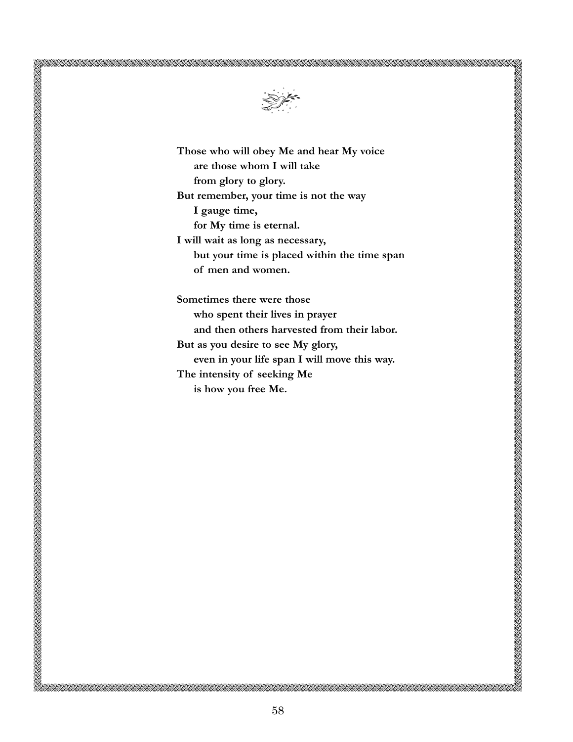

**Those who will obey Me and hear My voice are those whom I will take from glory to glory. But remember, your time is not the way I gauge time, for My time is eternal. I will wait as long as necessary, but your time is placed within the time span of men and women.**

**Sometimes there were those who spent their lives in prayer and then others harvested from their labor. But as you desire to see My glory, even in your life span I will move this way. The intensity of seeking Me is how you free Me.**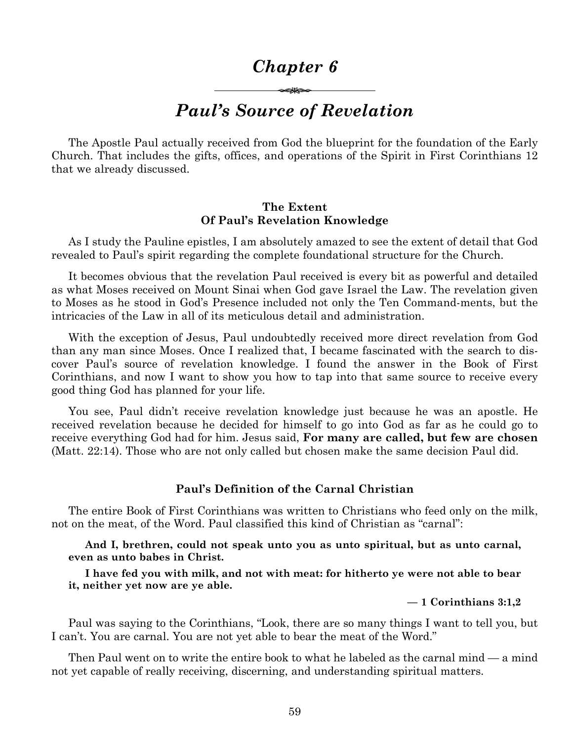# *Chapter 6*

# *Paul's Source of Revelation*

The Apostle Paul actually received from God the blueprint for the foundation of the Early Church. That includes the gifts, offices, and operations of the Spirit in First Corinthians 12 that we already discussed.

### **The Extent Of Paul's Revelation Knowledge**

As I study the Pauline epistles, I am absolutely amazed to see the extent of detail that God revealed to Paul's spirit regarding the complete foundational structure for the Church.

It becomes obvious that the revelation Paul received is every bit as powerful and detailed as what Moses received on Mount Sinai when God gave Israel the Law. The revelation given to Moses as he stood in God's Presence included not only the Ten Command-ments, but the intricacies of the Law in all of its meticulous detail and administration.

With the exception of Jesus, Paul undoubtedly received more direct revelation from God than any man since Moses. Once I realized that, I became fascinated with the search to discover Paul's source of revelation knowledge. I found the answer in the Book of First Corinthians, and now I want to show you how to tap into that same source to receive every good thing God has planned for your life.

You see, Paul didn't receive revelation knowledge just because he was an apostle. He received revelation because he decided for himself to go into God as far as he could go to receive everything God had for him. Jesus said, **For many are called, but few are chosen** (Matt. 22:14). Those who are not only called but chosen make the same decision Paul did.

# **Paul's Definition of the Carnal Christian**

The entire Book of First Corinthians was written to Christians who feed only on the milk, not on the meat, of the Word. Paul classified this kind of Christian as "carnal":

**And I, brethren, could not speak unto you as unto spiritual, but as unto carnal, even as unto babes in Christ.** 

**I have fed you with milk, and not with meat: for hitherto ye were not able to bear it, neither yet now are ye able.** 

#### **— 1 Corinthians 3:1,2**

Paul was saying to the Corinthians, "Look, there are so many things I want to tell you, but I can't. You are carnal. You are not yet able to bear the meat of the Word."

Then Paul went on to write the entire book to what he labeled as the carnal mind — a mind not yet capable of really receiving, discerning, and understanding spiritual matters.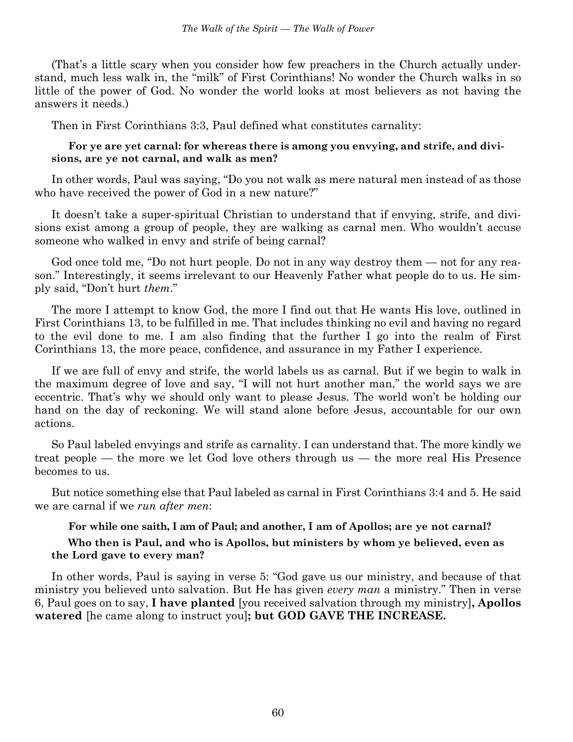(That's a little scary when you consider how few preachers in the Church actually understand, much less walk in, the "milk" of First Corinthians! No wonder the Church walks in so little of the power of God. No wonder the world looks at most believers as not having the answers it needs.)

Then in First Corinthians 3:3, Paul defined what constitutes carnality:

# **For ye are yet carnal: for whereas there is among you envying, and strife, and divisions, are ye not carnal, and walk as men?**

In other words, Paul was saying, "Do you not walk as mere natural men instead of as those who have received the power of God in a new nature?"

It doesn't take a super-spiritual Christian to understand that if envying, strife, and divisions exist among a group of people, they are walking as carnal men. Who wouldn't accuse someone who walked in envy and strife of being carnal?

God once told me, "Do not hurt people. Do not in any way destroy them — not for any reason." Interestingly, it seems irrelevant to our Heavenly Father what people do to us. He simply said, "Don't hurt *them*."

The more I attempt to know God, the more I find out that He wants His love, outlined in First Corinthians 13, to be fulfilled in me. That includes thinking no evil and having no regard to the evil done to me. I am also finding that the further I go into the realm of First Corinthians 13, the more peace, confidence, and assurance in my Father I experience.

If we are full of envy and strife, the world labels us as carnal. But if we begin to walk in the maximum degree of love and say, "I will not hurt another man," the world says we are eccentric. That's why we should only want to please Jesus. The world won't be holding our hand on the day of reckoning. We will stand alone before Jesus, accountable for our own actions.

So Paul labeled envyings and strife as carnality. I can understand that. The more kindly we treat people — the more we let God love others through us — the more real His Presence becomes to us.

But notice something else that Paul labeled as carnal in First Corinthians 3:4 and 5. He said we are carnal if we *run after men*:

# **For while one saith, I am of Paul; and another, I am of Apollos; are ye not carnal?**

#### **Who then is Paul, and who is Apollos, but ministers by whom ye believed, even as the Lord gave to every man?**

In other words, Paul is saying in verse 5: "God gave us our ministry, and because of that ministry you believed unto salvation. But He has given *every man* a ministry." Then in verse 6, Paul goes on to say, **I have planted** [you received salvation through my ministry]**, Apollos watered** [he came along to instruct you]**; but GOD GAVE THE INCREASE.**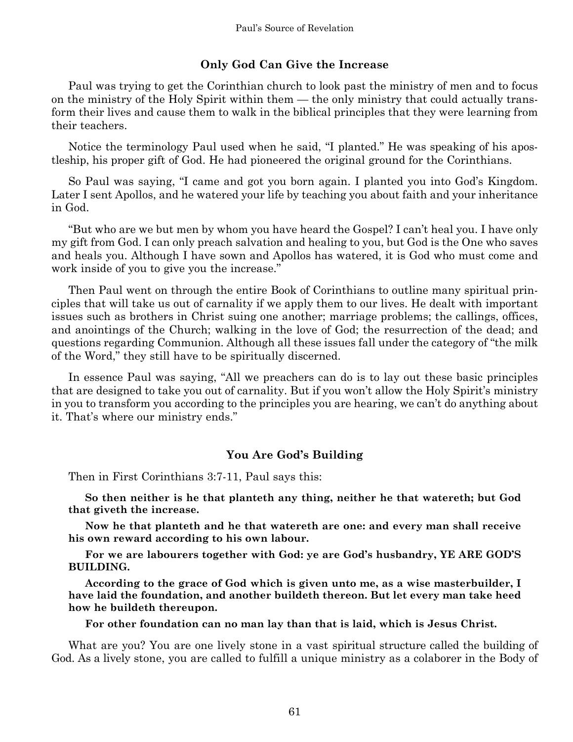# **Only God Can Give the Increase**

Paul was trying to get the Corinthian church to look past the ministry of men and to focus on the ministry of the Holy Spirit within them — the only ministry that could actually transform their lives and cause them to walk in the biblical principles that they were learning from their teachers.

Notice the terminology Paul used when he said, "I planted." He was speaking of his apostleship, his proper gift of God. He had pioneered the original ground for the Corinthians.

So Paul was saying, "I came and got you born again. I planted you into God's Kingdom. Later I sent Apollos, and he watered your life by teaching you about faith and your inheritance in God.

"But who are we but men by whom you have heard the Gospel? I can't heal you. I have only my gift from God. I can only preach salvation and healing to you, but God is the One who saves and heals you. Although I have sown and Apollos has watered, it is God who must come and work inside of you to give you the increase."

Then Paul went on through the entire Book of Corinthians to outline many spiritual principles that will take us out of carnality if we apply them to our lives. He dealt with important issues such as brothers in Christ suing one another; marriage problems; the callings, offices, and anointings of the Church; walking in the love of God; the resurrection of the dead; and questions regarding Communion. Although all these issues fall under the category of "the milk of the Word," they still have to be spiritually discerned.

In essence Paul was saying, "All we preachers can do is to lay out these basic principles that are designed to take you out of carnality. But if you won't allow the Holy Spirit's ministry in you to transform you according to the principles you are hearing, we can't do anything about it. That's where our ministry ends."

# **You Are God's Building**

Then in First Corinthians 3:7-11, Paul says this:

**So then neither is he that planteth any thing, neither he that watereth; but God that giveth the increase.**

**Now he that planteth and he that watereth are one: and every man shall receive his own reward according to his own labour.**

**For we are labourers together with God: ye are God's husbandry, YE ARE GOD'S BUILDING.**

**According to the grace of God which is given unto me, as a wise masterbuilder, I have laid the foundation, and another buildeth thereon. But let every man take heed how he buildeth thereupon.**

**For other foundation can no man lay than that is laid, which is Jesus Christ.**

What are you? You are one lively stone in a vast spiritual structure called the building of God. As a lively stone, you are called to fulfill a unique ministry as a colaborer in the Body of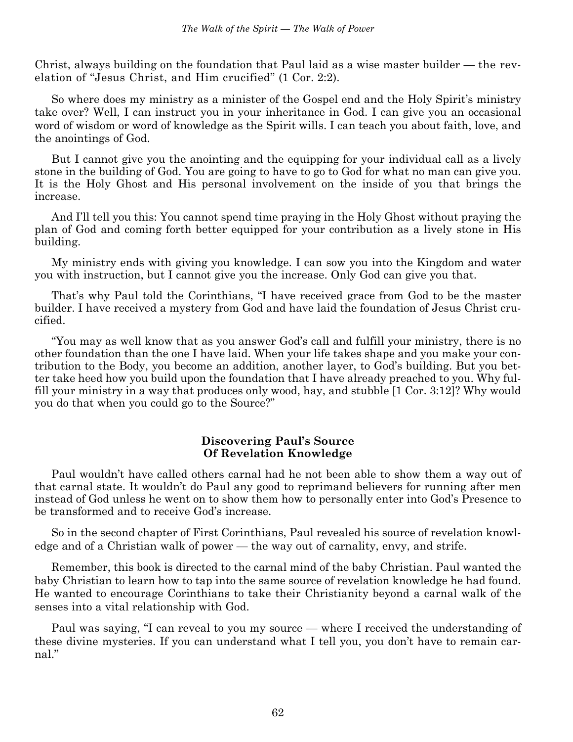Christ, always building on the foundation that Paul laid as a wise master builder — the revelation of "Jesus Christ, and Him crucified" (1 Cor. 2:2).

So where does my ministry as a minister of the Gospel end and the Holy Spirit's ministry take over? Well, I can instruct you in your inheritance in God. I can give you an occasional word of wisdom or word of knowledge as the Spirit wills. I can teach you about faith, love, and the anointings of God.

But I cannot give you the anointing and the equipping for your individual call as a lively stone in the building of God. You are going to have to go to God for what no man can give you. It is the Holy Ghost and His personal involvement on the inside of you that brings the increase.

And I'll tell you this: You cannot spend time praying in the Holy Ghost without praying the plan of God and coming forth better equipped for your contribution as a lively stone in His building.

My ministry ends with giving you knowledge. I can sow you into the Kingdom and water you with instruction, but I cannot give you the increase. Only God can give you that.

That's why Paul told the Corinthians, "I have received grace from God to be the master builder. I have received a mystery from God and have laid the foundation of Jesus Christ crucified.

"You may as well know that as you answer God's call and fulfill your ministry, there is no other foundation than the one I have laid. When your life takes shape and you make your contribution to the Body, you become an addition, another layer, to God's building. But you better take heed how you build upon the foundation that I have already preached to you. Why fulfill your ministry in a way that produces only wood, hay, and stubble [1 Cor. 3:12]? Why would you do that when you could go to the Source?"

# **Discovering Paul's Source Of Revelation Knowledge**

Paul wouldn't have called others carnal had he not been able to show them a way out of that carnal state. It wouldn't do Paul any good to reprimand believers for running after men instead of God unless he went on to show them how to personally enter into God's Presence to be transformed and to receive God's increase.

So in the second chapter of First Corinthians, Paul revealed his source of revelation knowledge and of a Christian walk of power — the way out of carnality, envy, and strife.

Remember, this book is directed to the carnal mind of the baby Christian. Paul wanted the baby Christian to learn how to tap into the same source of revelation knowledge he had found. He wanted to encourage Corinthians to take their Christianity beyond a carnal walk of the senses into a vital relationship with God.

Paul was saying, "I can reveal to you my source — where I received the understanding of these divine mysteries. If you can understand what I tell you, you don't have to remain carnal."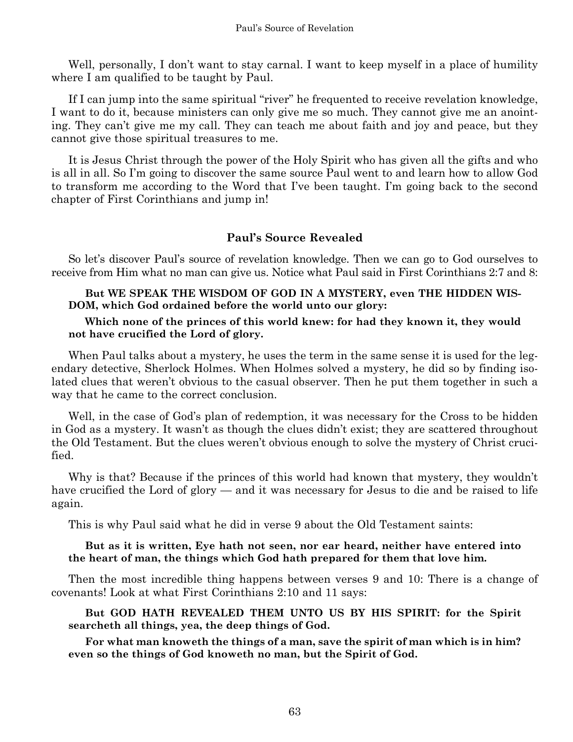Well, personally, I don't want to stay carnal. I want to keep myself in a place of humility where I am qualified to be taught by Paul.

If I can jump into the same spiritual "river" he frequented to receive revelation knowledge, I want to do it, because ministers can only give me so much. They cannot give me an anointing. They can't give me my call. They can teach me about faith and joy and peace, but they cannot give those spiritual treasures to me.

It is Jesus Christ through the power of the Holy Spirit who has given all the gifts and who is all in all. So I'm going to discover the same source Paul went to and learn how to allow God to transform me according to the Word that I've been taught. I'm going back to the second chapter of First Corinthians and jump in!

# **Paul's Source Revealed**

So let's discover Paul's source of revelation knowledge. Then we can go to God ourselves to receive from Him what no man can give us. Notice what Paul said in First Corinthians 2:7 and 8:

#### **But WE SPEAK THE WISDOM OF GOD IN A MYSTERY, even THE HIDDEN WIS-DOM, which God ordained before the world unto our glory:**

#### **Which none of the princes of this world knew: for had they known it, they would not have crucified the Lord of glory.**

When Paul talks about a mystery, he uses the term in the same sense it is used for the legendary detective, Sherlock Holmes. When Holmes solved a mystery, he did so by finding isolated clues that weren't obvious to the casual observer. Then he put them together in such a way that he came to the correct conclusion.

Well, in the case of God's plan of redemption, it was necessary for the Cross to be hidden in God as a mystery. It wasn't as though the clues didn't exist; they are scattered throughout the Old Testament. But the clues weren't obvious enough to solve the mystery of Christ crucified.

Why is that? Because if the princes of this world had known that mystery, they wouldn't have crucified the Lord of glory — and it was necessary for Jesus to die and be raised to life again.

This is why Paul said what he did in verse 9 about the Old Testament saints:

#### **But as it is written, Eye hath not seen, nor ear heard, neither have entered into the heart of man, the things which God hath prepared for them that love him.**

Then the most incredible thing happens between verses 9 and 10: There is a change of covenants! Look at what First Corinthians 2:10 and 11 says:

**But GOD HATH REVEALED THEM UNTO US BY HIS SPIRIT: for the Spirit searcheth all things, yea, the deep things of God.**

**For what man knoweth the things of a man, save the spirit of man which is in him? even so the things of God knoweth no man, but the Spirit of God.**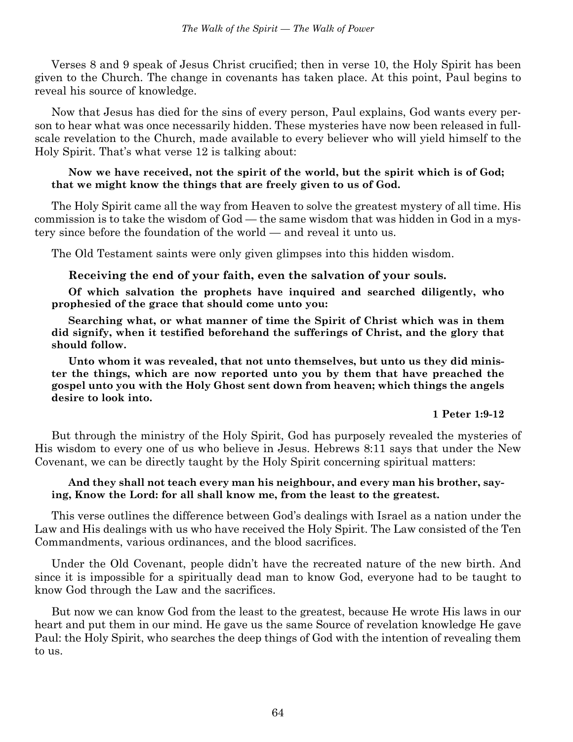Verses 8 and 9 speak of Jesus Christ crucified; then in verse 10, the Holy Spirit has been given to the Church. The change in covenants has taken place. At this point, Paul begins to reveal his source of knowledge.

Now that Jesus has died for the sins of every person, Paul explains, God wants every person to hear what was once necessarily hidden. These mysteries have now been released in fullscale revelation to the Church, made available to every believer who will yield himself to the Holy Spirit. That's what verse 12 is talking about:

## **Now we have received, not the spirit of the world, but the spirit which is of God; that we might know the things that are freely given to us of God.**

The Holy Spirit came all the way from Heaven to solve the greatest mystery of all time. His commission is to take the wisdom of God — the same wisdom that was hidden in God in a mystery since before the foundation of the world — and reveal it unto us.

The Old Testament saints were only given glimpses into this hidden wisdom.

# **Receiving the end of your faith, even the salvation of your souls.**

**Of which salvation the prophets have inquired and searched diligently, who prophesied of the grace that should come unto you:**

**Searching what, or what manner of time the Spirit of Christ which was in them did signify, when it testified beforehand the sufferings of Christ, and the glory that should follow.**

**Unto whom it was revealed, that not unto themselves, but unto us they did minister the things, which are now reported unto you by them that have preached the gospel unto you with the Holy Ghost sent down from heaven; which things the angels desire to look into.**

#### **1 Peter 1:9-12**

But through the ministry of the Holy Spirit, God has purposely revealed the mysteries of His wisdom to every one of us who believe in Jesus. Hebrews 8:11 says that under the New Covenant, we can be directly taught by the Holy Spirit concerning spiritual matters:

#### **And they shall not teach every man his neighbour, and every man his brother, saying, Know the Lord: for all shall know me, from the least to the greatest.**

This verse outlines the difference between God's dealings with Israel as a nation under the Law and His dealings with us who have received the Holy Spirit. The Law consisted of the Ten Commandments, various ordinances, and the blood sacrifices.

Under the Old Covenant, people didn't have the recreated nature of the new birth. And since it is impossible for a spiritually dead man to know God, everyone had to be taught to know God through the Law and the sacrifices.

But now we can know God from the least to the greatest, because He wrote His laws in our heart and put them in our mind. He gave us the same Source of revelation knowledge He gave Paul: the Holy Spirit, who searches the deep things of God with the intention of revealing them to us.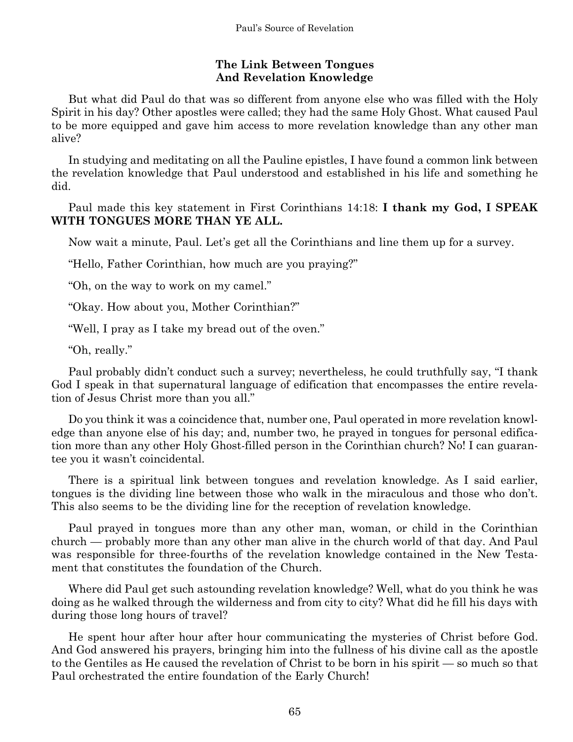# **The Link Between Tongues And Revelation Knowledge**

But what did Paul do that was so different from anyone else who was filled with the Holy Spirit in his day? Other apostles were called; they had the same Holy Ghost. What caused Paul to be more equipped and gave him access to more revelation knowledge than any other man alive?

In studying and meditating on all the Pauline epistles, I have found a common link between the revelation knowledge that Paul understood and established in his life and something he did.

# Paul made this key statement in First Corinthians 14:18: **I thank my God, I SPEAK WITH TONGUES MORE THAN YE ALL.**

Now wait a minute, Paul. Let's get all the Corinthians and line them up for a survey.

"Hello, Father Corinthian, how much are you praying?"

"Oh, on the way to work on my camel."

"Okay. How about you, Mother Corinthian?"

"Well, I pray as I take my bread out of the oven."

"Oh, really."

Paul probably didn't conduct such a survey; nevertheless, he could truthfully say, "I thank God I speak in that supernatural language of edification that encompasses the entire revelation of Jesus Christ more than you all."

Do you think it was a coincidence that, number one, Paul operated in more revelation knowledge than anyone else of his day; and, number two, he prayed in tongues for personal edification more than any other Holy Ghost-filled person in the Corinthian church? No! I can guarantee you it wasn't coincidental.

There is a spiritual link between tongues and revelation knowledge. As I said earlier, tongues is the dividing line between those who walk in the miraculous and those who don't. This also seems to be the dividing line for the reception of revelation knowledge.

Paul prayed in tongues more than any other man, woman, or child in the Corinthian church — probably more than any other man alive in the church world of that day. And Paul was responsible for three-fourths of the revelation knowledge contained in the New Testament that constitutes the foundation of the Church.

Where did Paul get such astounding revelation knowledge? Well, what do you think he was doing as he walked through the wilderness and from city to city? What did he fill his days with during those long hours of travel?

He spent hour after hour after hour communicating the mysteries of Christ before God. And God answered his prayers, bringing him into the fullness of his divine call as the apostle to the Gentiles as He caused the revelation of Christ to be born in his spirit — so much so that Paul orchestrated the entire foundation of the Early Church!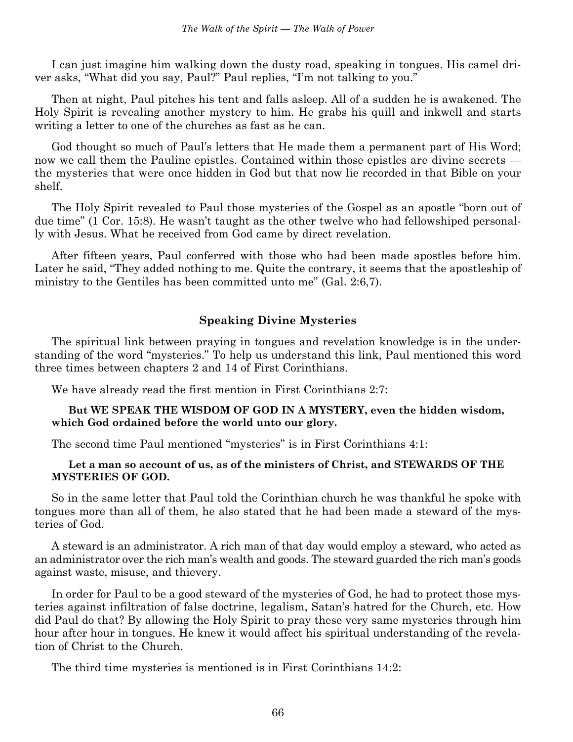I can just imagine him walking down the dusty road, speaking in tongues. His camel driver asks, "What did you say, Paul?" Paul replies, "I'm not talking to you."

Then at night, Paul pitches his tent and falls asleep. All of a sudden he is awakened. The Holy Spirit is revealing another mystery to him. He grabs his quill and inkwell and starts writing a letter to one of the churches as fast as he can.

God thought so much of Paul's letters that He made them a permanent part of His Word; now we call them the Pauline epistles. Contained within those epistles are divine secrets the mysteries that were once hidden in God but that now lie recorded in that Bible on your shelf.

The Holy Spirit revealed to Paul those mysteries of the Gospel as an apostle "born out of due time" (1 Cor. 15:8). He wasn't taught as the other twelve who had fellowshiped personally with Jesus. What he received from God came by direct revelation.

After fifteen years, Paul conferred with those who had been made apostles before him. Later he said, "They added nothing to me. Quite the contrary, it seems that the apostleship of ministry to the Gentiles has been committed unto me" (Gal. 2:6,7).

# **Speaking Divine Mysteries**

The spiritual link between praying in tongues and revelation knowledge is in the understanding of the word "mysteries." To help us understand this link, Paul mentioned this word three times between chapters 2 and 14 of First Corinthians.

We have already read the first mention in First Corinthians 2:7:

# **But WE SPEAK THE WISDOM OF GOD IN A MYSTERY, even the hidden wisdom, which God ordained before the world unto our glory.**

The second time Paul mentioned "mysteries" is in First Corinthians 4:1:

#### **Let a man so account of us, as of the ministers of Christ, and STEWARDS OF THE MYSTERIES OF GOD.**

So in the same letter that Paul told the Corinthian church he was thankful he spoke with tongues more than all of them, he also stated that he had been made a steward of the mysteries of God.

A steward is an administrator. A rich man of that day would employ a steward, who acted as an administrator over the rich man's wealth and goods. The steward guarded the rich man's goods against waste, misuse, and thievery.

In order for Paul to be a good steward of the mysteries of God, he had to protect those mysteries against infiltration of false doctrine, legalism, Satan's hatred for the Church, etc. How did Paul do that? By allowing the Holy Spirit to pray these very same mysteries through him hour after hour in tongues. He knew it would affect his spiritual understanding of the revelation of Christ to the Church.

The third time mysteries is mentioned is in First Corinthians 14:2: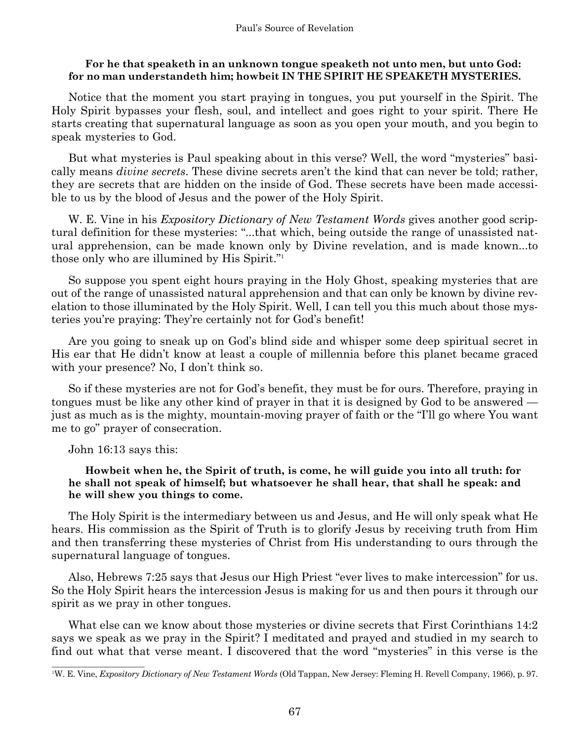# **For he that speaketh in an unknown tongue speaketh not unto men, but unto God: for no man understandeth him; howbeit IN THE SPIRIT HE SPEAKETH MYSTERIES.**

Notice that the moment you start praying in tongues, you put yourself in the Spirit. The Holy Spirit bypasses your flesh, soul, and intellect and goes right to your spirit. There He starts creating that supernatural language as soon as you open your mouth, and you begin to speak mysteries to God.

But what mysteries is Paul speaking about in this verse? Well, the word "mysteries" basically means *divine secrets*. These divine secrets aren't the kind that can never be told; rather, they are secrets that are hidden on the inside of God. These secrets have been made accessible to us by the blood of Jesus and the power of the Holy Spirit.

W. E. Vine in his *Expository Dictionary of New Testament Words* gives another good scriptural definition for these mysteries: "...that which, being outside the range of unassisted natural apprehension, can be made known only by Divine revelation, and is made known...to those only who are illumined by His Spirit."1

So suppose you spent eight hours praying in the Holy Ghost, speaking mysteries that are out of the range of unassisted natural apprehension and that can only be known by divine revelation to those illuminated by the Holy Spirit. Well, I can tell you this much about those mysteries you're praying: They're certainly not for God's benefit!

Are you going to sneak up on God's blind side and whisper some deep spiritual secret in His ear that He didn't know at least a couple of millennia before this planet became graced with your presence? No, I don't think so.

So if these mysteries are not for God's benefit, they must be for ours. Therefore, praying in tongues must be like any other kind of prayer in that it is designed by God to be answered just as much as is the mighty, mountain-moving prayer of faith or the "I'll go where You want me to go" prayer of consecration.

John 16:13 says this:

 $\_$ 

# **Howbeit when he, the Spirit of truth, is come, he will guide you into all truth: for he shall not speak of himself; but whatsoever he shall hear, that shall he speak: and he will shew you things to come.**

The Holy Spirit is the intermediary between us and Jesus, and He will only speak what He hears. His commission as the Spirit of Truth is to glorify Jesus by receiving truth from Him and then transferring these mysteries of Christ from His understanding to ours through the supernatural language of tongues.

Also, Hebrews 7:25 says that Jesus our High Priest "ever lives to make intercession" for us. So the Holy Spirit hears the intercession Jesus is making for us and then pours it through our spirit as we pray in other tongues.

What else can we know about those mysteries or divine secrets that First Corinthians 14:2 says we speak as we pray in the Spirit? I meditated and prayed and studied in my search to find out what that verse meant. I discovered that the word "mysteries" in this verse is the

<sup>1</sup> W. E. Vine, *Expository Dictionary of New Testament Words* (Old Tappan, New Jersey: Fleming H. Revell Company, 1966), p. 97.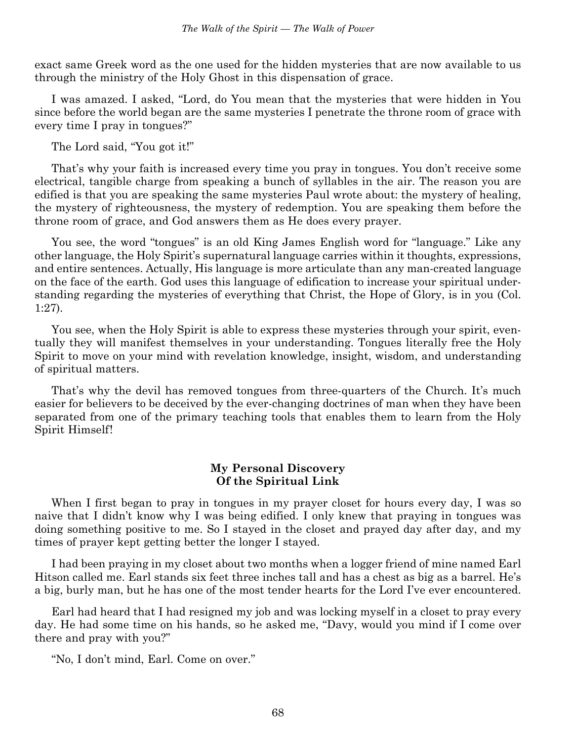exact same Greek word as the one used for the hidden mysteries that are now available to us through the ministry of the Holy Ghost in this dispensation of grace.

I was amazed. I asked, "Lord, do You mean that the mysteries that were hidden in You since before the world began are the same mysteries I penetrate the throne room of grace with every time I pray in tongues?"

The Lord said, "You got it!"

That's why your faith is increased every time you pray in tongues. You don't receive some electrical, tangible charge from speaking a bunch of syllables in the air. The reason you are edified is that you are speaking the same mysteries Paul wrote about: the mystery of healing, the mystery of righteousness, the mystery of redemption. You are speaking them before the throne room of grace, and God answers them as He does every prayer.

You see, the word "tongues" is an old King James English word for "language." Like any other language, the Holy Spirit's supernatural language carries within it thoughts, expressions, and entire sentences. Actually, His language is more articulate than any man-created language on the face of the earth. God uses this language of edification to increase your spiritual understanding regarding the mysteries of everything that Christ, the Hope of Glory, is in you (Col. 1:27).

You see, when the Holy Spirit is able to express these mysteries through your spirit, eventually they will manifest themselves in your understanding. Tongues literally free the Holy Spirit to move on your mind with revelation knowledge, insight, wisdom, and understanding of spiritual matters.

That's why the devil has removed tongues from three-quarters of the Church. It's much easier for believers to be deceived by the ever-changing doctrines of man when they have been separated from one of the primary teaching tools that enables them to learn from the Holy Spirit Himself!

# **My Personal Discovery Of the Spiritual Link**

When I first began to pray in tongues in my prayer closet for hours every day, I was so naive that I didn't know why I was being edified. I only knew that praying in tongues was doing something positive to me. So I stayed in the closet and prayed day after day, and my times of prayer kept getting better the longer I stayed.

I had been praying in my closet about two months when a logger friend of mine named Earl Hitson called me. Earl stands six feet three inches tall and has a chest as big as a barrel. He's a big, burly man, but he has one of the most tender hearts for the Lord I've ever encountered.

Earl had heard that I had resigned my job and was locking myself in a closet to pray every day. He had some time on his hands, so he asked me, "Davy, would you mind if I come over there and pray with you?"

"No, I don't mind, Earl. Come on over."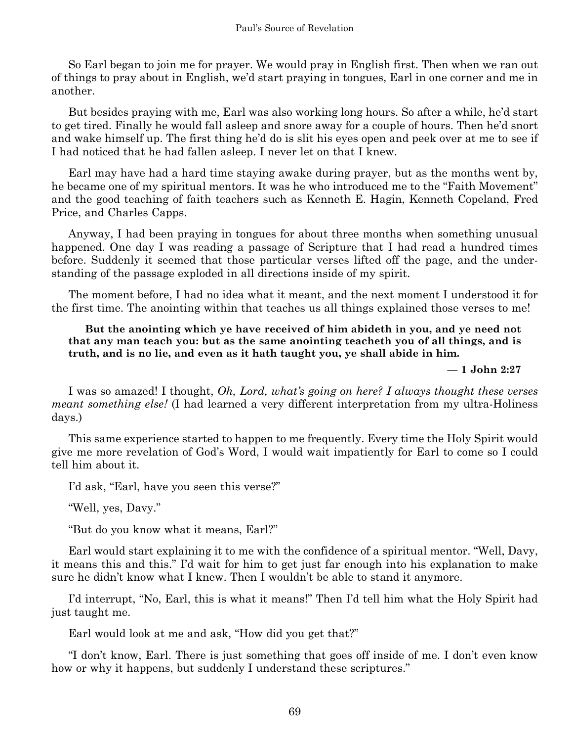So Earl began to join me for prayer. We would pray in English first. Then when we ran out of things to pray about in English, we'd start praying in tongues, Earl in one corner and me in another.

But besides praying with me, Earl was also working long hours. So after a while, he'd start to get tired. Finally he would fall asleep and snore away for a couple of hours. Then he'd snort and wake himself up. The first thing he'd do is slit his eyes open and peek over at me to see if I had noticed that he had fallen asleep. I never let on that I knew.

Earl may have had a hard time staying awake during prayer, but as the months went by, he became one of my spiritual mentors. It was he who introduced me to the "Faith Movement" and the good teaching of faith teachers such as Kenneth E. Hagin, Kenneth Copeland, Fred Price, and Charles Capps.

Anyway, I had been praying in tongues for about three months when something unusual happened. One day I was reading a passage of Scripture that I had read a hundred times before. Suddenly it seemed that those particular verses lifted off the page, and the understanding of the passage exploded in all directions inside of my spirit.

The moment before, I had no idea what it meant, and the next moment I understood it for the first time. The anointing within that teaches us all things explained those verses to me!

**But the anointing which ye have received of him abideth in you, and ye need not that any man teach you: but as the same anointing teacheth you of all things, and is truth, and is no lie, and even as it hath taught you, ye shall abide in him.**

**— 1 John 2:27**

I was so amazed! I thought, *Oh, Lord, what's going on here? I always thought these verses meant something else!* (I had learned a very different interpretation from my ultra-Holiness days.)

This same experience started to happen to me frequently. Every time the Holy Spirit would give me more revelation of God's Word, I would wait impatiently for Earl to come so I could tell him about it.

I'd ask, "Earl, have you seen this verse?"

"Well, yes, Davy."

"But do you know what it means, Earl?"

Earl would start explaining it to me with the confidence of a spiritual mentor. "Well, Davy, it means this and this." I'd wait for him to get just far enough into his explanation to make sure he didn't know what I knew. Then I wouldn't be able to stand it anymore.

I'd interrupt, "No, Earl, this is what it means!" Then I'd tell him what the Holy Spirit had just taught me.

Earl would look at me and ask, "How did you get that?"

"I don't know, Earl. There is just something that goes off inside of me. I don't even know how or why it happens, but suddenly I understand these scriptures."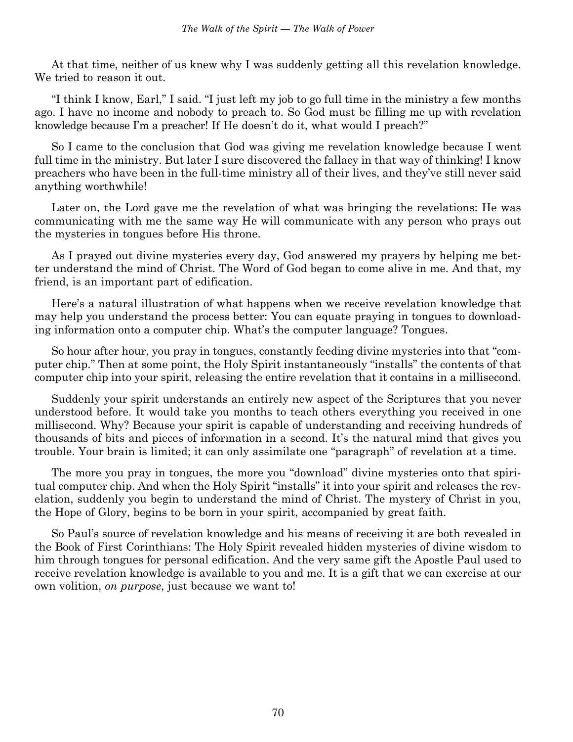At that time, neither of us knew why I was suddenly getting all this revelation knowledge. We tried to reason it out.

"I think I know, Earl," I said. "I just left my job to go full time in the ministry a few months ago. I have no income and nobody to preach to. So God must be filling me up with revelation knowledge because I'm a preacher! If He doesn't do it, what would I preach?"

So I came to the conclusion that God was giving me revelation knowledge because I went full time in the ministry. But later I sure discovered the fallacy in that way of thinking! I know preachers who have been in the full-time ministry all of their lives, and they've still never said anything worthwhile!

Later on, the Lord gave me the revelation of what was bringing the revelations: He was communicating with me the same way He will communicate with any person who prays out the mysteries in tongues before His throne.

As I prayed out divine mysteries every day, God answered my prayers by helping me better understand the mind of Christ. The Word of God began to come alive in me. And that, my friend, is an important part of edification.

Here's a natural illustration of what happens when we receive revelation knowledge that may help you understand the process better: You can equate praying in tongues to downloading information onto a computer chip. What's the computer language? Tongues.

So hour after hour, you pray in tongues, constantly feeding divine mysteries into that "computer chip." Then at some point, the Holy Spirit instantaneously "installs" the contents of that computer chip into your spirit, releasing the entire revelation that it contains in a millisecond.

Suddenly your spirit understands an entirely new aspect of the Scriptures that you never understood before. It would take you months to teach others everything you received in one millisecond. Why? Because your spirit is capable of understanding and receiving hundreds of thousands of bits and pieces of information in a second. It's the natural mind that gives you trouble. Your brain is limited; it can only assimilate one "paragraph" of revelation at a time.

The more you pray in tongues, the more you "download" divine mysteries onto that spiritual computer chip. And when the Holy Spirit "installs" it into your spirit and releases the revelation, suddenly you begin to understand the mind of Christ. The mystery of Christ in you, the Hope of Glory, begins to be born in your spirit, accompanied by great faith.

So Paul's source of revelation knowledge and his means of receiving it are both revealed in the Book of First Corinthians: The Holy Spirit revealed hidden mysteries of divine wisdom to him through tongues for personal edification. And the very same gift the Apostle Paul used to receive revelation knowledge is available to you and me. It is a gift that we can exercise at our own volition, *on purpose*, just because we want to!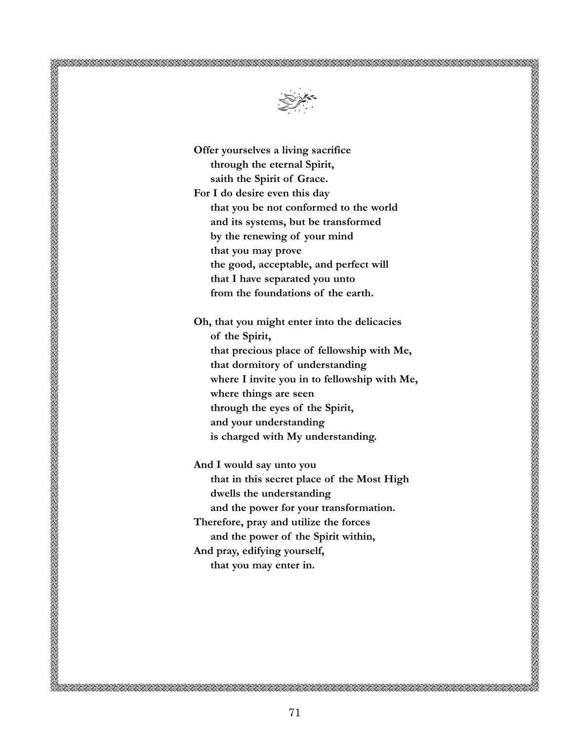

**Offer yourselves a living sacrifice through the eternal Spirit, saith the Spirit of Grace. For I do desire even this day that you be not conformed to the world and its systems, but be transformed by the renewing of your mind that you may prove the good, acceptable, and perfect will that I have separated you unto from the foundations of the earth.**

**Oh, that you might enter into the delicacies of the Spirit, that precious place of fellowship with Me, that dormitory of understanding where I invite you in to fellowship with Me, where things are seen through the eyes of the Spirit, and your understanding is charged with My understanding.**

**And I would say unto you that in this secret place of the Most High dwells the understanding and the power for your transformation. Therefore, pray and utilize the forces and the power of the Spirit within, And pray, edifying yourself, that you may enter in.**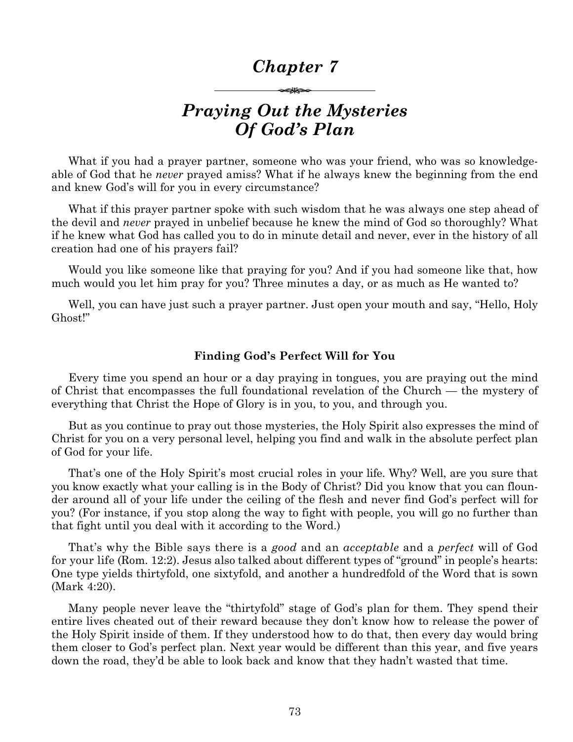# *Chapter 7*

# *Praying Out the Mysteries Of God's Plan*

What if you had a prayer partner, someone who was your friend, who was so knowledgeable of God that he *never* prayed amiss? What if he always knew the beginning from the end and knew God's will for you in every circumstance?

What if this prayer partner spoke with such wisdom that he was always one step ahead of the devil and *never* prayed in unbelief because he knew the mind of God so thoroughly? What if he knew what God has called you to do in minute detail and never, ever in the history of all creation had one of his prayers fail?

Would you like someone like that praying for you? And if you had someone like that, how much would you let him pray for you? Three minutes a day, or as much as He wanted to?

Well, you can have just such a prayer partner. Just open your mouth and say, "Hello, Holy Ghost!"

#### **Finding God's Perfect Will for You**

Every time you spend an hour or a day praying in tongues, you are praying out the mind of Christ that encompasses the full foundational revelation of the Church — the mystery of everything that Christ the Hope of Glory is in you, to you, and through you.

But as you continue to pray out those mysteries, the Holy Spirit also expresses the mind of Christ for you on a very personal level, helping you find and walk in the absolute perfect plan of God for your life.

That's one of the Holy Spirit's most crucial roles in your life. Why? Well, are you sure that you know exactly what your calling is in the Body of Christ? Did you know that you can flounder around all of your life under the ceiling of the flesh and never find God's perfect will for you? (For instance, if you stop along the way to fight with people, you will go no further than that fight until you deal with it according to the Word.)

That's why the Bible says there is a *good* and an *acceptable* and a *perfect* will of God for your life (Rom. 12:2). Jesus also talked about different types of "ground" in people's hearts: One type yields thirtyfold, one sixtyfold, and another a hundredfold of the Word that is sown (Mark 4:20).

Many people never leave the "thirtyfold" stage of God's plan for them. They spend their entire lives cheated out of their reward because they don't know how to release the power of the Holy Spirit inside of them. If they understood how to do that, then every day would bring them closer to God's perfect plan. Next year would be different than this year, and five years down the road, they'd be able to look back and know that they hadn't wasted that time.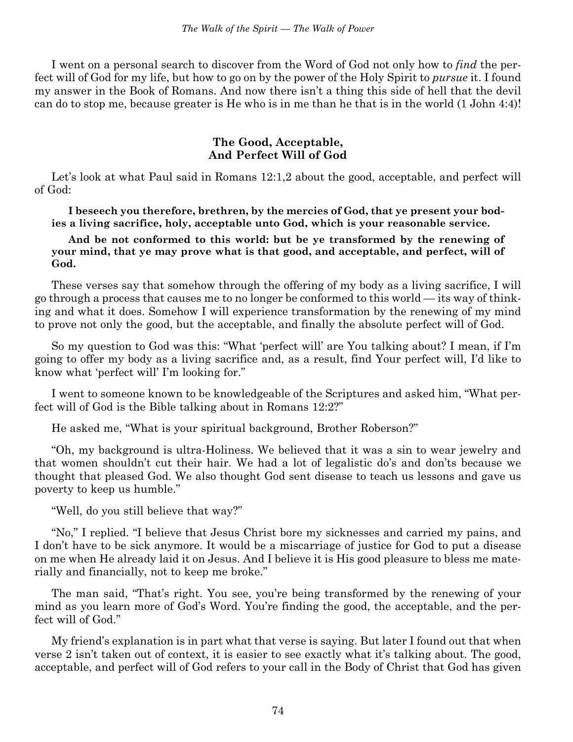I went on a personal search to discover from the Word of God not only how to *find* the perfect will of God for my life, but how to go on by the power of the Holy Spirit to *pursue* it. I found my answer in the Book of Romans. And now there isn't a thing this side of hell that the devil can do to stop me, because greater is He who is in me than he that is in the world (1 John 4:4)!

# **The Good, Acceptable, And Perfect Will of God**

Let's look at what Paul said in Romans 12:1,2 about the good, acceptable, and perfect will of God:

**I beseech you therefore, brethren, by the mercies of God, that ye present your bodies a living sacrifice, holy, acceptable unto God, which is your reasonable service.**

**And be not conformed to this world: but be ye transformed by the renewing of your mind, that ye may prove what is that good, and acceptable, and perfect, will of God.**

These verses say that somehow through the offering of my body as a living sacrifice, I will go through a process that causes me to no longer be conformed to this world — its way of thinking and what it does. Somehow I will experience transformation by the renewing of my mind to prove not only the good, but the acceptable, and finally the absolute perfect will of God.

So my question to God was this: "What 'perfect will' are You talking about? I mean, if I'm going to offer my body as a living sacrifice and, as a result, find Your perfect will, I'd like to know what 'perfect will' I'm looking for."

I went to someone known to be knowledgeable of the Scriptures and asked him, "What perfect will of God is the Bible talking about in Romans 12:2?"

He asked me, "What is your spiritual background, Brother Roberson?"

"Oh, my background is ultra-Holiness. We believed that it was a sin to wear jewelry and that women shouldn't cut their hair. We had a lot of legalistic do's and don'ts because we thought that pleased God. We also thought God sent disease to teach us lessons and gave us poverty to keep us humble."

"Well, do you still believe that way?"

"No," I replied. "I believe that Jesus Christ bore my sicknesses and carried my pains, and I don't have to be sick anymore. It would be a miscarriage of justice for God to put a disease on me when He already laid it on Jesus. And I believe it is His good pleasure to bless me materially and financially, not to keep me broke."

The man said, "That's right. You see, you're being transformed by the renewing of your mind as you learn more of God's Word. You're finding the good, the acceptable, and the perfect will of God."

My friend's explanation is in part what that verse is saying. But later I found out that when verse 2 isn't taken out of context, it is easier to see exactly what it's talking about. The good, acceptable, and perfect will of God refers to your call in the Body of Christ that God has given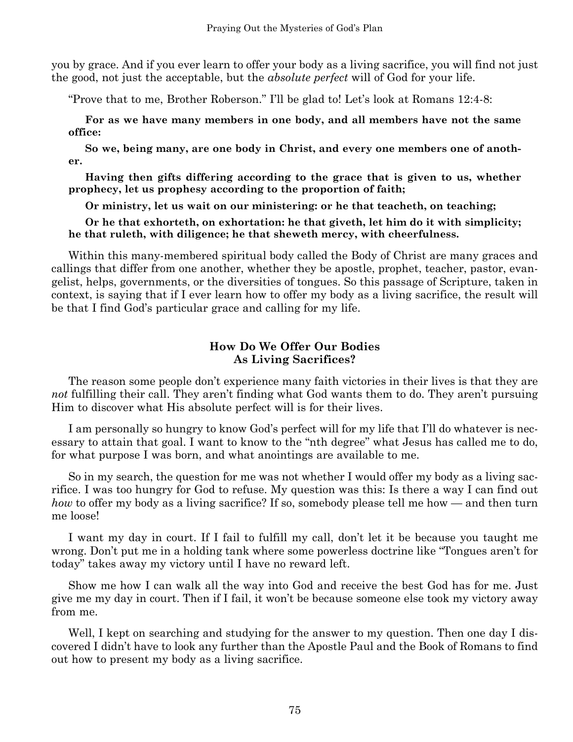you by grace. And if you ever learn to offer your body as a living sacrifice, you will find not just the good, not just the acceptable, but the *absolute perfect* will of God for your life.

"Prove that to me, Brother Roberson." I'll be glad to! Let's look at Romans 12:4-8:

**For as we have many members in one body, and all members have not the same office:**

**So we, being many, are one body in Christ, and every one members one of another.**

**Having then gifts differing according to the grace that is given to us, whether prophecy, let us prophesy according to the proportion of faith;**

**Or ministry, let us wait on our ministering: or he that teacheth, on teaching;**

**Or he that exhorteth, on exhortation: he that giveth, let him do it with simplicity; he that ruleth, with diligence; he that sheweth mercy, with cheerfulness.**

Within this many-membered spiritual body called the Body of Christ are many graces and callings that differ from one another, whether they be apostle, prophet, teacher, pastor, evangelist, helps, governments, or the diversities of tongues. So this passage of Scripture, taken in context, is saying that if I ever learn how to offer my body as a living sacrifice, the result will be that I find God's particular grace and calling for my life.

# **How Do We Offer Our Bodies As Living Sacrifices?**

The reason some people don't experience many faith victories in their lives is that they are *not* fulfilling their call. They aren't finding what God wants them to do. They aren't pursuing Him to discover what His absolute perfect will is for their lives.

I am personally so hungry to know God's perfect will for my life that I'll do whatever is necessary to attain that goal. I want to know to the "nth degree" what Jesus has called me to do, for what purpose I was born, and what anointings are available to me.

So in my search, the question for me was not whether I would offer my body as a living sacrifice. I was too hungry for God to refuse. My question was this: Is there a way I can find out *how* to offer my body as a living sacrifice? If so, somebody please tell me how — and then turn me loose!

I want my day in court. If I fail to fulfill my call, don't let it be because you taught me wrong. Don't put me in a holding tank where some powerless doctrine like "Tongues aren't for today" takes away my victory until I have no reward left.

Show me how I can walk all the way into God and receive the best God has for me. Just give me my day in court. Then if I fail, it won't be because someone else took my victory away from me.

Well, I kept on searching and studying for the answer to my question. Then one day I discovered I didn't have to look any further than the Apostle Paul and the Book of Romans to find out how to present my body as a living sacrifice.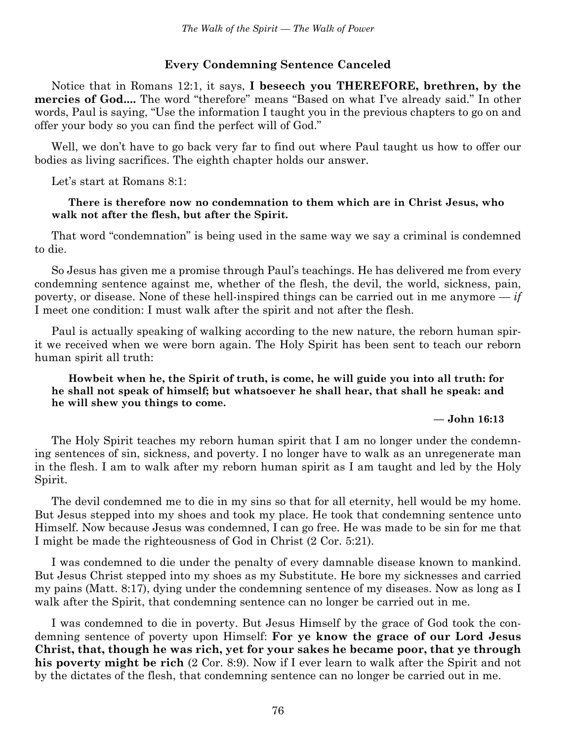# **Every Condemning Sentence Canceled**

Notice that in Romans 12:1, it says, **I beseech you THEREFORE, brethren, by the mercies of God....** The word "therefore" means "Based on what I've already said." In other words, Paul is saying, "Use the information I taught you in the previous chapters to go on and offer your body so you can find the perfect will of God."

Well, we don't have to go back very far to find out where Paul taught us how to offer our bodies as living sacrifices. The eighth chapter holds our answer.

Let's start at Romans 8:1:

### **There is therefore now no condemnation to them which are in Christ Jesus, who walk not after the flesh, but after the Spirit.**

That word "condemnation" is being used in the same way we say a criminal is condemned to die.

So Jesus has given me a promise through Paul's teachings. He has delivered me from every condemning sentence against me, whether of the flesh, the devil, the world, sickness, pain, poverty, or disease. None of these hell-inspired things can be carried out in me anymore — *if* I meet one condition: I must walk after the spirit and not after the flesh.

Paul is actually speaking of walking according to the new nature, the reborn human spirit we received when we were born again. The Holy Spirit has been sent to teach our reborn human spirit all truth:

**Howbeit when he, the Spirit of truth, is come, he will guide you into all truth: for he shall not speak of himself; but whatsoever he shall hear, that shall he speak: and he will shew you things to come.**

#### **— John 16:13**

The Holy Spirit teaches my reborn human spirit that I am no longer under the condemning sentences of sin, sickness, and poverty. I no longer have to walk as an unregenerate man in the flesh. I am to walk after my reborn human spirit as I am taught and led by the Holy Spirit.

The devil condemned me to die in my sins so that for all eternity, hell would be my home. But Jesus stepped into my shoes and took my place. He took that condemning sentence unto Himself. Now because Jesus was condemned, I can go free. He was made to be sin for me that I might be made the righteousness of God in Christ (2 Cor. 5:21).

I was condemned to die under the penalty of every damnable disease known to mankind. But Jesus Christ stepped into my shoes as my Substitute. He bore my sicknesses and carried my pains (Matt. 8:17), dying under the condemning sentence of my diseases. Now as long as I walk after the Spirit, that condemning sentence can no longer be carried out in me.

I was condemned to die in poverty. But Jesus Himself by the grace of God took the condemning sentence of poverty upon Himself: **For ye know the grace of our Lord Jesus Christ, that, though he was rich, yet for your sakes he became poor, that ye through his poverty might be rich** (2 Cor. 8:9). Now if I ever learn to walk after the Spirit and not by the dictates of the flesh, that condemning sentence can no longer be carried out in me.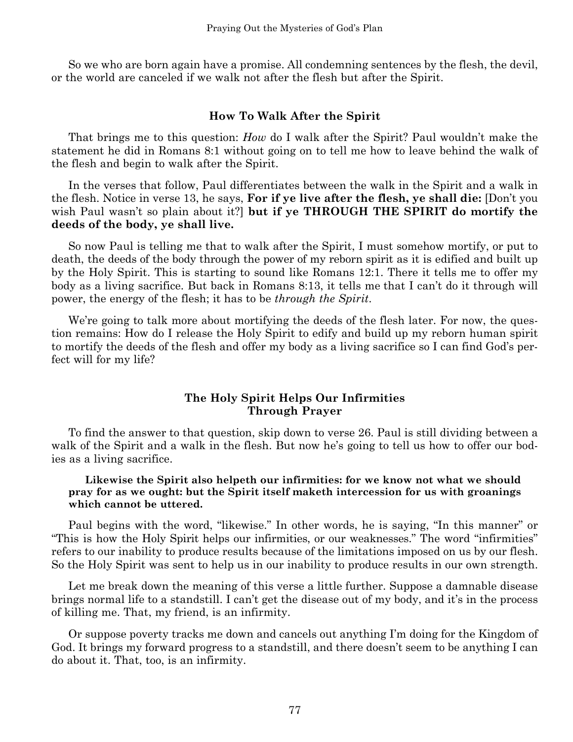So we who are born again have a promise. All condemning sentences by the flesh, the devil, or the world are canceled if we walk not after the flesh but after the Spirit.

#### **How To Walk After the Spirit**

That brings me to this question: *How* do I walk after the Spirit? Paul wouldn't make the statement he did in Romans 8:1 without going on to tell me how to leave behind the walk of the flesh and begin to walk after the Spirit.

In the verses that follow, Paul differentiates between the walk in the Spirit and a walk in the flesh. Notice in verse 13, he says, **For if ye live after the flesh, ye shall die:** [Don't you wish Paul wasn't so plain about it?] **but if ye THROUGH THE SPIRIT do mortify the deeds of the body, ye shall live.** 

So now Paul is telling me that to walk after the Spirit, I must somehow mortify, or put to death, the deeds of the body through the power of my reborn spirit as it is edified and built up by the Holy Spirit. This is starting to sound like Romans 12:1. There it tells me to offer my body as a living sacrifice. But back in Romans 8:13, it tells me that I can't do it through will power, the energy of the flesh; it has to be *through the Spirit*.

We're going to talk more about mortifying the deeds of the flesh later. For now, the question remains: How do I release the Holy Spirit to edify and build up my reborn human spirit to mortify the deeds of the flesh and offer my body as a living sacrifice so I can find God's perfect will for my life?

# **The Holy Spirit Helps Our Infirmities Through Prayer**

To find the answer to that question, skip down to verse 26. Paul is still dividing between a walk of the Spirit and a walk in the flesh. But now he's going to tell us how to offer our bodies as a living sacrifice.

#### **Likewise the Spirit also helpeth our infirmities: for we know not what we should pray for as we ought: but the Spirit itself maketh intercession for us with groanings which cannot be uttered.**

Paul begins with the word, "likewise." In other words, he is saying, "In this manner" or "This is how the Holy Spirit helps our infirmities, or our weaknesses." The word "infirmities" refers to our inability to produce results because of the limitations imposed on us by our flesh. So the Holy Spirit was sent to help us in our inability to produce results in our own strength.

Let me break down the meaning of this verse a little further. Suppose a damnable disease brings normal life to a standstill. I can't get the disease out of my body, and it's in the process of killing me. That, my friend, is an infirmity.

Or suppose poverty tracks me down and cancels out anything I'm doing for the Kingdom of God. It brings my forward progress to a standstill, and there doesn't seem to be anything I can do about it. That, too, is an infirmity.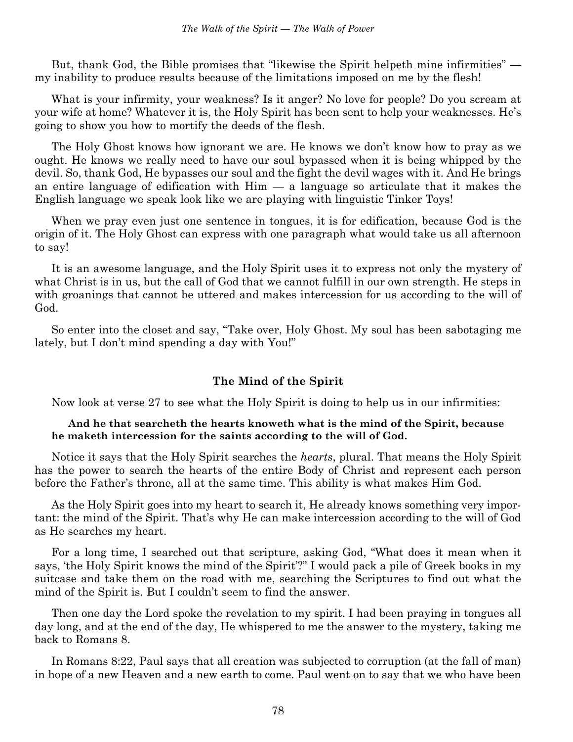But, thank God, the Bible promises that "likewise the Spirit helpeth mine infirmities" my inability to produce results because of the limitations imposed on me by the flesh!

What is your infirmity, your weakness? Is it anger? No love for people? Do you scream at your wife at home? Whatever it is, the Holy Spirit has been sent to help your weaknesses. He's going to show you how to mortify the deeds of the flesh.

The Holy Ghost knows how ignorant we are. He knows we don't know how to pray as we ought. He knows we really need to have our soul bypassed when it is being whipped by the devil. So, thank God, He bypasses our soul and the fight the devil wages with it. And He brings an entire language of edification with  $\text{Him} - \text{a}$  language so articulate that it makes the English language we speak look like we are playing with linguistic Tinker Toys!

When we pray even just one sentence in tongues, it is for edification, because God is the origin of it. The Holy Ghost can express with one paragraph what would take us all afternoon to say!

It is an awesome language, and the Holy Spirit uses it to express not only the mystery of what Christ is in us, but the call of God that we cannot fulfill in our own strength. He steps in with groanings that cannot be uttered and makes intercession for us according to the will of God.

So enter into the closet and say, "Take over, Holy Ghost. My soul has been sabotaging me lately, but I don't mind spending a day with You!"

# **The Mind of the Spirit**

Now look at verse 27 to see what the Holy Spirit is doing to help us in our infirmities:

#### **And he that searcheth the hearts knoweth what is the mind of the Spirit, because he maketh intercession for the saints according to the will of God.**

Notice it says that the Holy Spirit searches the *hearts*, plural. That means the Holy Spirit has the power to search the hearts of the entire Body of Christ and represent each person before the Father's throne, all at the same time. This ability is what makes Him God.

As the Holy Spirit goes into my heart to search it, He already knows something very important: the mind of the Spirit. That's why He can make intercession according to the will of God as He searches my heart.

For a long time, I searched out that scripture, asking God, "What does it mean when it says, 'the Holy Spirit knows the mind of the Spirit'?" I would pack a pile of Greek books in my suitcase and take them on the road with me, searching the Scriptures to find out what the mind of the Spirit is. But I couldn't seem to find the answer.

Then one day the Lord spoke the revelation to my spirit. I had been praying in tongues all day long, and at the end of the day, He whispered to me the answer to the mystery, taking me back to Romans 8.

In Romans 8:22, Paul says that all creation was subjected to corruption (at the fall of man) in hope of a new Heaven and a new earth to come. Paul went on to say that we who have been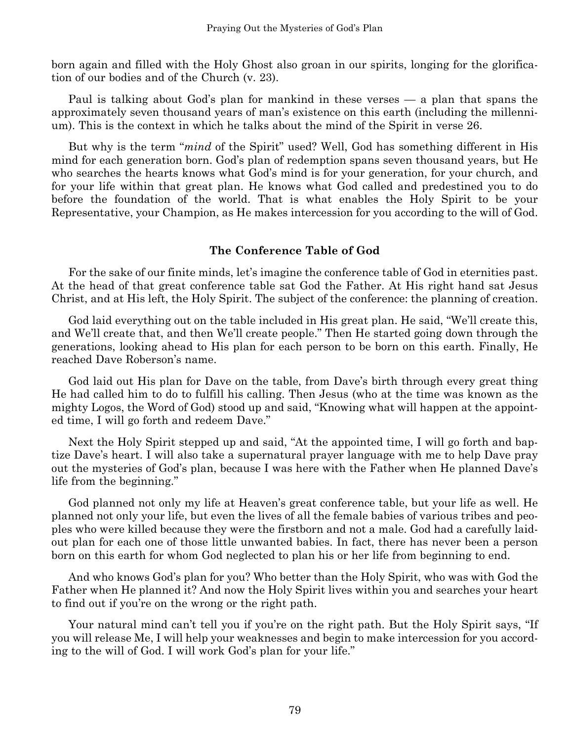born again and filled with the Holy Ghost also groan in our spirits, longing for the glorification of our bodies and of the Church (v. 23).

Paul is talking about God's plan for mankind in these verses — a plan that spans the approximately seven thousand years of man's existence on this earth (including the millennium). This is the context in which he talks about the mind of the Spirit in verse 26.

But why is the term "*mind* of the Spirit" used? Well, God has something different in His mind for each generation born. God's plan of redemption spans seven thousand years, but He who searches the hearts knows what God's mind is for your generation, for your church, and for your life within that great plan. He knows what God called and predestined you to do before the foundation of the world. That is what enables the Holy Spirit to be your Representative, your Champion, as He makes intercession for you according to the will of God.

# **The Conference Table of God**

For the sake of our finite minds, let's imagine the conference table of God in eternities past. At the head of that great conference table sat God the Father. At His right hand sat Jesus Christ, and at His left, the Holy Spirit. The subject of the conference: the planning of creation.

God laid everything out on the table included in His great plan. He said, "We'll create this, and We'll create that, and then We'll create people." Then He started going down through the generations, looking ahead to His plan for each person to be born on this earth. Finally, He reached Dave Roberson's name.

God laid out His plan for Dave on the table, from Dave's birth through every great thing He had called him to do to fulfill his calling. Then Jesus (who at the time was known as the mighty Logos, the Word of God) stood up and said, "Knowing what will happen at the appointed time, I will go forth and redeem Dave."

Next the Holy Spirit stepped up and said, "At the appointed time, I will go forth and baptize Dave's heart. I will also take a supernatural prayer language with me to help Dave pray out the mysteries of God's plan, because I was here with the Father when He planned Dave's life from the beginning."

God planned not only my life at Heaven's great conference table, but your life as well. He planned not only your life, but even the lives of all the female babies of various tribes and peoples who were killed because they were the firstborn and not a male. God had a carefully laidout plan for each one of those little unwanted babies. In fact, there has never been a person born on this earth for whom God neglected to plan his or her life from beginning to end.

And who knows God's plan for you? Who better than the Holy Spirit, who was with God the Father when He planned it? And now the Holy Spirit lives within you and searches your heart to find out if you're on the wrong or the right path.

Your natural mind can't tell you if you're on the right path. But the Holy Spirit says, "If you will release Me, I will help your weaknesses and begin to make intercession for you according to the will of God. I will work God's plan for your life."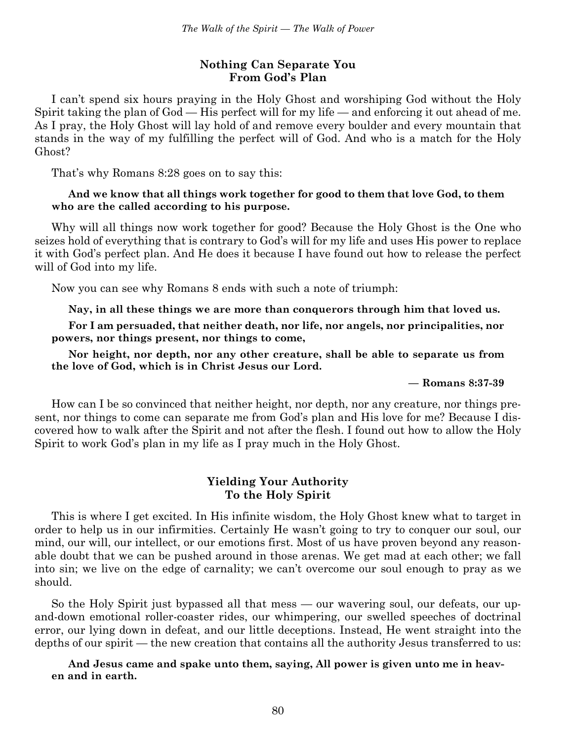# **Nothing Can Separate You From God's Plan**

I can't spend six hours praying in the Holy Ghost and worshiping God without the Holy Spirit taking the plan of God — His perfect will for my life — and enforcing it out ahead of me. As I pray, the Holy Ghost will lay hold of and remove every boulder and every mountain that stands in the way of my fulfilling the perfect will of God. And who is a match for the Holy Ghost?

That's why Romans 8:28 goes on to say this:

### **And we know that all things work together for good to them that love God, to them who are the called according to his purpose.**

Why will all things now work together for good? Because the Holy Ghost is the One who seizes hold of everything that is contrary to God's will for my life and uses His power to replace it with God's perfect plan. And He does it because I have found out how to release the perfect will of God into my life.

Now you can see why Romans 8 ends with such a note of triumph:

**Nay, in all these things we are more than conquerors through him that loved us.**

**For I am persuaded, that neither death, nor life, nor angels, nor principalities, nor powers, nor things present, nor things to come,**

**Nor height, nor depth, nor any other creature, shall be able to separate us from the love of God, which is in Christ Jesus our Lord.**

**— Romans 8:37-39**

How can I be so convinced that neither height, nor depth, nor any creature, nor things present, nor things to come can separate me from God's plan and His love for me? Because I discovered how to walk after the Spirit and not after the flesh. I found out how to allow the Holy Spirit to work God's plan in my life as I pray much in the Holy Ghost.

# **Yielding Your Authority To the Holy Spirit**

This is where I get excited. In His infinite wisdom, the Holy Ghost knew what to target in order to help us in our infirmities. Certainly He wasn't going to try to conquer our soul, our mind, our will, our intellect, or our emotions first. Most of us have proven beyond any reasonable doubt that we can be pushed around in those arenas. We get mad at each other; we fall into sin; we live on the edge of carnality; we can't overcome our soul enough to pray as we should.

So the Holy Spirit just bypassed all that mess — our wavering soul, our defeats, our upand-down emotional roller-coaster rides, our whimpering, our swelled speeches of doctrinal error, our lying down in defeat, and our little deceptions. Instead, He went straight into the depths of our spirit — the new creation that contains all the authority Jesus transferred to us:

**And Jesus came and spake unto them, saying, All power is given unto me in heaven and in earth.**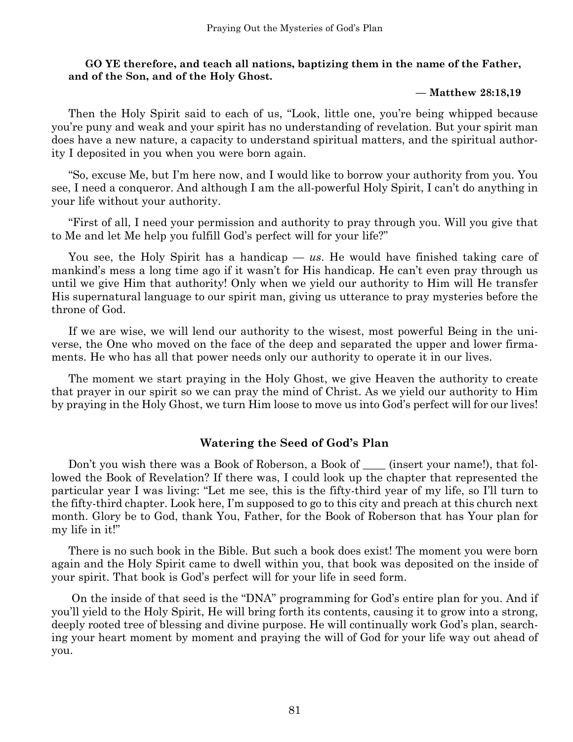## **GO YE therefore, and teach all nations, baptizing them in the name of the Father, and of the Son, and of the Holy Ghost.**

#### **— Matthew 28:18,19**

Then the Holy Spirit said to each of us, "Look, little one, you're being whipped because you're puny and weak and your spirit has no understanding of revelation. But your spirit man does have a new nature, a capacity to understand spiritual matters, and the spiritual authority I deposited in you when you were born again.

"So, excuse Me, but I'm here now, and I would like to borrow your authority from you. You see, I need a conqueror. And although I am the all-powerful Holy Spirit, I can't do anything in your life without your authority.

"First of all, I need your permission and authority to pray through you. Will you give that to Me and let Me help you fulfill God's perfect will for your life?"

You see, the Holy Spirit has a handicap — *us*. He would have finished taking care of mankind's mess a long time ago if it wasn't for His handicap. He can't even pray through us until we give Him that authority! Only when we yield our authority to Him will He transfer His supernatural language to our spirit man, giving us utterance to pray mysteries before the throne of God.

If we are wise, we will lend our authority to the wisest, most powerful Being in the universe, the One who moved on the face of the deep and separated the upper and lower firmaments. He who has all that power needs only our authority to operate it in our lives.

The moment we start praying in the Holy Ghost, we give Heaven the authority to create that prayer in our spirit so we can pray the mind of Christ. As we yield our authority to Him by praying in the Holy Ghost, we turn Him loose to move us into God's perfect will for our lives!

# **Watering the Seed of God's Plan**

Don't you wish there was a Book of Roberson, a Book of (insert your name!), that followed the Book of Revelation? If there was, I could look up the chapter that represented the particular year I was living: "Let me see, this is the fifty-third year of my life, so I'll turn to the fifty-third chapter. Look here, I'm supposed to go to this city and preach at this church next month. Glory be to God, thank You, Father, for the Book of Roberson that has Your plan for my life in it!"

There is no such book in the Bible. But such a book does exist! The moment you were born again and the Holy Spirit came to dwell within you, that book was deposited on the inside of your spirit. That book is God's perfect will for your life in seed form.

On the inside of that seed is the "DNA" programming for God's entire plan for you. And if you'll yield to the Holy Spirit, He will bring forth its contents, causing it to grow into a strong, deeply rooted tree of blessing and divine purpose. He will continually work God's plan, searching your heart moment by moment and praying the will of God for your life way out ahead of you.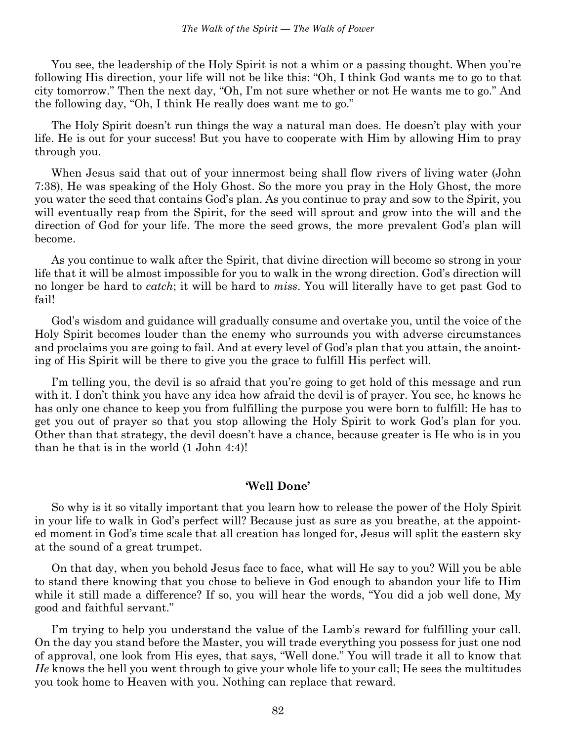You see, the leadership of the Holy Spirit is not a whim or a passing thought. When you're following His direction, your life will not be like this: "Oh, I think God wants me to go to that city tomorrow." Then the next day, "Oh, I'm not sure whether or not He wants me to go." And the following day, "Oh, I think He really does want me to go."

The Holy Spirit doesn't run things the way a natural man does. He doesn't play with your life. He is out for your success! But you have to cooperate with Him by allowing Him to pray through you.

When Jesus said that out of your innermost being shall flow rivers of living water (John 7:38), He was speaking of the Holy Ghost. So the more you pray in the Holy Ghost, the more you water the seed that contains God's plan. As you continue to pray and sow to the Spirit, you will eventually reap from the Spirit, for the seed will sprout and grow into the will and the direction of God for your life. The more the seed grows, the more prevalent God's plan will become.

As you continue to walk after the Spirit, that divine direction will become so strong in your life that it will be almost impossible for you to walk in the wrong direction. God's direction will no longer be hard to *catch*; it will be hard to *miss*. You will literally have to get past God to fail!

God's wisdom and guidance will gradually consume and overtake you, until the voice of the Holy Spirit becomes louder than the enemy who surrounds you with adverse circumstances and proclaims you are going to fail. And at every level of God's plan that you attain, the anointing of His Spirit will be there to give you the grace to fulfill His perfect will.

I'm telling you, the devil is so afraid that you're going to get hold of this message and run with it. I don't think you have any idea how afraid the devil is of prayer. You see, he knows he has only one chance to keep you from fulfilling the purpose you were born to fulfill: He has to get you out of prayer so that you stop allowing the Holy Spirit to work God's plan for you. Other than that strategy, the devil doesn't have a chance, because greater is He who is in you than he that is in the world (1 John 4:4)!

#### **'Well Done'**

So why is it so vitally important that you learn how to release the power of the Holy Spirit in your life to walk in God's perfect will? Because just as sure as you breathe, at the appointed moment in God's time scale that all creation has longed for, Jesus will split the eastern sky at the sound of a great trumpet.

On that day, when you behold Jesus face to face, what will He say to you? Will you be able to stand there knowing that you chose to believe in God enough to abandon your life to Him while it still made a difference? If so, you will hear the words, "You did a job well done, My good and faithful servant."

I'm trying to help you understand the value of the Lamb's reward for fulfilling your call. On the day you stand before the Master, you will trade everything you possess for just one nod of approval, one look from His eyes, that says, "Well done." You will trade it all to know that *He* knows the hell you went through to give your whole life to your call; He sees the multitudes you took home to Heaven with you. Nothing can replace that reward.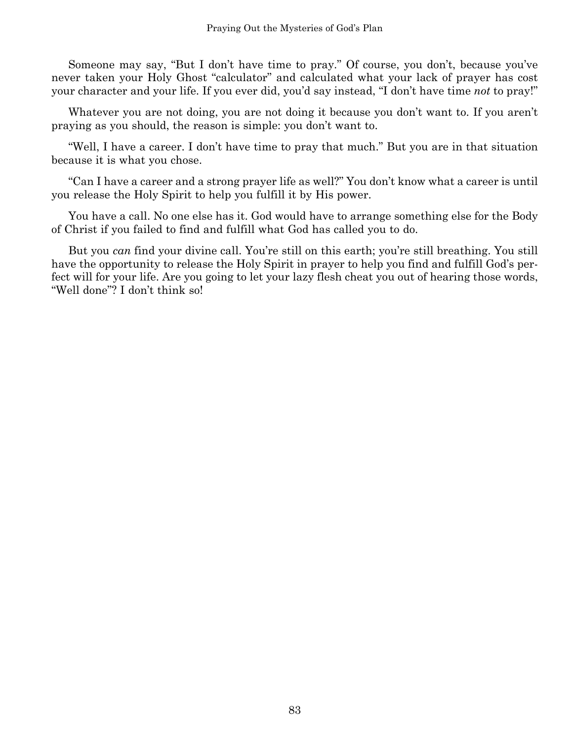Someone may say, "But I don't have time to pray." Of course, you don't, because you've never taken your Holy Ghost "calculator" and calculated what your lack of prayer has cost your character and your life. If you ever did, you'd say instead, "I don't have time *not* to pray!"

Whatever you are not doing, you are not doing it because you don't want to. If you aren't praying as you should, the reason is simple: you don't want to.

"Well, I have a career. I don't have time to pray that much." But you are in that situation because it is what you chose.

"Can I have a career and a strong prayer life as well?" You don't know what a career is until you release the Holy Spirit to help you fulfill it by His power.

You have a call. No one else has it. God would have to arrange something else for the Body of Christ if you failed to find and fulfill what God has called you to do.

But you *can* find your divine call. You're still on this earth; you're still breathing. You still have the opportunity to release the Holy Spirit in prayer to help you find and fulfill God's perfect will for your life. Are you going to let your lazy flesh cheat you out of hearing those words, "Well done"? I don't think so!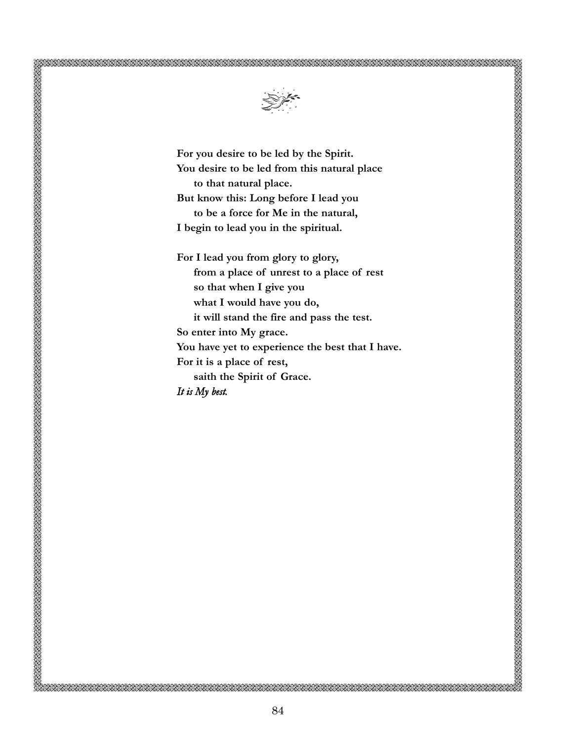

**For you desire to be led by the Spirit. You desire to be led from this natural place to that natural place. But know this: Long before I lead you to be a force for Me in the natural, I begin to lead you in the spiritual.**

**For I lead you from glory to glory, from a place of unrest to a place of rest so that when I give you what I would have you do, it will stand the fire and pass the test. So enter into My grace. You have yet to experience the best that I have. For it is a place of rest, saith the Spirit of Grace.** *It is My best.*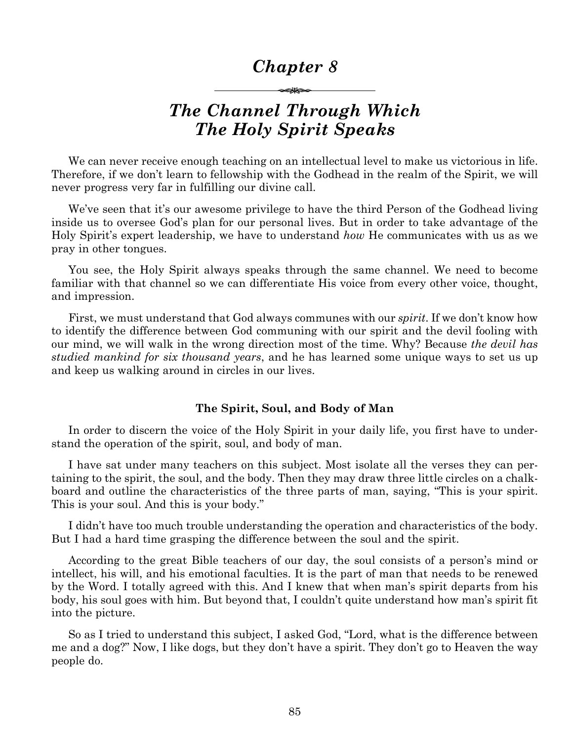# *Chapter 8*

# *The Channel Through Which The Holy Spirit Speaks*

We can never receive enough teaching on an intellectual level to make us victorious in life. Therefore, if we don't learn to fellowship with the Godhead in the realm of the Spirit, we will never progress very far in fulfilling our divine call.

We've seen that it's our awesome privilege to have the third Person of the Godhead living inside us to oversee God's plan for our personal lives. But in order to take advantage of the Holy Spirit's expert leadership, we have to understand *how* He communicates with us as we pray in other tongues.

You see, the Holy Spirit always speaks through the same channel. We need to become familiar with that channel so we can differentiate His voice from every other voice, thought, and impression.

First, we must understand that God always communes with our *spirit*. If we don't know how to identify the difference between God communing with our spirit and the devil fooling with our mind, we will walk in the wrong direction most of the time. Why? Because *the devil has studied mankind for six thousand years*, and he has learned some unique ways to set us up and keep us walking around in circles in our lives.

#### **The Spirit, Soul, and Body of Man**

In order to discern the voice of the Holy Spirit in your daily life, you first have to understand the operation of the spirit, soul, and body of man.

I have sat under many teachers on this subject. Most isolate all the verses they can pertaining to the spirit, the soul, and the body. Then they may draw three little circles on a chalkboard and outline the characteristics of the three parts of man, saying, "This is your spirit. This is your soul. And this is your body."

I didn't have too much trouble understanding the operation and characteristics of the body. But I had a hard time grasping the difference between the soul and the spirit.

According to the great Bible teachers of our day, the soul consists of a person's mind or intellect, his will, and his emotional faculties. It is the part of man that needs to be renewed by the Word. I totally agreed with this. And I knew that when man's spirit departs from his body, his soul goes with him. But beyond that, I couldn't quite understand how man's spirit fit into the picture.

So as I tried to understand this subject, I asked God, "Lord, what is the difference between me and a dog?" Now, I like dogs, but they don't have a spirit. They don't go to Heaven the way people do.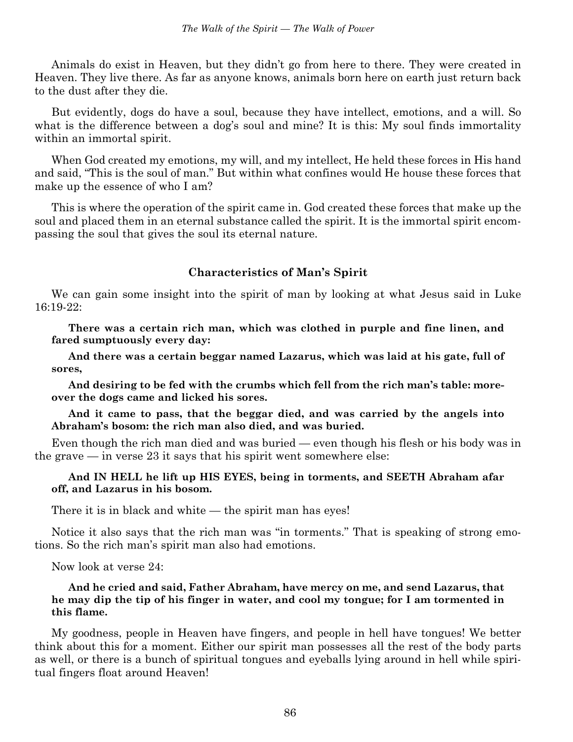Animals do exist in Heaven, but they didn't go from here to there. They were created in Heaven. They live there. As far as anyone knows, animals born here on earth just return back to the dust after they die.

But evidently, dogs do have a soul, because they have intellect, emotions, and a will. So what is the difference between a dog's soul and mine? It is this: My soul finds immortality within an immortal spirit.

When God created my emotions, my will, and my intellect, He held these forces in His hand and said, "This is the soul of man." But within what confines would He house these forces that make up the essence of who I am?

This is where the operation of the spirit came in. God created these forces that make up the soul and placed them in an eternal substance called the spirit. It is the immortal spirit encompassing the soul that gives the soul its eternal nature.

## **Characteristics of Man's Spirit**

We can gain some insight into the spirit of man by looking at what Jesus said in Luke 16:19-22:

**There was a certain rich man, which was clothed in purple and fine linen, and fared sumptuously every day:**

**And there was a certain beggar named Lazarus, which was laid at his gate, full of sores,**

**And desiring to be fed with the crumbs which fell from the rich man's table: moreover the dogs came and licked his sores.**

**And it came to pass, that the beggar died, and was carried by the angels into Abraham's bosom: the rich man also died, and was buried.**

Even though the rich man died and was buried — even though his flesh or his body was in the grave  $\frac{1}{2}$  in verse 23 it says that his spirit went somewhere else.

#### **And IN HELL he lift up HIS EYES, being in torments, and SEETH Abraham afar off, and Lazarus in his bosom.**

There it is in black and white — the spirit man has eyes!

Notice it also says that the rich man was "in torments." That is speaking of strong emotions. So the rich man's spirit man also had emotions.

Now look at verse 24:

#### **And he cried and said, Father Abraham, have mercy on me, and send Lazarus, that he may dip the tip of his finger in water, and cool my tongue; for I am tormented in this flame.**

My goodness, people in Heaven have fingers, and people in hell have tongues! We better think about this for a moment. Either our spirit man possesses all the rest of the body parts as well, or there is a bunch of spiritual tongues and eyeballs lying around in hell while spiritual fingers float around Heaven!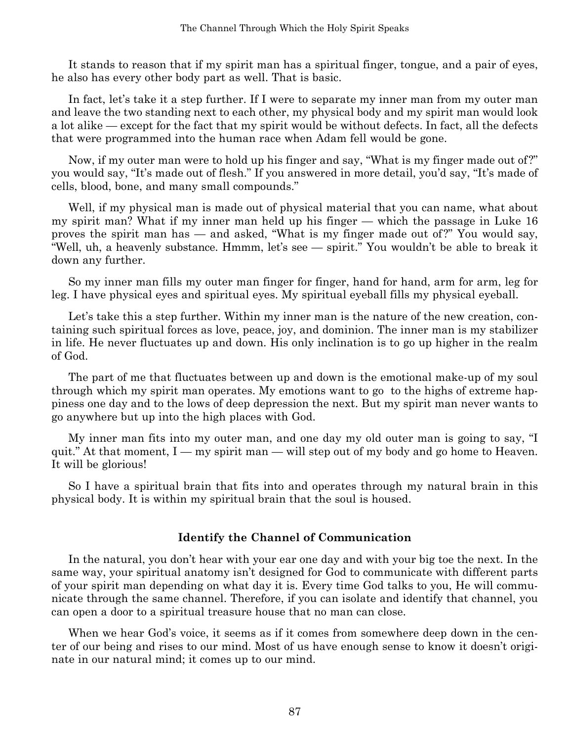It stands to reason that if my spirit man has a spiritual finger, tongue, and a pair of eyes, he also has every other body part as well. That is basic.

In fact, let's take it a step further. If I were to separate my inner man from my outer man and leave the two standing next to each other, my physical body and my spirit man would look a lot alike — except for the fact that my spirit would be without defects. In fact, all the defects that were programmed into the human race when Adam fell would be gone.

Now, if my outer man were to hold up his finger and say, "What is my finger made out of?" you would say, "It's made out of flesh." If you answered in more detail, you'd say, "It's made of cells, blood, bone, and many small compounds."

Well, if my physical man is made out of physical material that you can name, what about my spirit man? What if my inner man held up his finger — which the passage in Luke 16 proves the spirit man has — and asked, "What is my finger made out of?" You would say, "Well, uh, a heavenly substance. Hmmm, let's see — spirit." You wouldn't be able to break it down any further.

So my inner man fills my outer man finger for finger, hand for hand, arm for arm, leg for leg. I have physical eyes and spiritual eyes. My spiritual eyeball fills my physical eyeball.

Let's take this a step further. Within my inner man is the nature of the new creation, containing such spiritual forces as love, peace, joy, and dominion. The inner man is my stabilizer in life. He never fluctuates up and down. His only inclination is to go up higher in the realm of God.

The part of me that fluctuates between up and down is the emotional make-up of my soul through which my spirit man operates. My emotions want to go to the highs of extreme happiness one day and to the lows of deep depression the next. But my spirit man never wants to go anywhere but up into the high places with God.

My inner man fits into my outer man, and one day my old outer man is going to say, "I quit." At that moment,  $I - my$  spirit man  $-$  will step out of my body and go home to Heaven. It will be glorious!

So I have a spiritual brain that fits into and operates through my natural brain in this physical body. It is within my spiritual brain that the soul is housed.

# **Identify the Channel of Communication**

In the natural, you don't hear with your ear one day and with your big toe the next. In the same way, your spiritual anatomy isn't designed for God to communicate with different parts of your spirit man depending on what day it is. Every time God talks to you, He will communicate through the same channel. Therefore, if you can isolate and identify that channel, you can open a door to a spiritual treasure house that no man can close.

When we hear God's voice, it seems as if it comes from somewhere deep down in the center of our being and rises to our mind. Most of us have enough sense to know it doesn't originate in our natural mind; it comes up to our mind.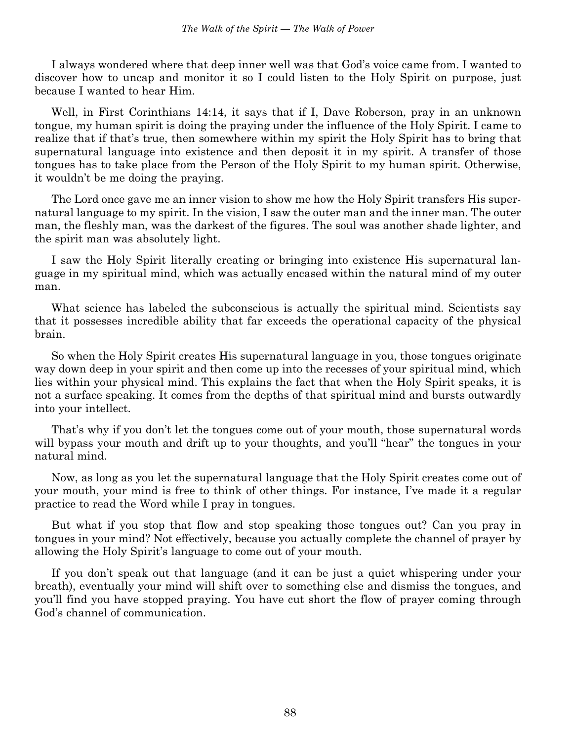I always wondered where that deep inner well was that God's voice came from. I wanted to discover how to uncap and monitor it so I could listen to the Holy Spirit on purpose, just because I wanted to hear Him.

Well, in First Corinthians 14:14, it says that if I, Dave Roberson, pray in an unknown tongue, my human spirit is doing the praying under the influence of the Holy Spirit. I came to realize that if that's true, then somewhere within my spirit the Holy Spirit has to bring that supernatural language into existence and then deposit it in my spirit. A transfer of those tongues has to take place from the Person of the Holy Spirit to my human spirit. Otherwise, it wouldn't be me doing the praying.

The Lord once gave me an inner vision to show me how the Holy Spirit transfers His supernatural language to my spirit. In the vision, I saw the outer man and the inner man. The outer man, the fleshly man, was the darkest of the figures. The soul was another shade lighter, and the spirit man was absolutely light.

I saw the Holy Spirit literally creating or bringing into existence His supernatural language in my spiritual mind, which was actually encased within the natural mind of my outer man.

What science has labeled the subconscious is actually the spiritual mind. Scientists say that it possesses incredible ability that far exceeds the operational capacity of the physical brain.

So when the Holy Spirit creates His supernatural language in you, those tongues originate way down deep in your spirit and then come up into the recesses of your spiritual mind, which lies within your physical mind. This explains the fact that when the Holy Spirit speaks, it is not a surface speaking. It comes from the depths of that spiritual mind and bursts outwardly into your intellect.

That's why if you don't let the tongues come out of your mouth, those supernatural words will bypass your mouth and drift up to your thoughts, and you'll "hear" the tongues in your natural mind.

Now, as long as you let the supernatural language that the Holy Spirit creates come out of your mouth, your mind is free to think of other things. For instance, I've made it a regular practice to read the Word while I pray in tongues.

But what if you stop that flow and stop speaking those tongues out? Can you pray in tongues in your mind? Not effectively, because you actually complete the channel of prayer by allowing the Holy Spirit's language to come out of your mouth.

If you don't speak out that language (and it can be just a quiet whispering under your breath), eventually your mind will shift over to something else and dismiss the tongues, and you'll find you have stopped praying. You have cut short the flow of prayer coming through God's channel of communication.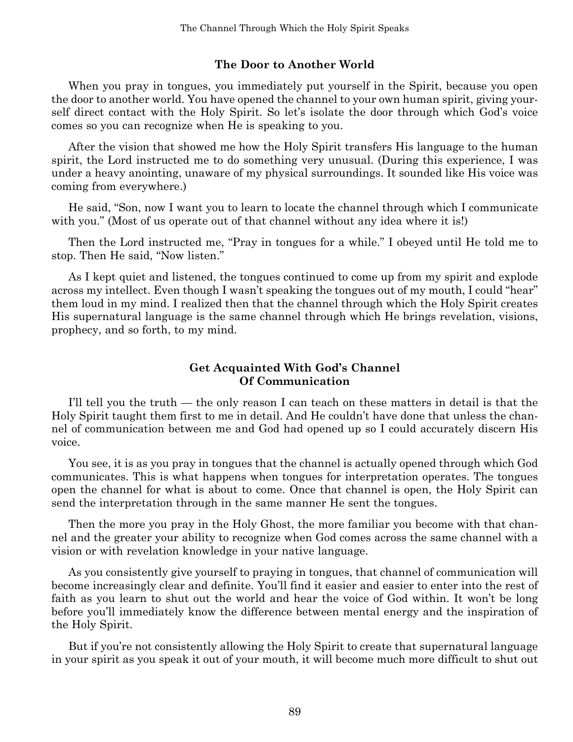# **The Door to Another World**

When you pray in tongues, you immediately put yourself in the Spirit, because you open the door to another world. You have opened the channel to your own human spirit, giving yourself direct contact with the Holy Spirit. So let's isolate the door through which God's voice comes so you can recognize when He is speaking to you.

After the vision that showed me how the Holy Spirit transfers His language to the human spirit, the Lord instructed me to do something very unusual. (During this experience, I was under a heavy anointing, unaware of my physical surroundings. It sounded like His voice was coming from everywhere.)

He said, "Son, now I want you to learn to locate the channel through which I communicate with you." (Most of us operate out of that channel without any idea where it is!)

Then the Lord instructed me, "Pray in tongues for a while." I obeyed until He told me to stop. Then He said, "Now listen."

As I kept quiet and listened, the tongues continued to come up from my spirit and explode across my intellect. Even though I wasn't speaking the tongues out of my mouth, I could "hear" them loud in my mind. I realized then that the channel through which the Holy Spirit creates His supernatural language is the same channel through which He brings revelation, visions, prophecy, and so forth, to my mind.

# **Get Acquainted With God's Channel Of Communication**

I'll tell you the truth — the only reason I can teach on these matters in detail is that the Holy Spirit taught them first to me in detail. And He couldn't have done that unless the channel of communication between me and God had opened up so I could accurately discern His voice.

You see, it is as you pray in tongues that the channel is actually opened through which God communicates. This is what happens when tongues for interpretation operates. The tongues open the channel for what is about to come. Once that channel is open, the Holy Spirit can send the interpretation through in the same manner He sent the tongues.

Then the more you pray in the Holy Ghost, the more familiar you become with that channel and the greater your ability to recognize when God comes across the same channel with a vision or with revelation knowledge in your native language.

As you consistently give yourself to praying in tongues, that channel of communication will become increasingly clear and definite. You'll find it easier and easier to enter into the rest of faith as you learn to shut out the world and hear the voice of God within. It won't be long before you'll immediately know the difference between mental energy and the inspiration of the Holy Spirit.

But if you're not consistently allowing the Holy Spirit to create that supernatural language in your spirit as you speak it out of your mouth, it will become much more difficult to shut out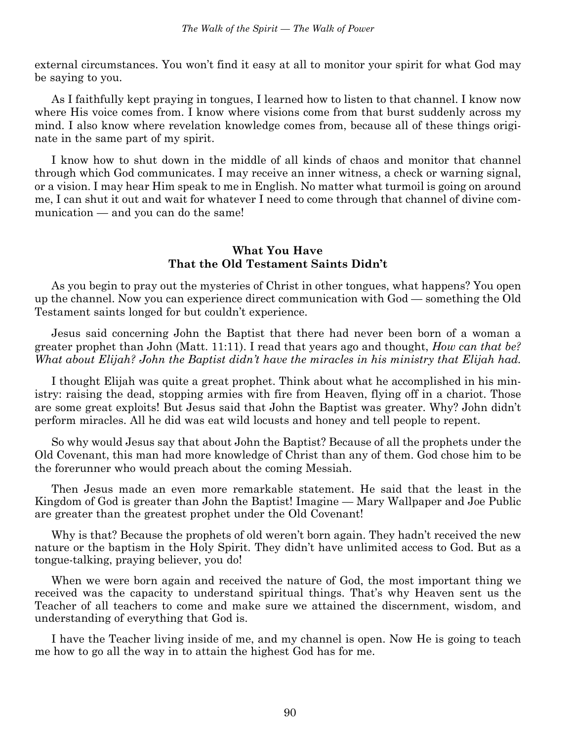external circumstances. You won't find it easy at all to monitor your spirit for what God may be saying to you.

As I faithfully kept praying in tongues, I learned how to listen to that channel. I know now where His voice comes from. I know where visions come from that burst suddenly across my mind. I also know where revelation knowledge comes from, because all of these things originate in the same part of my spirit.

I know how to shut down in the middle of all kinds of chaos and monitor that channel through which God communicates. I may receive an inner witness, a check or warning signal, or a vision. I may hear Him speak to me in English. No matter what turmoil is going on around me, I can shut it out and wait for whatever I need to come through that channel of divine communication — and you can do the same!

### **What You Have That the Old Testament Saints Didn't**

As you begin to pray out the mysteries of Christ in other tongues, what happens? You open up the channel. Now you can experience direct communication with God — something the Old Testament saints longed for but couldn't experience.

Jesus said concerning John the Baptist that there had never been born of a woman a greater prophet than John (Matt. 11:11). I read that years ago and thought, *How can that be? What about Elijah? John the Baptist didn't have the miracles in his ministry that Elijah had.*

I thought Elijah was quite a great prophet. Think about what he accomplished in his ministry: raising the dead, stopping armies with fire from Heaven, flying off in a chariot. Those are some great exploits! But Jesus said that John the Baptist was greater. Why? John didn't perform miracles. All he did was eat wild locusts and honey and tell people to repent.

So why would Jesus say that about John the Baptist? Because of all the prophets under the Old Covenant, this man had more knowledge of Christ than any of them. God chose him to be the forerunner who would preach about the coming Messiah.

Then Jesus made an even more remarkable statement. He said that the least in the Kingdom of God is greater than John the Baptist! Imagine — Mary Wallpaper and Joe Public are greater than the greatest prophet under the Old Covenant!

Why is that? Because the prophets of old weren't born again. They hadn't received the new nature or the baptism in the Holy Spirit. They didn't have unlimited access to God. But as a tongue-talking, praying believer, you do!

When we were born again and received the nature of God, the most important thing we received was the capacity to understand spiritual things. That's why Heaven sent us the Teacher of all teachers to come and make sure we attained the discernment, wisdom, and understanding of everything that God is.

I have the Teacher living inside of me, and my channel is open. Now He is going to teach me how to go all the way in to attain the highest God has for me.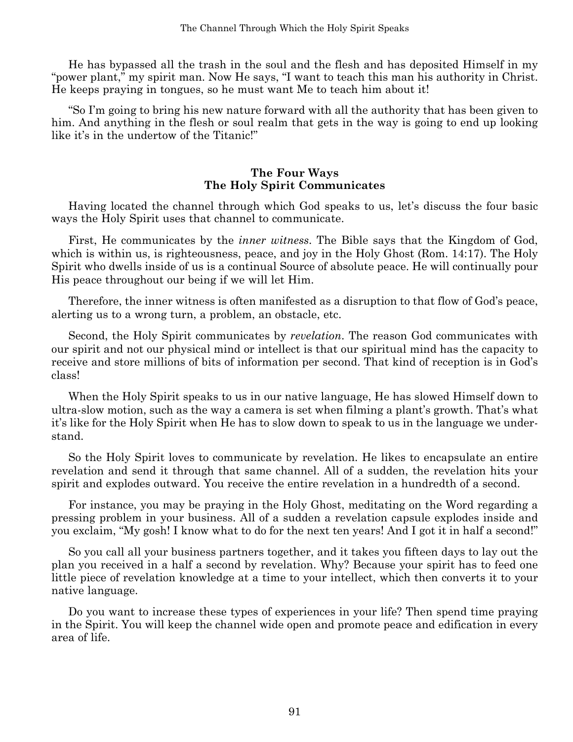He has bypassed all the trash in the soul and the flesh and has deposited Himself in my "power plant," my spirit man. Now He says, "I want to teach this man his authority in Christ. He keeps praying in tongues, so he must want Me to teach him about it!

"So I'm going to bring his new nature forward with all the authority that has been given to him. And anything in the flesh or soul realm that gets in the way is going to end up looking like it's in the undertow of the Titanic!"

## **The Four Ways The Holy Spirit Communicates**

Having located the channel through which God speaks to us, let's discuss the four basic ways the Holy Spirit uses that channel to communicate.

First, He communicates by the *inner witness*. The Bible says that the Kingdom of God, which is within us, is righteousness, peace, and joy in the Holy Ghost (Rom. 14:17). The Holy Spirit who dwells inside of us is a continual Source of absolute peace. He will continually pour His peace throughout our being if we will let Him.

Therefore, the inner witness is often manifested as a disruption to that flow of God's peace, alerting us to a wrong turn, a problem, an obstacle, etc.

Second, the Holy Spirit communicates by *revelation*. The reason God communicates with our spirit and not our physical mind or intellect is that our spiritual mind has the capacity to receive and store millions of bits of information per second. That kind of reception is in God's class!

When the Holy Spirit speaks to us in our native language, He has slowed Himself down to ultra-slow motion, such as the way a camera is set when filming a plant's growth. That's what it's like for the Holy Spirit when He has to slow down to speak to us in the language we understand.

So the Holy Spirit loves to communicate by revelation. He likes to encapsulate an entire revelation and send it through that same channel. All of a sudden, the revelation hits your spirit and explodes outward. You receive the entire revelation in a hundredth of a second.

For instance, you may be praying in the Holy Ghost, meditating on the Word regarding a pressing problem in your business. All of a sudden a revelation capsule explodes inside and you exclaim, "My gosh! I know what to do for the next ten years! And I got it in half a second!"

So you call all your business partners together, and it takes you fifteen days to lay out the plan you received in a half a second by revelation. Why? Because your spirit has to feed one little piece of revelation knowledge at a time to your intellect, which then converts it to your native language.

Do you want to increase these types of experiences in your life? Then spend time praying in the Spirit. You will keep the channel wide open and promote peace and edification in every area of life.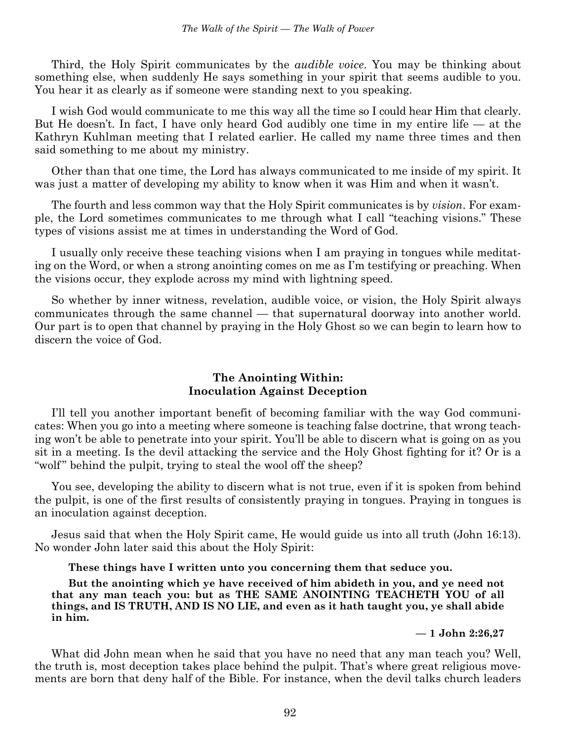Third, the Holy Spirit communicates by the *audible voice*. You may be thinking about something else, when suddenly He says something in your spirit that seems audible to you. You hear it as clearly as if someone were standing next to you speaking.

I wish God would communicate to me this way all the time so I could hear Him that clearly. But He doesn't. In fact, I have only heard God audibly one time in my entire life — at the Kathryn Kuhlman meeting that I related earlier. He called my name three times and then said something to me about my ministry.

Other than that one time, the Lord has always communicated to me inside of my spirit. It was just a matter of developing my ability to know when it was Him and when it wasn't.

The fourth and less common way that the Holy Spirit communicates is by *vision*. For example, the Lord sometimes communicates to me through what I call "teaching visions." These types of visions assist me at times in understanding the Word of God.

I usually only receive these teaching visions when I am praying in tongues while meditating on the Word, or when a strong anointing comes on me as I'm testifying or preaching. When the visions occur, they explode across my mind with lightning speed.

So whether by inner witness, revelation, audible voice, or vision, the Holy Spirit always communicates through the same channel — that supernatural doorway into another world. Our part is to open that channel by praying in the Holy Ghost so we can begin to learn how to discern the voice of God.

# **The Anointing Within: Inoculation Against Deception**

I'll tell you another important benefit of becoming familiar with the way God communicates: When you go into a meeting where someone is teaching false doctrine, that wrong teaching won't be able to penetrate into your spirit. You'll be able to discern what is going on as you sit in a meeting. Is the devil attacking the service and the Holy Ghost fighting for it? Or is a "wolf" behind the pulpit, trying to steal the wool off the sheep?

You see, developing the ability to discern what is not true, even if it is spoken from behind the pulpit, is one of the first results of consistently praying in tongues. Praying in tongues is an inoculation against deception.

Jesus said that when the Holy Spirit came, He would guide us into all truth (John 16:13). No wonder John later said this about the Holy Spirit:

**These things have I written unto you concerning them that seduce you.**

**But the anointing which ye have received of him abideth in you, and ye need not that any man teach you: but as THE SAME ANOINTING TEACHETH YOU of all things, and IS TRUTH, AND IS NO LIE, and even as it hath taught you, ye shall abide in him.**

**— 1 John 2:26,27**

What did John mean when he said that you have no need that any man teach you? Well, the truth is, most deception takes place behind the pulpit. That's where great religious movements are born that deny half of the Bible. For instance, when the devil talks church leaders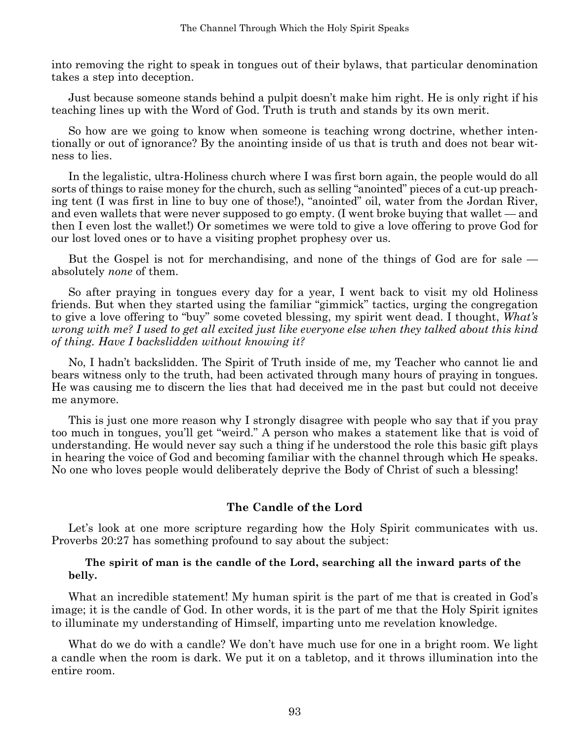into removing the right to speak in tongues out of their bylaws, that particular denomination takes a step into deception.

Just because someone stands behind a pulpit doesn't make him right. He is only right if his teaching lines up with the Word of God. Truth is truth and stands by its own merit.

So how are we going to know when someone is teaching wrong doctrine, whether intentionally or out of ignorance? By the anointing inside of us that is truth and does not bear witness to lies.

In the legalistic, ultra-Holiness church where I was first born again, the people would do all sorts of things to raise money for the church, such as selling "anointed" pieces of a cut-up preaching tent (I was first in line to buy one of those!), "anointed" oil, water from the Jordan River, and even wallets that were never supposed to go empty. (I went broke buying that wallet — and then I even lost the wallet!) Or sometimes we were told to give a love offering to prove God for our lost loved ones or to have a visiting prophet prophesy over us.

But the Gospel is not for merchandising, and none of the things of God are for sale absolutely *none* of them.

So after praying in tongues every day for a year, I went back to visit my old Holiness friends. But when they started using the familiar "gimmick" tactics, urging the congregation to give a love offering to "buy" some coveted blessing, my spirit went dead. I thought, *What's wrong with me? I used to get all excited just like everyone else when they talked about this kind of thing. Have I backslidden without knowing it?*

No, I hadn't backslidden. The Spirit of Truth inside of me, my Teacher who cannot lie and bears witness only to the truth, had been activated through many hours of praying in tongues. He was causing me to discern the lies that had deceived me in the past but could not deceive me anymore.

This is just one more reason why I strongly disagree with people who say that if you pray too much in tongues, you'll get "weird." A person who makes a statement like that is void of understanding. He would never say such a thing if he understood the role this basic gift plays in hearing the voice of God and becoming familiar with the channel through which He speaks. No one who loves people would deliberately deprive the Body of Christ of such a blessing!

# **The Candle of the Lord**

Let's look at one more scripture regarding how the Holy Spirit communicates with us. Proverbs 20:27 has something profound to say about the subject:

# **The spirit of man is the candle of the Lord, searching all the inward parts of the belly.**

What an incredible statement! My human spirit is the part of me that is created in God's image; it is the candle of God. In other words, it is the part of me that the Holy Spirit ignites to illuminate my understanding of Himself, imparting unto me revelation knowledge.

What do we do with a candle? We don't have much use for one in a bright room. We light a candle when the room is dark. We put it on a tabletop, and it throws illumination into the entire room.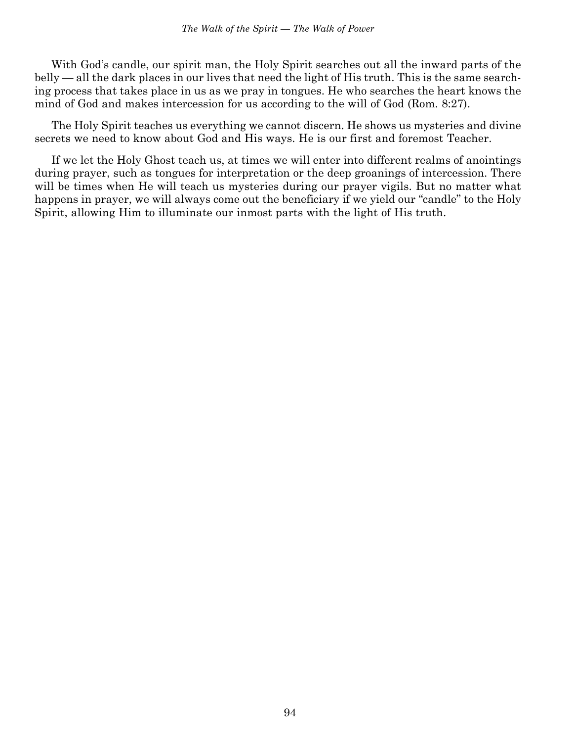With God's candle, our spirit man, the Holy Spirit searches out all the inward parts of the belly — all the dark places in our lives that need the light of His truth. This is the same searching process that takes place in us as we pray in tongues. He who searches the heart knows the mind of God and makes intercession for us according to the will of God (Rom. 8:27).

The Holy Spirit teaches us everything we cannot discern. He shows us mysteries and divine secrets we need to know about God and His ways. He is our first and foremost Teacher.

If we let the Holy Ghost teach us, at times we will enter into different realms of anointings during prayer, such as tongues for interpretation or the deep groanings of intercession. There will be times when He will teach us mysteries during our prayer vigils. But no matter what happens in prayer, we will always come out the beneficiary if we yield our "candle" to the Holy Spirit, allowing Him to illuminate our inmost parts with the light of His truth.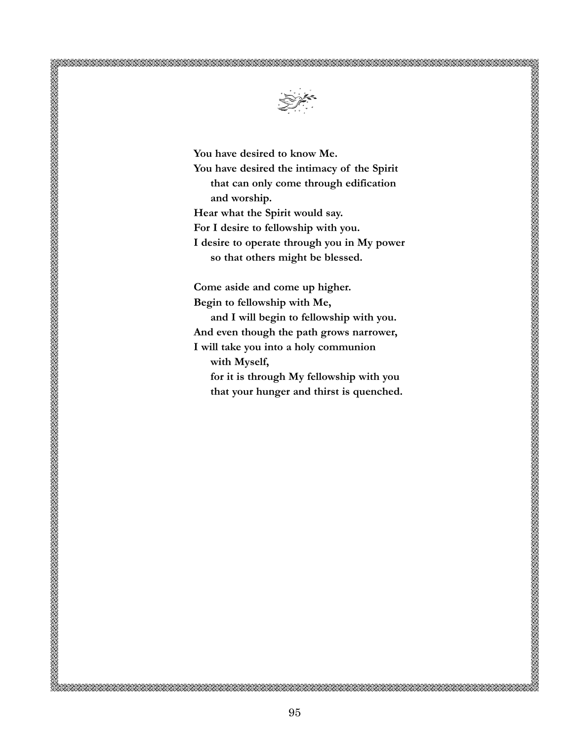

**You have desired to know Me. You have desired the intimacy of the Spirit that can only come through edification and worship. Hear what the Spirit would say. For I desire to fellowship with you. I desire to operate through you in My power so that others might be blessed.**

**Come aside and come up higher. Begin to fellowship with Me, and I will begin to fellowship with you. And even though the path grows narrower, I will take you into a holy communion with Myself, for it is through My fellowship with you that your hunger and thirst is quenched.**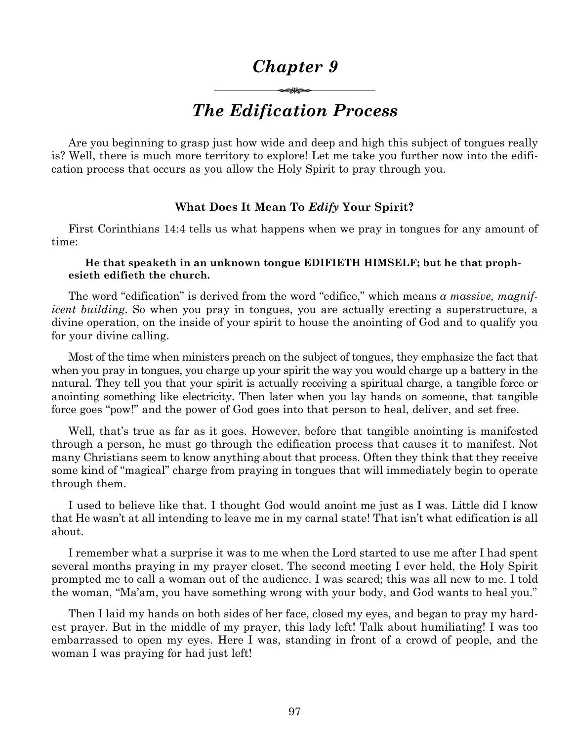# *Chapter 9*

# *The Edification Process*

Are you beginning to grasp just how wide and deep and high this subject of tongues really is? Well, there is much more territory to explore! Let me take you further now into the edification process that occurs as you allow the Holy Spirit to pray through you.

#### **What Does It Mean To** *Edify* **Your Spirit?**

First Corinthians 14:4 tells us what happens when we pray in tongues for any amount of time:

#### **He that speaketh in an unknown tongue EDIFIETH HIMSELF; but he that prophesieth edifieth the church.**

The word "edification" is derived from the word "edifice," which means *a massive, magnificent building*. So when you pray in tongues, you are actually erecting a superstructure, a divine operation, on the inside of your spirit to house the anointing of God and to qualify you for your divine calling.

Most of the time when ministers preach on the subject of tongues, they emphasize the fact that when you pray in tongues, you charge up your spirit the way you would charge up a battery in the natural. They tell you that your spirit is actually receiving a spiritual charge, a tangible force or anointing something like electricity. Then later when you lay hands on someone, that tangible force goes "pow!" and the power of God goes into that person to heal, deliver, and set free.

Well, that's true as far as it goes. However, before that tangible anointing is manifested through a person, he must go through the edification process that causes it to manifest. Not many Christians seem to know anything about that process. Often they think that they receive some kind of "magical" charge from praying in tongues that will immediately begin to operate through them.

I used to believe like that. I thought God would anoint me just as I was. Little did I know that He wasn't at all intending to leave me in my carnal state! That isn't what edification is all about.

I remember what a surprise it was to me when the Lord started to use me after I had spent several months praying in my prayer closet. The second meeting I ever held, the Holy Spirit prompted me to call a woman out of the audience. I was scared; this was all new to me. I told the woman, "Ma'am, you have something wrong with your body, and God wants to heal you."

Then I laid my hands on both sides of her face, closed my eyes, and began to pray my hardest prayer. But in the middle of my prayer, this lady left! Talk about humiliating! I was too embarrassed to open my eyes. Here I was, standing in front of a crowd of people, and the woman I was praying for had just left!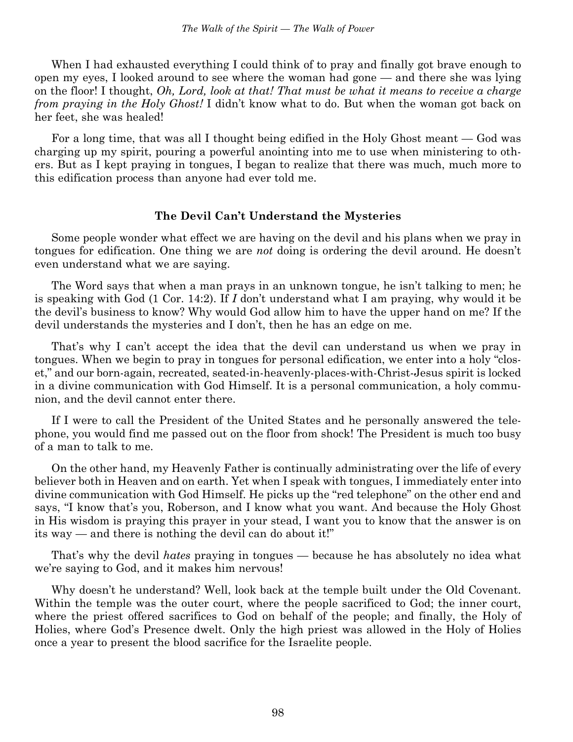When I had exhausted everything I could think of to pray and finally got brave enough to open my eyes, I looked around to see where the woman had gone — and there she was lying on the floor! I thought, *Oh, Lord, look at that! That must be what it means to receive a charge from praying in the Holy Ghost!* I didn't know what to do. But when the woman got back on her feet, she was healed!

For a long time, that was all I thought being edified in the Holy Ghost meant — God was charging up my spirit, pouring a powerful anointing into me to use when ministering to others. But as I kept praying in tongues, I began to realize that there was much, much more to this edification process than anyone had ever told me.

#### **The Devil Can't Understand the Mysteries**

Some people wonder what effect we are having on the devil and his plans when we pray in tongues for edification. One thing we are *not* doing is ordering the devil around. He doesn't even understand what we are saying.

The Word says that when a man prays in an unknown tongue, he isn't talking to men; he is speaking with God (1 Cor. 14:2). If *I* don't understand what I am praying, why would it be the devil's business to know? Why would God allow him to have the upper hand on me? If the devil understands the mysteries and I don't, then he has an edge on me.

That's why I can't accept the idea that the devil can understand us when we pray in tongues. When we begin to pray in tongues for personal edification, we enter into a holy "closet," and our born-again, recreated, seated-in-heavenly-places-with-Christ-Jesus spirit is locked in a divine communication with God Himself. It is a personal communication, a holy communion, and the devil cannot enter there.

If I were to call the President of the United States and he personally answered the telephone, you would find me passed out on the floor from shock! The President is much too busy of a man to talk to me.

On the other hand, my Heavenly Father is continually administrating over the life of every believer both in Heaven and on earth. Yet when I speak with tongues, I immediately enter into divine communication with God Himself. He picks up the "red telephone" on the other end and says, "I know that's you, Roberson, and I know what you want. And because the Holy Ghost in His wisdom is praying this prayer in your stead, I want you to know that the answer is on its way — and there is nothing the devil can do about it!"

That's why the devil *hates* praying in tongues — because he has absolutely no idea what we're saying to God, and it makes him nervous!

Why doesn't he understand? Well, look back at the temple built under the Old Covenant. Within the temple was the outer court, where the people sacrificed to God; the inner court, where the priest offered sacrifices to God on behalf of the people; and finally, the Holy of Holies, where God's Presence dwelt. Only the high priest was allowed in the Holy of Holies once a year to present the blood sacrifice for the Israelite people.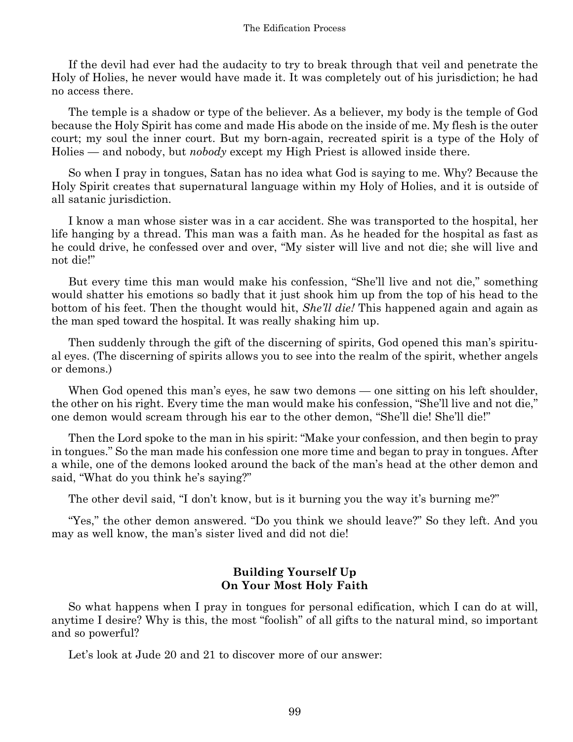#### The Edification Process

If the devil had ever had the audacity to try to break through that veil and penetrate the Holy of Holies, he never would have made it. It was completely out of his jurisdiction; he had no access there.

The temple is a shadow or type of the believer. As a believer, my body is the temple of God because the Holy Spirit has come and made His abode on the inside of me. My flesh is the outer court; my soul the inner court. But my born-again, recreated spirit is a type of the Holy of Holies — and nobody, but *nobody* except my High Priest is allowed inside there.

So when I pray in tongues, Satan has no idea what God is saying to me. Why? Because the Holy Spirit creates that supernatural language within my Holy of Holies, and it is outside of all satanic jurisdiction.

I know a man whose sister was in a car accident. She was transported to the hospital, her life hanging by a thread. This man was a faith man. As he headed for the hospital as fast as he could drive, he confessed over and over, "My sister will live and not die; she will live and not die!"

But every time this man would make his confession, "She'll live and not die," something would shatter his emotions so badly that it just shook him up from the top of his head to the bottom of his feet. Then the thought would hit, *She'll die!* This happened again and again as the man sped toward the hospital. It was really shaking him up.

Then suddenly through the gift of the discerning of spirits, God opened this man's spiritual eyes. (The discerning of spirits allows you to see into the realm of the spirit, whether angels or demons.)

When God opened this man's eyes, he saw two demons — one sitting on his left shoulder, the other on his right. Every time the man would make his confession, "She'll live and not die," one demon would scream through his ear to the other demon, "She'll die! She'll die!"

Then the Lord spoke to the man in his spirit: "Make your confession, and then begin to pray in tongues." So the man made his confession one more time and began to pray in tongues. After a while, one of the demons looked around the back of the man's head at the other demon and said, "What do you think he's saying?"

The other devil said, "I don't know, but is it burning you the way it's burning me?"

"Yes," the other demon answered. "Do you think we should leave?" So they left. And you may as well know, the man's sister lived and did not die!

# **Building Yourself Up On Your Most Holy Faith**

So what happens when I pray in tongues for personal edification, which I can do at will, anytime I desire? Why is this, the most "foolish" of all gifts to the natural mind, so important and so powerful?

Let's look at Jude 20 and 21 to discover more of our answer: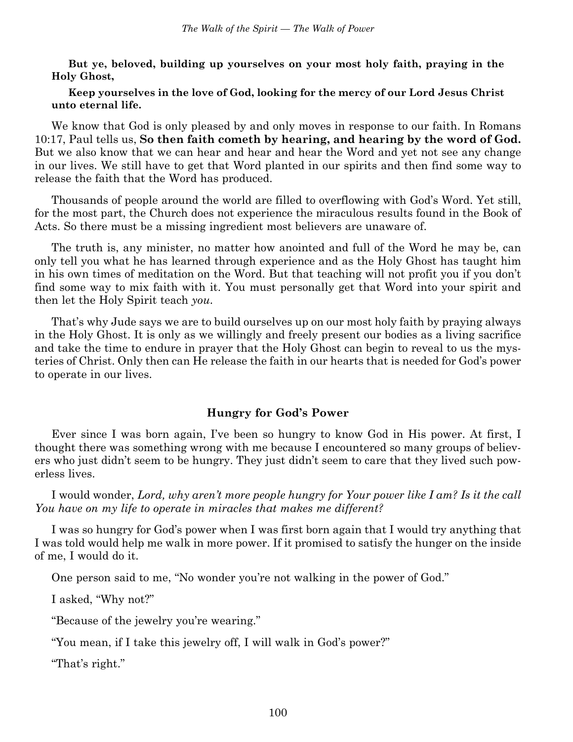**But ye, beloved, building up yourselves on your most holy faith, praying in the Holy Ghost,**

#### **Keep yourselves in the love of God, looking for the mercy of our Lord Jesus Christ unto eternal life.**

We know that God is only pleased by and only moves in response to our faith. In Romans 10:17, Paul tells us, **So then faith cometh by hearing, and hearing by the word of God.** But we also know that we can hear and hear and hear the Word and yet not see any change in our lives. We still have to get that Word planted in our spirits and then find some way to release the faith that the Word has produced.

Thousands of people around the world are filled to overflowing with God's Word. Yet still, for the most part, the Church does not experience the miraculous results found in the Book of Acts. So there must be a missing ingredient most believers are unaware of.

The truth is, any minister, no matter how anointed and full of the Word he may be, can only tell you what he has learned through experience and as the Holy Ghost has taught him in his own times of meditation on the Word. But that teaching will not profit you if you don't find some way to mix faith with it. You must personally get that Word into your spirit and then let the Holy Spirit teach *you*.

That's why Jude says we are to build ourselves up on our most holy faith by praying always in the Holy Ghost. It is only as we willingly and freely present our bodies as a living sacrifice and take the time to endure in prayer that the Holy Ghost can begin to reveal to us the mysteries of Christ. Only then can He release the faith in our hearts that is needed for God's power to operate in our lives.

#### **Hungry for God's Power**

Ever since I was born again, I've been so hungry to know God in His power. At first, I thought there was something wrong with me because I encountered so many groups of believers who just didn't seem to be hungry. They just didn't seem to care that they lived such powerless lives.

I would wonder, *Lord, why aren't more people hungry for Your power like I am? Is it the call You have on my life to operate in miracles that makes me different?*

I was so hungry for God's power when I was first born again that I would try anything that I was told would help me walk in more power. If it promised to satisfy the hunger on the inside of me, I would do it.

One person said to me, "No wonder you're not walking in the power of God."

I asked, "Why not?"

"Because of the jewelry you're wearing."

"You mean, if I take this jewelry off, I will walk in God's power?"

"That's right."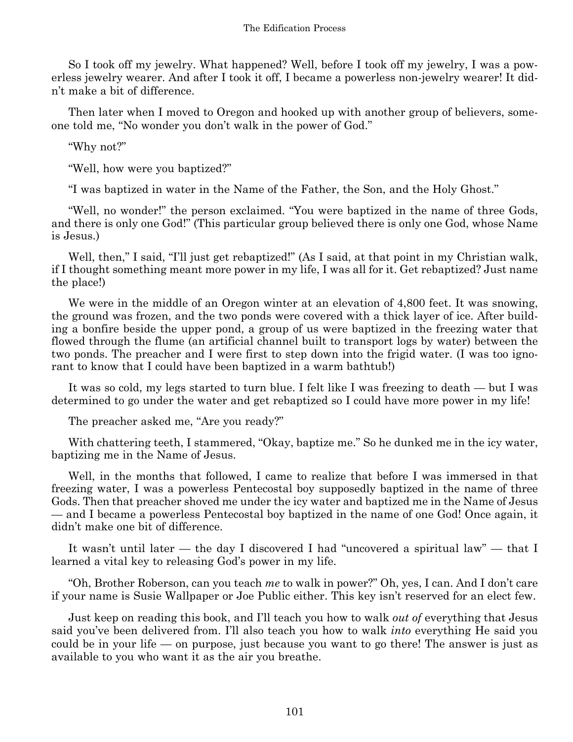So I took off my jewelry. What happened? Well, before I took off my jewelry, I was a powerless jewelry wearer. And after I took it off, I became a powerless non-jewelry wearer! It didn't make a bit of difference.

Then later when I moved to Oregon and hooked up with another group of believers, someone told me, "No wonder you don't walk in the power of God."

"Why not?"

"Well, how were you baptized?"

"I was baptized in water in the Name of the Father, the Son, and the Holy Ghost."

"Well, no wonder!" the person exclaimed. "You were baptized in the name of three Gods, and there is only one God!" (This particular group believed there is only one God, whose Name is Jesus.)

Well, then," I said, "I'll just get rebaptized!" (As I said, at that point in my Christian walk, if I thought something meant more power in my life, I was all for it. Get rebaptized? Just name the place!)

We were in the middle of an Oregon winter at an elevation of 4,800 feet. It was snowing, the ground was frozen, and the two ponds were covered with a thick layer of ice. After building a bonfire beside the upper pond, a group of us were baptized in the freezing water that flowed through the flume (an artificial channel built to transport logs by water) between the two ponds. The preacher and I were first to step down into the frigid water. (I was too ignorant to know that I could have been baptized in a warm bathtub!)

It was so cold, my legs started to turn blue. I felt like I was freezing to death — but I was determined to go under the water and get rebaptized so I could have more power in my life!

The preacher asked me, "Are you ready?"

With chattering teeth, I stammered, "Okay, baptize me." So he dunked me in the icy water, baptizing me in the Name of Jesus.

Well, in the months that followed, I came to realize that before I was immersed in that freezing water, I was a powerless Pentecostal boy supposedly baptized in the name of three Gods. Then that preacher shoved me under the icy water and baptized me in the Name of Jesus — and I became a powerless Pentecostal boy baptized in the name of one God! Once again, it didn't make one bit of difference.

It wasn't until later — the day I discovered I had "uncovered a spiritual law" — that I learned a vital key to releasing God's power in my life.

"Oh, Brother Roberson, can you teach *me* to walk in power?" Oh, yes, I can. And I don't care if your name is Susie Wallpaper or Joe Public either. This key isn't reserved for an elect few.

Just keep on reading this book, and I'll teach you how to walk *out of* everything that Jesus said you've been delivered from. I'll also teach you how to walk *into* everything He said you could be in your life — on purpose, just because you want to go there! The answer is just as available to you who want it as the air you breathe.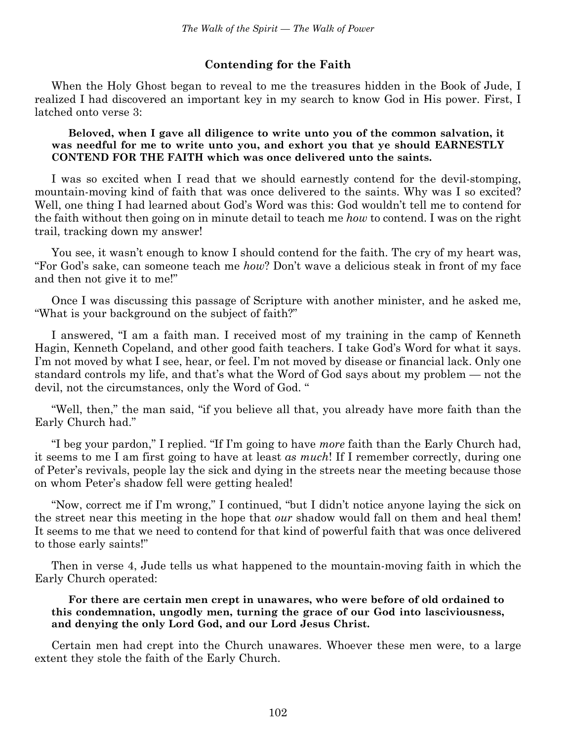# **Contending for the Faith**

When the Holy Ghost began to reveal to me the treasures hidden in the Book of Jude, I realized I had discovered an important key in my search to know God in His power. First, I latched onto verse 3:

#### **Beloved, when I gave all diligence to write unto you of the common salvation, it was needful for me to write unto you, and exhort you that ye should EARNESTLY CONTEND FOR THE FAITH which was once delivered unto the saints.**

I was so excited when I read that we should earnestly contend for the devil-stomping, mountain-moving kind of faith that was once delivered to the saints. Why was I so excited? Well, one thing I had learned about God's Word was this: God wouldn't tell me to contend for the faith without then going on in minute detail to teach me *how* to contend. I was on the right trail, tracking down my answer!

You see, it wasn't enough to know I should contend for the faith. The cry of my heart was, "For God's sake, can someone teach me *how*? Don't wave a delicious steak in front of my face and then not give it to me!"

Once I was discussing this passage of Scripture with another minister, and he asked me, "What is your background on the subject of faith?"

I answered, "I am a faith man. I received most of my training in the camp of Kenneth Hagin, Kenneth Copeland, and other good faith teachers. I take God's Word for what it says. I'm not moved by what I see, hear, or feel. I'm not moved by disease or financial lack. Only one standard controls my life, and that's what the Word of God says about my problem — not the devil, not the circumstances, only the Word of God. "

"Well, then," the man said, "if you believe all that, you already have more faith than the Early Church had."

"I beg your pardon," I replied. "If I'm going to have *more* faith than the Early Church had, it seems to me I am first going to have at least *as much*! If I remember correctly, during one of Peter's revivals, people lay the sick and dying in the streets near the meeting because those on whom Peter's shadow fell were getting healed!

"Now, correct me if I'm wrong," I continued, "but I didn't notice anyone laying the sick on the street near this meeting in the hope that *our* shadow would fall on them and heal them! It seems to me that we need to contend for that kind of powerful faith that was once delivered to those early saints!"

Then in verse 4, Jude tells us what happened to the mountain-moving faith in which the Early Church operated:

**For there are certain men crept in unawares, who were before of old ordained to this condemnation, ungodly men, turning the grace of our God into lasciviousness, and denying the only Lord God, and our Lord Jesus Christ.**

Certain men had crept into the Church unawares. Whoever these men were, to a large extent they stole the faith of the Early Church.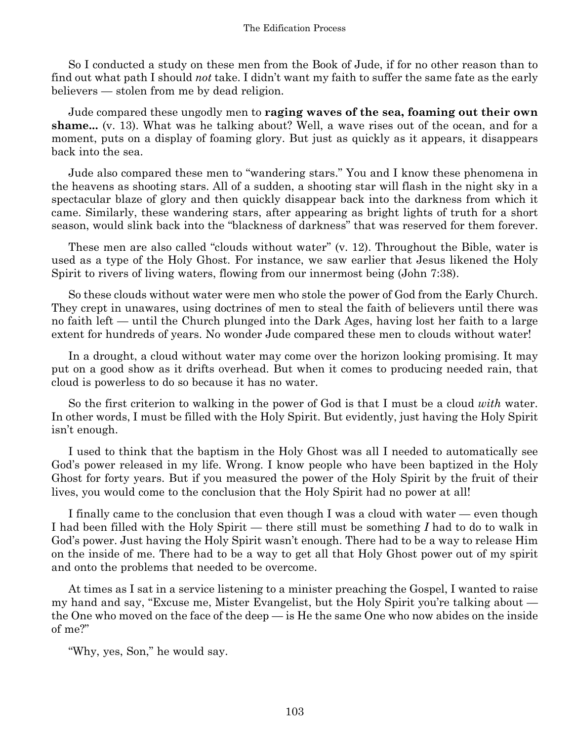So I conducted a study on these men from the Book of Jude, if for no other reason than to find out what path I should *not* take. I didn't want my faith to suffer the same fate as the early believers — stolen from me by dead religion.

Jude compared these ungodly men to **raging waves of the sea, foaming out their own shame...** (v. 13). What was he talking about? Well, a wave rises out of the ocean, and for a moment, puts on a display of foaming glory. But just as quickly as it appears, it disappears back into the sea.

Jude also compared these men to "wandering stars." You and I know these phenomena in the heavens as shooting stars. All of a sudden, a shooting star will flash in the night sky in a spectacular blaze of glory and then quickly disappear back into the darkness from which it came. Similarly, these wandering stars, after appearing as bright lights of truth for a short season, would slink back into the "blackness of darkness" that was reserved for them forever.

These men are also called "clouds without water" (v. 12). Throughout the Bible, water is used as a type of the Holy Ghost. For instance, we saw earlier that Jesus likened the Holy Spirit to rivers of living waters, flowing from our innermost being (John 7:38).

So these clouds without water were men who stole the power of God from the Early Church. They crept in unawares, using doctrines of men to steal the faith of believers until there was no faith left — until the Church plunged into the Dark Ages, having lost her faith to a large extent for hundreds of years. No wonder Jude compared these men to clouds without water!

In a drought, a cloud without water may come over the horizon looking promising. It may put on a good show as it drifts overhead. But when it comes to producing needed rain, that cloud is powerless to do so because it has no water.

So the first criterion to walking in the power of God is that I must be a cloud *with* water. In other words, I must be filled with the Holy Spirit. But evidently, just having the Holy Spirit isn't enough.

I used to think that the baptism in the Holy Ghost was all I needed to automatically see God's power released in my life. Wrong. I know people who have been baptized in the Holy Ghost for forty years. But if you measured the power of the Holy Spirit by the fruit of their lives, you would come to the conclusion that the Holy Spirit had no power at all!

I finally came to the conclusion that even though I was a cloud with water — even though I had been filled with the Holy Spirit — there still must be something *I* had to do to walk in God's power. Just having the Holy Spirit wasn't enough. There had to be a way to release Him on the inside of me. There had to be a way to get all that Holy Ghost power out of my spirit and onto the problems that needed to be overcome.

At times as I sat in a service listening to a minister preaching the Gospel, I wanted to raise my hand and say, "Excuse me, Mister Evangelist, but the Holy Spirit you're talking about the One who moved on the face of the deep — is He the same One who now abides on the inside of me?"

"Why, yes, Son," he would say.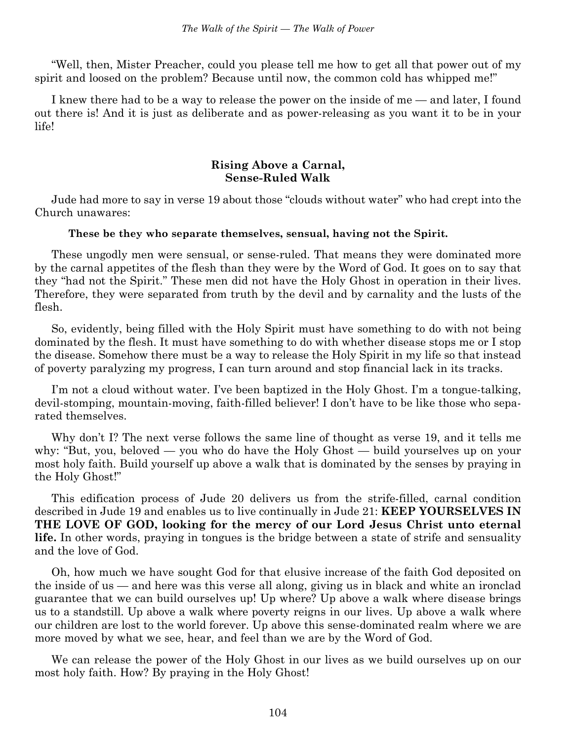"Well, then, Mister Preacher, could you please tell me how to get all that power out of my spirit and loosed on the problem? Because until now, the common cold has whipped me!"

I knew there had to be a way to release the power on the inside of me — and later, I found out there is! And it is just as deliberate and as power-releasing as you want it to be in your life!

# **Rising Above a Carnal, Sense-Ruled Walk**

Jude had more to say in verse 19 about those "clouds without water" who had crept into the Church unawares:

#### **These be they who separate themselves, sensual, having not the Spirit.**

These ungodly men were sensual, or sense-ruled. That means they were dominated more by the carnal appetites of the flesh than they were by the Word of God. It goes on to say that they "had not the Spirit." These men did not have the Holy Ghost in operation in their lives. Therefore, they were separated from truth by the devil and by carnality and the lusts of the flesh.

So, evidently, being filled with the Holy Spirit must have something to do with not being dominated by the flesh. It must have something to do with whether disease stops me or I stop the disease. Somehow there must be a way to release the Holy Spirit in my life so that instead of poverty paralyzing my progress, I can turn around and stop financial lack in its tracks.

I'm not a cloud without water. I've been baptized in the Holy Ghost. I'm a tongue-talking, devil-stomping, mountain-moving, faith-filled believer! I don't have to be like those who separated themselves.

Why don't I? The next verse follows the same line of thought as verse 19, and it tells me why: "But, you, beloved — you who do have the Holy Ghost — build yourselves up on your most holy faith. Build yourself up above a walk that is dominated by the senses by praying in the Holy Ghost!"

This edification process of Jude 20 delivers us from the strife-filled, carnal condition described in Jude 19 and enables us to live continually in Jude 21: **KEEP YOURSELVES IN THE LOVE OF GOD, looking for the mercy of our Lord Jesus Christ unto eternal life.** In other words, praying in tongues is the bridge between a state of strife and sensuality and the love of God.

Oh, how much we have sought God for that elusive increase of the faith God deposited on the inside of us — and here was this verse all along, giving us in black and white an ironclad guarantee that we can build ourselves up! Up where? Up above a walk where disease brings us to a standstill. Up above a walk where poverty reigns in our lives. Up above a walk where our children are lost to the world forever. Up above this sense-dominated realm where we are more moved by what we see, hear, and feel than we are by the Word of God.

We can release the power of the Holy Ghost in our lives as we build ourselves up on our most holy faith. How? By praying in the Holy Ghost!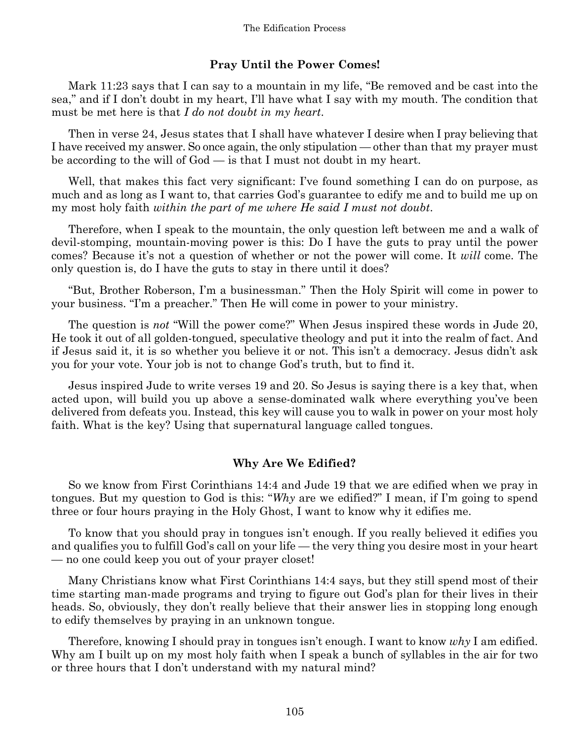## **Pray Until the Power Comes!**

Mark 11:23 says that I can say to a mountain in my life, "Be removed and be cast into the sea," and if I don't doubt in my heart, I'll have what I say with my mouth. The condition that must be met here is that *I do not doubt in my heart*.

Then in verse 24, Jesus states that I shall have whatever I desire when I pray believing that I have received my answer. So once again, the only stipulation — other than that my prayer must be according to the will of God — is that I must not doubt in my heart.

Well, that makes this fact very significant: I've found something I can do on purpose, as much and as long as I want to, that carries God's guarantee to edify me and to build me up on my most holy faith *within the part of me where He said I must not doubt*.

Therefore, when I speak to the mountain, the only question left between me and a walk of devil-stomping, mountain-moving power is this: Do I have the guts to pray until the power comes? Because it's not a question of whether or not the power will come. It *will* come. The only question is, do I have the guts to stay in there until it does?

"But, Brother Roberson, I'm a businessman." Then the Holy Spirit will come in power to your business. "I'm a preacher." Then He will come in power to your ministry.

The question is *not* "Will the power come?" When Jesus inspired these words in Jude 20, He took it out of all golden-tongued, speculative theology and put it into the realm of fact. And if Jesus said it, it is so whether you believe it or not. This isn't a democracy. Jesus didn't ask you for your vote. Your job is not to change God's truth, but to find it.

Jesus inspired Jude to write verses 19 and 20. So Jesus is saying there is a key that, when acted upon, will build you up above a sense-dominated walk where everything you've been delivered from defeats you. Instead, this key will cause you to walk in power on your most holy faith. What is the key? Using that supernatural language called tongues.

#### **Why Are We Edified?**

So we know from First Corinthians 14:4 and Jude 19 that we are edified when we pray in tongues. But my question to God is this: "*Why* are we edified?" I mean, if I'm going to spend three or four hours praying in the Holy Ghost, I want to know why it edifies me.

To know that you should pray in tongues isn't enough. If you really believed it edifies you and qualifies you to fulfill God's call on your life — the very thing you desire most in your heart — no one could keep you out of your prayer closet!

Many Christians know what First Corinthians 14:4 says, but they still spend most of their time starting man-made programs and trying to figure out God's plan for their lives in their heads. So, obviously, they don't really believe that their answer lies in stopping long enough to edify themselves by praying in an unknown tongue.

Therefore, knowing I should pray in tongues isn't enough. I want to know *why* I am edified. Why am I built up on my most holy faith when I speak a bunch of syllables in the air for two or three hours that I don't understand with my natural mind?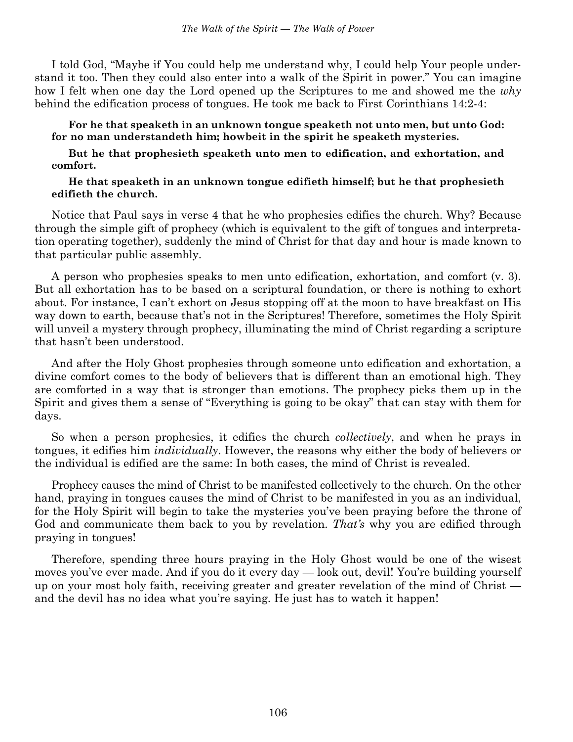I told God, "Maybe if You could help me understand why, I could help Your people understand it too. Then they could also enter into a walk of the Spirit in power." You can imagine how I felt when one day the Lord opened up the Scriptures to me and showed me the *why* behind the edification process of tongues. He took me back to First Corinthians 14:2-4:

**For he that speaketh in an unknown tongue speaketh not unto men, but unto God: for no man understandeth him; howbeit in the spirit he speaketh mysteries.**

**But he that prophesieth speaketh unto men to edification, and exhortation, and comfort.**

#### **He that speaketh in an unknown tongue edifieth himself; but he that prophesieth edifieth the church.**

Notice that Paul says in verse 4 that he who prophesies edifies the church. Why? Because through the simple gift of prophecy (which is equivalent to the gift of tongues and interpretation operating together), suddenly the mind of Christ for that day and hour is made known to that particular public assembly.

A person who prophesies speaks to men unto edification, exhortation, and comfort (v. 3). But all exhortation has to be based on a scriptural foundation, or there is nothing to exhort about. For instance, I can't exhort on Jesus stopping off at the moon to have breakfast on His way down to earth, because that's not in the Scriptures! Therefore, sometimes the Holy Spirit will unveil a mystery through prophecy, illuminating the mind of Christ regarding a scripture that hasn't been understood.

And after the Holy Ghost prophesies through someone unto edification and exhortation, a divine comfort comes to the body of believers that is different than an emotional high. They are comforted in a way that is stronger than emotions. The prophecy picks them up in the Spirit and gives them a sense of "Everything is going to be okay" that can stay with them for days.

So when a person prophesies, it edifies the church *collectively*, and when he prays in tongues, it edifies him *individually*. However, the reasons why either the body of believers or the individual is edified are the same: In both cases, the mind of Christ is revealed.

Prophecy causes the mind of Christ to be manifested collectively to the church. On the other hand, praying in tongues causes the mind of Christ to be manifested in you as an individual, for the Holy Spirit will begin to take the mysteries you've been praying before the throne of God and communicate them back to you by revelation. *That's* why you are edified through praying in tongues!

Therefore, spending three hours praying in the Holy Ghost would be one of the wisest moves you've ever made. And if you do it every day — look out, devil! You're building yourself up on your most holy faith, receiving greater and greater revelation of the mind of Christ and the devil has no idea what you're saying. He just has to watch it happen!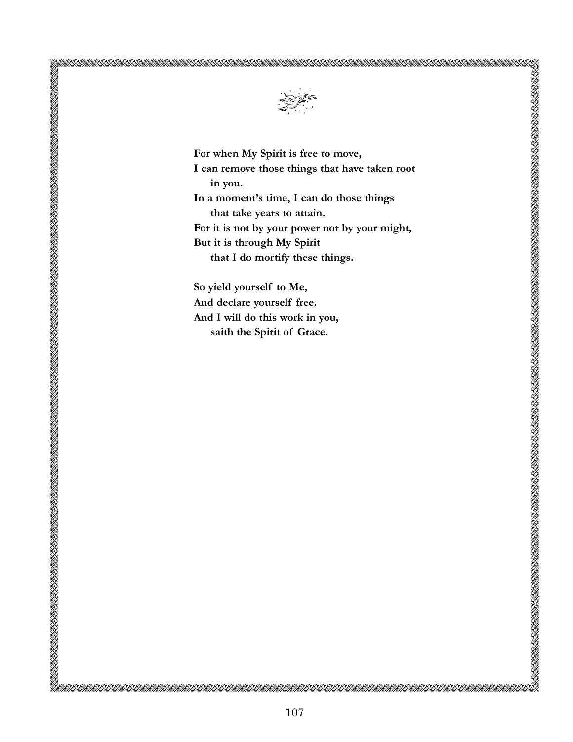

**For when My Spirit is free to move, I can remove those things that have taken root in you. In a moment's time, I can do those things that take years to attain. For it is not by your power nor by your might, But it is through My Spirit that I do mortify these things.**

**So yield yourself to Me, And declare yourself free. And I will do this work in you, saith the Spirit of Grace.**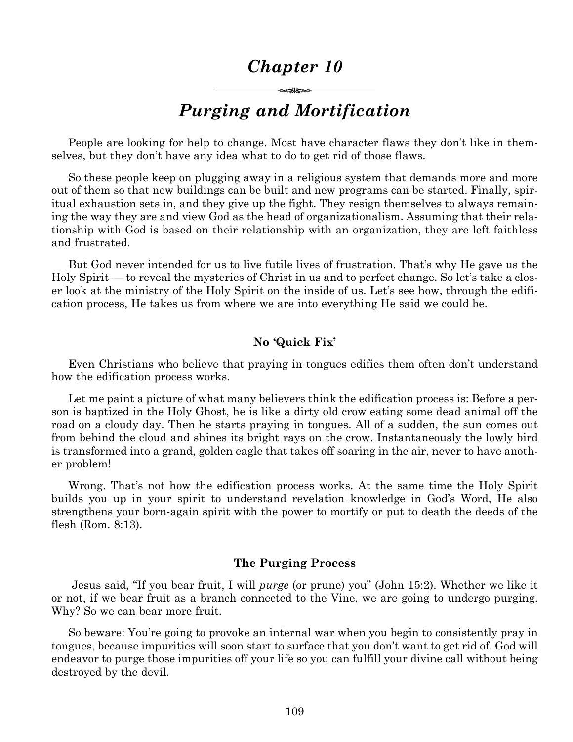# *Chapter 10*

# *Purging and Mortification*

People are looking for help to change. Most have character flaws they don't like in themselves, but they don't have any idea what to do to get rid of those flaws.

So these people keep on plugging away in a religious system that demands more and more out of them so that new buildings can be built and new programs can be started. Finally, spiritual exhaustion sets in, and they give up the fight. They resign themselves to always remaining the way they are and view God as the head of organizationalism. Assuming that their relationship with God is based on their relationship with an organization, they are left faithless and frustrated.

But God never intended for us to live futile lives of frustration. That's why He gave us the Holy Spirit — to reveal the mysteries of Christ in us and to perfect change. So let's take a closer look at the ministry of the Holy Spirit on the inside of us. Let's see how, through the edification process, He takes us from where we are into everything He said we could be.

#### **No 'Quick Fix'**

Even Christians who believe that praying in tongues edifies them often don't understand how the edification process works.

Let me paint a picture of what many believers think the edification process is: Before a person is baptized in the Holy Ghost, he is like a dirty old crow eating some dead animal off the road on a cloudy day. Then he starts praying in tongues. All of a sudden, the sun comes out from behind the cloud and shines its bright rays on the crow. Instantaneously the lowly bird is transformed into a grand, golden eagle that takes off soaring in the air, never to have another problem!

Wrong. That's not how the edification process works. At the same time the Holy Spirit builds you up in your spirit to understand revelation knowledge in God's Word, He also strengthens your born-again spirit with the power to mortify or put to death the deeds of the flesh (Rom. 8:13).

#### **The Purging Process**

Jesus said, "If you bear fruit, I will *purge* (or prune) you" (John 15:2). Whether we like it or not, if we bear fruit as a branch connected to the Vine, we are going to undergo purging. Why? So we can bear more fruit.

So beware: You're going to provoke an internal war when you begin to consistently pray in tongues, because impurities will soon start to surface that you don't want to get rid of. God will endeavor to purge those impurities off your life so you can fulfill your divine call without being destroyed by the devil.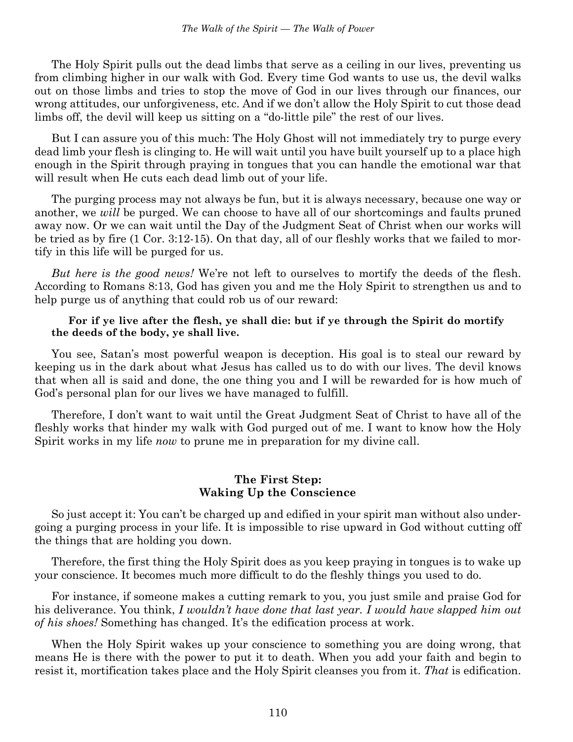The Holy Spirit pulls out the dead limbs that serve as a ceiling in our lives, preventing us from climbing higher in our walk with God. Every time God wants to use us, the devil walks out on those limbs and tries to stop the move of God in our lives through our finances, our wrong attitudes, our unforgiveness, etc. And if we don't allow the Holy Spirit to cut those dead limbs off, the devil will keep us sitting on a "do-little pile" the rest of our lives.

But I can assure you of this much: The Holy Ghost will not immediately try to purge every dead limb your flesh is clinging to. He will wait until you have built yourself up to a place high enough in the Spirit through praying in tongues that you can handle the emotional war that will result when He cuts each dead limb out of your life.

The purging process may not always be fun, but it is always necessary, because one way or another, we *will* be purged. We can choose to have all of our shortcomings and faults pruned away now. Or we can wait until the Day of the Judgment Seat of Christ when our works will be tried as by fire (1 Cor. 3:12-15). On that day, all of our fleshly works that we failed to mortify in this life will be purged for us.

*But here is the good news!* We're not left to ourselves to mortify the deeds of the flesh. According to Romans 8:13, God has given you and me the Holy Spirit to strengthen us and to help purge us of anything that could rob us of our reward:

#### **For if ye live after the flesh, ye shall die: but if ye through the Spirit do mortify the deeds of the body, ye shall live.**

You see, Satan's most powerful weapon is deception. His goal is to steal our reward by keeping us in the dark about what Jesus has called us to do with our lives. The devil knows that when all is said and done, the one thing you and I will be rewarded for is how much of God's personal plan for our lives we have managed to fulfill.

Therefore, I don't want to wait until the Great Judgment Seat of Christ to have all of the fleshly works that hinder my walk with God purged out of me. I want to know how the Holy Spirit works in my life *now* to prune me in preparation for my divine call.

#### **The First Step: Waking Up the Conscience**

So just accept it: You can't be charged up and edified in your spirit man without also undergoing a purging process in your life. It is impossible to rise upward in God without cutting off the things that are holding you down.

Therefore, the first thing the Holy Spirit does as you keep praying in tongues is to wake up your conscience. It becomes much more difficult to do the fleshly things you used to do.

For instance, if someone makes a cutting remark to you, you just smile and praise God for his deliverance. You think, *I wouldn't have done that last year. I would have slapped him out of his shoes!* Something has changed. It's the edification process at work.

When the Holy Spirit wakes up your conscience to something you are doing wrong, that means He is there with the power to put it to death. When you add your faith and begin to resist it, mortification takes place and the Holy Spirit cleanses you from it. *That* is edification.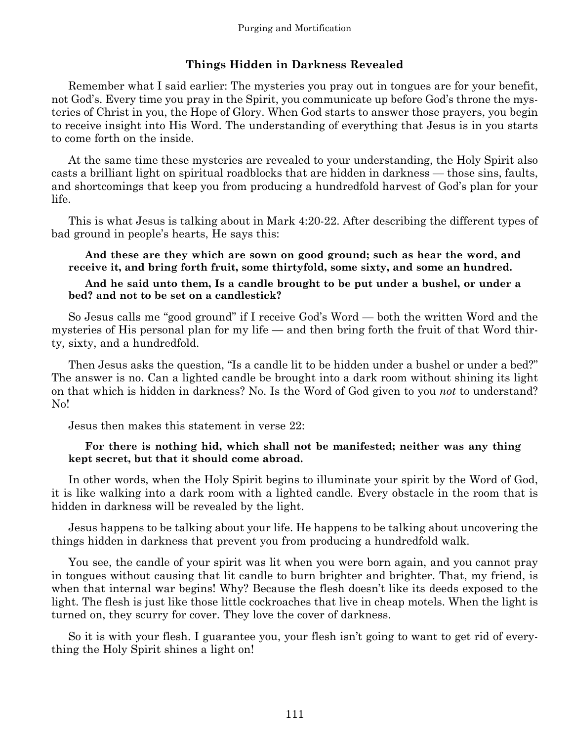# **Things Hidden in Darkness Revealed**

Remember what I said earlier: The mysteries you pray out in tongues are for your benefit, not God's. Every time you pray in the Spirit, you communicate up before God's throne the mysteries of Christ in you, the Hope of Glory. When God starts to answer those prayers, you begin to receive insight into His Word. The understanding of everything that Jesus is in you starts to come forth on the inside.

At the same time these mysteries are revealed to your understanding, the Holy Spirit also casts a brilliant light on spiritual roadblocks that are hidden in darkness — those sins, faults, and shortcomings that keep you from producing a hundredfold harvest of God's plan for your life.

This is what Jesus is talking about in Mark 4:20-22. After describing the different types of bad ground in people's hearts, He says this:

**And these are they which are sown on good ground; such as hear the word, and receive it, and bring forth fruit, some thirtyfold, some sixty, and some an hundred.**

**And he said unto them, Is a candle brought to be put under a bushel, or under a bed? and not to be set on a candlestick?**

So Jesus calls me "good ground" if I receive God's Word — both the written Word and the mysteries of His personal plan for my life — and then bring forth the fruit of that Word thirty, sixty, and a hundredfold.

Then Jesus asks the question, "Is a candle lit to be hidden under a bushel or under a bed?" The answer is no. Can a lighted candle be brought into a dark room without shining its light on that which is hidden in darkness? No. Is the Word of God given to you *not* to understand? No!

Jesus then makes this statement in verse 22:

#### **For there is nothing hid, which shall not be manifested; neither was any thing kept secret, but that it should come abroad.**

In other words, when the Holy Spirit begins to illuminate your spirit by the Word of God, it is like walking into a dark room with a lighted candle. Every obstacle in the room that is hidden in darkness will be revealed by the light.

Jesus happens to be talking about your life. He happens to be talking about uncovering the things hidden in darkness that prevent you from producing a hundredfold walk.

You see, the candle of your spirit was lit when you were born again, and you cannot pray in tongues without causing that lit candle to burn brighter and brighter. That, my friend, is when that internal war begins! Why? Because the flesh doesn't like its deeds exposed to the light. The flesh is just like those little cockroaches that live in cheap motels. When the light is turned on, they scurry for cover. They love the cover of darkness.

So it is with your flesh. I guarantee you, your flesh isn't going to want to get rid of everything the Holy Spirit shines a light on!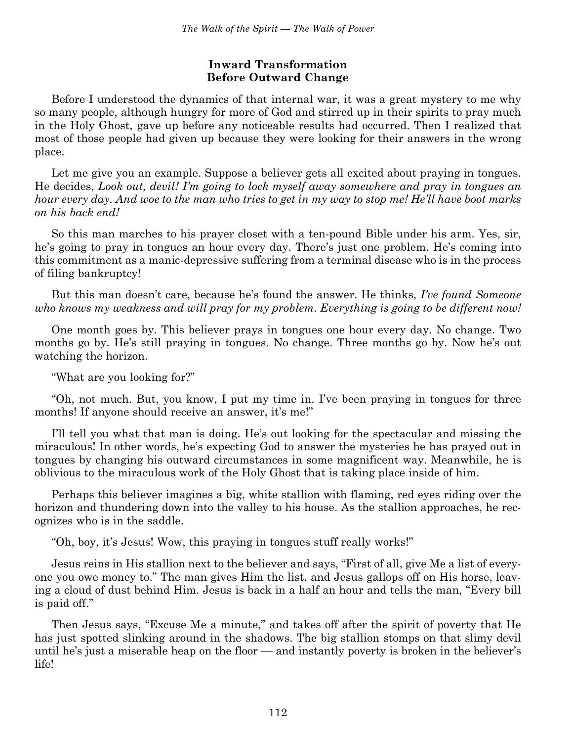# **Inward Transformation Before Outward Change**

Before I understood the dynamics of that internal war, it was a great mystery to me why so many people, although hungry for more of God and stirred up in their spirits to pray much in the Holy Ghost, gave up before any noticeable results had occurred. Then I realized that most of those people had given up because they were looking for their answers in the wrong place.

Let me give you an example. Suppose a believer gets all excited about praying in tongues. He decides, *Look out, devil! I'm going to lock myself away somewhere and pray in tongues an hour every day. And woe to the man who tries to get in my way to stop me! He'll have boot marks on his back end!*

So this man marches to his prayer closet with a ten-pound Bible under his arm. Yes, sir, he's going to pray in tongues an hour every day. There's just one problem. He's coming into this commitment as a manic-depressive suffering from a terminal disease who is in the process of filing bankruptcy!

But this man doesn't care, because he's found the answer. He thinks, *I've found Someone who knows my weakness and will pray for my problem. Everything is going to be different now!* 

One month goes by. This believer prays in tongues one hour every day. No change. Two months go by. He's still praying in tongues. No change. Three months go by. Now he's out watching the horizon.

"What are you looking for?"

"Oh, not much. But, you know, I put my time in. I've been praying in tongues for three months! If anyone should receive an answer, it's me!"

I'll tell you what that man is doing. He's out looking for the spectacular and missing the miraculous! In other words, he's expecting God to answer the mysteries he has prayed out in tongues by changing his outward circumstances in some magnificent way. Meanwhile, he is oblivious to the miraculous work of the Holy Ghost that is taking place inside of him.

Perhaps this believer imagines a big, white stallion with flaming, red eyes riding over the horizon and thundering down into the valley to his house. As the stallion approaches, he recognizes who is in the saddle.

"Oh, boy, it's Jesus! Wow, this praying in tongues stuff really works!"

Jesus reins in His stallion next to the believer and says, "First of all, give Me a list of everyone you owe money to." The man gives Him the list, and Jesus gallops off on His horse, leaving a cloud of dust behind Him. Jesus is back in a half an hour and tells the man, "Every bill is paid off."

Then Jesus says, "Excuse Me a minute," and takes off after the spirit of poverty that He has just spotted slinking around in the shadows. The big stallion stomps on that slimy devil until he's just a miserable heap on the floor — and instantly poverty is broken in the believer's life!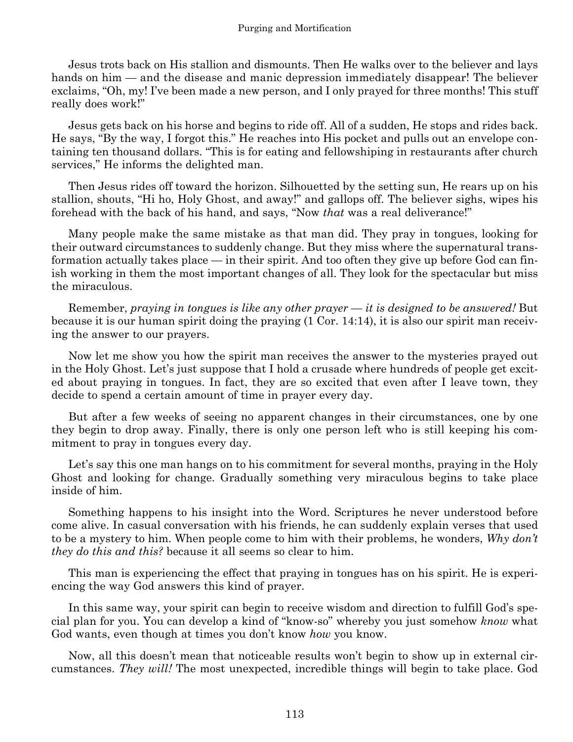#### Purging and Mortification

Jesus trots back on His stallion and dismounts. Then He walks over to the believer and lays hands on him — and the disease and manic depression immediately disappear! The believer exclaims, "Oh, my! I've been made a new person, and I only prayed for three months! This stuff really does work!"

Jesus gets back on his horse and begins to ride off. All of a sudden, He stops and rides back. He says, "By the way, I forgot this." He reaches into His pocket and pulls out an envelope containing ten thousand dollars. "This is for eating and fellowshiping in restaurants after church services," He informs the delighted man.

Then Jesus rides off toward the horizon. Silhouetted by the setting sun, He rears up on his stallion, shouts, "Hi ho, Holy Ghost, and away!" and gallops off. The believer sighs, wipes his forehead with the back of his hand, and says, "Now *that* was a real deliverance!"

Many people make the same mistake as that man did. They pray in tongues, looking for their outward circumstances to suddenly change. But they miss where the supernatural transformation actually takes place — in their spirit. And too often they give up before God can finish working in them the most important changes of all. They look for the spectacular but miss the miraculous.

Remember, *praying in tongues is like any other prayer — it is designed to be answered!* But because it is our human spirit doing the praying (1 Cor. 14:14), it is also our spirit man receiving the answer to our prayers.

Now let me show you how the spirit man receives the answer to the mysteries prayed out in the Holy Ghost. Let's just suppose that I hold a crusade where hundreds of people get excited about praying in tongues. In fact, they are so excited that even after I leave town, they decide to spend a certain amount of time in prayer every day.

But after a few weeks of seeing no apparent changes in their circumstances, one by one they begin to drop away. Finally, there is only one person left who is still keeping his commitment to pray in tongues every day.

Let's say this one man hangs on to his commitment for several months, praying in the Holy Ghost and looking for change. Gradually something very miraculous begins to take place inside of him.

Something happens to his insight into the Word. Scriptures he never understood before come alive. In casual conversation with his friends, he can suddenly explain verses that used to be a mystery to him. When people come to him with their problems, he wonders, *Why don't they do this and this?* because it all seems so clear to him.

This man is experiencing the effect that praying in tongues has on his spirit. He is experiencing the way God answers this kind of prayer.

In this same way, your spirit can begin to receive wisdom and direction to fulfill God's special plan for you. You can develop a kind of "know-so" whereby you just somehow *know* what God wants, even though at times you don't know *how* you know.

Now, all this doesn't mean that noticeable results won't begin to show up in external circumstances. *They will!* The most unexpected, incredible things will begin to take place. God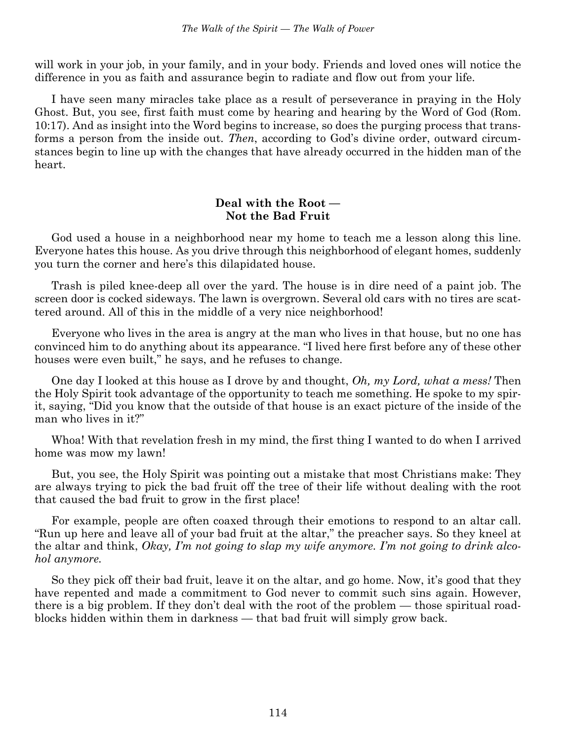will work in your job, in your family, and in your body. Friends and loved ones will notice the difference in you as faith and assurance begin to radiate and flow out from your life.

I have seen many miracles take place as a result of perseverance in praying in the Holy Ghost. But, you see, first faith must come by hearing and hearing by the Word of God (Rom. 10:17). And as insight into the Word begins to increase, so does the purging process that transforms a person from the inside out. *Then*, according to God's divine order, outward circumstances begin to line up with the changes that have already occurred in the hidden man of the heart.

# **Deal with the Root — Not the Bad Fruit**

God used a house in a neighborhood near my home to teach me a lesson along this line. Everyone hates this house. As you drive through this neighborhood of elegant homes, suddenly you turn the corner and here's this dilapidated house.

Trash is piled knee-deep all over the yard. The house is in dire need of a paint job. The screen door is cocked sideways. The lawn is overgrown. Several old cars with no tires are scattered around. All of this in the middle of a very nice neighborhood!

Everyone who lives in the area is angry at the man who lives in that house, but no one has convinced him to do anything about its appearance. "I lived here first before any of these other houses were even built," he says, and he refuses to change.

One day I looked at this house as I drove by and thought, *Oh, my Lord, what a mess!* Then the Holy Spirit took advantage of the opportunity to teach me something. He spoke to my spirit, saying, "Did you know that the outside of that house is an exact picture of the inside of the man who lives in it?"

Whoa! With that revelation fresh in my mind, the first thing I wanted to do when I arrived home was mow my lawn!

But, you see, the Holy Spirit was pointing out a mistake that most Christians make: They are always trying to pick the bad fruit off the tree of their life without dealing with the root that caused the bad fruit to grow in the first place!

For example, people are often coaxed through their emotions to respond to an altar call. "Run up here and leave all of your bad fruit at the altar," the preacher says. So they kneel at the altar and think, *Okay, I'm not going to slap my wife anymore. I'm not going to drink alcohol anymore.*

So they pick off their bad fruit, leave it on the altar, and go home. Now, it's good that they have repented and made a commitment to God never to commit such sins again. However, there is a big problem. If they don't deal with the root of the problem — those spiritual roadblocks hidden within them in darkness — that bad fruit will simply grow back.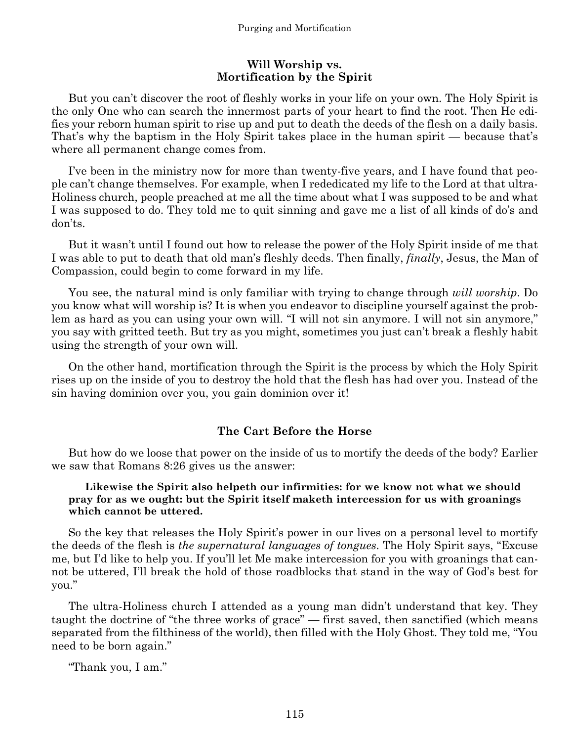# **Will Worship vs. Mortification by the Spirit**

But you can't discover the root of fleshly works in your life on your own. The Holy Spirit is the only One who can search the innermost parts of your heart to find the root. Then He edifies your reborn human spirit to rise up and put to death the deeds of the flesh on a daily basis. That's why the baptism in the Holy Spirit takes place in the human spirit — because that's where all permanent change comes from.

I've been in the ministry now for more than twenty-five years, and I have found that people can't change themselves. For example, when I rededicated my life to the Lord at that ultra-Holiness church, people preached at me all the time about what I was supposed to be and what I was supposed to do. They told me to quit sinning and gave me a list of all kinds of do's and don'ts.

But it wasn't until I found out how to release the power of the Holy Spirit inside of me that I was able to put to death that old man's fleshly deeds. Then finally, *finally*, Jesus, the Man of Compassion, could begin to come forward in my life.

You see, the natural mind is only familiar with trying to change through *will worship*. Do you know what will worship is? It is when you endeavor to discipline yourself against the problem as hard as you can using your own will. "I will not sin anymore. I will not sin anymore," you say with gritted teeth. But try as you might, sometimes you just can't break a fleshly habit using the strength of your own will.

On the other hand, mortification through the Spirit is the process by which the Holy Spirit rises up on the inside of you to destroy the hold that the flesh has had over you. Instead of the sin having dominion over you, you gain dominion over it!

# **The Cart Before the Horse**

But how do we loose that power on the inside of us to mortify the deeds of the body? Earlier we saw that Romans 8:26 gives us the answer:

#### **Likewise the Spirit also helpeth our infirmities: for we know not what we should pray for as we ought: but the Spirit itself maketh intercession for us with groanings which cannot be uttered.**

So the key that releases the Holy Spirit's power in our lives on a personal level to mortify the deeds of the flesh is *the supernatural languages of tongues*. The Holy Spirit says, "Excuse me, but I'd like to help you. If you'll let Me make intercession for you with groanings that cannot be uttered, I'll break the hold of those roadblocks that stand in the way of God's best for you."

The ultra-Holiness church I attended as a young man didn't understand that key. They taught the doctrine of "the three works of grace" — first saved, then sanctified (which means separated from the filthiness of the world), then filled with the Holy Ghost. They told me, "You need to be born again."

"Thank you, I am."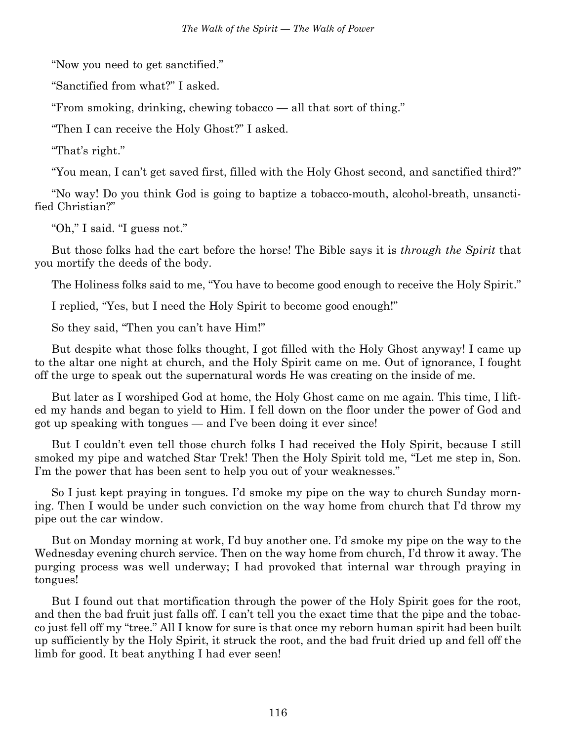"Now you need to get sanctified."

"Sanctified from what?" I asked.

"From smoking, drinking, chewing tobacco — all that sort of thing."

"Then I can receive the Holy Ghost?" I asked.

"That's right."

"You mean, I can't get saved first, filled with the Holy Ghost second, and sanctified third?"

"No way! Do you think God is going to baptize a tobacco-mouth, alcohol-breath, unsanctified Christian?"

"Oh," I said. "I guess not."

But those folks had the cart before the horse! The Bible says it is *through the Spirit* that you mortify the deeds of the body.

The Holiness folks said to me, "You have to become good enough to receive the Holy Spirit."

I replied, "Yes, but I need the Holy Spirit to become good enough!"

So they said, "Then you can't have Him!"

But despite what those folks thought, I got filled with the Holy Ghost anyway! I came up to the altar one night at church, and the Holy Spirit came on me. Out of ignorance, I fought off the urge to speak out the supernatural words He was creating on the inside of me.

But later as I worshiped God at home, the Holy Ghost came on me again. This time, I lifted my hands and began to yield to Him. I fell down on the floor under the power of God and got up speaking with tongues — and I've been doing it ever since!

But I couldn't even tell those church folks I had received the Holy Spirit, because I still smoked my pipe and watched Star Trek! Then the Holy Spirit told me, "Let me step in, Son. I'm the power that has been sent to help you out of your weaknesses."

So I just kept praying in tongues. I'd smoke my pipe on the way to church Sunday morning. Then I would be under such conviction on the way home from church that I'd throw my pipe out the car window.

But on Monday morning at work, I'd buy another one. I'd smoke my pipe on the way to the Wednesday evening church service. Then on the way home from church, I'd throw it away. The purging process was well underway; I had provoked that internal war through praying in tongues!

But I found out that mortification through the power of the Holy Spirit goes for the root, and then the bad fruit just falls off. I can't tell you the exact time that the pipe and the tobacco just fell off my "tree." All I know for sure is that once my reborn human spirit had been built up sufficiently by the Holy Spirit, it struck the root, and the bad fruit dried up and fell off the limb for good. It beat anything I had ever seen!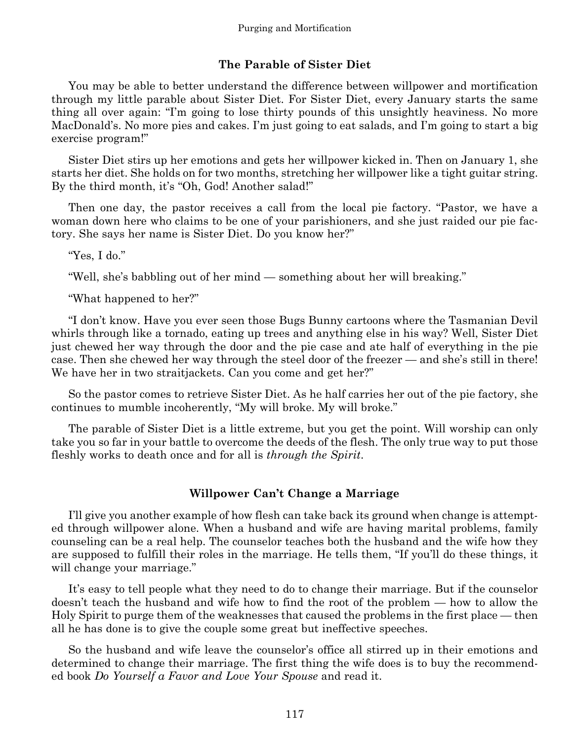# **The Parable of Sister Diet**

You may be able to better understand the difference between willpower and mortification through my little parable about Sister Diet. For Sister Diet, every January starts the same thing all over again: "I'm going to lose thirty pounds of this unsightly heaviness. No more MacDonald's. No more pies and cakes. I'm just going to eat salads, and I'm going to start a big exercise program!"

Sister Diet stirs up her emotions and gets her willpower kicked in. Then on January 1, she starts her diet. She holds on for two months, stretching her willpower like a tight guitar string. By the third month, it's "Oh, God! Another salad!"

Then one day, the pastor receives a call from the local pie factory. "Pastor, we have a woman down here who claims to be one of your parishioners, and she just raided our pie factory. She says her name is Sister Diet. Do you know her?"

"Yes, I do."

"Well, she's babbling out of her mind — something about her will breaking."

"What happened to her?"

"I don't know. Have you ever seen those Bugs Bunny cartoons where the Tasmanian Devil whirls through like a tornado, eating up trees and anything else in his way? Well, Sister Diet just chewed her way through the door and the pie case and ate half of everything in the pie case. Then she chewed her way through the steel door of the freezer — and she's still in there! We have her in two straitjackets. Can you come and get her?"

So the pastor comes to retrieve Sister Diet. As he half carries her out of the pie factory, she continues to mumble incoherently, "My will broke. My will broke."

The parable of Sister Diet is a little extreme, but you get the point. Will worship can only take you so far in your battle to overcome the deeds of the flesh. The only true way to put those fleshly works to death once and for all is *through the Spirit*.

# **Willpower Can't Change a Marriage**

I'll give you another example of how flesh can take back its ground when change is attempted through willpower alone. When a husband and wife are having marital problems, family counseling can be a real help. The counselor teaches both the husband and the wife how they are supposed to fulfill their roles in the marriage. He tells them, "If you'll do these things, it will change your marriage."

It's easy to tell people what they need to do to change their marriage. But if the counselor doesn't teach the husband and wife how to find the root of the problem — how to allow the Holy Spirit to purge them of the weaknesses that caused the problems in the first place — then all he has done is to give the couple some great but ineffective speeches.

So the husband and wife leave the counselor's office all stirred up in their emotions and determined to change their marriage. The first thing the wife does is to buy the recommended book *Do Yourself a Favor and Love Your Spouse* and read it.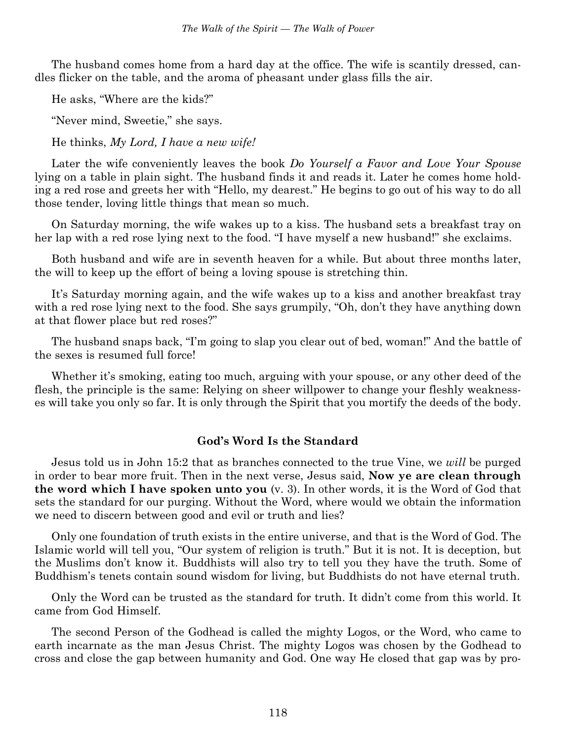The husband comes home from a hard day at the office. The wife is scantily dressed, candles flicker on the table, and the aroma of pheasant under glass fills the air.

He asks, "Where are the kids?"

"Never mind, Sweetie," she says.

He thinks, *My Lord, I have a new wife!* 

Later the wife conveniently leaves the book *Do Yourself a Favor and Love Your Spouse* lying on a table in plain sight. The husband finds it and reads it. Later he comes home holding a red rose and greets her with "Hello, my dearest." He begins to go out of his way to do all those tender, loving little things that mean so much.

On Saturday morning, the wife wakes up to a kiss. The husband sets a breakfast tray on her lap with a red rose lying next to the food. "I have myself a new husband!" she exclaims.

Both husband and wife are in seventh heaven for a while. But about three months later, the will to keep up the effort of being a loving spouse is stretching thin.

It's Saturday morning again, and the wife wakes up to a kiss and another breakfast tray with a red rose lying next to the food. She says grumpily, "Oh, don't they have anything down at that flower place but red roses?"

The husband snaps back, "I'm going to slap you clear out of bed, woman!" And the battle of the sexes is resumed full force!

Whether it's smoking, eating too much, arguing with your spouse, or any other deed of the flesh, the principle is the same: Relying on sheer willpower to change your fleshly weaknesses will take you only so far. It is only through the Spirit that you mortify the deeds of the body.

# **God's Word Is the Standard**

Jesus told us in John 15:2 that as branches connected to the true Vine, we *will* be purged in order to bear more fruit. Then in the next verse, Jesus said, **Now ye are clean through the word which I have spoken unto you** (v. 3). In other words, it is the Word of God that sets the standard for our purging. Without the Word, where would we obtain the information we need to discern between good and evil or truth and lies?

Only one foundation of truth exists in the entire universe, and that is the Word of God. The Islamic world will tell you, "Our system of religion is truth." But it is not. It is deception, but the Muslims don't know it. Buddhists will also try to tell you they have the truth. Some of Buddhism's tenets contain sound wisdom for living, but Buddhists do not have eternal truth.

Only the Word can be trusted as the standard for truth. It didn't come from this world. It came from God Himself.

The second Person of the Godhead is called the mighty Logos, or the Word, who came to earth incarnate as the man Jesus Christ. The mighty Logos was chosen by the Godhead to cross and close the gap between humanity and God. One way He closed that gap was by pro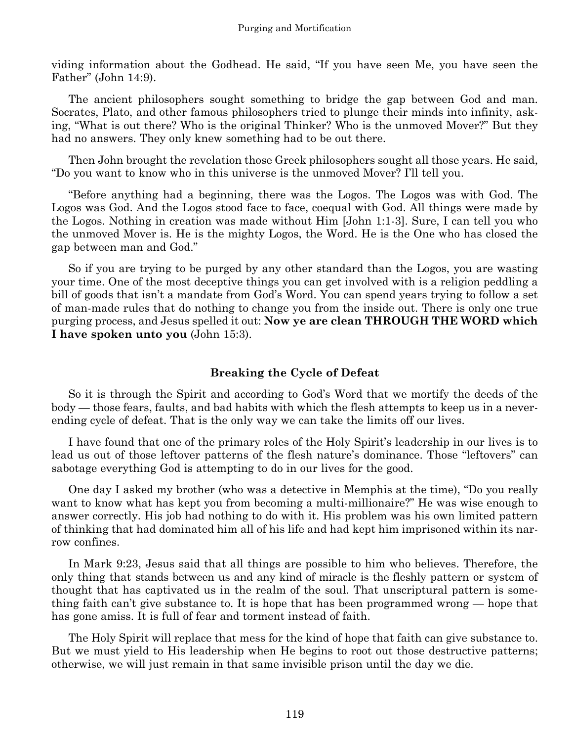viding information about the Godhead. He said, "If you have seen Me, you have seen the Father" (John 14:9).

The ancient philosophers sought something to bridge the gap between God and man. Socrates, Plato, and other famous philosophers tried to plunge their minds into infinity, asking, "What is out there? Who is the original Thinker? Who is the unmoved Mover?" But they had no answers. They only knew something had to be out there.

Then John brought the revelation those Greek philosophers sought all those years. He said, "Do you want to know who in this universe is the unmoved Mover? I'll tell you.

"Before anything had a beginning, there was the Logos. The Logos was with God. The Logos was God. And the Logos stood face to face, coequal with God. All things were made by the Logos. Nothing in creation was made without Him [John 1:1-3]. Sure, I can tell you who the unmoved Mover is. He is the mighty Logos, the Word. He is the One who has closed the gap between man and God."

So if you are trying to be purged by any other standard than the Logos, you are wasting your time. One of the most deceptive things you can get involved with is a religion peddling a bill of goods that isn't a mandate from God's Word. You can spend years trying to follow a set of man-made rules that do nothing to change you from the inside out. There is only one true purging process, and Jesus spelled it out: **Now ye are clean THROUGH THE WORD which I have spoken unto you** (John 15:3).

# **Breaking the Cycle of Defeat**

So it is through the Spirit and according to God's Word that we mortify the deeds of the body — those fears, faults, and bad habits with which the flesh attempts to keep us in a neverending cycle of defeat. That is the only way we can take the limits off our lives.

I have found that one of the primary roles of the Holy Spirit's leadership in our lives is to lead us out of those leftover patterns of the flesh nature's dominance. Those "leftovers" can sabotage everything God is attempting to do in our lives for the good.

One day I asked my brother (who was a detective in Memphis at the time), "Do you really want to know what has kept you from becoming a multi-millionaire?" He was wise enough to answer correctly. His job had nothing to do with it. His problem was his own limited pattern of thinking that had dominated him all of his life and had kept him imprisoned within its narrow confines.

In Mark 9:23, Jesus said that all things are possible to him who believes. Therefore, the only thing that stands between us and any kind of miracle is the fleshly pattern or system of thought that has captivated us in the realm of the soul. That unscriptural pattern is something faith can't give substance to. It is hope that has been programmed wrong — hope that has gone amiss. It is full of fear and torment instead of faith.

The Holy Spirit will replace that mess for the kind of hope that faith can give substance to. But we must yield to His leadership when He begins to root out those destructive patterns; otherwise, we will just remain in that same invisible prison until the day we die.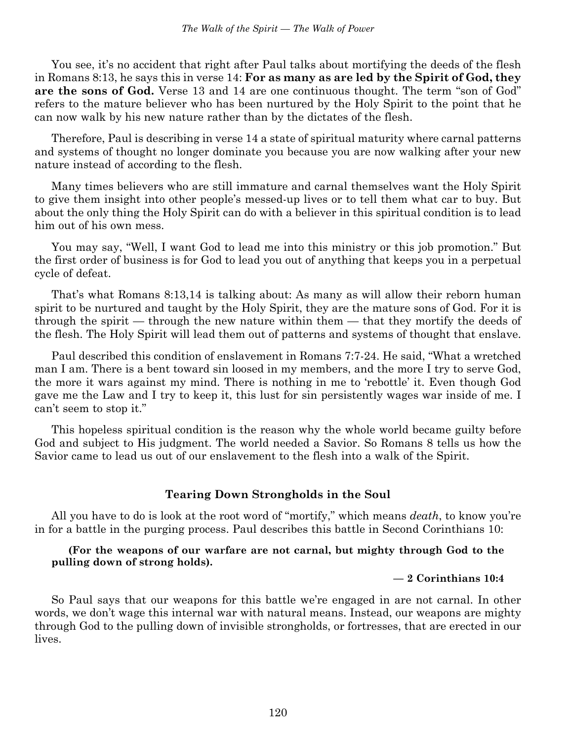You see, it's no accident that right after Paul talks about mortifying the deeds of the flesh in Romans 8:13, he says this in verse 14: **For as many as are led by the Spirit of God, they are the sons of God.** Verse 13 and 14 are one continuous thought. The term "son of God" refers to the mature believer who has been nurtured by the Holy Spirit to the point that he can now walk by his new nature rather than by the dictates of the flesh.

Therefore, Paul is describing in verse 14 a state of spiritual maturity where carnal patterns and systems of thought no longer dominate you because you are now walking after your new nature instead of according to the flesh.

Many times believers who are still immature and carnal themselves want the Holy Spirit to give them insight into other people's messed-up lives or to tell them what car to buy. But about the only thing the Holy Spirit can do with a believer in this spiritual condition is to lead him out of his own mess.

You may say, "Well, I want God to lead me into this ministry or this job promotion." But the first order of business is for God to lead you out of anything that keeps you in a perpetual cycle of defeat.

That's what Romans 8:13,14 is talking about: As many as will allow their reborn human spirit to be nurtured and taught by the Holy Spirit, they are the mature sons of God. For it is through the spirit — through the new nature within them — that they mortify the deeds of the flesh. The Holy Spirit will lead them out of patterns and systems of thought that enslave.

Paul described this condition of enslavement in Romans 7:7-24. He said, "What a wretched man I am. There is a bent toward sin loosed in my members, and the more I try to serve God, the more it wars against my mind. There is nothing in me to 'rebottle' it. Even though God gave me the Law and I try to keep it, this lust for sin persistently wages war inside of me. I can't seem to stop it."

This hopeless spiritual condition is the reason why the whole world became guilty before God and subject to His judgment. The world needed a Savior. So Romans 8 tells us how the Savior came to lead us out of our enslavement to the flesh into a walk of the Spirit.

#### **Tearing Down Strongholds in the Soul**

All you have to do is look at the root word of "mortify," which means *death*, to know you're in for a battle in the purging process. Paul describes this battle in Second Corinthians 10:

#### **(For the weapons of our warfare are not carnal, but mighty through God to the pulling down of strong holds).**

#### **— 2 Corinthians 10:4**

So Paul says that our weapons for this battle we're engaged in are not carnal. In other words, we don't wage this internal war with natural means. Instead, our weapons are mighty through God to the pulling down of invisible strongholds, or fortresses, that are erected in our lives.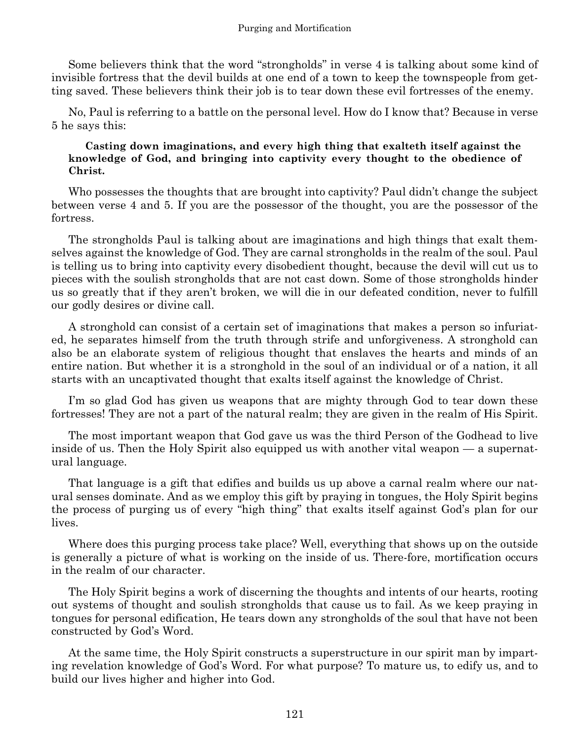Some believers think that the word "strongholds" in verse 4 is talking about some kind of invisible fortress that the devil builds at one end of a town to keep the townspeople from getting saved. These believers think their job is to tear down these evil fortresses of the enemy.

No, Paul is referring to a battle on the personal level. How do I know that? Because in verse 5 he says this:

#### **Casting down imaginations, and every high thing that exalteth itself against the knowledge of God, and bringing into captivity every thought to the obedience of Christ.**

Who possesses the thoughts that are brought into captivity? Paul didn't change the subject between verse 4 and 5. If you are the possessor of the thought, you are the possessor of the fortress.

The strongholds Paul is talking about are imaginations and high things that exalt themselves against the knowledge of God. They are carnal strongholds in the realm of the soul. Paul is telling us to bring into captivity every disobedient thought, because the devil will cut us to pieces with the soulish strongholds that are not cast down. Some of those strongholds hinder us so greatly that if they aren't broken, we will die in our defeated condition, never to fulfill our godly desires or divine call.

A stronghold can consist of a certain set of imaginations that makes a person so infuriated, he separates himself from the truth through strife and unforgiveness. A stronghold can also be an elaborate system of religious thought that enslaves the hearts and minds of an entire nation. But whether it is a stronghold in the soul of an individual or of a nation, it all starts with an uncaptivated thought that exalts itself against the knowledge of Christ.

I'm so glad God has given us weapons that are mighty through God to tear down these fortresses! They are not a part of the natural realm; they are given in the realm of His Spirit.

The most important weapon that God gave us was the third Person of the Godhead to live inside of us. Then the Holy Spirit also equipped us with another vital weapon — a supernatural language.

That language is a gift that edifies and builds us up above a carnal realm where our natural senses dominate. And as we employ this gift by praying in tongues, the Holy Spirit begins the process of purging us of every "high thing" that exalts itself against God's plan for our lives.

Where does this purging process take place? Well, everything that shows up on the outside is generally a picture of what is working on the inside of us. There-fore, mortification occurs in the realm of our character.

The Holy Spirit begins a work of discerning the thoughts and intents of our hearts, rooting out systems of thought and soulish strongholds that cause us to fail. As we keep praying in tongues for personal edification, He tears down any strongholds of the soul that have not been constructed by God's Word.

At the same time, the Holy Spirit constructs a superstructure in our spirit man by imparting revelation knowledge of God's Word. For what purpose? To mature us, to edify us, and to build our lives higher and higher into God.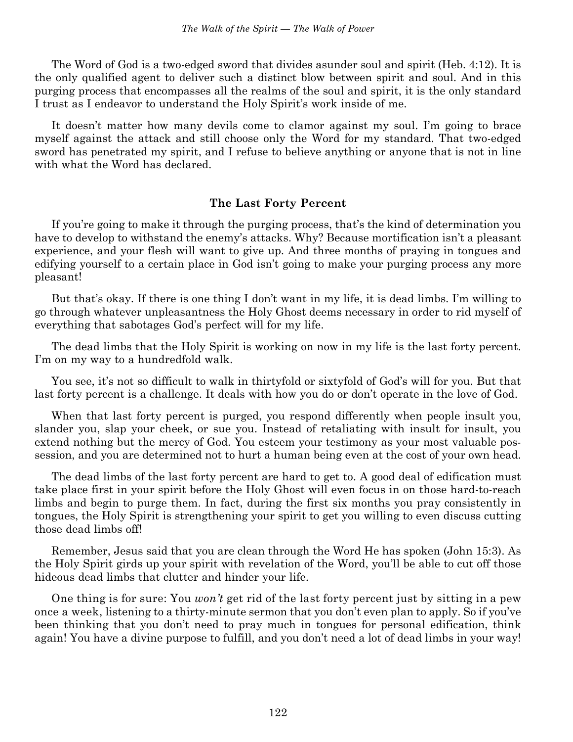The Word of God is a two-edged sword that divides asunder soul and spirit (Heb. 4:12). It is the only qualified agent to deliver such a distinct blow between spirit and soul. And in this purging process that encompasses all the realms of the soul and spirit, it is the only standard I trust as I endeavor to understand the Holy Spirit's work inside of me.

It doesn't matter how many devils come to clamor against my soul. I'm going to brace myself against the attack and still choose only the Word for my standard. That two-edged sword has penetrated my spirit, and I refuse to believe anything or anyone that is not in line with what the Word has declared.

#### **The Last Forty Percent**

If you're going to make it through the purging process, that's the kind of determination you have to develop to withstand the enemy's attacks. Why? Because mortification isn't a pleasant experience, and your flesh will want to give up. And three months of praying in tongues and edifying yourself to a certain place in God isn't going to make your purging process any more pleasant!

But that's okay. If there is one thing I don't want in my life, it is dead limbs. I'm willing to go through whatever unpleasantness the Holy Ghost deems necessary in order to rid myself of everything that sabotages God's perfect will for my life.

The dead limbs that the Holy Spirit is working on now in my life is the last forty percent. I'm on my way to a hundredfold walk.

You see, it's not so difficult to walk in thirtyfold or sixtyfold of God's will for you. But that last forty percent is a challenge. It deals with how you do or don't operate in the love of God.

When that last forty percent is purged, you respond differently when people insult you, slander you, slap your cheek, or sue you. Instead of retaliating with insult for insult, you extend nothing but the mercy of God. You esteem your testimony as your most valuable possession, and you are determined not to hurt a human being even at the cost of your own head.

The dead limbs of the last forty percent are hard to get to. A good deal of edification must take place first in your spirit before the Holy Ghost will even focus in on those hard-to-reach limbs and begin to purge them. In fact, during the first six months you pray consistently in tongues, the Holy Spirit is strengthening your spirit to get you willing to even discuss cutting those dead limbs off!

Remember, Jesus said that you are clean through the Word He has spoken (John 15:3). As the Holy Spirit girds up your spirit with revelation of the Word, you'll be able to cut off those hideous dead limbs that clutter and hinder your life.

One thing is for sure: You *won't* get rid of the last forty percent just by sitting in a pew once a week, listening to a thirty-minute sermon that you don't even plan to apply. So if you've been thinking that you don't need to pray much in tongues for personal edification, think again! You have a divine purpose to fulfill, and you don't need a lot of dead limbs in your way!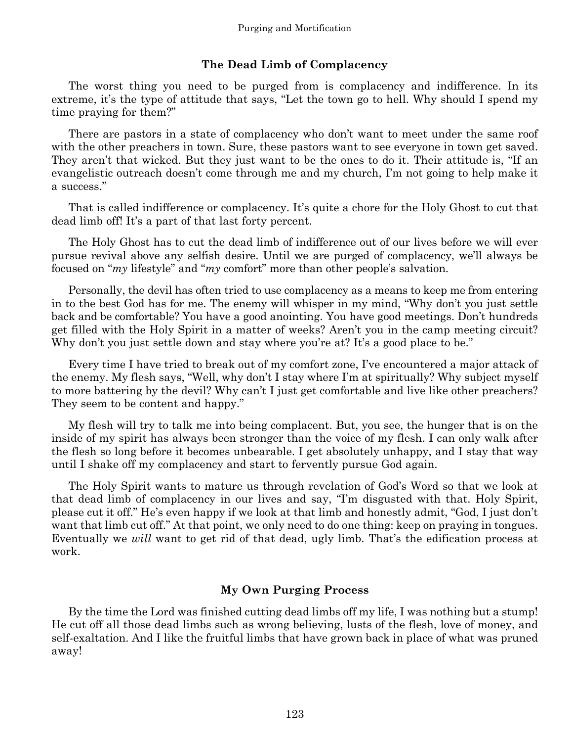# **The Dead Limb of Complacency**

The worst thing you need to be purged from is complacency and indifference. In its extreme, it's the type of attitude that says, "Let the town go to hell. Why should I spend my time praying for them?"

There are pastors in a state of complacency who don't want to meet under the same roof with the other preachers in town. Sure, these pastors want to see everyone in town get saved. They aren't that wicked. But they just want to be the ones to do it. Their attitude is, "If an evangelistic outreach doesn't come through me and my church, I'm not going to help make it a success."

That is called indifference or complacency. It's quite a chore for the Holy Ghost to cut that dead limb off! It's a part of that last forty percent.

The Holy Ghost has to cut the dead limb of indifference out of our lives before we will ever pursue revival above any selfish desire. Until we are purged of complacency, we'll always be focused on "*my* lifestyle" and "*my* comfort" more than other people's salvation.

Personally, the devil has often tried to use complacency as a means to keep me from entering in to the best God has for me. The enemy will whisper in my mind, "Why don't you just settle back and be comfortable? You have a good anointing. You have good meetings. Don't hundreds get filled with the Holy Spirit in a matter of weeks? Aren't you in the camp meeting circuit? Why don't you just settle down and stay where you're at? It's a good place to be."

Every time I have tried to break out of my comfort zone, I've encountered a major attack of the enemy. My flesh says, "Well, why don't I stay where I'm at spiritually? Why subject myself to more battering by the devil? Why can't I just get comfortable and live like other preachers? They seem to be content and happy."

My flesh will try to talk me into being complacent. But, you see, the hunger that is on the inside of my spirit has always been stronger than the voice of my flesh. I can only walk after the flesh so long before it becomes unbearable. I get absolutely unhappy, and I stay that way until I shake off my complacency and start to fervently pursue God again.

The Holy Spirit wants to mature us through revelation of God's Word so that we look at that dead limb of complacency in our lives and say, "I'm disgusted with that. Holy Spirit, please cut it off." He's even happy if we look at that limb and honestly admit, "God, I just don't want that limb cut off." At that point, we only need to do one thing: keep on praying in tongues. Eventually we *will* want to get rid of that dead, ugly limb. That's the edification process at work.

# **My Own Purging Process**

By the time the Lord was finished cutting dead limbs off my life, I was nothing but a stump! He cut off all those dead limbs such as wrong believing, lusts of the flesh, love of money, and self-exaltation. And I like the fruitful limbs that have grown back in place of what was pruned away!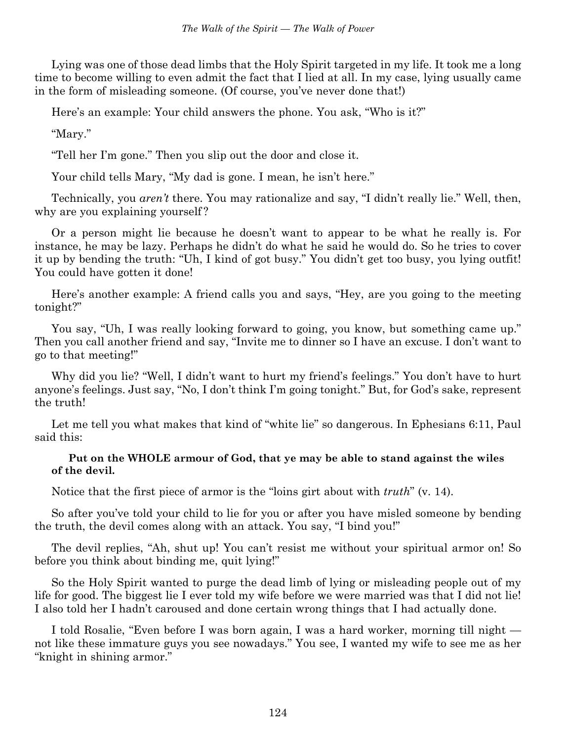Lying was one of those dead limbs that the Holy Spirit targeted in my life. It took me a long time to become willing to even admit the fact that I lied at all. In my case, lying usually came in the form of misleading someone. (Of course, you've never done that!)

Here's an example: Your child answers the phone. You ask, "Who is it?"

"Mary."

"Tell her I'm gone." Then you slip out the door and close it.

Your child tells Mary, "My dad is gone. I mean, he isn't here."

Technically, you *aren't* there. You may rationalize and say, "I didn't really lie." Well, then, why are you explaining yourself?

Or a person might lie because he doesn't want to appear to be what he really is. For instance, he may be lazy. Perhaps he didn't do what he said he would do. So he tries to cover it up by bending the truth: "Uh, I kind of got busy." You didn't get too busy, you lying outfit! You could have gotten it done!

Here's another example: A friend calls you and says, "Hey, are you going to the meeting tonight?"

You say, "Uh, I was really looking forward to going, you know, but something came up." Then you call another friend and say, "Invite me to dinner so I have an excuse. I don't want to go to that meeting!"

Why did you lie? "Well, I didn't want to hurt my friend's feelings." You don't have to hurt anyone's feelings. Just say, "No, I don't think I'm going tonight." But, for God's sake, represent the truth!

Let me tell you what makes that kind of "white lie" so dangerous. In Ephesians 6:11, Paul said this:

# **Put on the WHOLE armour of God, that ye may be able to stand against the wiles of the devil.**

Notice that the first piece of armor is the "loins girt about with *truth*" (v. 14).

So after you've told your child to lie for you or after you have misled someone by bending the truth, the devil comes along with an attack. You say, "I bind you!"

The devil replies, "Ah, shut up! You can't resist me without your spiritual armor on! So before you think about binding me, quit lying!"

So the Holy Spirit wanted to purge the dead limb of lying or misleading people out of my life for good. The biggest lie I ever told my wife before we were married was that I did not lie! I also told her I hadn't caroused and done certain wrong things that I had actually done.

I told Rosalie, "Even before I was born again, I was a hard worker, morning till night not like these immature guys you see nowadays." You see, I wanted my wife to see me as her "knight in shining armor."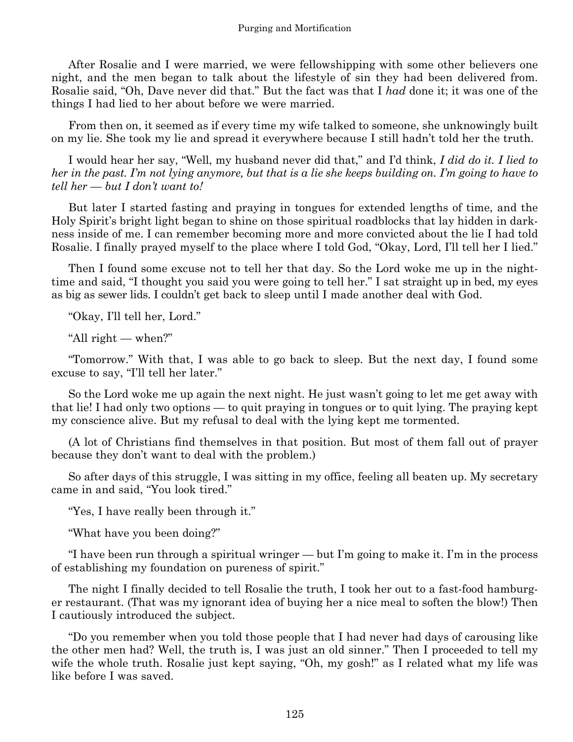After Rosalie and I were married, we were fellowshipping with some other believers one night, and the men began to talk about the lifestyle of sin they had been delivered from. Rosalie said, "Oh, Dave never did that." But the fact was that I *had* done it; it was one of the things I had lied to her about before we were married.

From then on, it seemed as if every time my wife talked to someone, she unknowingly built on my lie. She took my lie and spread it everywhere because I still hadn't told her the truth.

I would hear her say, "Well, my husband never did that," and I'd think, *I did do it. I lied to her in the past. I'm not lying anymore, but that is a lie she keeps building on. I'm going to have to tell her — but I don't want to!*

But later I started fasting and praying in tongues for extended lengths of time, and the Holy Spirit's bright light began to shine on those spiritual roadblocks that lay hidden in darkness inside of me. I can remember becoming more and more convicted about the lie I had told Rosalie. I finally prayed myself to the place where I told God, "Okay, Lord, I'll tell her I lied."

Then I found some excuse not to tell her that day. So the Lord woke me up in the nighttime and said, "I thought you said you were going to tell her." I sat straight up in bed, my eyes as big as sewer lids. I couldn't get back to sleep until I made another deal with God.

"Okay, I'll tell her, Lord."

"All right — when?"

"Tomorrow." With that, I was able to go back to sleep. But the next day, I found some excuse to say, "I'll tell her later."

So the Lord woke me up again the next night. He just wasn't going to let me get away with that lie! I had only two options — to quit praying in tongues or to quit lying. The praying kept my conscience alive. But my refusal to deal with the lying kept me tormented.

(A lot of Christians find themselves in that position. But most of them fall out of prayer because they don't want to deal with the problem.)

So after days of this struggle, I was sitting in my office, feeling all beaten up. My secretary came in and said, "You look tired."

"Yes, I have really been through it."

"What have you been doing?"

"I have been run through a spiritual wringer — but I'm going to make it. I'm in the process of establishing my foundation on pureness of spirit."

The night I finally decided to tell Rosalie the truth, I took her out to a fast-food hamburger restaurant. (That was my ignorant idea of buying her a nice meal to soften the blow!) Then I cautiously introduced the subject.

"Do you remember when you told those people that I had never had days of carousing like the other men had? Well, the truth is, I was just an old sinner." Then I proceeded to tell my wife the whole truth. Rosalie just kept saying, "Oh, my gosh!" as I related what my life was like before I was saved.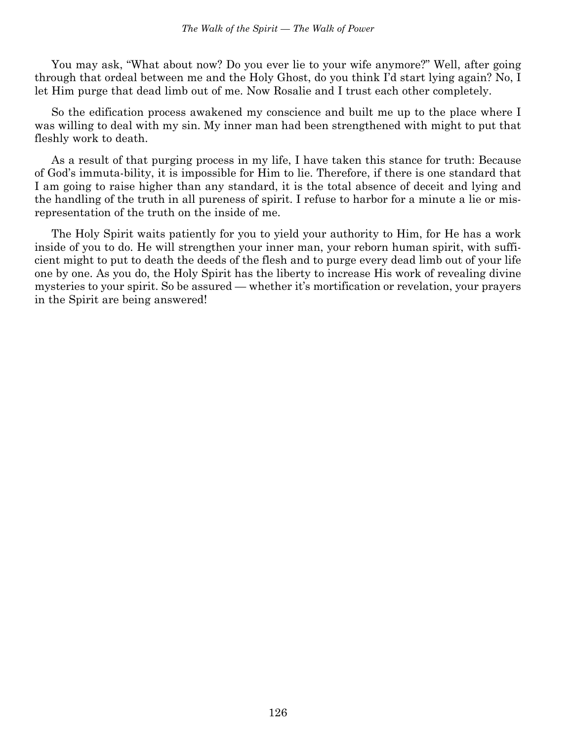You may ask, "What about now? Do you ever lie to your wife anymore?" Well, after going through that ordeal between me and the Holy Ghost, do you think I'd start lying again? No, I let Him purge that dead limb out of me. Now Rosalie and I trust each other completely.

So the edification process awakened my conscience and built me up to the place where I was willing to deal with my sin. My inner man had been strengthened with might to put that fleshly work to death.

As a result of that purging process in my life, I have taken this stance for truth: Because of God's immuta-bility, it is impossible for Him to lie. Therefore, if there is one standard that I am going to raise higher than any standard, it is the total absence of deceit and lying and the handling of the truth in all pureness of spirit. I refuse to harbor for a minute a lie or misrepresentation of the truth on the inside of me.

The Holy Spirit waits patiently for you to yield your authority to Him, for He has a work inside of you to do. He will strengthen your inner man, your reborn human spirit, with sufficient might to put to death the deeds of the flesh and to purge every dead limb out of your life one by one. As you do, the Holy Spirit has the liberty to increase His work of revealing divine mysteries to your spirit. So be assured — whether it's mortification or revelation, your prayers in the Spirit are being answered!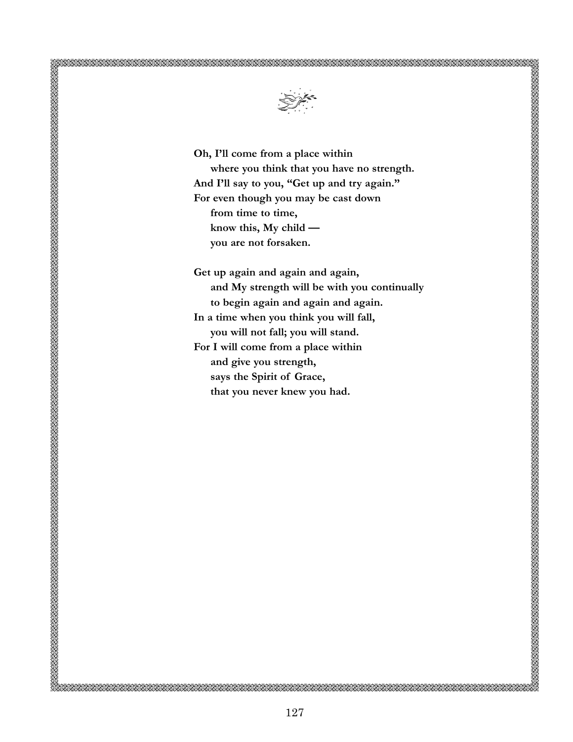

**Oh, I'll come from a place within where you think that you have no strength. And I'll say to you, "Get up and try again." For even though you may be cast down from time to time, know this, My child you are not forsaken.**

**Get up again and again and again, and My strength will be with you continually to begin again and again and again. In a time when you think you will fall, you will not fall; you will stand. For I will come from a place within and give you strength, says the Spirit of Grace, that you never knew you had.**

A A TA 1990 A 1990 A 1990 A 1990 A 1990 A 1990 A 1990 A 1990 A 1990 A 1990 A 1990 A 1990 A 1990 A 1990 A 1990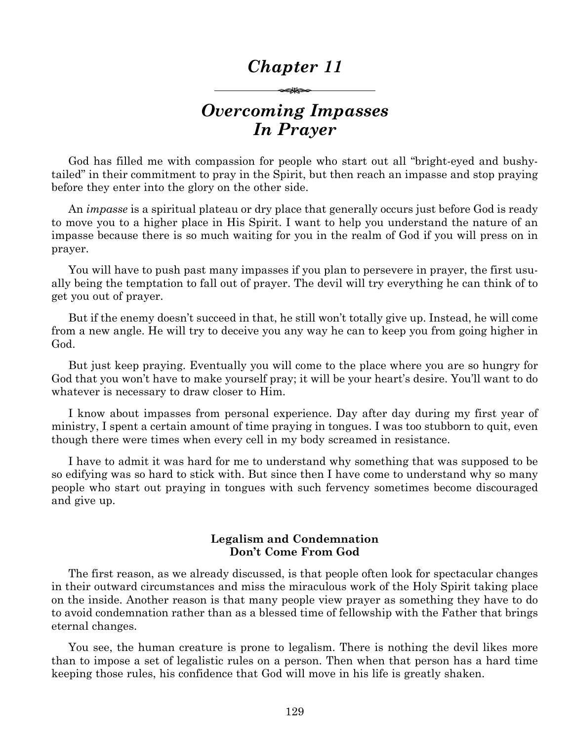# *Chapter 11*

# *Overcoming Impasses In Prayer*

God has filled me with compassion for people who start out all "bright-eyed and bushytailed" in their commitment to pray in the Spirit, but then reach an impasse and stop praying before they enter into the glory on the other side.

An *impasse* is a spiritual plateau or dry place that generally occurs just before God is ready to move you to a higher place in His Spirit. I want to help you understand the nature of an impasse because there is so much waiting for you in the realm of God if you will press on in prayer.

You will have to push past many impasses if you plan to persevere in prayer, the first usually being the temptation to fall out of prayer. The devil will try everything he can think of to get you out of prayer.

But if the enemy doesn't succeed in that, he still won't totally give up. Instead, he will come from a new angle. He will try to deceive you any way he can to keep you from going higher in God.

But just keep praying. Eventually you will come to the place where you are so hungry for God that you won't have to make yourself pray; it will be your heart's desire. You'll want to do whatever is necessary to draw closer to Him.

I know about impasses from personal experience. Day after day during my first year of ministry, I spent a certain amount of time praying in tongues. I was too stubborn to quit, even though there were times when every cell in my body screamed in resistance.

I have to admit it was hard for me to understand why something that was supposed to be so edifying was so hard to stick with. But since then I have come to understand why so many people who start out praying in tongues with such fervency sometimes become discouraged and give up.

#### **Legalism and Condemnation Don't Come From God**

The first reason, as we already discussed, is that people often look for spectacular changes in their outward circumstances and miss the miraculous work of the Holy Spirit taking place on the inside. Another reason is that many people view prayer as something they have to do to avoid condemnation rather than as a blessed time of fellowship with the Father that brings eternal changes.

You see, the human creature is prone to legalism. There is nothing the devil likes more than to impose a set of legalistic rules on a person. Then when that person has a hard time keeping those rules, his confidence that God will move in his life is greatly shaken.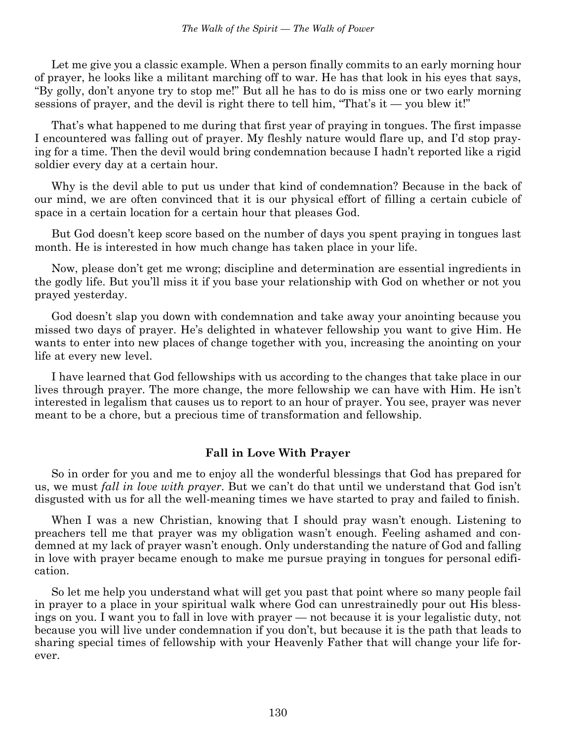Let me give you a classic example. When a person finally commits to an early morning hour of prayer, he looks like a militant marching off to war. He has that look in his eyes that says, "By golly, don't anyone try to stop me!" But all he has to do is miss one or two early morning sessions of prayer, and the devil is right there to tell him, "That's it — you blew it!"

That's what happened to me during that first year of praying in tongues. The first impasse I encountered was falling out of prayer. My fleshly nature would flare up, and I'd stop praying for a time. Then the devil would bring condemnation because I hadn't reported like a rigid soldier every day at a certain hour.

Why is the devil able to put us under that kind of condemnation? Because in the back of our mind, we are often convinced that it is our physical effort of filling a certain cubicle of space in a certain location for a certain hour that pleases God.

But God doesn't keep score based on the number of days you spent praying in tongues last month. He is interested in how much change has taken place in your life.

Now, please don't get me wrong; discipline and determination are essential ingredients in the godly life. But you'll miss it if you base your relationship with God on whether or not you prayed yesterday.

God doesn't slap you down with condemnation and take away your anointing because you missed two days of prayer. He's delighted in whatever fellowship you want to give Him. He wants to enter into new places of change together with you, increasing the anointing on your life at every new level.

I have learned that God fellowships with us according to the changes that take place in our lives through prayer. The more change, the more fellowship we can have with Him. He isn't interested in legalism that causes us to report to an hour of prayer. You see, prayer was never meant to be a chore, but a precious time of transformation and fellowship.

# **Fall in Love With Prayer**

So in order for you and me to enjoy all the wonderful blessings that God has prepared for us, we must *fall in love with prayer*. But we can't do that until we understand that God isn't disgusted with us for all the well-meaning times we have started to pray and failed to finish.

When I was a new Christian, knowing that I should pray wasn't enough. Listening to preachers tell me that prayer was my obligation wasn't enough. Feeling ashamed and condemned at my lack of prayer wasn't enough. Only understanding the nature of God and falling in love with prayer became enough to make me pursue praying in tongues for personal edification.

So let me help you understand what will get you past that point where so many people fail in prayer to a place in your spiritual walk where God can unrestrainedly pour out His blessings on you. I want you to fall in love with prayer — not because it is your legalistic duty, not because you will live under condemnation if you don't, but because it is the path that leads to sharing special times of fellowship with your Heavenly Father that will change your life forever.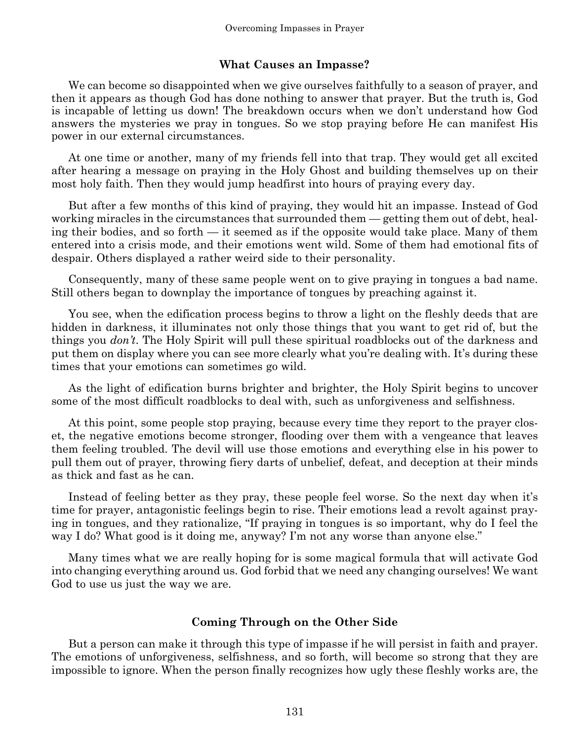#### **What Causes an Impasse?**

We can become so disappointed when we give ourselves faithfully to a season of prayer, and then it appears as though God has done nothing to answer that prayer. But the truth is, God is incapable of letting us down! The breakdown occurs when we don't understand how God answers the mysteries we pray in tongues. So we stop praying before He can manifest His power in our external circumstances.

At one time or another, many of my friends fell into that trap. They would get all excited after hearing a message on praying in the Holy Ghost and building themselves up on their most holy faith. Then they would jump headfirst into hours of praying every day.

But after a few months of this kind of praying, they would hit an impasse. Instead of God working miracles in the circumstances that surrounded them — getting them out of debt, healing their bodies, and so forth — it seemed as if the opposite would take place. Many of them entered into a crisis mode, and their emotions went wild. Some of them had emotional fits of despair. Others displayed a rather weird side to their personality.

Consequently, many of these same people went on to give praying in tongues a bad name. Still others began to downplay the importance of tongues by preaching against it.

You see, when the edification process begins to throw a light on the fleshly deeds that are hidden in darkness, it illuminates not only those things that you want to get rid of, but the things you *don't*. The Holy Spirit will pull these spiritual roadblocks out of the darkness and put them on display where you can see more clearly what you're dealing with. It's during these times that your emotions can sometimes go wild.

As the light of edification burns brighter and brighter, the Holy Spirit begins to uncover some of the most difficult roadblocks to deal with, such as unforgiveness and selfishness.

At this point, some people stop praying, because every time they report to the prayer closet, the negative emotions become stronger, flooding over them with a vengeance that leaves them feeling troubled. The devil will use those emotions and everything else in his power to pull them out of prayer, throwing fiery darts of unbelief, defeat, and deception at their minds as thick and fast as he can.

Instead of feeling better as they pray, these people feel worse. So the next day when it's time for prayer, antagonistic feelings begin to rise. Their emotions lead a revolt against praying in tongues, and they rationalize, "If praying in tongues is so important, why do I feel the way I do? What good is it doing me, anyway? I'm not any worse than anyone else."

Many times what we are really hoping for is some magical formula that will activate God into changing everything around us. God forbid that we need any changing ourselves! We want God to use us just the way we are.

#### **Coming Through on the Other Side**

But a person can make it through this type of impasse if he will persist in faith and prayer. The emotions of unforgiveness, selfishness, and so forth, will become so strong that they are impossible to ignore. When the person finally recognizes how ugly these fleshly works are, the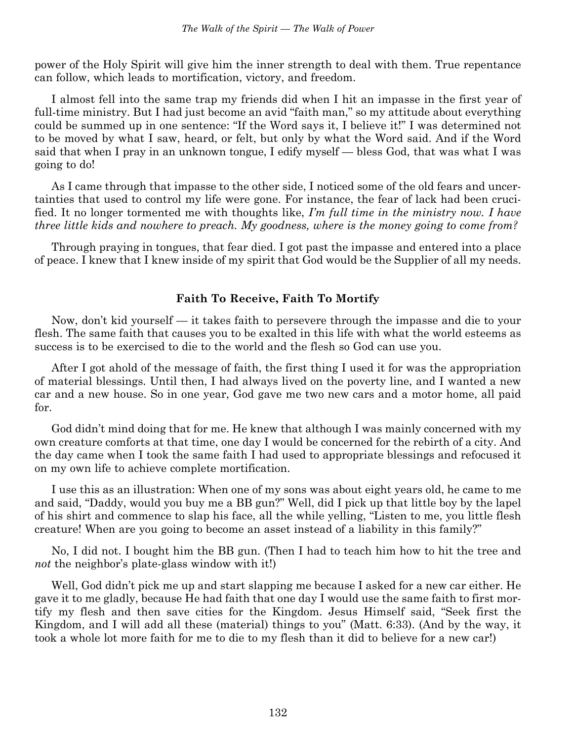power of the Holy Spirit will give him the inner strength to deal with them. True repentance can follow, which leads to mortification, victory, and freedom.

I almost fell into the same trap my friends did when I hit an impasse in the first year of full-time ministry. But I had just become an avid "faith man," so my attitude about everything could be summed up in one sentence: "If the Word says it, I believe it!" I was determined not to be moved by what I saw, heard, or felt, but only by what the Word said. And if the Word said that when I pray in an unknown tongue, I edify myself — bless God, that was what I was going to do!

As I came through that impasse to the other side, I noticed some of the old fears and uncertainties that used to control my life were gone. For instance, the fear of lack had been crucified. It no longer tormented me with thoughts like, *I'm full time in the ministry now. I have three little kids and nowhere to preach. My goodness, where is the money going to come from?*

Through praying in tongues, that fear died. I got past the impasse and entered into a place of peace. I knew that I knew inside of my spirit that God would be the Supplier of all my needs.

# **Faith To Receive, Faith To Mortify**

Now, don't kid yourself — it takes faith to persevere through the impasse and die to your flesh. The same faith that causes you to be exalted in this life with what the world esteems as success is to be exercised to die to the world and the flesh so God can use you.

After I got ahold of the message of faith, the first thing I used it for was the appropriation of material blessings. Until then, I had always lived on the poverty line, and I wanted a new car and a new house. So in one year, God gave me two new cars and a motor home, all paid for.

God didn't mind doing that for me. He knew that although I was mainly concerned with my own creature comforts at that time, one day I would be concerned for the rebirth of a city. And the day came when I took the same faith I had used to appropriate blessings and refocused it on my own life to achieve complete mortification.

I use this as an illustration: When one of my sons was about eight years old, he came to me and said, "Daddy, would you buy me a BB gun?" Well, did I pick up that little boy by the lapel of his shirt and commence to slap his face, all the while yelling, "Listen to me, you little flesh creature! When are you going to become an asset instead of a liability in this family?"

No, I did not. I bought him the BB gun. (Then I had to teach him how to hit the tree and *not* the neighbor's plate-glass window with it!)

Well, God didn't pick me up and start slapping me because I asked for a new car either. He gave it to me gladly, because He had faith that one day I would use the same faith to first mortify my flesh and then save cities for the Kingdom. Jesus Himself said, "Seek first the Kingdom, and I will add all these (material) things to you" (Matt. 6:33). (And by the way, it took a whole lot more faith for me to die to my flesh than it did to believe for a new car!)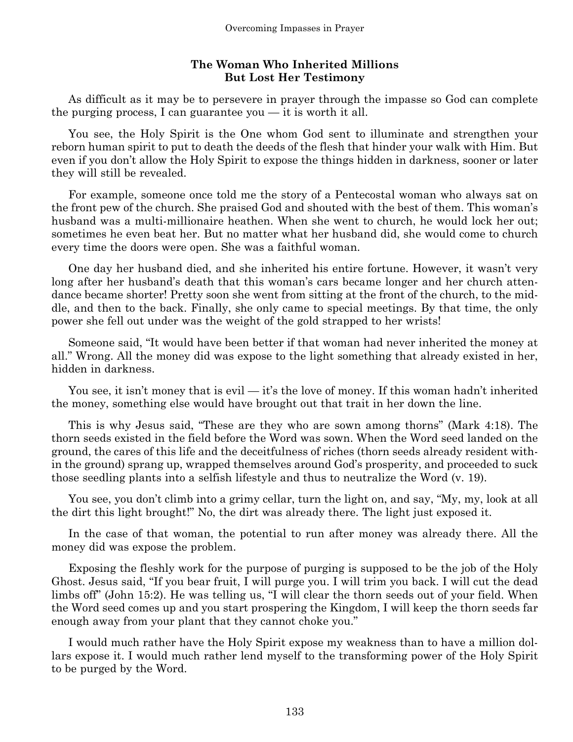# **The Woman Who Inherited Millions But Lost Her Testimony**

As difficult as it may be to persevere in prayer through the impasse so God can complete the purging process, I can guarantee you — it is worth it all.

You see, the Holy Spirit is the One whom God sent to illuminate and strengthen your reborn human spirit to put to death the deeds of the flesh that hinder your walk with Him. But even if you don't allow the Holy Spirit to expose the things hidden in darkness, sooner or later they will still be revealed.

For example, someone once told me the story of a Pentecostal woman who always sat on the front pew of the church. She praised God and shouted with the best of them. This woman's husband was a multi-millionaire heathen. When she went to church, he would lock her out; sometimes he even beat her. But no matter what her husband did, she would come to church every time the doors were open. She was a faithful woman.

One day her husband died, and she inherited his entire fortune. However, it wasn't very long after her husband's death that this woman's cars became longer and her church attendance became shorter! Pretty soon she went from sitting at the front of the church, to the middle, and then to the back. Finally, she only came to special meetings. By that time, the only power she fell out under was the weight of the gold strapped to her wrists!

Someone said, "It would have been better if that woman had never inherited the money at all." Wrong. All the money did was expose to the light something that already existed in her, hidden in darkness.

You see, it isn't money that is evil — it's the love of money. If this woman hadn't inherited the money, something else would have brought out that trait in her down the line.

This is why Jesus said, "These are they who are sown among thorns" (Mark 4:18). The thorn seeds existed in the field before the Word was sown. When the Word seed landed on the ground, the cares of this life and the deceitfulness of riches (thorn seeds already resident within the ground) sprang up, wrapped themselves around God's prosperity, and proceeded to suck those seedling plants into a selfish lifestyle and thus to neutralize the Word (v. 19).

You see, you don't climb into a grimy cellar, turn the light on, and say, "My, my, look at all the dirt this light brought!" No, the dirt was already there. The light just exposed it.

In the case of that woman, the potential to run after money was already there. All the money did was expose the problem.

Exposing the fleshly work for the purpose of purging is supposed to be the job of the Holy Ghost. Jesus said, "If you bear fruit, I will purge you. I will trim you back. I will cut the dead limbs off" (John 15:2). He was telling us, "I will clear the thorn seeds out of your field. When the Word seed comes up and you start prospering the Kingdom, I will keep the thorn seeds far enough away from your plant that they cannot choke you."

I would much rather have the Holy Spirit expose my weakness than to have a million dollars expose it. I would much rather lend myself to the transforming power of the Holy Spirit to be purged by the Word.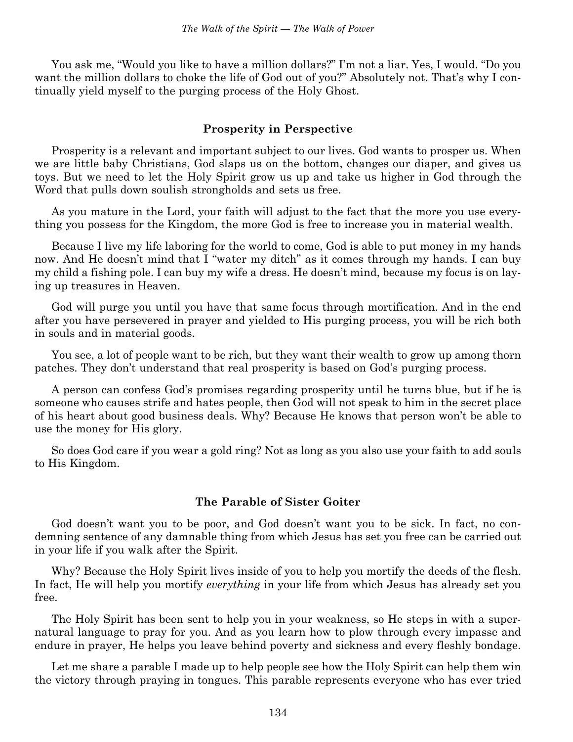You ask me, "Would you like to have a million dollars?" I'm not a liar. Yes, I would. "Do you want the million dollars to choke the life of God out of you?" Absolutely not. That's why I continually yield myself to the purging process of the Holy Ghost.

#### **Prosperity in Perspective**

Prosperity is a relevant and important subject to our lives. God wants to prosper us. When we are little baby Christians, God slaps us on the bottom, changes our diaper, and gives us toys. But we need to let the Holy Spirit grow us up and take us higher in God through the Word that pulls down soulish strongholds and sets us free.

As you mature in the Lord, your faith will adjust to the fact that the more you use everything you possess for the Kingdom, the more God is free to increase you in material wealth.

Because I live my life laboring for the world to come, God is able to put money in my hands now. And He doesn't mind that I "water my ditch" as it comes through my hands. I can buy my child a fishing pole. I can buy my wife a dress. He doesn't mind, because my focus is on laying up treasures in Heaven.

God will purge you until you have that same focus through mortification. And in the end after you have persevered in prayer and yielded to His purging process, you will be rich both in souls and in material goods.

You see, a lot of people want to be rich, but they want their wealth to grow up among thorn patches. They don't understand that real prosperity is based on God's purging process.

A person can confess God's promises regarding prosperity until he turns blue, but if he is someone who causes strife and hates people, then God will not speak to him in the secret place of his heart about good business deals. Why? Because He knows that person won't be able to use the money for His glory.

So does God care if you wear a gold ring? Not as long as you also use your faith to add souls to His Kingdom.

#### **The Parable of Sister Goiter**

God doesn't want you to be poor, and God doesn't want you to be sick. In fact, no condemning sentence of any damnable thing from which Jesus has set you free can be carried out in your life if you walk after the Spirit.

Why? Because the Holy Spirit lives inside of you to help you mortify the deeds of the flesh. In fact, He will help you mortify *everything* in your life from which Jesus has already set you free.

The Holy Spirit has been sent to help you in your weakness, so He steps in with a supernatural language to pray for you. And as you learn how to plow through every impasse and endure in prayer, He helps you leave behind poverty and sickness and every fleshly bondage.

Let me share a parable I made up to help people see how the Holy Spirit can help them win the victory through praying in tongues. This parable represents everyone who has ever tried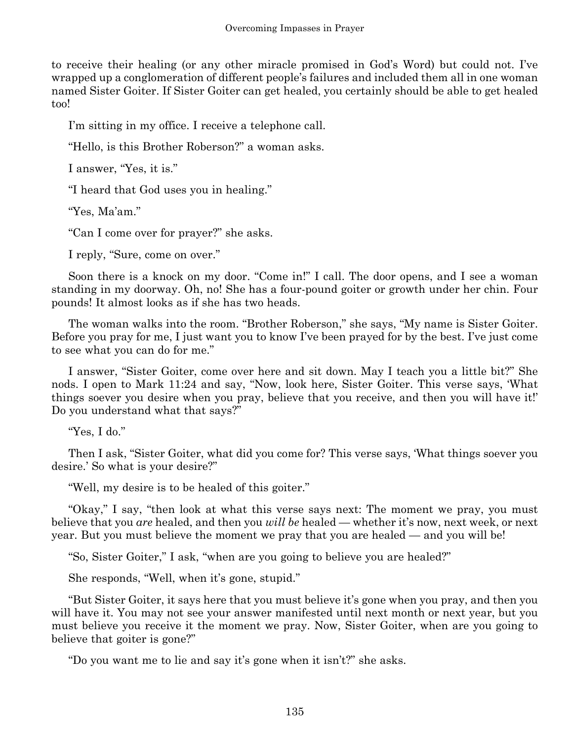to receive their healing (or any other miracle promised in God's Word) but could not. I've wrapped up a conglomeration of different people's failures and included them all in one woman named Sister Goiter. If Sister Goiter can get healed, you certainly should be able to get healed too!

I'm sitting in my office. I receive a telephone call.

"Hello, is this Brother Roberson?" a woman asks.

I answer, "Yes, it is."

"I heard that God uses you in healing."

"Yes, Ma'am."

"Can I come over for prayer?" she asks.

I reply, "Sure, come on over."

Soon there is a knock on my door. "Come in!" I call. The door opens, and I see a woman standing in my doorway. Oh, no! She has a four-pound goiter or growth under her chin. Four pounds! It almost looks as if she has two heads.

The woman walks into the room. "Brother Roberson," she says, "My name is Sister Goiter. Before you pray for me, I just want you to know I've been prayed for by the best. I've just come to see what you can do for me."

I answer, "Sister Goiter, come over here and sit down. May I teach you a little bit?" She nods. I open to Mark 11:24 and say, "Now, look here, Sister Goiter. This verse says, 'What things soever you desire when you pray, believe that you receive, and then you will have it!' Do you understand what that says?"

"Yes, I do."

Then I ask, "Sister Goiter, what did you come for? This verse says, 'What things soever you desire.' So what is your desire?"

"Well, my desire is to be healed of this goiter."

"Okay," I say, "then look at what this verse says next: The moment we pray, you must believe that you *are* healed, and then you *will be* healed — whether it's now, next week, or next year. But you must believe the moment we pray that you are healed — and you will be!

"So, Sister Goiter," I ask, "when are you going to believe you are healed?"

She responds, "Well, when it's gone, stupid."

"But Sister Goiter, it says here that you must believe it's gone when you pray, and then you will have it. You may not see your answer manifested until next month or next year, but you must believe you receive it the moment we pray. Now, Sister Goiter, when are you going to believe that goiter is gone?"

"Do you want me to lie and say it's gone when it isn't?" she asks.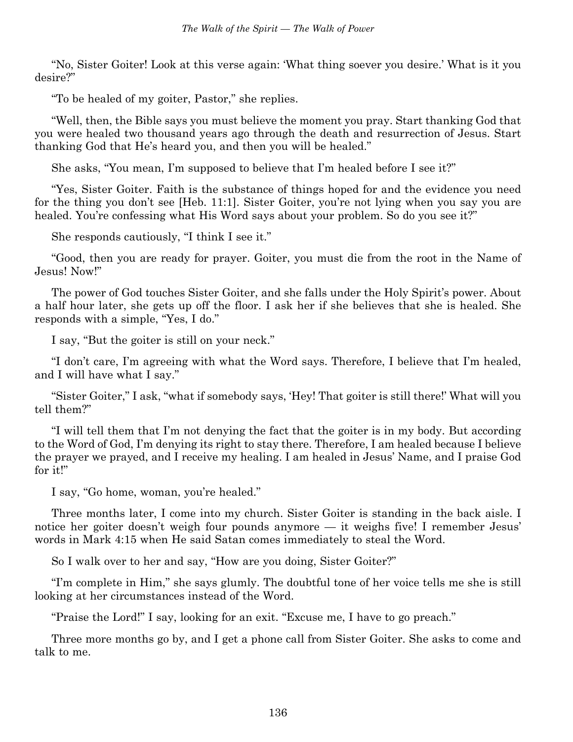"No, Sister Goiter! Look at this verse again: 'What thing soever you desire.' What is it you desire?"

"To be healed of my goiter, Pastor," she replies.

"Well, then, the Bible says you must believe the moment you pray. Start thanking God that you were healed two thousand years ago through the death and resurrection of Jesus. Start thanking God that He's heard you, and then you will be healed."

She asks, "You mean, I'm supposed to believe that I'm healed before I see it?"

"Yes, Sister Goiter. Faith is the substance of things hoped for and the evidence you need for the thing you don't see [Heb. 11:1]. Sister Goiter, you're not lying when you say you are healed. You're confessing what His Word says about your problem. So do you see it?"

She responds cautiously, "I think I see it."

"Good, then you are ready for prayer. Goiter, you must die from the root in the Name of Jesus! Now!"

The power of God touches Sister Goiter, and she falls under the Holy Spirit's power. About a half hour later, she gets up off the floor. I ask her if she believes that she is healed. She responds with a simple, "Yes, I do."

I say, "But the goiter is still on your neck."

"I don't care, I'm agreeing with what the Word says. Therefore, I believe that I'm healed, and I will have what I say."

"Sister Goiter," I ask, "what if somebody says, 'Hey! That goiter is still there!' What will you tell them?"

"I will tell them that I'm not denying the fact that the goiter is in my body. But according to the Word of God, I'm denying its right to stay there. Therefore, I am healed because I believe the prayer we prayed, and I receive my healing. I am healed in Jesus' Name, and I praise God for it!"

I say, "Go home, woman, you're healed."

Three months later, I come into my church. Sister Goiter is standing in the back aisle. I notice her goiter doesn't weigh four pounds anymore — it weighs five! I remember Jesus' words in Mark 4:15 when He said Satan comes immediately to steal the Word.

So I walk over to her and say, "How are you doing, Sister Goiter?"

"I'm complete in Him," she says glumly. The doubtful tone of her voice tells me she is still looking at her circumstances instead of the Word.

"Praise the Lord!" I say, looking for an exit. "Excuse me, I have to go preach."

Three more months go by, and I get a phone call from Sister Goiter. She asks to come and talk to me.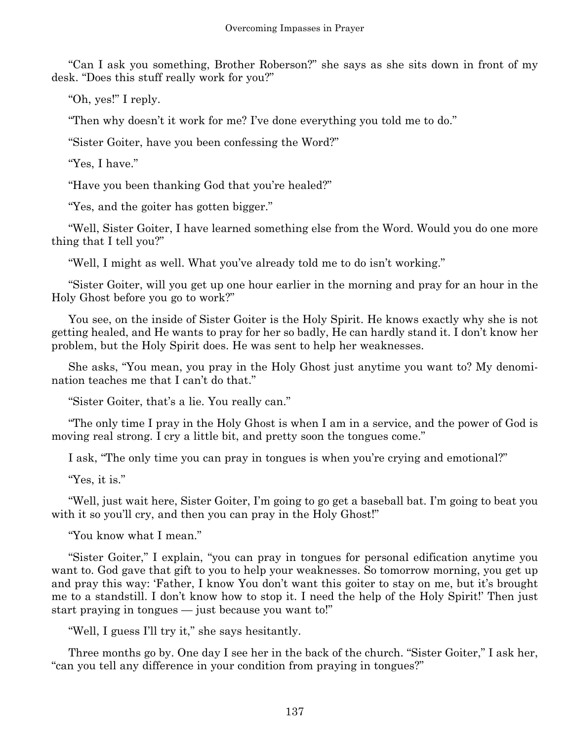"Can I ask you something, Brother Roberson?" she says as she sits down in front of my desk. "Does this stuff really work for you?"

"Oh, yes!" I reply.

"Then why doesn't it work for me? I've done everything you told me to do."

"Sister Goiter, have you been confessing the Word?"

"Yes, I have."

"Have you been thanking God that you're healed?"

"Yes, and the goiter has gotten bigger."

"Well, Sister Goiter, I have learned something else from the Word. Would you do one more thing that I tell you?"

"Well, I might as well. What you've already told me to do isn't working."

"Sister Goiter, will you get up one hour earlier in the morning and pray for an hour in the Holy Ghost before you go to work?"

You see, on the inside of Sister Goiter is the Holy Spirit. He knows exactly why she is not getting healed, and He wants to pray for her so badly, He can hardly stand it. I don't know her problem, but the Holy Spirit does. He was sent to help her weaknesses.

She asks, "You mean, you pray in the Holy Ghost just anytime you want to? My denomination teaches me that I can't do that."

"Sister Goiter, that's a lie. You really can."

"The only time I pray in the Holy Ghost is when I am in a service, and the power of God is moving real strong. I cry a little bit, and pretty soon the tongues come."

I ask, "The only time you can pray in tongues is when you're crying and emotional?"

"Yes, it is."

"Well, just wait here, Sister Goiter, I'm going to go get a baseball bat. I'm going to beat you with it so you'll cry, and then you can pray in the Holy Ghost!"

"You know what I mean."

"Sister Goiter," I explain, "you can pray in tongues for personal edification anytime you want to. God gave that gift to you to help your weaknesses. So tomorrow morning, you get up and pray this way: 'Father, I know You don't want this goiter to stay on me, but it's brought me to a standstill. I don't know how to stop it. I need the help of the Holy Spirit!' Then just start praying in tongues — just because you want to!"

"Well, I guess I'll try it," she says hesitantly.

Three months go by. One day I see her in the back of the church. "Sister Goiter," I ask her, "can you tell any difference in your condition from praying in tongues?"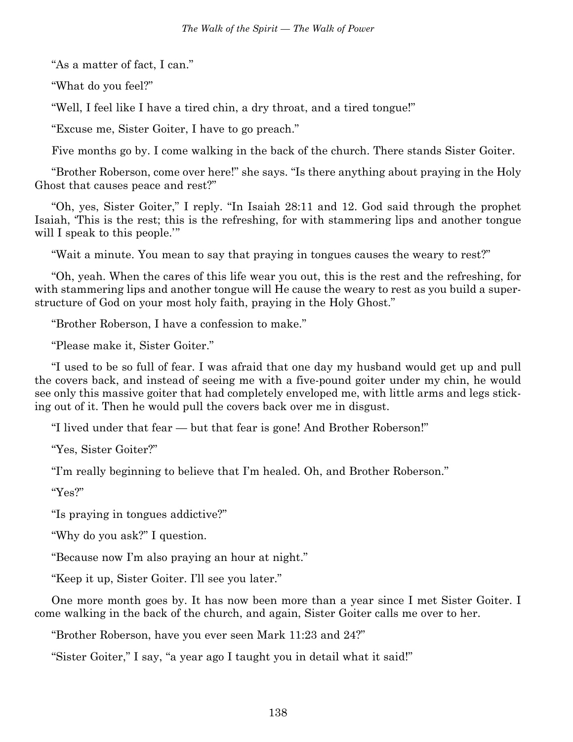"As a matter of fact, I can."

"What do you feel?"

"Well, I feel like I have a tired chin, a dry throat, and a tired tongue!"

"Excuse me, Sister Goiter, I have to go preach."

Five months go by. I come walking in the back of the church. There stands Sister Goiter.

"Brother Roberson, come over here!" she says. "Is there anything about praying in the Holy Ghost that causes peace and rest?"

"Oh, yes, Sister Goiter," I reply. "In Isaiah 28:11 and 12. God said through the prophet Isaiah, 'This is the rest; this is the refreshing, for with stammering lips and another tongue will I speak to this people."

"Wait a minute. You mean to say that praying in tongues causes the weary to rest?"

"Oh, yeah. When the cares of this life wear you out, this is the rest and the refreshing, for with stammering lips and another tongue will He cause the weary to rest as you build a superstructure of God on your most holy faith, praying in the Holy Ghost."

"Brother Roberson, I have a confession to make."

"Please make it, Sister Goiter."

"I used to be so full of fear. I was afraid that one day my husband would get up and pull the covers back, and instead of seeing me with a five-pound goiter under my chin, he would see only this massive goiter that had completely enveloped me, with little arms and legs sticking out of it. Then he would pull the covers back over me in disgust.

"I lived under that fear — but that fear is gone! And Brother Roberson!"

"Yes, Sister Goiter?"

"I'm really beginning to believe that I'm healed. Oh, and Brother Roberson."

"Yes?"

"Is praying in tongues addictive?"

"Why do you ask?" I question.

"Because now I'm also praying an hour at night."

"Keep it up, Sister Goiter. I'll see you later."

One more month goes by. It has now been more than a year since I met Sister Goiter. I come walking in the back of the church, and again, Sister Goiter calls me over to her.

"Brother Roberson, have you ever seen Mark 11:23 and 24?"

"Sister Goiter," I say, "a year ago I taught you in detail what it said!"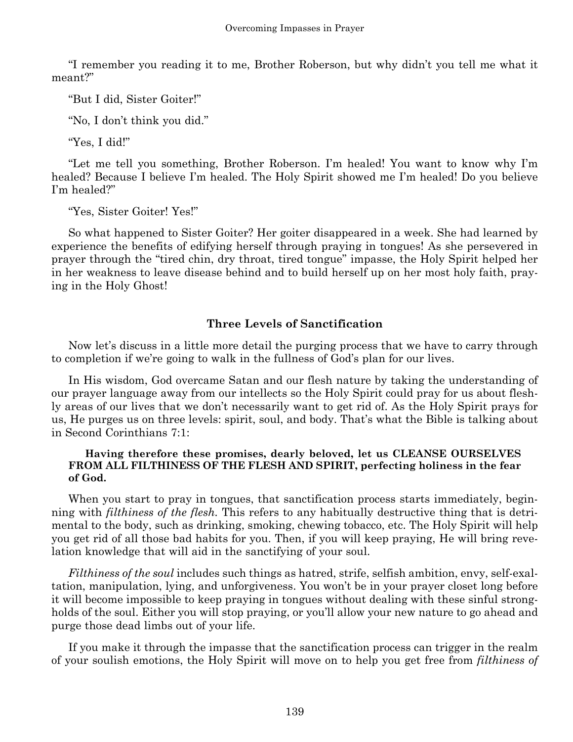"I remember you reading it to me, Brother Roberson, but why didn't you tell me what it meant?"

"But I did, Sister Goiter!"

"No, I don't think you did."

"Yes, I did!"

"Let me tell you something, Brother Roberson. I'm healed! You want to know why I'm healed? Because I believe I'm healed. The Holy Spirit showed me I'm healed! Do you believe I'm healed?"

"Yes, Sister Goiter! Yes!"

So what happened to Sister Goiter? Her goiter disappeared in a week. She had learned by experience the benefits of edifying herself through praying in tongues! As she persevered in prayer through the "tired chin, dry throat, tired tongue" impasse, the Holy Spirit helped her in her weakness to leave disease behind and to build herself up on her most holy faith, praying in the Holy Ghost!

# **Three Levels of Sanctification**

Now let's discuss in a little more detail the purging process that we have to carry through to completion if we're going to walk in the fullness of God's plan for our lives.

In His wisdom, God overcame Satan and our flesh nature by taking the understanding of our prayer language away from our intellects so the Holy Spirit could pray for us about fleshly areas of our lives that we don't necessarily want to get rid of. As the Holy Spirit prays for us, He purges us on three levels: spirit, soul, and body. That's what the Bible is talking about in Second Corinthians 7:1:

#### **Having therefore these promises, dearly beloved, let us CLEANSE OURSELVES FROM ALL FILTHINESS OF THE FLESH AND SPIRIT, perfecting holiness in the fear of God.**

When you start to pray in tongues, that sanctification process starts immediately, beginning with *filthiness of the flesh.* This refers to any habitually destructive thing that is detrimental to the body, such as drinking, smoking, chewing tobacco, etc. The Holy Spirit will help you get rid of all those bad habits for you. Then, if you will keep praying, He will bring revelation knowledge that will aid in the sanctifying of your soul.

*Filthiness of the soul* includes such things as hatred, strife, selfish ambition, envy, self-exaltation, manipulation, lying, and unforgiveness. You won't be in your prayer closet long before it will become impossible to keep praying in tongues without dealing with these sinful strongholds of the soul. Either you will stop praying, or you'll allow your new nature to go ahead and purge those dead limbs out of your life.

If you make it through the impasse that the sanctification process can trigger in the realm of your soulish emotions, the Holy Spirit will move on to help you get free from *filthiness of*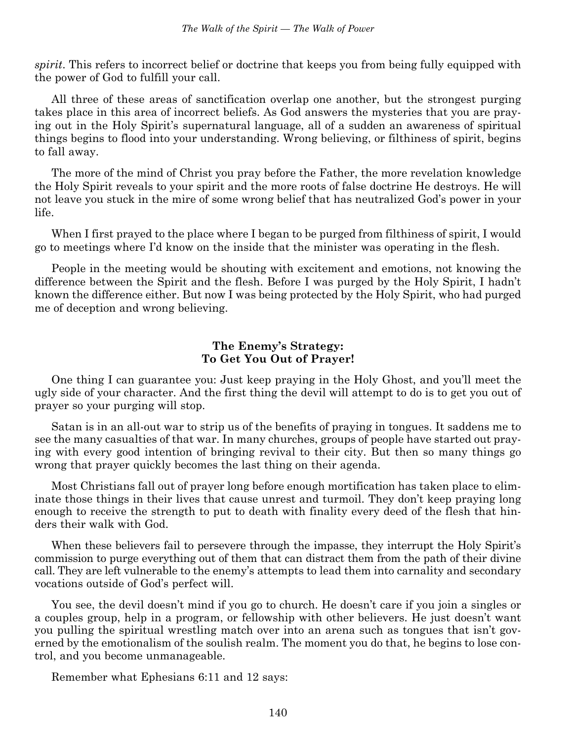*spirit*. This refers to incorrect belief or doctrine that keeps you from being fully equipped with the power of God to fulfill your call.

All three of these areas of sanctification overlap one another, but the strongest purging takes place in this area of incorrect beliefs. As God answers the mysteries that you are praying out in the Holy Spirit's supernatural language, all of a sudden an awareness of spiritual things begins to flood into your understanding. Wrong believing, or filthiness of spirit, begins to fall away.

The more of the mind of Christ you pray before the Father, the more revelation knowledge the Holy Spirit reveals to your spirit and the more roots of false doctrine He destroys. He will not leave you stuck in the mire of some wrong belief that has neutralized God's power in your life.

When I first prayed to the place where I began to be purged from filthiness of spirit, I would go to meetings where I'd know on the inside that the minister was operating in the flesh.

People in the meeting would be shouting with excitement and emotions, not knowing the difference between the Spirit and the flesh. Before I was purged by the Holy Spirit, I hadn't known the difference either. But now I was being protected by the Holy Spirit, who had purged me of deception and wrong believing.

#### **The Enemy's Strategy: To Get You Out of Prayer!**

One thing I can guarantee you: Just keep praying in the Holy Ghost, and you'll meet the ugly side of your character. And the first thing the devil will attempt to do is to get you out of prayer so your purging will stop.

Satan is in an all-out war to strip us of the benefits of praying in tongues. It saddens me to see the many casualties of that war. In many churches, groups of people have started out praying with every good intention of bringing revival to their city. But then so many things go wrong that prayer quickly becomes the last thing on their agenda.

Most Christians fall out of prayer long before enough mortification has taken place to eliminate those things in their lives that cause unrest and turmoil. They don't keep praying long enough to receive the strength to put to death with finality every deed of the flesh that hinders their walk with God.

When these believers fail to persevere through the impasse, they interrupt the Holy Spirit's commission to purge everything out of them that can distract them from the path of their divine call. They are left vulnerable to the enemy's attempts to lead them into carnality and secondary vocations outside of God's perfect will.

You see, the devil doesn't mind if you go to church. He doesn't care if you join a singles or a couples group, help in a program, or fellowship with other believers. He just doesn't want you pulling the spiritual wrestling match over into an arena such as tongues that isn't governed by the emotionalism of the soulish realm. The moment you do that, he begins to lose control, and you become unmanageable.

Remember what Ephesians 6:11 and 12 says: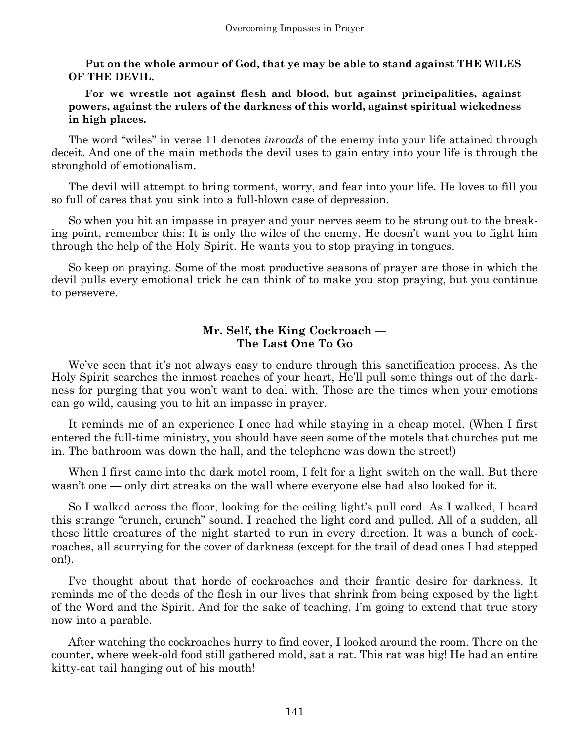**Put on the whole armour of God, that ye may be able to stand against THE WILES OF THE DEVIL.**

**For we wrestle not against flesh and blood, but against principalities, against powers, against the rulers of the darkness of this world, against spiritual wickedness in high places.**

The word "wiles" in verse 11 denotes *inroads* of the enemy into your life attained through deceit. And one of the main methods the devil uses to gain entry into your life is through the stronghold of emotionalism.

The devil will attempt to bring torment, worry, and fear into your life. He loves to fill you so full of cares that you sink into a full-blown case of depression.

So when you hit an impasse in prayer and your nerves seem to be strung out to the breaking point, remember this: It is only the wiles of the enemy. He doesn't want you to fight him through the help of the Holy Spirit. He wants you to stop praying in tongues.

So keep on praying. Some of the most productive seasons of prayer are those in which the devil pulls every emotional trick he can think of to make you stop praying, but you continue to persevere.

### **Mr. Self, the King Cockroach — The Last One To Go**

We've seen that it's not always easy to endure through this sanctification process. As the Holy Spirit searches the inmost reaches of your heart, He'll pull some things out of the darkness for purging that you won't want to deal with. Those are the times when your emotions can go wild, causing you to hit an impasse in prayer.

It reminds me of an experience I once had while staying in a cheap motel. (When I first entered the full-time ministry, you should have seen some of the motels that churches put me in. The bathroom was down the hall, and the telephone was down the street!)

When I first came into the dark motel room, I felt for a light switch on the wall. But there wasn't one — only dirt streaks on the wall where everyone else had also looked for it.

So I walked across the floor, looking for the ceiling light's pull cord. As I walked, I heard this strange "crunch, crunch" sound. I reached the light cord and pulled. All of a sudden, all these little creatures of the night started to run in every direction. It was a bunch of cockroaches, all scurrying for the cover of darkness (except for the trail of dead ones I had stepped on!).

I've thought about that horde of cockroaches and their frantic desire for darkness. It reminds me of the deeds of the flesh in our lives that shrink from being exposed by the light of the Word and the Spirit. And for the sake of teaching, I'm going to extend that true story now into a parable.

After watching the cockroaches hurry to find cover, I looked around the room. There on the counter, where week-old food still gathered mold, sat a rat. This rat was big! He had an entire kitty-cat tail hanging out of his mouth!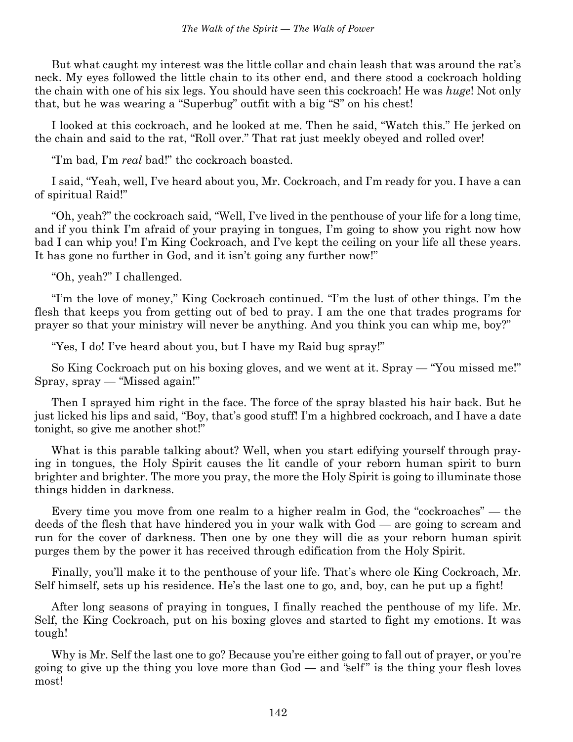But what caught my interest was the little collar and chain leash that was around the rat's neck. My eyes followed the little chain to its other end, and there stood a cockroach holding the chain with one of his six legs. You should have seen this cockroach! He was *huge*! Not only that, but he was wearing a "Superbug" outfit with a big "S" on his chest!

I looked at this cockroach, and he looked at me. Then he said, "Watch this." He jerked on the chain and said to the rat, "Roll over." That rat just meekly obeyed and rolled over!

"I'm bad, I'm *real* bad!" the cockroach boasted.

I said, "Yeah, well, I've heard about you, Mr. Cockroach, and I'm ready for you. I have a can of spiritual Raid!"

"Oh, yeah?" the cockroach said, "Well, I've lived in the penthouse of your life for a long time, and if you think I'm afraid of your praying in tongues, I'm going to show you right now how bad I can whip you! I'm King Cockroach, and I've kept the ceiling on your life all these years. It has gone no further in God, and it isn't going any further now!"

"Oh, yeah?" I challenged.

"I'm the love of money," King Cockroach continued. "I'm the lust of other things. I'm the flesh that keeps you from getting out of bed to pray. I am the one that trades programs for prayer so that your ministry will never be anything. And you think you can whip me, boy?"

"Yes, I do! I've heard about you, but I have my Raid bug spray!"

So King Cockroach put on his boxing gloves, and we went at it. Spray — "You missed me!" Spray, spray — "Missed again!"

Then I sprayed him right in the face. The force of the spray blasted his hair back. But he just licked his lips and said, "Boy, that's good stuff! I'm a highbred cockroach, and I have a date tonight, so give me another shot!"

What is this parable talking about? Well, when you start edifying yourself through praying in tongues, the Holy Spirit causes the lit candle of your reborn human spirit to burn brighter and brighter. The more you pray, the more the Holy Spirit is going to illuminate those things hidden in darkness.

Every time you move from one realm to a higher realm in God, the "cockroaches" — the deeds of the flesh that have hindered you in your walk with God — are going to scream and run for the cover of darkness. Then one by one they will die as your reborn human spirit purges them by the power it has received through edification from the Holy Spirit.

Finally, you'll make it to the penthouse of your life. That's where ole King Cockroach, Mr. Self himself, sets up his residence. He's the last one to go, and, boy, can he put up a fight!

After long seasons of praying in tongues, I finally reached the penthouse of my life. Mr. Self, the King Cockroach, put on his boxing gloves and started to fight my emotions. It was tough!

Why is Mr. Self the last one to go? Because you're either going to fall out of prayer, or you're going to give up the thing you love more than  $God - and 'self'$  is the thing your flesh loves most!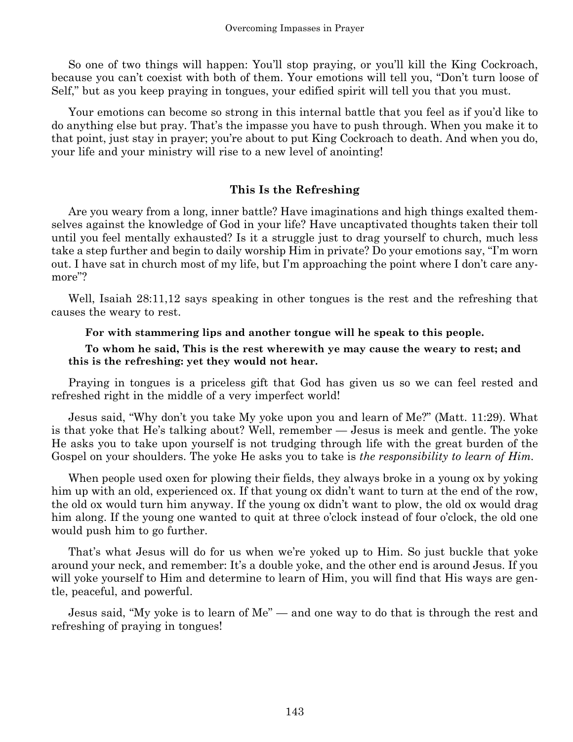So one of two things will happen: You'll stop praying, or you'll kill the King Cockroach, because you can't coexist with both of them. Your emotions will tell you, "Don't turn loose of Self," but as you keep praying in tongues, your edified spirit will tell you that you must.

Your emotions can become so strong in this internal battle that you feel as if you'd like to do anything else but pray. That's the impasse you have to push through. When you make it to that point, just stay in prayer; you're about to put King Cockroach to death. And when you do, your life and your ministry will rise to a new level of anointing!

# **This Is the Refreshing**

Are you weary from a long, inner battle? Have imaginations and high things exalted themselves against the knowledge of God in your life? Have uncaptivated thoughts taken their toll until you feel mentally exhausted? Is it a struggle just to drag yourself to church, much less take a step further and begin to daily worship Him in private? Do your emotions say, "I'm worn out. I have sat in church most of my life, but I'm approaching the point where I don't care anymore"?

Well, Isaiah 28:11,12 says speaking in other tongues is the rest and the refreshing that causes the weary to rest.

#### **For with stammering lips and another tongue will he speak to this people.**

### **To whom he said, This is the rest wherewith ye may cause the weary to rest; and this is the refreshing: yet they would not hear.**

Praying in tongues is a priceless gift that God has given us so we can feel rested and refreshed right in the middle of a very imperfect world!

Jesus said, "Why don't you take My yoke upon you and learn of Me?" (Matt. 11:29). What is that yoke that He's talking about? Well, remember — Jesus is meek and gentle. The yoke He asks you to take upon yourself is not trudging through life with the great burden of the Gospel on your shoulders. The yoke He asks you to take is *the responsibility to learn of Him.*

When people used oxen for plowing their fields, they always broke in a young ox by yoking him up with an old, experienced ox. If that young ox didn't want to turn at the end of the row, the old ox would turn him anyway. If the young ox didn't want to plow, the old ox would drag him along. If the young one wanted to quit at three o'clock instead of four o'clock, the old one would push him to go further.

That's what Jesus will do for us when we're yoked up to Him. So just buckle that yoke around your neck, and remember: It's a double yoke, and the other end is around Jesus. If you will yoke yourself to Him and determine to learn of Him, you will find that His ways are gentle, peaceful, and powerful.

Jesus said, "My yoke is to learn of Me" — and one way to do that is through the rest and refreshing of praying in tongues!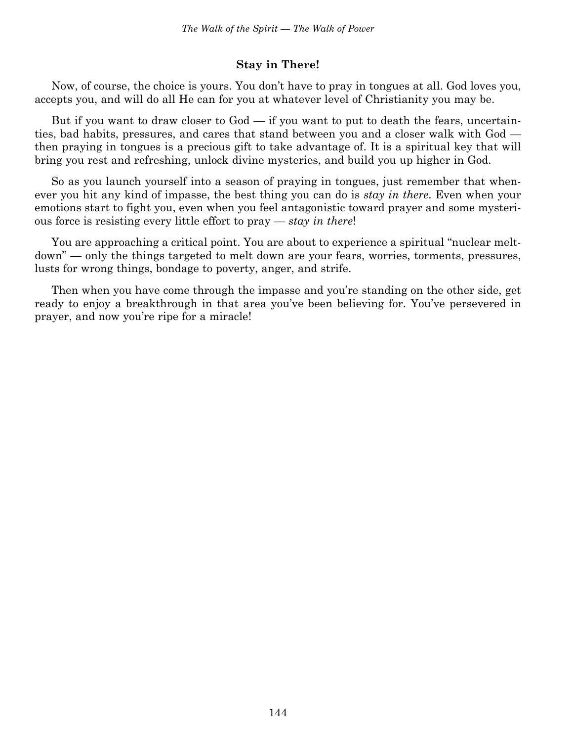# **Stay in There!**

Now, of course, the choice is yours. You don't have to pray in tongues at all. God loves you, accepts you, and will do all He can for you at whatever level of Christianity you may be.

But if you want to draw closer to God — if you want to put to death the fears, uncertainties, bad habits, pressures, and cares that stand between you and a closer walk with God then praying in tongues is a precious gift to take advantage of. It is a spiritual key that will bring you rest and refreshing, unlock divine mysteries, and build you up higher in God.

So as you launch yourself into a season of praying in tongues, just remember that whenever you hit any kind of impasse, the best thing you can do is *stay in there*. Even when your emotions start to fight you, even when you feel antagonistic toward prayer and some mysterious force is resisting every little effort to pray — *stay in there*!

You are approaching a critical point. You are about to experience a spiritual "nuclear meltdown" — only the things targeted to melt down are your fears, worries, torments, pressures, lusts for wrong things, bondage to poverty, anger, and strife.

Then when you have come through the impasse and you're standing on the other side, get ready to enjoy a breakthrough in that area you've been believing for. You've persevered in prayer, and now you're ripe for a miracle!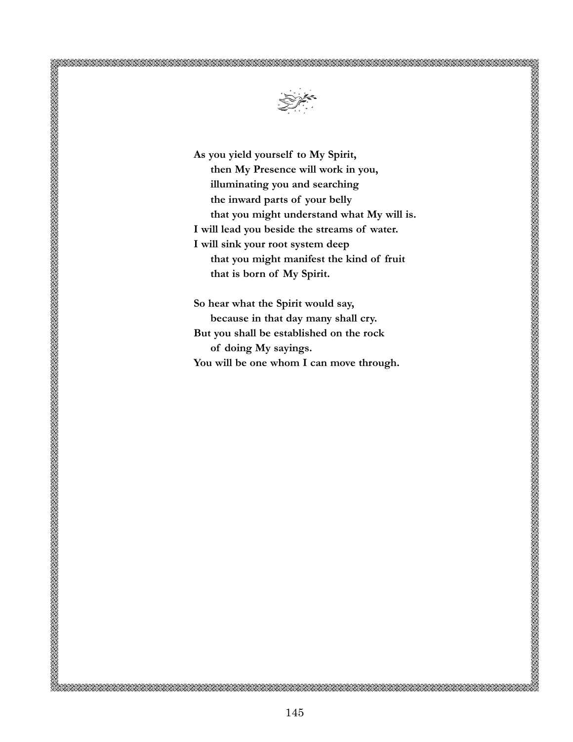

**As you yield yourself to My Spirit, then My Presence will work in you, illuminating you and searching the inward parts of your belly that you might understand what My will is. I will lead you beside the streams of water. I will sink your root system deep that you might manifest the kind of fruit that is born of My Spirit.**

**So hear what the Spirit would say, because in that day many shall cry. But you shall be established on the rock of doing My sayings. You will be one whom I can move through.** A TELES TELES TELES TELES TELES TELES TELES TELES TELES TELES TELES TELES TELES TELES TELES TELES TELES TELES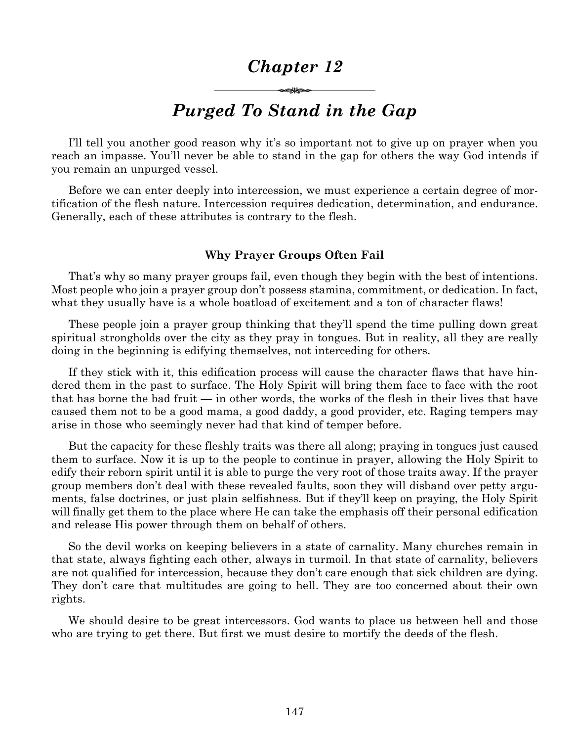# *Chapter 12*

# *Purged To Stand in the Gap*

I'll tell you another good reason why it's so important not to give up on prayer when you reach an impasse. You'll never be able to stand in the gap for others the way God intends if you remain an unpurged vessel.

Before we can enter deeply into intercession, we must experience a certain degree of mortification of the flesh nature. Intercession requires dedication, determination, and endurance. Generally, each of these attributes is contrary to the flesh.

#### **Why Prayer Groups Often Fail**

That's why so many prayer groups fail, even though they begin with the best of intentions. Most people who join a prayer group don't possess stamina, commitment, or dedication. In fact, what they usually have is a whole boatload of excitement and a ton of character flaws!

These people join a prayer group thinking that they'll spend the time pulling down great spiritual strongholds over the city as they pray in tongues. But in reality, all they are really doing in the beginning is edifying themselves, not interceding for others.

If they stick with it, this edification process will cause the character flaws that have hindered them in the past to surface. The Holy Spirit will bring them face to face with the root that has borne the bad fruit  $-$  in other words, the works of the flesh in their lives that have caused them not to be a good mama, a good daddy, a good provider, etc. Raging tempers may arise in those who seemingly never had that kind of temper before.

But the capacity for these fleshly traits was there all along; praying in tongues just caused them to surface. Now it is up to the people to continue in prayer, allowing the Holy Spirit to edify their reborn spirit until it is able to purge the very root of those traits away. If the prayer group members don't deal with these revealed faults, soon they will disband over petty arguments, false doctrines, or just plain selfishness. But if they'll keep on praying, the Holy Spirit will finally get them to the place where He can take the emphasis off their personal edification and release His power through them on behalf of others.

So the devil works on keeping believers in a state of carnality. Many churches remain in that state, always fighting each other, always in turmoil. In that state of carnality, believers are not qualified for intercession, because they don't care enough that sick children are dying. They don't care that multitudes are going to hell. They are too concerned about their own rights.

We should desire to be great intercessors. God wants to place us between hell and those who are trying to get there. But first we must desire to mortify the deeds of the flesh.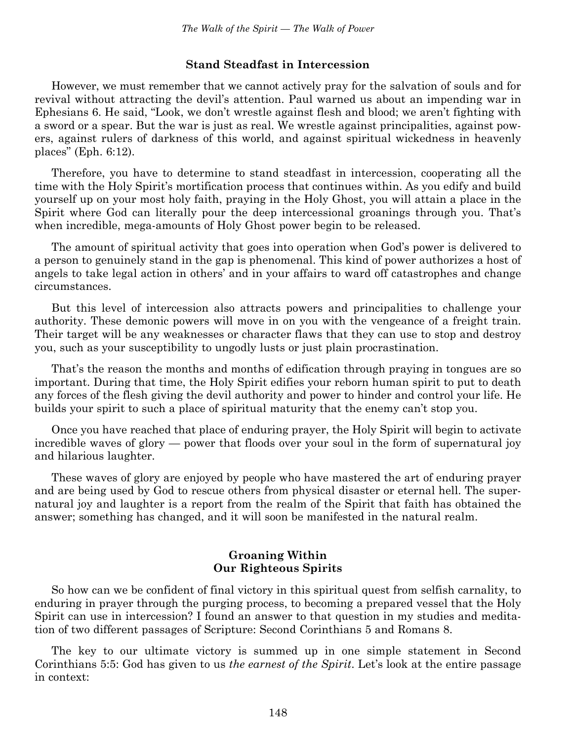#### **Stand Steadfast in Intercession**

However, we must remember that we cannot actively pray for the salvation of souls and for revival without attracting the devil's attention. Paul warned us about an impending war in Ephesians 6. He said, "Look, we don't wrestle against flesh and blood; we aren't fighting with a sword or a spear. But the war is just as real. We wrestle against principalities, against powers, against rulers of darkness of this world, and against spiritual wickedness in heavenly places" (Eph. 6:12).

Therefore, you have to determine to stand steadfast in intercession, cooperating all the time with the Holy Spirit's mortification process that continues within. As you edify and build yourself up on your most holy faith, praying in the Holy Ghost, you will attain a place in the Spirit where God can literally pour the deep intercessional groanings through you. That's when incredible, mega-amounts of Holy Ghost power begin to be released.

The amount of spiritual activity that goes into operation when God's power is delivered to a person to genuinely stand in the gap is phenomenal. This kind of power authorizes a host of angels to take legal action in others' and in your affairs to ward off catastrophes and change circumstances.

But this level of intercession also attracts powers and principalities to challenge your authority. These demonic powers will move in on you with the vengeance of a freight train. Their target will be any weaknesses or character flaws that they can use to stop and destroy you, such as your susceptibility to ungodly lusts or just plain procrastination.

That's the reason the months and months of edification through praying in tongues are so important. During that time, the Holy Spirit edifies your reborn human spirit to put to death any forces of the flesh giving the devil authority and power to hinder and control your life. He builds your spirit to such a place of spiritual maturity that the enemy can't stop you.

Once you have reached that place of enduring prayer, the Holy Spirit will begin to activate incredible waves of glory — power that floods over your soul in the form of supernatural joy and hilarious laughter.

These waves of glory are enjoyed by people who have mastered the art of enduring prayer and are being used by God to rescue others from physical disaster or eternal hell. The supernatural joy and laughter is a report from the realm of the Spirit that faith has obtained the answer; something has changed, and it will soon be manifested in the natural realm.

# **Groaning Within Our Righteous Spirits**

So how can we be confident of final victory in this spiritual quest from selfish carnality, to enduring in prayer through the purging process, to becoming a prepared vessel that the Holy Spirit can use in intercession? I found an answer to that question in my studies and meditation of two different passages of Scripture: Second Corinthians 5 and Romans 8.

The key to our ultimate victory is summed up in one simple statement in Second Corinthians 5:5: God has given to us *the earnest of the Spirit*. Let's look at the entire passage in context: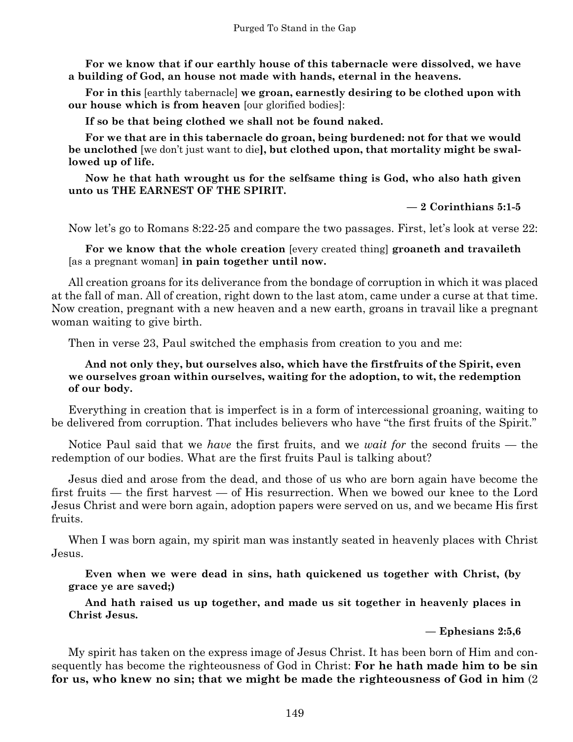**For we know that if our earthly house of this tabernacle were dissolved, we have a building of God, an house not made with hands, eternal in the heavens.**

**For in this** [earthly tabernacle] **we groan, earnestly desiring to be clothed upon with our house which is from heaven** [our glorified bodies]:

**If so be that being clothed we shall not be found naked.**

**For we that are in this tabernacle do groan, being burdened: not for that we would be unclothed** [we don't just want to die**], but clothed upon, that mortality might be swallowed up of life.**

**Now he that hath wrought us for the selfsame thing is God, who also hath given unto us THE EARNEST OF THE SPIRIT.**

**— 2 Corinthians 5:1-5**

Now let's go to Romans 8:22-25 and compare the two passages. First, let's look at verse 22:

**For we know that the whole creation** [every created thing] **groaneth and travaileth** [as a pregnant woman] **in pain together until now.**

All creation groans for its deliverance from the bondage of corruption in which it was placed at the fall of man. All of creation, right down to the last atom, came under a curse at that time. Now creation, pregnant with a new heaven and a new earth, groans in travail like a pregnant woman waiting to give birth.

Then in verse 23, Paul switched the emphasis from creation to you and me:

## **And not only they, but ourselves also, which have the firstfruits of the Spirit, even we ourselves groan within ourselves, waiting for the adoption, to wit, the redemption of our body.**

Everything in creation that is imperfect is in a form of intercessional groaning, waiting to be delivered from corruption. That includes believers who have "the first fruits of the Spirit."

Notice Paul said that we *have* the first fruits, and we *wait for* the second fruits — the redemption of our bodies. What are the first fruits Paul is talking about?

Jesus died and arose from the dead, and those of us who are born again have become the first fruits — the first harvest — of His resurrection. When we bowed our knee to the Lord Jesus Christ and were born again, adoption papers were served on us, and we became His first fruits.

When I was born again, my spirit man was instantly seated in heavenly places with Christ Jesus.

**Even when we were dead in sins, hath quickened us together with Christ, (by grace ye are saved;)**

**And hath raised us up together, and made us sit together in heavenly places in Christ Jesus.**

**— Ephesians 2:5,6**

My spirit has taken on the express image of Jesus Christ. It has been born of Him and consequently has become the righteousness of God in Christ: **For he hath made him to be sin for us, who knew no sin; that we might be made the righteousness of God in him** (2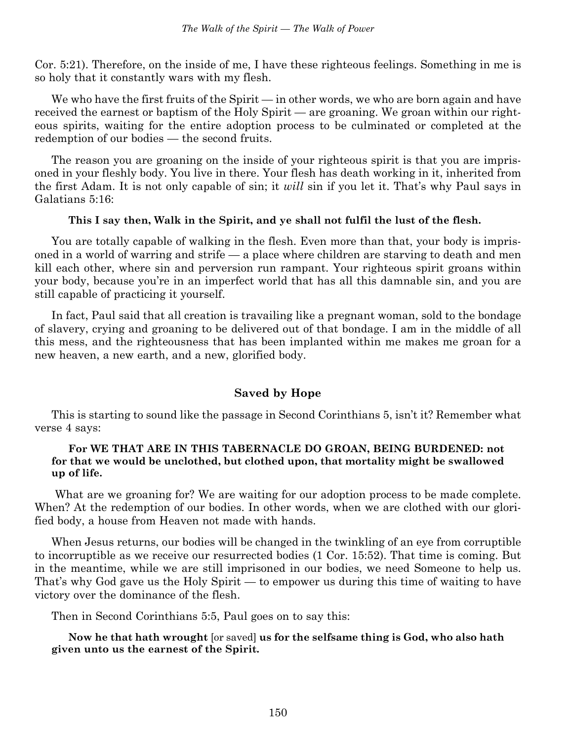Cor. 5:21). Therefore, on the inside of me, I have these righteous feelings. Something in me is so holy that it constantly wars with my flesh.

We who have the first fruits of the Spirit — in other words, we who are born again and have received the earnest or baptism of the Holy Spirit — are groaning. We groan within our righteous spirits, waiting for the entire adoption process to be culminated or completed at the redemption of our bodies — the second fruits.

The reason you are groaning on the inside of your righteous spirit is that you are imprisoned in your fleshly body. You live in there. Your flesh has death working in it, inherited from the first Adam. It is not only capable of sin; it *will* sin if you let it. That's why Paul says in Galatians 5:16:

#### **This I say then, Walk in the Spirit, and ye shall not fulfil the lust of the flesh.**

You are totally capable of walking in the flesh. Even more than that, your body is imprisoned in a world of warring and strife — a place where children are starving to death and men kill each other, where sin and perversion run rampant. Your righteous spirit groans within your body, because you're in an imperfect world that has all this damnable sin, and you are still capable of practicing it yourself.

In fact, Paul said that all creation is travailing like a pregnant woman, sold to the bondage of slavery, crying and groaning to be delivered out of that bondage. I am in the middle of all this mess, and the righteousness that has been implanted within me makes me groan for a new heaven, a new earth, and a new, glorified body.

#### **Saved by Hope**

This is starting to sound like the passage in Second Corinthians 5, isn't it? Remember what verse 4 says:

## **For WE THAT ARE IN THIS TABERNACLE DO GROAN, BEING BURDENED: not for that we would be unclothed, but clothed upon, that mortality might be swallowed up of life.**

What are we groaning for? We are waiting for our adoption process to be made complete. When? At the redemption of our bodies. In other words, when we are clothed with our glorified body, a house from Heaven not made with hands.

When Jesus returns, our bodies will be changed in the twinkling of an eye from corruptible to incorruptible as we receive our resurrected bodies (1 Cor. 15:52). That time is coming. But in the meantime, while we are still imprisoned in our bodies, we need Someone to help us. That's why God gave us the Holy Spirit — to empower us during this time of waiting to have victory over the dominance of the flesh.

Then in Second Corinthians 5:5, Paul goes on to say this:

**Now he that hath wrought** [or saved] **us for the selfsame thing is God, who also hath given unto us the earnest of the Spirit.**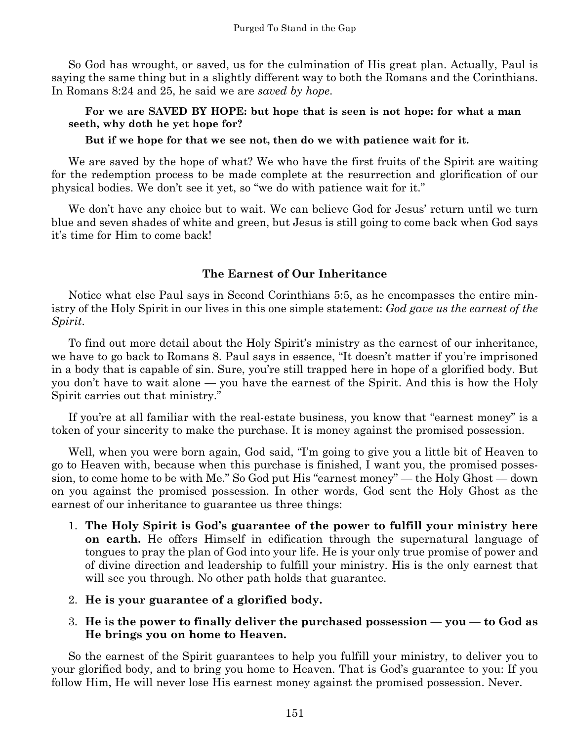So God has wrought, or saved, us for the culmination of His great plan. Actually, Paul is saying the same thing but in a slightly different way to both the Romans and the Corinthians. In Romans 8:24 and 25, he said we are *saved by hope*.

#### **For we are SAVED BY HOPE: but hope that is seen is not hope: for what a man seeth, why doth he yet hope for?**

#### **But if we hope for that we see not, then do we with patience wait for it.**

We are saved by the hope of what? We who have the first fruits of the Spirit are waiting for the redemption process to be made complete at the resurrection and glorification of our physical bodies. We don't see it yet, so "we do with patience wait for it."

We don't have any choice but to wait. We can believe God for Jesus' return until we turn blue and seven shades of white and green, but Jesus is still going to come back when God says it's time for Him to come back!

# **The Earnest of Our Inheritance**

Notice what else Paul says in Second Corinthians 5:5, as he encompasses the entire ministry of the Holy Spirit in our lives in this one simple statement: *God gave us the earnest of the Spirit*.

To find out more detail about the Holy Spirit's ministry as the earnest of our inheritance, we have to go back to Romans 8. Paul says in essence, "It doesn't matter if you're imprisoned in a body that is capable of sin. Sure, you're still trapped here in hope of a glorified body. But you don't have to wait alone — you have the earnest of the Spirit. And this is how the Holy Spirit carries out that ministry."

If you're at all familiar with the real-estate business, you know that "earnest money" is a token of your sincerity to make the purchase. It is money against the promised possession.

Well, when you were born again, God said, "I'm going to give you a little bit of Heaven to go to Heaven with, because when this purchase is finished, I want you, the promised possession, to come home to be with Me." So God put His "earnest money" — the Holy Ghost — down on you against the promised possession. In other words, God sent the Holy Ghost as the earnest of our inheritance to guarantee us three things:

- 1. **The Holy Spirit is God's guarantee of the power to fulfill your ministry here on earth.** He offers Himself in edification through the supernatural language of tongues to pray the plan of God into your life. He is your only true promise of power and of divine direction and leadership to fulfill your ministry. His is the only earnest that will see you through. No other path holds that guarantee.
- 2. **He is your guarantee of a glorified body.**
- 3. **He is the power to finally deliver the purchased possession you to God as He brings you on home to Heaven.**

So the earnest of the Spirit guarantees to help you fulfill your ministry, to deliver you to your glorified body, and to bring you home to Heaven. That is God's guarantee to you: If you follow Him, He will never lose His earnest money against the promised possession. Never.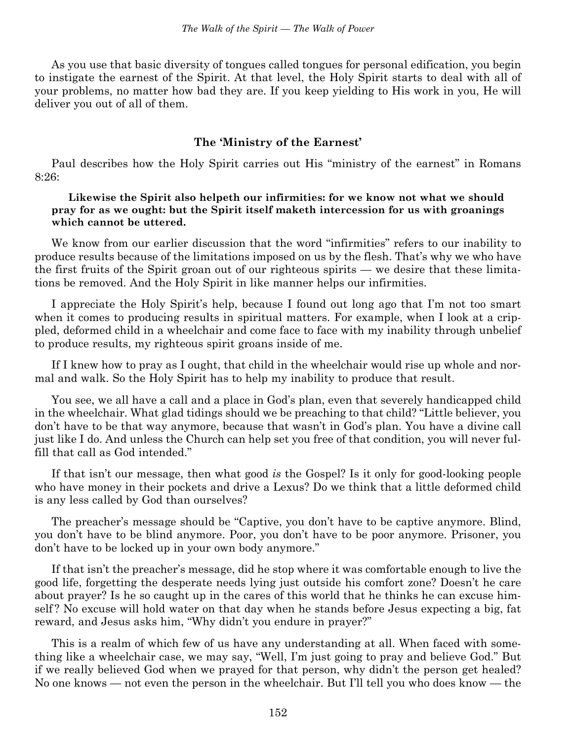As you use that basic diversity of tongues called tongues for personal edification, you begin to instigate the earnest of the Spirit. At that level, the Holy Spirit starts to deal with all of your problems, no matter how bad they are. If you keep yielding to His work in you, He will deliver you out of all of them.

#### **The 'Ministry of the Earnest'**

Paul describes how the Holy Spirit carries out His "ministry of the earnest" in Romans 8:26:

#### **Likewise the Spirit also helpeth our infirmities: for we know not what we should pray for as we ought: but the Spirit itself maketh intercession for us with groanings which cannot be uttered.**

We know from our earlier discussion that the word "infirmities" refers to our inability to produce results because of the limitations imposed on us by the flesh. That's why we who have the first fruits of the Spirit groan out of our righteous spirits — we desire that these limitations be removed. And the Holy Spirit in like manner helps our infirmities.

I appreciate the Holy Spirit's help, because I found out long ago that I'm not too smart when it comes to producing results in spiritual matters. For example, when I look at a crippled, deformed child in a wheelchair and come face to face with my inability through unbelief to produce results, my righteous spirit groans inside of me.

If I knew how to pray as I ought, that child in the wheelchair would rise up whole and normal and walk. So the Holy Spirit has to help my inability to produce that result.

You see, we all have a call and a place in God's plan, even that severely handicapped child in the wheelchair. What glad tidings should we be preaching to that child? "Little believer, you don't have to be that way anymore, because that wasn't in God's plan. You have a divine call just like I do. And unless the Church can help set you free of that condition, you will never fulfill that call as God intended."

If that isn't our message, then what good *is* the Gospel? Is it only for good-looking people who have money in their pockets and drive a Lexus? Do we think that a little deformed child is any less called by God than ourselves?

The preacher's message should be "Captive, you don't have to be captive anymore. Blind, you don't have to be blind anymore. Poor, you don't have to be poor anymore. Prisoner, you don't have to be locked up in your own body anymore."

If that isn't the preacher's message, did he stop where it was comfortable enough to live the good life, forgetting the desperate needs lying just outside his comfort zone? Doesn't he care about prayer? Is he so caught up in the cares of this world that he thinks he can excuse himself? No excuse will hold water on that day when he stands before Jesus expecting a big, fat reward, and Jesus asks him, "Why didn't you endure in prayer?"

This is a realm of which few of us have any understanding at all. When faced with something like a wheelchair case, we may say, "Well, I'm just going to pray and believe God." But if we really believed God when we prayed for that person, why didn't the person get healed? No one knows — not even the person in the wheelchair. But I'll tell you who does know — the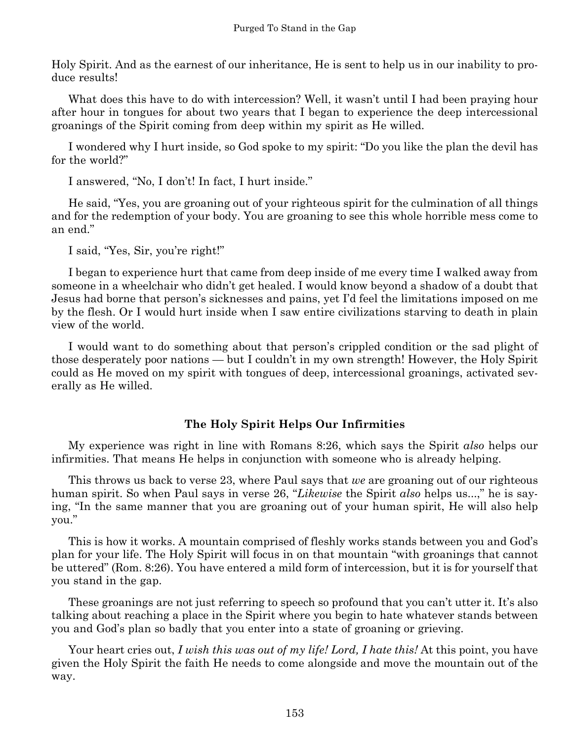Holy Spirit. And as the earnest of our inheritance, He is sent to help us in our inability to produce results!

What does this have to do with intercession? Well, it wasn't until I had been praying hour after hour in tongues for about two years that I began to experience the deep intercessional groanings of the Spirit coming from deep within my spirit as He willed.

I wondered why I hurt inside, so God spoke to my spirit: "Do you like the plan the devil has for the world?"

I answered, "No, I don't! In fact, I hurt inside."

He said, "Yes, you are groaning out of your righteous spirit for the culmination of all things and for the redemption of your body. You are groaning to see this whole horrible mess come to an end."

I said, "Yes, Sir, you're right!"

I began to experience hurt that came from deep inside of me every time I walked away from someone in a wheelchair who didn't get healed. I would know beyond a shadow of a doubt that Jesus had borne that person's sicknesses and pains, yet I'd feel the limitations imposed on me by the flesh. Or I would hurt inside when I saw entire civilizations starving to death in plain view of the world.

I would want to do something about that person's crippled condition or the sad plight of those desperately poor nations — but I couldn't in my own strength! However, the Holy Spirit could as He moved on my spirit with tongues of deep, intercessional groanings, activated severally as He willed.

# **The Holy Spirit Helps Our Infirmities**

My experience was right in line with Romans 8:26, which says the Spirit *also* helps our infirmities. That means He helps in conjunction with someone who is already helping.

This throws us back to verse 23, where Paul says that *we* are groaning out of our righteous human spirit. So when Paul says in verse 26, "*Likewise* the Spirit *also* helps us...," he is saying, "In the same manner that you are groaning out of your human spirit, He will also help you."

This is how it works. A mountain comprised of fleshly works stands between you and God's plan for your life. The Holy Spirit will focus in on that mountain "with groanings that cannot be uttered" (Rom. 8:26). You have entered a mild form of intercession, but it is for yourself that you stand in the gap.

These groanings are not just referring to speech so profound that you can't utter it. It's also talking about reaching a place in the Spirit where you begin to hate whatever stands between you and God's plan so badly that you enter into a state of groaning or grieving.

Your heart cries out, *I wish this was out of my life! Lord, I hate this!* At this point, you have given the Holy Spirit the faith He needs to come alongside and move the mountain out of the way.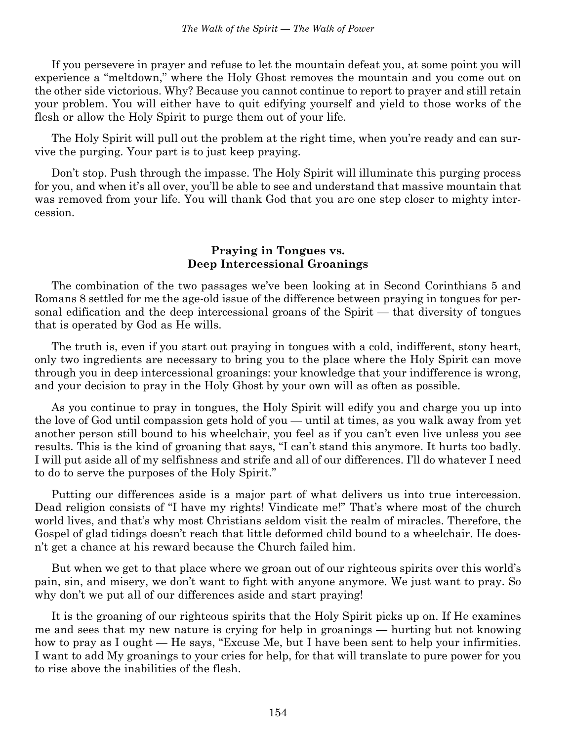If you persevere in prayer and refuse to let the mountain defeat you, at some point you will experience a "meltdown," where the Holy Ghost removes the mountain and you come out on the other side victorious. Why? Because you cannot continue to report to prayer and still retain your problem. You will either have to quit edifying yourself and yield to those works of the flesh or allow the Holy Spirit to purge them out of your life.

The Holy Spirit will pull out the problem at the right time, when you're ready and can survive the purging. Your part is to just keep praying.

Don't stop. Push through the impasse. The Holy Spirit will illuminate this purging process for you, and when it's all over, you'll be able to see and understand that massive mountain that was removed from your life. You will thank God that you are one step closer to mighty intercession.

#### **Praying in Tongues vs. Deep Intercessional Groanings**

The combination of the two passages we've been looking at in Second Corinthians 5 and Romans 8 settled for me the age-old issue of the difference between praying in tongues for personal edification and the deep intercessional groans of the Spirit — that diversity of tongues that is operated by God as He wills.

The truth is, even if you start out praying in tongues with a cold, indifferent, stony heart, only two ingredients are necessary to bring you to the place where the Holy Spirit can move through you in deep intercessional groanings: your knowledge that your indifference is wrong, and your decision to pray in the Holy Ghost by your own will as often as possible.

As you continue to pray in tongues, the Holy Spirit will edify you and charge you up into the love of God until compassion gets hold of you — until at times, as you walk away from yet another person still bound to his wheelchair, you feel as if you can't even live unless you see results. This is the kind of groaning that says, "I can't stand this anymore. It hurts too badly. I will put aside all of my selfishness and strife and all of our differences. I'll do whatever I need to do to serve the purposes of the Holy Spirit."

Putting our differences aside is a major part of what delivers us into true intercession. Dead religion consists of "I have my rights! Vindicate me!" That's where most of the church world lives, and that's why most Christians seldom visit the realm of miracles. Therefore, the Gospel of glad tidings doesn't reach that little deformed child bound to a wheelchair. He doesn't get a chance at his reward because the Church failed him.

But when we get to that place where we groan out of our righteous spirits over this world's pain, sin, and misery, we don't want to fight with anyone anymore. We just want to pray. So why don't we put all of our differences aside and start praying!

It is the groaning of our righteous spirits that the Holy Spirit picks up on. If He examines me and sees that my new nature is crying for help in groanings — hurting but not knowing how to pray as I ought — He says, "Excuse Me, but I have been sent to help your infirmities. I want to add My groanings to your cries for help, for that will translate to pure power for you to rise above the inabilities of the flesh.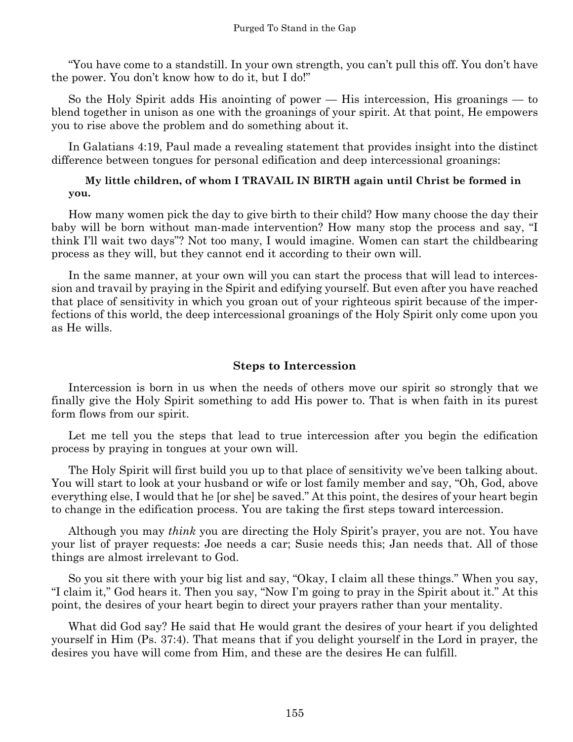"You have come to a standstill. In your own strength, you can't pull this off. You don't have the power. You don't know how to do it, but I do!"

So the Holy Spirit adds His anointing of power — His intercession, His groanings — to blend together in unison as one with the groanings of your spirit. At that point, He empowers you to rise above the problem and do something about it.

In Galatians 4:19, Paul made a revealing statement that provides insight into the distinct difference between tongues for personal edification and deep intercessional groanings:

# **My little children, of whom I TRAVAIL IN BIRTH again until Christ be formed in you.**

How many women pick the day to give birth to their child? How many choose the day their baby will be born without man-made intervention? How many stop the process and say, "I think I'll wait two days"? Not too many, I would imagine. Women can start the childbearing process as they will, but they cannot end it according to their own will.

In the same manner, at your own will you can start the process that will lead to intercession and travail by praying in the Spirit and edifying yourself. But even after you have reached that place of sensitivity in which you groan out of your righteous spirit because of the imperfections of this world, the deep intercessional groanings of the Holy Spirit only come upon you as He wills.

#### **Steps to Intercession**

Intercession is born in us when the needs of others move our spirit so strongly that we finally give the Holy Spirit something to add His power to. That is when faith in its purest form flows from our spirit.

Let me tell you the steps that lead to true intercession after you begin the edification process by praying in tongues at your own will.

The Holy Spirit will first build you up to that place of sensitivity we've been talking about. You will start to look at your husband or wife or lost family member and say, "Oh, God, above everything else, I would that he [or she] be saved." At this point, the desires of your heart begin to change in the edification process. You are taking the first steps toward intercession.

Although you may *think* you are directing the Holy Spirit's prayer, you are not. You have your list of prayer requests: Joe needs a car; Susie needs this; Jan needs that. All of those things are almost irrelevant to God.

So you sit there with your big list and say, "Okay, I claim all these things." When you say, "I claim it," God hears it. Then you say, "Now I'm going to pray in the Spirit about it." At this point, the desires of your heart begin to direct your prayers rather than your mentality.

What did God say? He said that He would grant the desires of your heart if you delighted yourself in Him (Ps. 37:4). That means that if you delight yourself in the Lord in prayer, the desires you have will come from Him, and these are the desires He can fulfill.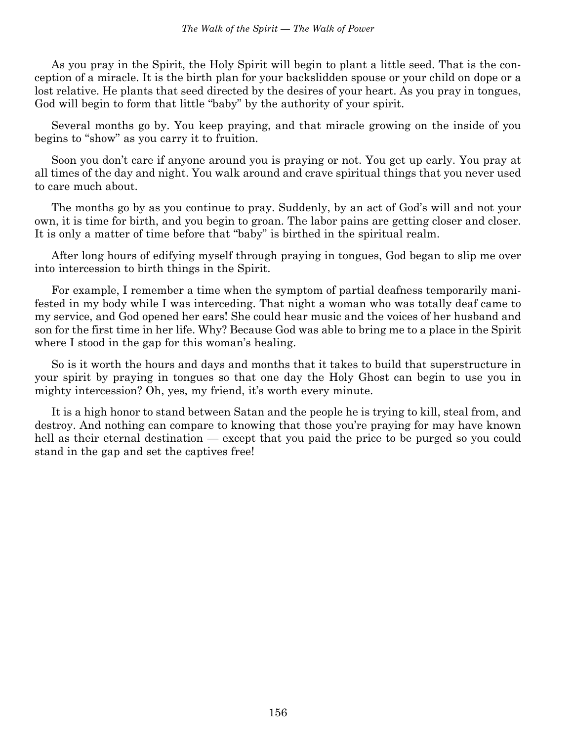As you pray in the Spirit, the Holy Spirit will begin to plant a little seed. That is the conception of a miracle. It is the birth plan for your backslidden spouse or your child on dope or a lost relative. He plants that seed directed by the desires of your heart. As you pray in tongues, God will begin to form that little "baby" by the authority of your spirit.

Several months go by. You keep praying, and that miracle growing on the inside of you begins to "show" as you carry it to fruition.

Soon you don't care if anyone around you is praying or not. You get up early. You pray at all times of the day and night. You walk around and crave spiritual things that you never used to care much about.

The months go by as you continue to pray. Suddenly, by an act of God's will and not your own, it is time for birth, and you begin to groan. The labor pains are getting closer and closer. It is only a matter of time before that "baby" is birthed in the spiritual realm.

After long hours of edifying myself through praying in tongues, God began to slip me over into intercession to birth things in the Spirit.

For example, I remember a time when the symptom of partial deafness temporarily manifested in my body while I was interceding. That night a woman who was totally deaf came to my service, and God opened her ears! She could hear music and the voices of her husband and son for the first time in her life. Why? Because God was able to bring me to a place in the Spirit where I stood in the gap for this woman's healing.

So is it worth the hours and days and months that it takes to build that superstructure in your spirit by praying in tongues so that one day the Holy Ghost can begin to use you in mighty intercession? Oh, yes, my friend, it's worth every minute.

It is a high honor to stand between Satan and the people he is trying to kill, steal from, and destroy. And nothing can compare to knowing that those you're praying for may have known hell as their eternal destination — except that you paid the price to be purged so you could stand in the gap and set the captives free!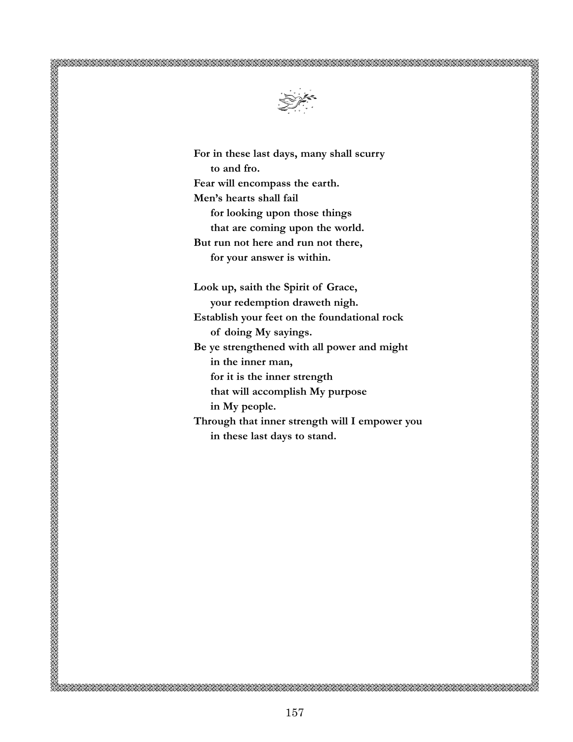

**For in these last days, many shall scurry to and fro. Fear will encompass the earth. Men's hearts shall fail for looking upon those things that are coming upon the world. But run not here and run not there, for your answer is within.**

**Look up, saith the Spirit of Grace, your redemption draweth nigh. Establish your feet on the foundational rock of doing My sayings. Be ye strengthened with all power and might in the inner man, for it is the inner strength that will accomplish My purpose in My people. Through that inner strength will I empower you in these last days to stand.**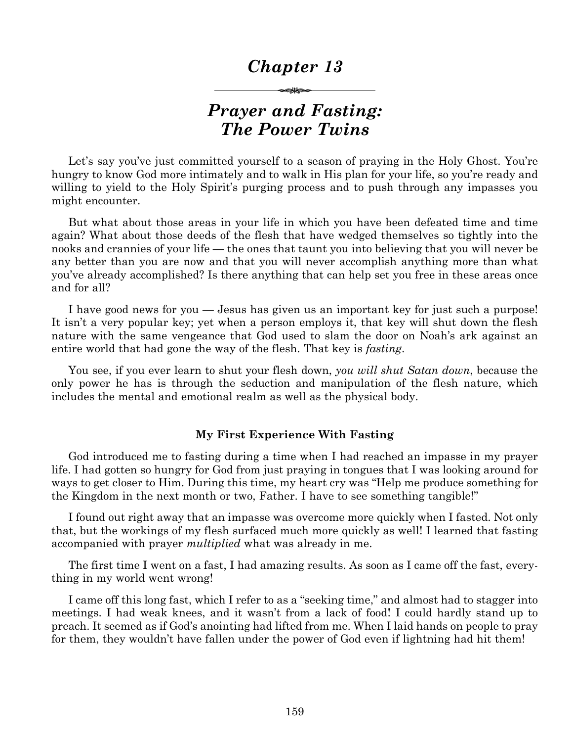# *Chapter 13*

# *Prayer and Fasting: The Power Twins*

Let's say you've just committed yourself to a season of praying in the Holy Ghost. You're hungry to know God more intimately and to walk in His plan for your life, so you're ready and willing to yield to the Holy Spirit's purging process and to push through any impasses you might encounter.

But what about those areas in your life in which you have been defeated time and time again? What about those deeds of the flesh that have wedged themselves so tightly into the nooks and crannies of your life — the ones that taunt you into believing that you will never be any better than you are now and that you will never accomplish anything more than what you've already accomplished? Is there anything that can help set you free in these areas once and for all?

I have good news for you — Jesus has given us an important key for just such a purpose! It isn't a very popular key; yet when a person employs it, that key will shut down the flesh nature with the same vengeance that God used to slam the door on Noah's ark against an entire world that had gone the way of the flesh. That key is *fasting*.

You see, if you ever learn to shut your flesh down, *you will shut Satan down*, because the only power he has is through the seduction and manipulation of the flesh nature, which includes the mental and emotional realm as well as the physical body.

#### **My First Experience With Fasting**

God introduced me to fasting during a time when I had reached an impasse in my prayer life. I had gotten so hungry for God from just praying in tongues that I was looking around for ways to get closer to Him. During this time, my heart cry was "Help me produce something for the Kingdom in the next month or two, Father. I have to see something tangible!"

I found out right away that an impasse was overcome more quickly when I fasted. Not only that, but the workings of my flesh surfaced much more quickly as well! I learned that fasting accompanied with prayer *multiplied* what was already in me.

The first time I went on a fast, I had amazing results. As soon as I came off the fast, everything in my world went wrong!

I came off this long fast, which I refer to as a "seeking time," and almost had to stagger into meetings. I had weak knees, and it wasn't from a lack of food! I could hardly stand up to preach. It seemed as if God's anointing had lifted from me. When I laid hands on people to pray for them, they wouldn't have fallen under the power of God even if lightning had hit them!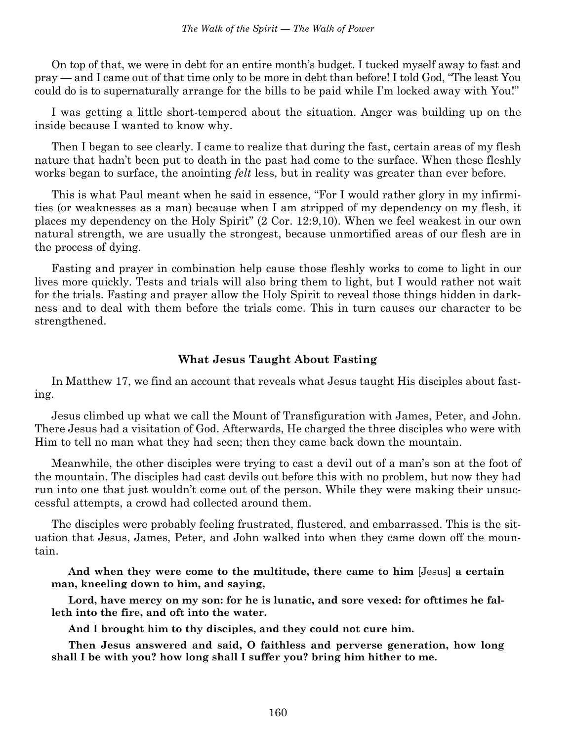On top of that, we were in debt for an entire month's budget. I tucked myself away to fast and pray — and I came out of that time only to be more in debt than before! I told God, "The least You could do is to supernaturally arrange for the bills to be paid while I'm locked away with You!"

I was getting a little short-tempered about the situation. Anger was building up on the inside because I wanted to know why.

Then I began to see clearly. I came to realize that during the fast, certain areas of my flesh nature that hadn't been put to death in the past had come to the surface. When these fleshly works began to surface, the anointing *felt* less, but in reality was greater than ever before.

This is what Paul meant when he said in essence, "For I would rather glory in my infirmities (or weaknesses as a man) because when I am stripped of my dependency on my flesh, it places my dependency on the Holy Spirit" (2 Cor. 12:9,10). When we feel weakest in our own natural strength, we are usually the strongest, because unmortified areas of our flesh are in the process of dying.

Fasting and prayer in combination help cause those fleshly works to come to light in our lives more quickly. Tests and trials will also bring them to light, but I would rather not wait for the trials. Fasting and prayer allow the Holy Spirit to reveal those things hidden in darkness and to deal with them before the trials come. This in turn causes our character to be strengthened.

# **What Jesus Taught About Fasting**

In Matthew 17, we find an account that reveals what Jesus taught His disciples about fasting.

Jesus climbed up what we call the Mount of Transfiguration with James, Peter, and John. There Jesus had a visitation of God. Afterwards, He charged the three disciples who were with Him to tell no man what they had seen; then they came back down the mountain.

Meanwhile, the other disciples were trying to cast a devil out of a man's son at the foot of the mountain. The disciples had cast devils out before this with no problem, but now they had run into one that just wouldn't come out of the person. While they were making their unsuccessful attempts, a crowd had collected around them.

The disciples were probably feeling frustrated, flustered, and embarrassed. This is the situation that Jesus, James, Peter, and John walked into when they came down off the mountain.

**And when they were come to the multitude, there came to him** [Jesus] **a certain man, kneeling down to him, and saying,**

**Lord, have mercy on my son: for he is lunatic, and sore vexed: for ofttimes he falleth into the fire, and oft into the water.**

**And I brought him to thy disciples, and they could not cure him.**

**Then Jesus answered and said, O faithless and perverse generation, how long shall I be with you? how long shall I suffer you? bring him hither to me.**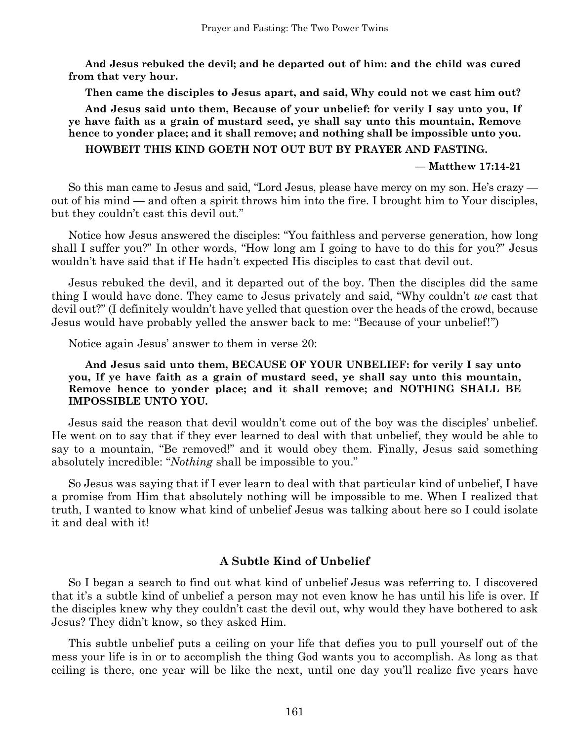**And Jesus rebuked the devil; and he departed out of him: and the child was cured from that very hour.**

**Then came the disciples to Jesus apart, and said, Why could not we cast him out?**

**And Jesus said unto them, Because of your unbelief: for verily I say unto you, If ye have faith as a grain of mustard seed, ye shall say unto this mountain, Remove hence to yonder place; and it shall remove; and nothing shall be impossible unto you.**

# **HOWBEIT THIS KIND GOETH NOT OUT BUT BY PRAYER AND FASTING.**

**— Matthew 17:14-21**

So this man came to Jesus and said, "Lord Jesus, please have mercy on my son. He's crazy out of his mind — and often a spirit throws him into the fire. I brought him to Your disciples, but they couldn't cast this devil out."

Notice how Jesus answered the disciples: "You faithless and perverse generation, how long shall I suffer you?" In other words, "How long am I going to have to do this for you?" Jesus wouldn't have said that if He hadn't expected His disciples to cast that devil out.

Jesus rebuked the devil, and it departed out of the boy. Then the disciples did the same thing I would have done. They came to Jesus privately and said, "Why couldn't *we* cast that devil out?" (I definitely wouldn't have yelled that question over the heads of the crowd, because Jesus would have probably yelled the answer back to me: "Because of your unbelief!")

Notice again Jesus' answer to them in verse 20:

#### **And Jesus said unto them, BECAUSE OF YOUR UNBELIEF: for verily I say unto you, If ye have faith as a grain of mustard seed, ye shall say unto this mountain, Remove hence to yonder place; and it shall remove; and NOTHING SHALL BE IMPOSSIBLE UNTO YOU.**

Jesus said the reason that devil wouldn't come out of the boy was the disciples' unbelief. He went on to say that if they ever learned to deal with that unbelief, they would be able to say to a mountain, "Be removed!" and it would obey them. Finally, Jesus said something absolutely incredible: "*Nothing* shall be impossible to you."

So Jesus was saying that if I ever learn to deal with that particular kind of unbelief, I have a promise from Him that absolutely nothing will be impossible to me. When I realized that truth, I wanted to know what kind of unbelief Jesus was talking about here so I could isolate it and deal with it!

#### **A Subtle Kind of Unbelief**

So I began a search to find out what kind of unbelief Jesus was referring to. I discovered that it's a subtle kind of unbelief a person may not even know he has until his life is over. If the disciples knew why they couldn't cast the devil out, why would they have bothered to ask Jesus? They didn't know, so they asked Him.

This subtle unbelief puts a ceiling on your life that defies you to pull yourself out of the mess your life is in or to accomplish the thing God wants you to accomplish. As long as that ceiling is there, one year will be like the next, until one day you'll realize five years have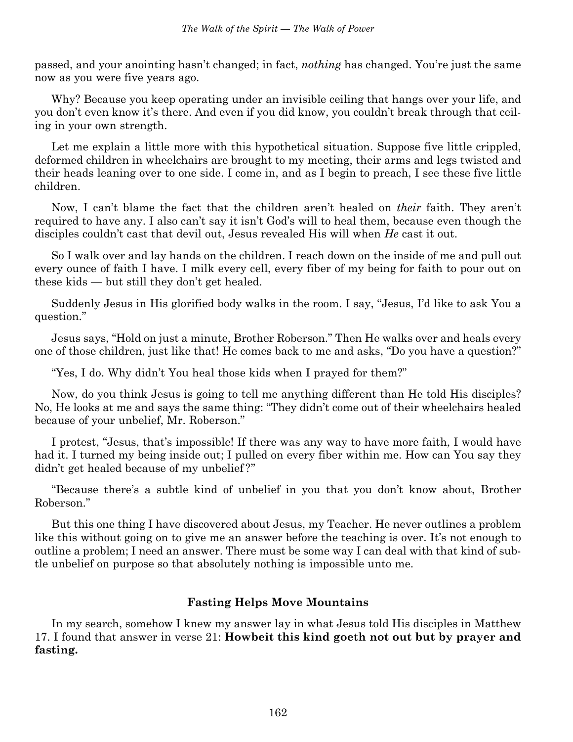passed, and your anointing hasn't changed; in fact, *nothing* has changed. You're just the same now as you were five years ago.

Why? Because you keep operating under an invisible ceiling that hangs over your life, and you don't even know it's there. And even if you did know, you couldn't break through that ceiling in your own strength.

Let me explain a little more with this hypothetical situation. Suppose five little crippled, deformed children in wheelchairs are brought to my meeting, their arms and legs twisted and their heads leaning over to one side. I come in, and as I begin to preach, I see these five little children.

Now, I can't blame the fact that the children aren't healed on *their* faith. They aren't required to have any. I also can't say it isn't God's will to heal them, because even though the disciples couldn't cast that devil out, Jesus revealed His will when *He* cast it out.

So I walk over and lay hands on the children. I reach down on the inside of me and pull out every ounce of faith I have. I milk every cell, every fiber of my being for faith to pour out on these kids — but still they don't get healed.

Suddenly Jesus in His glorified body walks in the room. I say, "Jesus, I'd like to ask You a question."

Jesus says, "Hold on just a minute, Brother Roberson." Then He walks over and heals every one of those children, just like that! He comes back to me and asks, "Do you have a question?"

"Yes, I do. Why didn't You heal those kids when I prayed for them?"

Now, do you think Jesus is going to tell me anything different than He told His disciples? No, He looks at me and says the same thing: "They didn't come out of their wheelchairs healed because of your unbelief, Mr. Roberson."

I protest, "Jesus, that's impossible! If there was any way to have more faith, I would have had it. I turned my being inside out; I pulled on every fiber within me. How can You say they didn't get healed because of my unbelief ?"

"Because there's a subtle kind of unbelief in you that you don't know about, Brother Roberson."

But this one thing I have discovered about Jesus, my Teacher. He never outlines a problem like this without going on to give me an answer before the teaching is over. It's not enough to outline a problem; I need an answer. There must be some way I can deal with that kind of subtle unbelief on purpose so that absolutely nothing is impossible unto me.

# **Fasting Helps Move Mountains**

In my search, somehow I knew my answer lay in what Jesus told His disciples in Matthew 17. I found that answer in verse 21: **Howbeit this kind goeth not out but by prayer and fasting.**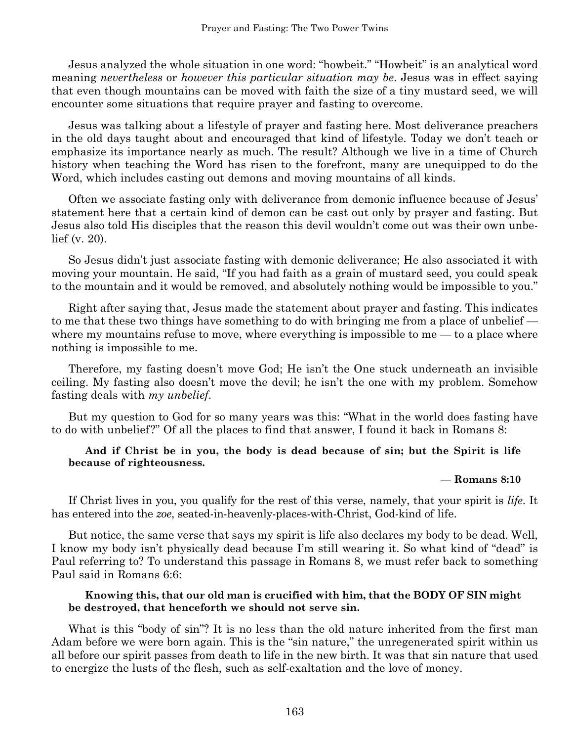Jesus analyzed the whole situation in one word: "howbeit." "Howbeit" is an analytical word meaning *nevertheless* or *however this particular situation may be*. Jesus was in effect saying that even though mountains can be moved with faith the size of a tiny mustard seed, we will encounter some situations that require prayer and fasting to overcome.

Jesus was talking about a lifestyle of prayer and fasting here. Most deliverance preachers in the old days taught about and encouraged that kind of lifestyle. Today we don't teach or emphasize its importance nearly as much. The result? Although we live in a time of Church history when teaching the Word has risen to the forefront, many are unequipped to do the Word, which includes casting out demons and moving mountains of all kinds.

Often we associate fasting only with deliverance from demonic influence because of Jesus' statement here that a certain kind of demon can be cast out only by prayer and fasting. But Jesus also told His disciples that the reason this devil wouldn't come out was their own unbelief (v. 20).

So Jesus didn't just associate fasting with demonic deliverance; He also associated it with moving your mountain. He said, "If you had faith as a grain of mustard seed, you could speak to the mountain and it would be removed, and absolutely nothing would be impossible to you."

Right after saying that, Jesus made the statement about prayer and fasting. This indicates to me that these two things have something to do with bringing me from a place of unbelief where my mountains refuse to move, where everything is impossible to me  $-$  to a place where nothing is impossible to me.

Therefore, my fasting doesn't move God; He isn't the One stuck underneath an invisible ceiling. My fasting also doesn't move the devil; he isn't the one with my problem. Somehow fasting deals with *my unbelief*.

But my question to God for so many years was this: "What in the world does fasting have to do with unbelief?" Of all the places to find that answer, I found it back in Romans 8:

# **And if Christ be in you, the body is dead because of sin; but the Spirit is life because of righteousness.**

#### **— Romans 8:10**

If Christ lives in you, you qualify for the rest of this verse, namely, that your spirit is *life*. It has entered into the *zoe*, seated-in-heavenly-places-with-Christ, God-kind of life.

But notice, the same verse that says my spirit is life also declares my body to be dead. Well, I know my body isn't physically dead because I'm still wearing it. So what kind of "dead" is Paul referring to? To understand this passage in Romans 8, we must refer back to something Paul said in Romans 6:6:

# **Knowing this, that our old man is crucified with him, that the BODY OF SIN might be destroyed, that henceforth we should not serve sin.**

What is this "body of sin"? It is no less than the old nature inherited from the first man Adam before we were born again. This is the "sin nature," the unregenerated spirit within us all before our spirit passes from death to life in the new birth. It was that sin nature that used to energize the lusts of the flesh, such as self-exaltation and the love of money.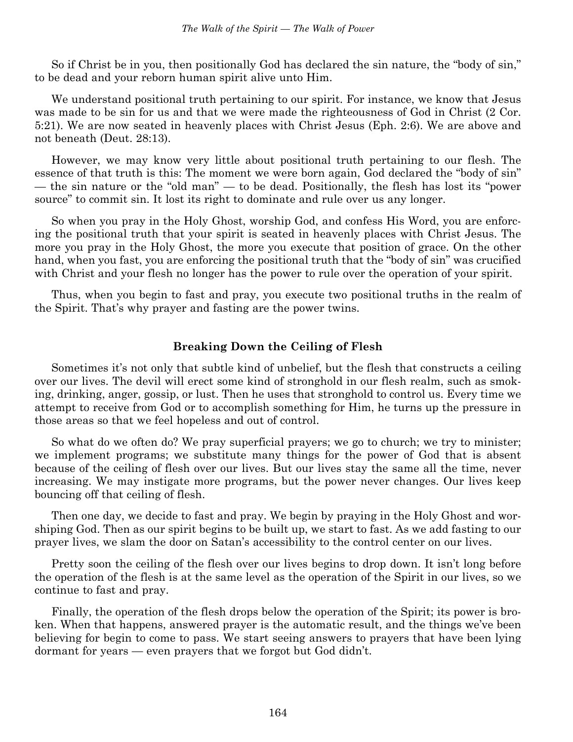So if Christ be in you, then positionally God has declared the sin nature, the "body of sin," to be dead and your reborn human spirit alive unto Him.

We understand positional truth pertaining to our spirit. For instance, we know that Jesus was made to be sin for us and that we were made the righteousness of God in Christ (2 Cor. 5:21). We are now seated in heavenly places with Christ Jesus (Eph. 2:6). We are above and not beneath (Deut. 28:13).

However, we may know very little about positional truth pertaining to our flesh. The essence of that truth is this: The moment we were born again, God declared the "body of sin" — the sin nature or the "old man" — to be dead. Positionally, the flesh has lost its "power source" to commit sin. It lost its right to dominate and rule over us any longer.

So when you pray in the Holy Ghost, worship God, and confess His Word, you are enforcing the positional truth that your spirit is seated in heavenly places with Christ Jesus. The more you pray in the Holy Ghost, the more you execute that position of grace. On the other hand, when you fast, you are enforcing the positional truth that the "body of sin" was crucified with Christ and your flesh no longer has the power to rule over the operation of your spirit.

Thus, when you begin to fast and pray, you execute two positional truths in the realm of the Spirit. That's why prayer and fasting are the power twins.

#### **Breaking Down the Ceiling of Flesh**

Sometimes it's not only that subtle kind of unbelief, but the flesh that constructs a ceiling over our lives. The devil will erect some kind of stronghold in our flesh realm, such as smoking, drinking, anger, gossip, or lust. Then he uses that stronghold to control us. Every time we attempt to receive from God or to accomplish something for Him, he turns up the pressure in those areas so that we feel hopeless and out of control.

So what do we often do? We pray superficial prayers; we go to church; we try to minister; we implement programs; we substitute many things for the power of God that is absent because of the ceiling of flesh over our lives. But our lives stay the same all the time, never increasing. We may instigate more programs, but the power never changes. Our lives keep bouncing off that ceiling of flesh.

Then one day, we decide to fast and pray. We begin by praying in the Holy Ghost and worshiping God. Then as our spirit begins to be built up, we start to fast. As we add fasting to our prayer lives, we slam the door on Satan's accessibility to the control center on our lives.

Pretty soon the ceiling of the flesh over our lives begins to drop down. It isn't long before the operation of the flesh is at the same level as the operation of the Spirit in our lives, so we continue to fast and pray.

Finally, the operation of the flesh drops below the operation of the Spirit; its power is broken. When that happens, answered prayer is the automatic result, and the things we've been believing for begin to come to pass. We start seeing answers to prayers that have been lying dormant for years — even prayers that we forgot but God didn't.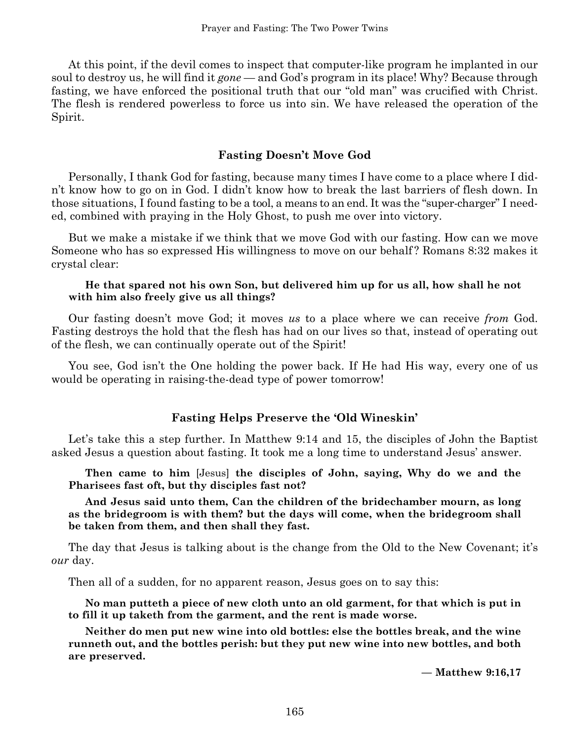At this point, if the devil comes to inspect that computer-like program he implanted in our soul to destroy us, he will find it *gone* — and God's program in its place! Why? Because through fasting, we have enforced the positional truth that our "old man" was crucified with Christ. The flesh is rendered powerless to force us into sin. We have released the operation of the Spirit.

# **Fasting Doesn't Move God**

Personally, I thank God for fasting, because many times I have come to a place where I didn't know how to go on in God. I didn't know how to break the last barriers of flesh down. In those situations, I found fasting to be a tool, a means to an end. It was the "super-charger" I needed, combined with praying in the Holy Ghost, to push me over into victory.

But we make a mistake if we think that we move God with our fasting. How can we move Someone who has so expressed His willingness to move on our behalf ? Romans 8:32 makes it crystal clear:

#### **He that spared not his own Son, but delivered him up for us all, how shall he not with him also freely give us all things?**

Our fasting doesn't move God; it moves *us* to a place where we can receive *from* God. Fasting destroys the hold that the flesh has had on our lives so that, instead of operating out of the flesh, we can continually operate out of the Spirit!

You see, God isn't the One holding the power back. If He had His way, every one of us would be operating in raising-the-dead type of power tomorrow!

#### **Fasting Helps Preserve the 'Old Wineskin'**

Let's take this a step further. In Matthew 9:14 and 15, the disciples of John the Baptist asked Jesus a question about fasting. It took me a long time to understand Jesus' answer.

**Then came to him** [Jesus] **the disciples of John, saying, Why do we and the Pharisees fast oft, but thy disciples fast not?**

**And Jesus said unto them, Can the children of the bridechamber mourn, as long as the bridegroom is with them? but the days will come, when the bridegroom shall be taken from them, and then shall they fast.**

The day that Jesus is talking about is the change from the Old to the New Covenant; it's *our* day.

Then all of a sudden, for no apparent reason, Jesus goes on to say this:

**No man putteth a piece of new cloth unto an old garment, for that which is put in to fill it up taketh from the garment, and the rent is made worse.**

**Neither do men put new wine into old bottles: else the bottles break, and the wine runneth out, and the bottles perish: but they put new wine into new bottles, and both are preserved.**

**— Matthew 9:16,17**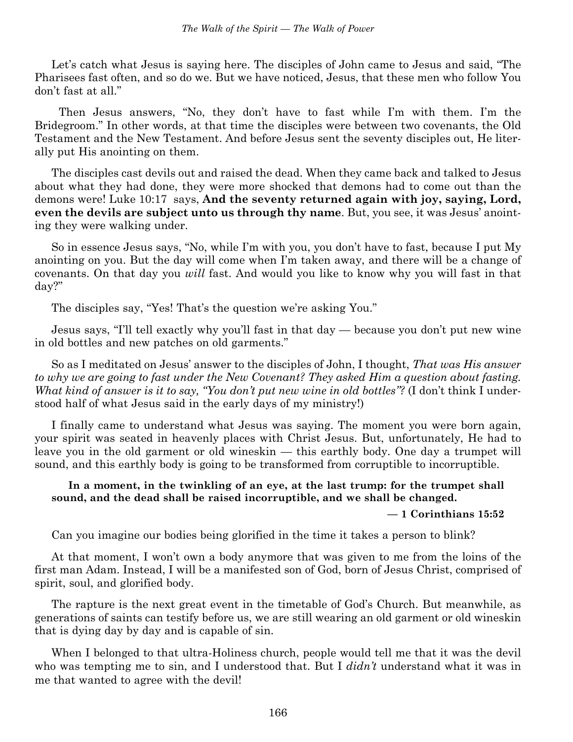Let's catch what Jesus is saying here. The disciples of John came to Jesus and said, "The Pharisees fast often, and so do we. But we have noticed, Jesus, that these men who follow You don't fast at all."

Then Jesus answers, "No, they don't have to fast while I'm with them. I'm the Bridegroom." In other words, at that time the disciples were between two covenants, the Old Testament and the New Testament. And before Jesus sent the seventy disciples out, He literally put His anointing on them.

The disciples cast devils out and raised the dead. When they came back and talked to Jesus about what they had done, they were more shocked that demons had to come out than the demons were! Luke 10:17 says, **And the seventy returned again with joy, saying, Lord, even the devils are subject unto us through thy name**. But, you see, it was Jesus' anointing they were walking under.

So in essence Jesus says, "No, while I'm with you, you don't have to fast, because I put My anointing on you. But the day will come when I'm taken away, and there will be a change of covenants. On that day you *will* fast. And would you like to know why you will fast in that day?"

The disciples say, "Yes! That's the question we're asking You."

Jesus says, "I'll tell exactly why you'll fast in that day — because you don't put new wine in old bottles and new patches on old garments."

So as I meditated on Jesus' answer to the disciples of John, I thought, *That was His answer to why we are going to fast under the New Covenant? They asked Him a question about fasting. What kind of answer is it to say, "You don't put new wine in old bottles"?* (I don't think I understood half of what Jesus said in the early days of my ministry!)

I finally came to understand what Jesus was saying. The moment you were born again, your spirit was seated in heavenly places with Christ Jesus. But, unfortunately, He had to leave you in the old garment or old wineskin — this earthly body. One day a trumpet will sound, and this earthly body is going to be transformed from corruptible to incorruptible.

# **In a moment, in the twinkling of an eye, at the last trump: for the trumpet shall sound, and the dead shall be raised incorruptible, and we shall be changed.**

#### **— 1 Corinthians 15:52**

Can you imagine our bodies being glorified in the time it takes a person to blink?

At that moment, I won't own a body anymore that was given to me from the loins of the first man Adam. Instead, I will be a manifested son of God, born of Jesus Christ, comprised of spirit, soul, and glorified body.

The rapture is the next great event in the timetable of God's Church. But meanwhile, as generations of saints can testify before us, we are still wearing an old garment or old wineskin that is dying day by day and is capable of sin.

When I belonged to that ultra-Holiness church, people would tell me that it was the devil who was tempting me to sin, and I understood that. But I *didn't* understand what it was in me that wanted to agree with the devil!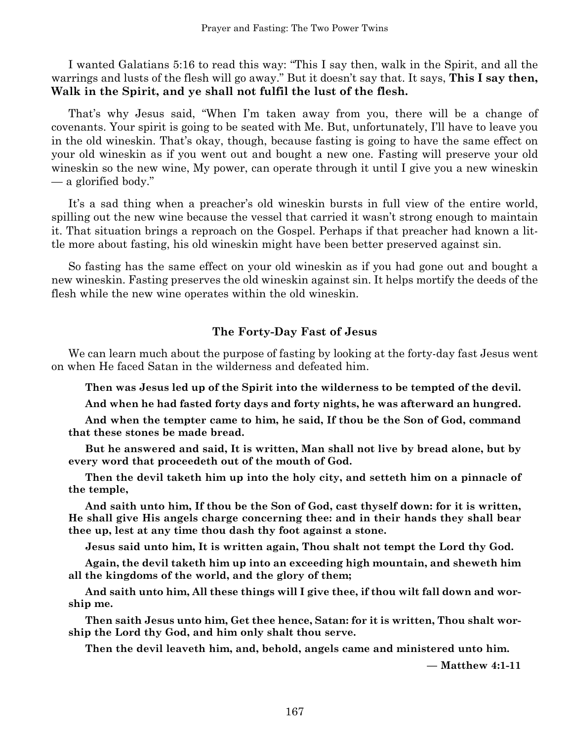I wanted Galatians 5:16 to read this way: "This I say then, walk in the Spirit, and all the warrings and lusts of the flesh will go away." But it doesn't say that. It says, **This I say then, Walk in the Spirit, and ye shall not fulfil the lust of the flesh.** 

That's why Jesus said, "When I'm taken away from you, there will be a change of covenants. Your spirit is going to be seated with Me. But, unfortunately, I'll have to leave you in the old wineskin. That's okay, though, because fasting is going to have the same effect on your old wineskin as if you went out and bought a new one. Fasting will preserve your old wineskin so the new wine, My power, can operate through it until I give you a new wineskin — a glorified body."

It's a sad thing when a preacher's old wineskin bursts in full view of the entire world, spilling out the new wine because the vessel that carried it wasn't strong enough to maintain it. That situation brings a reproach on the Gospel. Perhaps if that preacher had known a little more about fasting, his old wineskin might have been better preserved against sin.

So fasting has the same effect on your old wineskin as if you had gone out and bought a new wineskin. Fasting preserves the old wineskin against sin. It helps mortify the deeds of the flesh while the new wine operates within the old wineskin.

# **The Forty-Day Fast of Jesus**

We can learn much about the purpose of fasting by looking at the forty-day fast Jesus went on when He faced Satan in the wilderness and defeated him.

**Then was Jesus led up of the Spirit into the wilderness to be tempted of the devil.**

**And when he had fasted forty days and forty nights, he was afterward an hungred.**

**And when the tempter came to him, he said, If thou be the Son of God, command that these stones be made bread.**

**But he answered and said, It is written, Man shall not live by bread alone, but by every word that proceedeth out of the mouth of God.**

**Then the devil taketh him up into the holy city, and setteth him on a pinnacle of the temple,**

**And saith unto him, If thou be the Son of God, cast thyself down: for it is written, He shall give His angels charge concerning thee: and in their hands they shall bear thee up, lest at any time thou dash thy foot against a stone.**

**Jesus said unto him, It is written again, Thou shalt not tempt the Lord thy God.**

**Again, the devil taketh him up into an exceeding high mountain, and sheweth him all the kingdoms of the world, and the glory of them;**

**And saith unto him, All these things will I give thee, if thou wilt fall down and worship me.**

**Then saith Jesus unto him, Get thee hence, Satan: for it is written, Thou shalt worship the Lord thy God, and him only shalt thou serve.**

**Then the devil leaveth him, and, behold, angels came and ministered unto him.**

**— Matthew 4:1-11**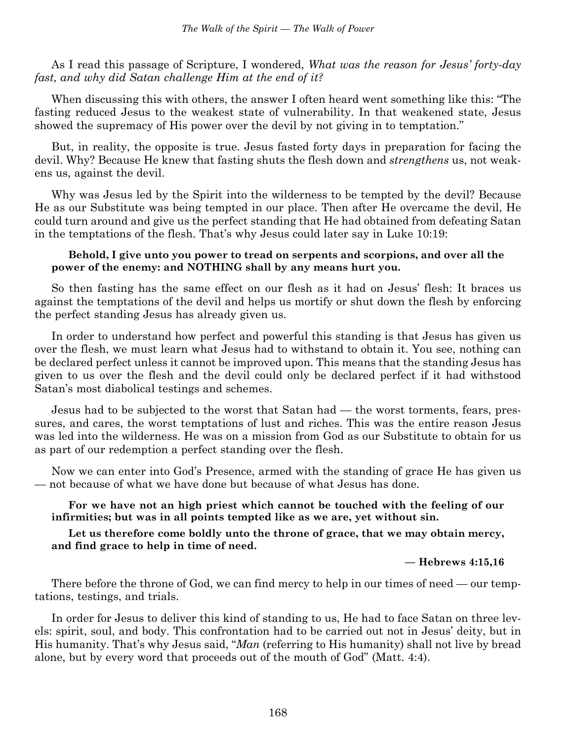As I read this passage of Scripture, I wondered, *What was the reason for Jesus' forty-day fast, and why did Satan challenge Him at the end of it?*

When discussing this with others, the answer I often heard went something like this: "The fasting reduced Jesus to the weakest state of vulnerability. In that weakened state, Jesus showed the supremacy of His power over the devil by not giving in to temptation."

But, in reality, the opposite is true. Jesus fasted forty days in preparation for facing the devil. Why? Because He knew that fasting shuts the flesh down and *strengthens* us, not weakens us, against the devil.

Why was Jesus led by the Spirit into the wilderness to be tempted by the devil? Because He as our Substitute was being tempted in our place. Then after He overcame the devil, He could turn around and give us the perfect standing that He had obtained from defeating Satan in the temptations of the flesh. That's why Jesus could later say in Luke 10:19:

#### **Behold, I give unto you power to tread on serpents and scorpions, and over all the power of the enemy: and NOTHING shall by any means hurt you.**

So then fasting has the same effect on our flesh as it had on Jesus' flesh: It braces us against the temptations of the devil and helps us mortify or shut down the flesh by enforcing the perfect standing Jesus has already given us.

In order to understand how perfect and powerful this standing is that Jesus has given us over the flesh, we must learn what Jesus had to withstand to obtain it. You see, nothing can be declared perfect unless it cannot be improved upon. This means that the standing Jesus has given to us over the flesh and the devil could only be declared perfect if it had withstood Satan's most diabolical testings and schemes.

Jesus had to be subjected to the worst that Satan had — the worst torments, fears, pressures, and cares, the worst temptations of lust and riches. This was the entire reason Jesus was led into the wilderness. He was on a mission from God as our Substitute to obtain for us as part of our redemption a perfect standing over the flesh.

Now we can enter into God's Presence, armed with the standing of grace He has given us — not because of what we have done but because of what Jesus has done.

# **For we have not an high priest which cannot be touched with the feeling of our infirmities; but was in all points tempted like as we are, yet without sin.**

**Let us therefore come boldly unto the throne of grace, that we may obtain mercy, and find grace to help in time of need.**

**— Hebrews 4:15,16**

There before the throne of God, we can find mercy to help in our times of need — our temptations, testings, and trials.

In order for Jesus to deliver this kind of standing to us, He had to face Satan on three levels: spirit, soul, and body. This confrontation had to be carried out not in Jesus' deity, but in His humanity. That's why Jesus said, "*Man* (referring to His humanity) shall not live by bread alone, but by every word that proceeds out of the mouth of God" (Matt. 4:4).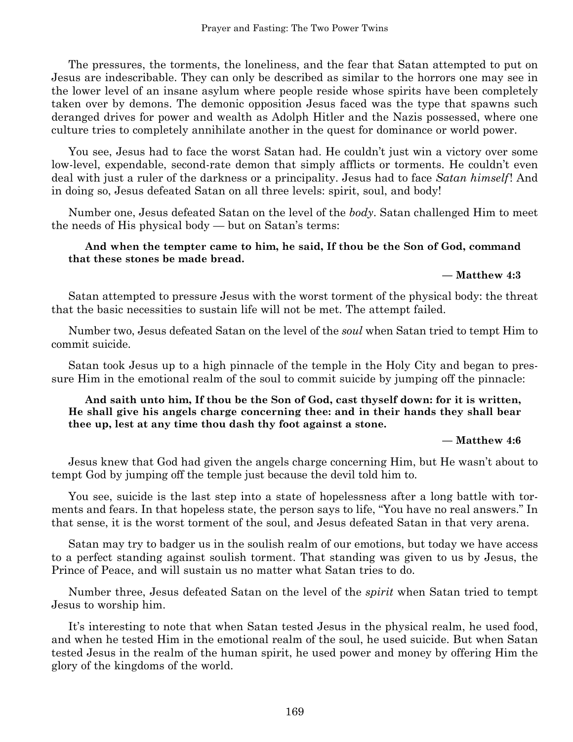The pressures, the torments, the loneliness, and the fear that Satan attempted to put on Jesus are indescribable. They can only be described as similar to the horrors one may see in the lower level of an insane asylum where people reside whose spirits have been completely taken over by demons. The demonic opposition Jesus faced was the type that spawns such deranged drives for power and wealth as Adolph Hitler and the Nazis possessed, where one culture tries to completely annihilate another in the quest for dominance or world power.

You see, Jesus had to face the worst Satan had. He couldn't just win a victory over some low-level, expendable, second-rate demon that simply afflicts or torments. He couldn't even deal with just a ruler of the darkness or a principality. Jesus had to face *Satan himself*! And in doing so, Jesus defeated Satan on all three levels: spirit, soul, and body!

Number one, Jesus defeated Satan on the level of the *body*. Satan challenged Him to meet the needs of His physical body — but on Satan's terms:

#### **And when the tempter came to him, he said, If thou be the Son of God, command that these stones be made bread.**

**— Matthew 4:3**

Satan attempted to pressure Jesus with the worst torment of the physical body: the threat that the basic necessities to sustain life will not be met. The attempt failed.

Number two, Jesus defeated Satan on the level of the *soul* when Satan tried to tempt Him to commit suicide.

Satan took Jesus up to a high pinnacle of the temple in the Holy City and began to pressure Him in the emotional realm of the soul to commit suicide by jumping off the pinnacle:

#### **And saith unto him, If thou be the Son of God, cast thyself down: for it is written, He shall give his angels charge concerning thee: and in their hands they shall bear thee up, lest at any time thou dash thy foot against a stone.**

#### **— Matthew 4:6**

Jesus knew that God had given the angels charge concerning Him, but He wasn't about to tempt God by jumping off the temple just because the devil told him to.

You see, suicide is the last step into a state of hopelessness after a long battle with torments and fears. In that hopeless state, the person says to life, "You have no real answers." In that sense, it is the worst torment of the soul, and Jesus defeated Satan in that very arena.

Satan may try to badger us in the soulish realm of our emotions, but today we have access to a perfect standing against soulish torment. That standing was given to us by Jesus, the Prince of Peace, and will sustain us no matter what Satan tries to do.

Number three, Jesus defeated Satan on the level of the *spirit* when Satan tried to tempt Jesus to worship him.

It's interesting to note that when Satan tested Jesus in the physical realm, he used food, and when he tested Him in the emotional realm of the soul, he used suicide. But when Satan tested Jesus in the realm of the human spirit, he used power and money by offering Him the glory of the kingdoms of the world.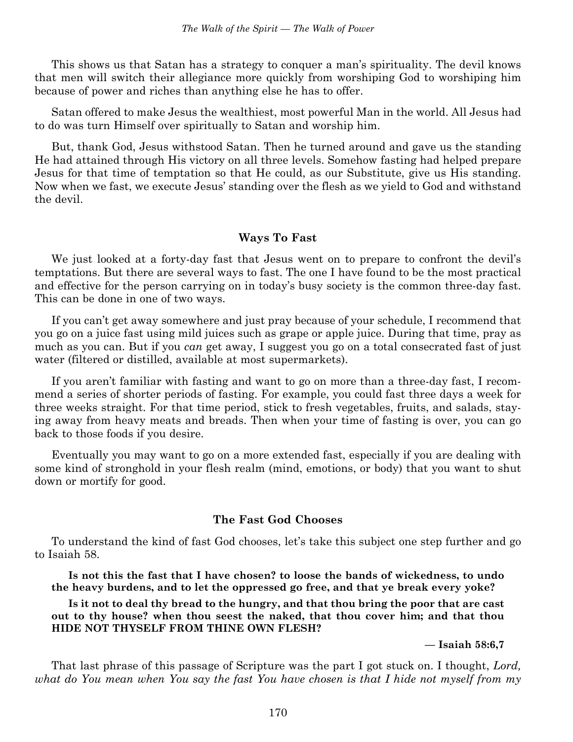This shows us that Satan has a strategy to conquer a man's spirituality. The devil knows that men will switch their allegiance more quickly from worshiping God to worshiping him because of power and riches than anything else he has to offer.

Satan offered to make Jesus the wealthiest, most powerful Man in the world. All Jesus had to do was turn Himself over spiritually to Satan and worship him.

But, thank God, Jesus withstood Satan. Then he turned around and gave us the standing He had attained through His victory on all three levels. Somehow fasting had helped prepare Jesus for that time of temptation so that He could, as our Substitute, give us His standing. Now when we fast, we execute Jesus' standing over the flesh as we yield to God and withstand the devil.

#### **Ways To Fast**

We just looked at a forty-day fast that Jesus went on to prepare to confront the devil's temptations. But there are several ways to fast. The one I have found to be the most practical and effective for the person carrying on in today's busy society is the common three-day fast. This can be done in one of two ways.

If you can't get away somewhere and just pray because of your schedule, I recommend that you go on a juice fast using mild juices such as grape or apple juice. During that time, pray as much as you can. But if you *can* get away, I suggest you go on a total consecrated fast of just water (filtered or distilled, available at most supermarkets).

If you aren't familiar with fasting and want to go on more than a three-day fast, I recommend a series of shorter periods of fasting. For example, you could fast three days a week for three weeks straight. For that time period, stick to fresh vegetables, fruits, and salads, staying away from heavy meats and breads. Then when your time of fasting is over, you can go back to those foods if you desire.

Eventually you may want to go on a more extended fast, especially if you are dealing with some kind of stronghold in your flesh realm (mind, emotions, or body) that you want to shut down or mortify for good.

#### **The Fast God Chooses**

To understand the kind of fast God chooses, let's take this subject one step further and go to Isaiah 58.

**Is not this the fast that I have chosen? to loose the bands of wickedness, to undo the heavy burdens, and to let the oppressed go free, and that ye break every yoke?**

**Is it not to deal thy bread to the hungry, and that thou bring the poor that are cast out to thy house? when thou seest the naked, that thou cover him; and that thou HIDE NOT THYSELF FROM THINE OWN FLESH?**

**— Isaiah 58:6,7**

That last phrase of this passage of Scripture was the part I got stuck on. I thought, *Lord, what do You mean when You say the fast You have chosen is that I hide not myself from my*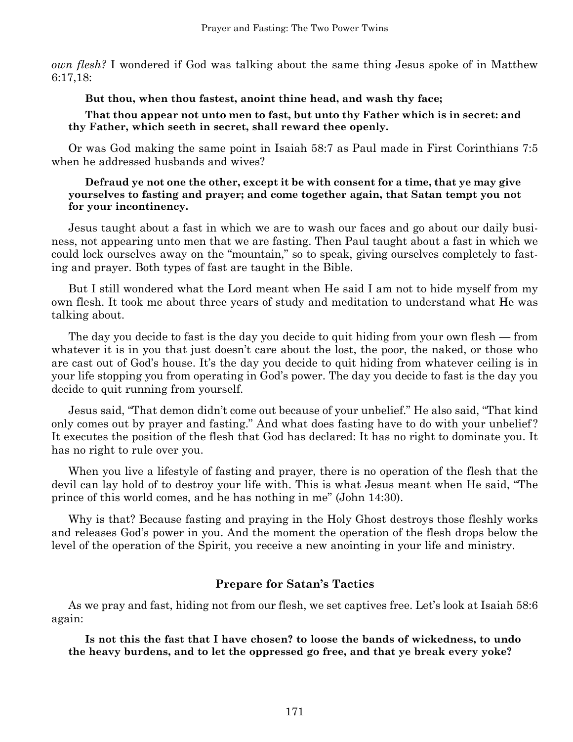*own flesh?* I wondered if God was talking about the same thing Jesus spoke of in Matthew 6:17,18:

**But thou, when thou fastest, anoint thine head, and wash thy face;**

**That thou appear not unto men to fast, but unto thy Father which is in secret: and thy Father, which seeth in secret, shall reward thee openly.**

Or was God making the same point in Isaiah 58:7 as Paul made in First Corinthians 7:5 when he addressed husbands and wives?

#### **Defraud ye not one the other, except it be with consent for a time, that ye may give yourselves to fasting and prayer; and come together again, that Satan tempt you not for your incontinency.**

Jesus taught about a fast in which we are to wash our faces and go about our daily business, not appearing unto men that we are fasting. Then Paul taught about a fast in which we could lock ourselves away on the "mountain," so to speak, giving ourselves completely to fasting and prayer. Both types of fast are taught in the Bible.

But I still wondered what the Lord meant when He said I am not to hide myself from my own flesh. It took me about three years of study and meditation to understand what He was talking about.

The day you decide to fast is the day you decide to quit hiding from your own flesh — from whatever it is in you that just doesn't care about the lost, the poor, the naked, or those who are cast out of God's house. It's the day you decide to quit hiding from whatever ceiling is in your life stopping you from operating in God's power. The day you decide to fast is the day you decide to quit running from yourself.

Jesus said, "That demon didn't come out because of your unbelief." He also said, "That kind only comes out by prayer and fasting." And what does fasting have to do with your unbelief ? It executes the position of the flesh that God has declared: It has no right to dominate you. It has no right to rule over you.

When you live a lifestyle of fasting and prayer, there is no operation of the flesh that the devil can lay hold of to destroy your life with. This is what Jesus meant when He said, "The prince of this world comes, and he has nothing in me" (John 14:30).

Why is that? Because fasting and praying in the Holy Ghost destroys those fleshly works and releases God's power in you. And the moment the operation of the flesh drops below the level of the operation of the Spirit, you receive a new anointing in your life and ministry.

# **Prepare for Satan's Tactics**

As we pray and fast, hiding not from our flesh, we set captives free. Let's look at Isaiah 58:6 again:

**Is not this the fast that I have chosen? to loose the bands of wickedness, to undo the heavy burdens, and to let the oppressed go free, and that ye break every yoke?**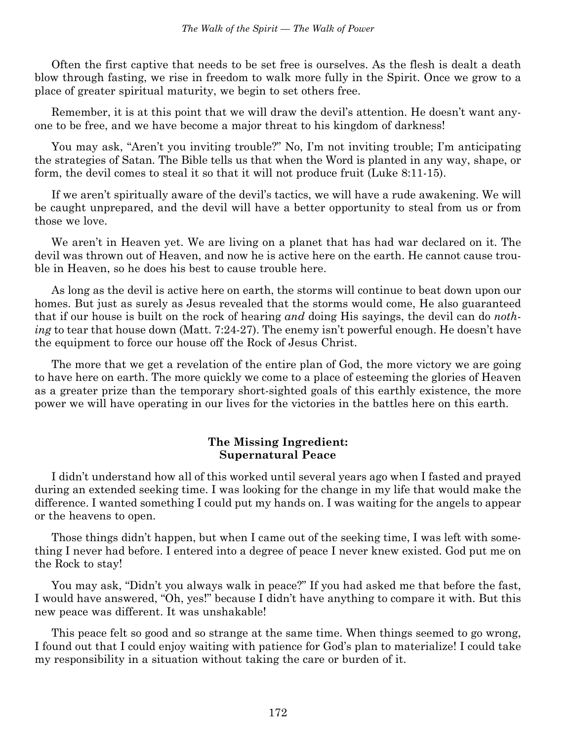Often the first captive that needs to be set free is ourselves. As the flesh is dealt a death blow through fasting, we rise in freedom to walk more fully in the Spirit. Once we grow to a place of greater spiritual maturity, we begin to set others free.

Remember, it is at this point that we will draw the devil's attention. He doesn't want anyone to be free, and we have become a major threat to his kingdom of darkness!

You may ask, "Aren't you inviting trouble?" No, I'm not inviting trouble; I'm anticipating the strategies of Satan. The Bible tells us that when the Word is planted in any way, shape, or form, the devil comes to steal it so that it will not produce fruit (Luke 8:11-15).

If we aren't spiritually aware of the devil's tactics, we will have a rude awakening. We will be caught unprepared, and the devil will have a better opportunity to steal from us or from those we love.

We aren't in Heaven yet. We are living on a planet that has had war declared on it. The devil was thrown out of Heaven, and now he is active here on the earth. He cannot cause trouble in Heaven, so he does his best to cause trouble here.

As long as the devil is active here on earth, the storms will continue to beat down upon our homes. But just as surely as Jesus revealed that the storms would come, He also guaranteed that if our house is built on the rock of hearing *and* doing His sayings, the devil can do *nothing* to tear that house down (Matt. 7:24-27). The enemy isn't powerful enough. He doesn't have the equipment to force our house off the Rock of Jesus Christ.

The more that we get a revelation of the entire plan of God, the more victory we are going to have here on earth. The more quickly we come to a place of esteeming the glories of Heaven as a greater prize than the temporary short-sighted goals of this earthly existence, the more power we will have operating in our lives for the victories in the battles here on this earth.

# **The Missing Ingredient: Supernatural Peace**

I didn't understand how all of this worked until several years ago when I fasted and prayed during an extended seeking time. I was looking for the change in my life that would make the difference. I wanted something I could put my hands on. I was waiting for the angels to appear or the heavens to open.

Those things didn't happen, but when I came out of the seeking time, I was left with something I never had before. I entered into a degree of peace I never knew existed. God put me on the Rock to stay!

You may ask, "Didn't you always walk in peace?" If you had asked me that before the fast, I would have answered, "Oh, yes!" because I didn't have anything to compare it with. But this new peace was different. It was unshakable!

This peace felt so good and so strange at the same time. When things seemed to go wrong, I found out that I could enjoy waiting with patience for God's plan to materialize! I could take my responsibility in a situation without taking the care or burden of it.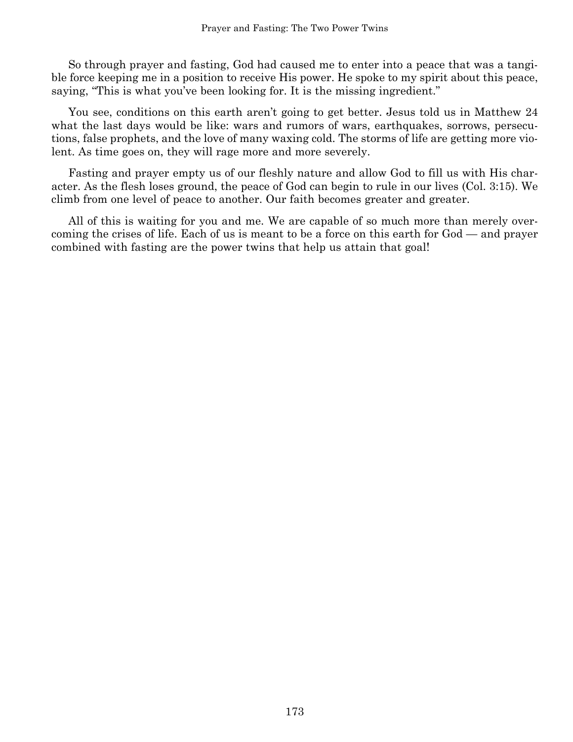So through prayer and fasting, God had caused me to enter into a peace that was a tangible force keeping me in a position to receive His power. He spoke to my spirit about this peace, saying, "This is what you've been looking for. It is the missing ingredient."

You see, conditions on this earth aren't going to get better. Jesus told us in Matthew 24 what the last days would be like: wars and rumors of wars, earthquakes, sorrows, persecutions, false prophets, and the love of many waxing cold. The storms of life are getting more violent. As time goes on, they will rage more and more severely.

Fasting and prayer empty us of our fleshly nature and allow God to fill us with His character. As the flesh loses ground, the peace of God can begin to rule in our lives (Col. 3:15). We climb from one level of peace to another. Our faith becomes greater and greater.

All of this is waiting for you and me. We are capable of so much more than merely overcoming the crises of life. Each of us is meant to be a force on this earth for God — and prayer combined with fasting are the power twins that help us attain that goal!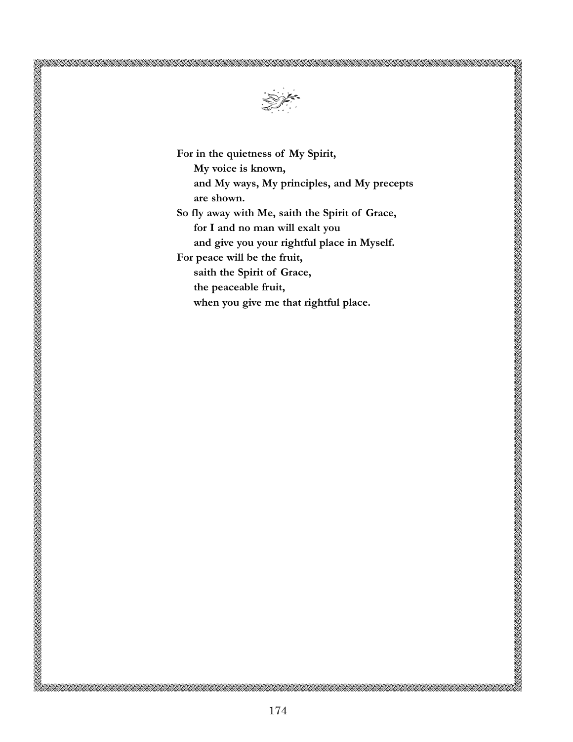

**For in the quietness of My Spirit, My voice is known, and My ways, My principles, and My precepts are shown. So fly away with Me, saith the Spirit of Grace, for I and no man will exalt you and give you your rightful place in Myself. For peace will be the fruit, saith the Spirit of Grace, the peaceable fruit,**

**when you give me that rightful place.**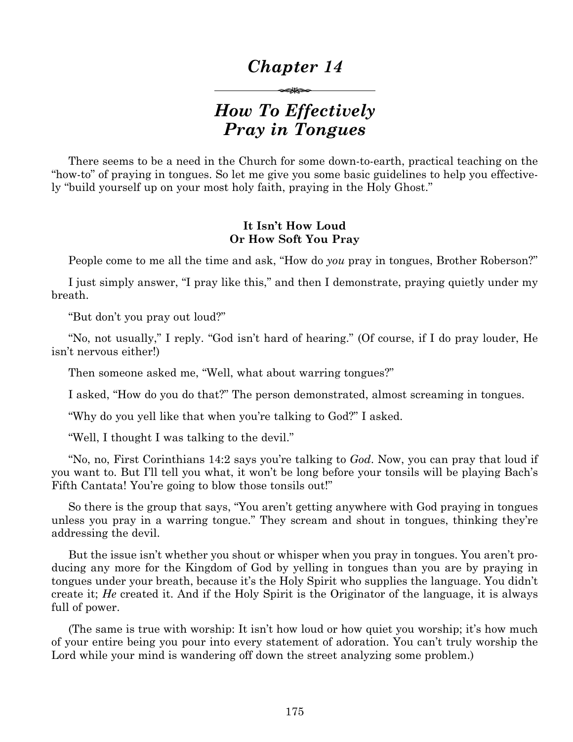# *Chapter 14*

# *How To Effectively Pray in Tongues*

There seems to be a need in the Church for some down-to-earth, practical teaching on the "how-to" of praying in tongues. So let me give you some basic guidelines to help you effectively "build yourself up on your most holy faith, praying in the Holy Ghost."

#### **It Isn't How Loud Or How Soft You Pray**

People come to me all the time and ask, "How do *you* pray in tongues, Brother Roberson?"

I just simply answer, "I pray like this," and then I demonstrate, praying quietly under my breath.

"But don't you pray out loud?"

"No, not usually," I reply. "God isn't hard of hearing." (Of course, if I do pray louder, He isn't nervous either!)

Then someone asked me, "Well, what about warring tongues?"

I asked, "How do you do that?" The person demonstrated, almost screaming in tongues.

"Why do you yell like that when you're talking to God?" I asked.

"Well, I thought I was talking to the devil."

"No, no, First Corinthians 14:2 says you're talking to *God*. Now, you can pray that loud if you want to. But I'll tell you what, it won't be long before your tonsils will be playing Bach's Fifth Cantata! You're going to blow those tonsils out!"

So there is the group that says, "You aren't getting anywhere with God praying in tongues unless you pray in a warring tongue." They scream and shout in tongues, thinking they're addressing the devil.

But the issue isn't whether you shout or whisper when you pray in tongues. You aren't producing any more for the Kingdom of God by yelling in tongues than you are by praying in tongues under your breath, because it's the Holy Spirit who supplies the language. You didn't create it; *He* created it. And if the Holy Spirit is the Originator of the language, it is always full of power.

(The same is true with worship: It isn't how loud or how quiet you worship; it's how much of your entire being you pour into every statement of adoration. You can't truly worship the Lord while your mind is wandering off down the street analyzing some problem.)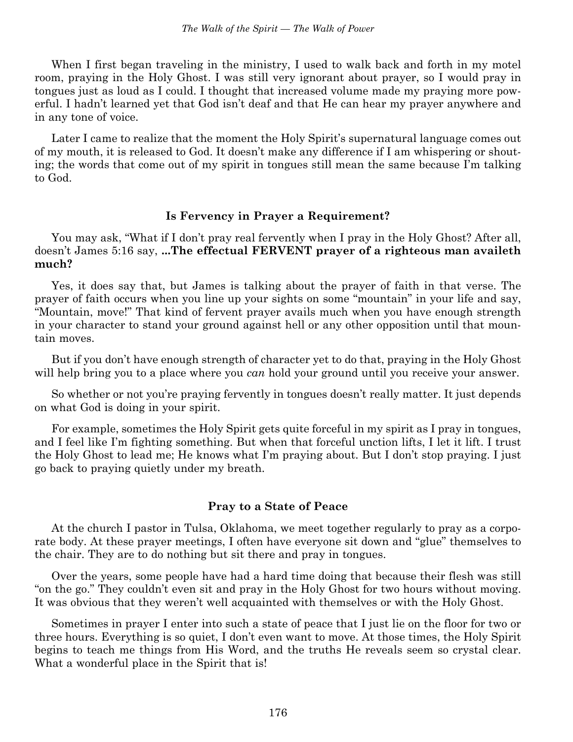When I first began traveling in the ministry, I used to walk back and forth in my motel room, praying in the Holy Ghost. I was still very ignorant about prayer, so I would pray in tongues just as loud as I could. I thought that increased volume made my praying more powerful. I hadn't learned yet that God isn't deaf and that He can hear my prayer anywhere and in any tone of voice.

Later I came to realize that the moment the Holy Spirit's supernatural language comes out of my mouth, it is released to God. It doesn't make any difference if I am whispering or shouting; the words that come out of my spirit in tongues still mean the same because I'm talking to God.

#### **Is Fervency in Prayer a Requirement?**

You may ask, "What if I don't pray real fervently when I pray in the Holy Ghost? After all, doesn't James 5:16 say, **...The effectual FERVENT prayer of a righteous man availeth much?**

Yes, it does say that, but James is talking about the prayer of faith in that verse. The prayer of faith occurs when you line up your sights on some "mountain" in your life and say, "Mountain, move!" That kind of fervent prayer avails much when you have enough strength in your character to stand your ground against hell or any other opposition until that mountain moves.

But if you don't have enough strength of character yet to do that, praying in the Holy Ghost will help bring you to a place where you *can* hold your ground until you receive your answer.

So whether or not you're praying fervently in tongues doesn't really matter. It just depends on what God is doing in your spirit.

For example, sometimes the Holy Spirit gets quite forceful in my spirit as I pray in tongues, and I feel like I'm fighting something. But when that forceful unction lifts, I let it lift. I trust the Holy Ghost to lead me; He knows what I'm praying about. But I don't stop praying. I just go back to praying quietly under my breath.

#### **Pray to a State of Peace**

At the church I pastor in Tulsa, Oklahoma, we meet together regularly to pray as a corporate body. At these prayer meetings, I often have everyone sit down and "glue" themselves to the chair. They are to do nothing but sit there and pray in tongues.

Over the years, some people have had a hard time doing that because their flesh was still "on the go." They couldn't even sit and pray in the Holy Ghost for two hours without moving. It was obvious that they weren't well acquainted with themselves or with the Holy Ghost.

Sometimes in prayer I enter into such a state of peace that I just lie on the floor for two or three hours. Everything is so quiet, I don't even want to move. At those times, the Holy Spirit begins to teach me things from His Word, and the truths He reveals seem so crystal clear. What a wonderful place in the Spirit that is!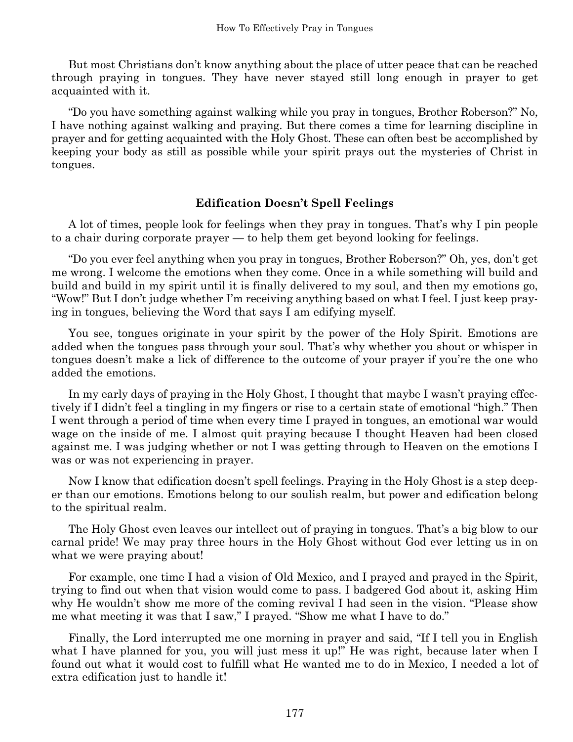But most Christians don't know anything about the place of utter peace that can be reached through praying in tongues. They have never stayed still long enough in prayer to get acquainted with it.

"Do you have something against walking while you pray in tongues, Brother Roberson?" No, I have nothing against walking and praying. But there comes a time for learning discipline in prayer and for getting acquainted with the Holy Ghost. These can often best be accomplished by keeping your body as still as possible while your spirit prays out the mysteries of Christ in tongues.

# **Edification Doesn't Spell Feelings**

A lot of times, people look for feelings when they pray in tongues. That's why I pin people to a chair during corporate prayer — to help them get beyond looking for feelings.

"Do you ever feel anything when you pray in tongues, Brother Roberson?" Oh, yes, don't get me wrong. I welcome the emotions when they come. Once in a while something will build and build and build in my spirit until it is finally delivered to my soul, and then my emotions go, "Wow!" But I don't judge whether I'm receiving anything based on what I feel. I just keep praying in tongues, believing the Word that says I am edifying myself.

You see, tongues originate in your spirit by the power of the Holy Spirit. Emotions are added when the tongues pass through your soul. That's why whether you shout or whisper in tongues doesn't make a lick of difference to the outcome of your prayer if you're the one who added the emotions.

In my early days of praying in the Holy Ghost, I thought that maybe I wasn't praying effectively if I didn't feel a tingling in my fingers or rise to a certain state of emotional "high." Then I went through a period of time when every time I prayed in tongues, an emotional war would wage on the inside of me. I almost quit praying because I thought Heaven had been closed against me. I was judging whether or not I was getting through to Heaven on the emotions I was or was not experiencing in prayer.

Now I know that edification doesn't spell feelings. Praying in the Holy Ghost is a step deeper than our emotions. Emotions belong to our soulish realm, but power and edification belong to the spiritual realm.

The Holy Ghost even leaves our intellect out of praying in tongues. That's a big blow to our carnal pride! We may pray three hours in the Holy Ghost without God ever letting us in on what we were praying about!

For example, one time I had a vision of Old Mexico, and I prayed and prayed in the Spirit, trying to find out when that vision would come to pass. I badgered God about it, asking Him why He wouldn't show me more of the coming revival I had seen in the vision. "Please show me what meeting it was that I saw," I prayed. "Show me what I have to do."

Finally, the Lord interrupted me one morning in prayer and said, "If I tell you in English what I have planned for you, you will just mess it up!" He was right, because later when I found out what it would cost to fulfill what He wanted me to do in Mexico, I needed a lot of extra edification just to handle it!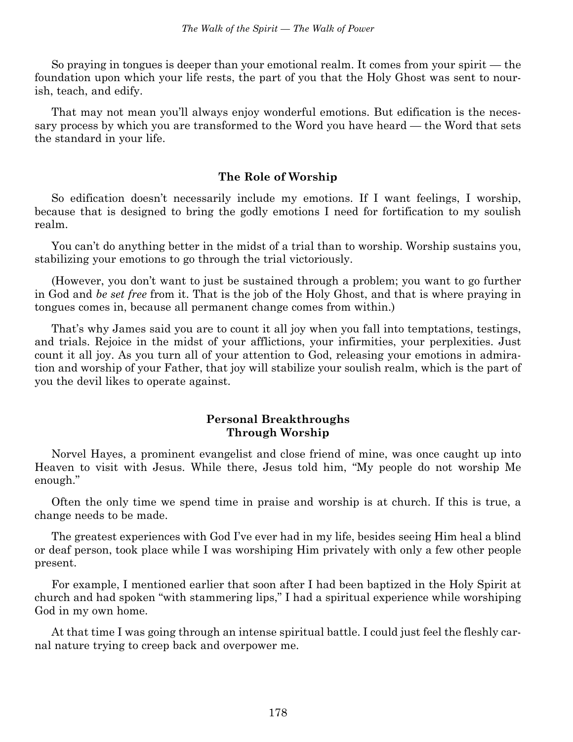So praying in tongues is deeper than your emotional realm. It comes from your spirit — the foundation upon which your life rests, the part of you that the Holy Ghost was sent to nourish, teach, and edify.

That may not mean you'll always enjoy wonderful emotions. But edification is the necessary process by which you are transformed to the Word you have heard — the Word that sets the standard in your life.

# **The Role of Worship**

So edification doesn't necessarily include my emotions. If I want feelings, I worship, because that is designed to bring the godly emotions I need for fortification to my soulish realm.

You can't do anything better in the midst of a trial than to worship. Worship sustains you, stabilizing your emotions to go through the trial victoriously.

(However, you don't want to just be sustained through a problem; you want to go further in God and *be set free* from it. That is the job of the Holy Ghost, and that is where praying in tongues comes in, because all permanent change comes from within.)

That's why James said you are to count it all joy when you fall into temptations, testings, and trials. Rejoice in the midst of your afflictions, your infirmities, your perplexities. Just count it all joy. As you turn all of your attention to God, releasing your emotions in admiration and worship of your Father, that joy will stabilize your soulish realm, which is the part of you the devil likes to operate against.

# **Personal Breakthroughs Through Worship**

Norvel Hayes, a prominent evangelist and close friend of mine, was once caught up into Heaven to visit with Jesus. While there, Jesus told him, "My people do not worship Me enough."

Often the only time we spend time in praise and worship is at church. If this is true, a change needs to be made.

The greatest experiences with God I've ever had in my life, besides seeing Him heal a blind or deaf person, took place while I was worshiping Him privately with only a few other people present.

For example, I mentioned earlier that soon after I had been baptized in the Holy Spirit at church and had spoken "with stammering lips," I had a spiritual experience while worshiping God in my own home.

At that time I was going through an intense spiritual battle. I could just feel the fleshly carnal nature trying to creep back and overpower me.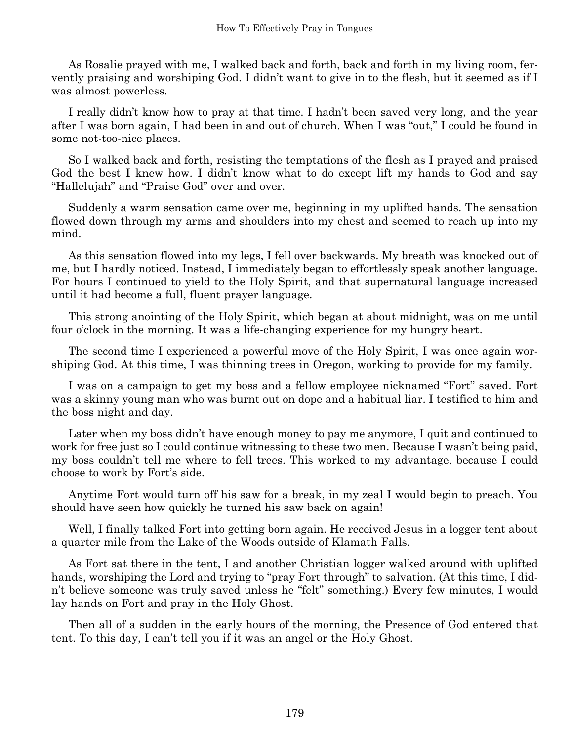As Rosalie prayed with me, I walked back and forth, back and forth in my living room, fervently praising and worshiping God. I didn't want to give in to the flesh, but it seemed as if I was almost powerless.

I really didn't know how to pray at that time. I hadn't been saved very long, and the year after I was born again, I had been in and out of church. When I was "out," I could be found in some not-too-nice places.

So I walked back and forth, resisting the temptations of the flesh as I prayed and praised God the best I knew how. I didn't know what to do except lift my hands to God and say "Hallelujah" and "Praise God" over and over.

Suddenly a warm sensation came over me, beginning in my uplifted hands. The sensation flowed down through my arms and shoulders into my chest and seemed to reach up into my mind.

As this sensation flowed into my legs, I fell over backwards. My breath was knocked out of me, but I hardly noticed. Instead, I immediately began to effortlessly speak another language. For hours I continued to yield to the Holy Spirit, and that supernatural language increased until it had become a full, fluent prayer language.

This strong anointing of the Holy Spirit, which began at about midnight, was on me until four o'clock in the morning. It was a life-changing experience for my hungry heart.

The second time I experienced a powerful move of the Holy Spirit, I was once again worshiping God. At this time, I was thinning trees in Oregon, working to provide for my family.

I was on a campaign to get my boss and a fellow employee nicknamed "Fort" saved. Fort was a skinny young man who was burnt out on dope and a habitual liar. I testified to him and the boss night and day.

Later when my boss didn't have enough money to pay me anymore, I quit and continued to work for free just so I could continue witnessing to these two men. Because I wasn't being paid, my boss couldn't tell me where to fell trees. This worked to my advantage, because I could choose to work by Fort's side.

Anytime Fort would turn off his saw for a break, in my zeal I would begin to preach. You should have seen how quickly he turned his saw back on again!

Well, I finally talked Fort into getting born again. He received Jesus in a logger tent about a quarter mile from the Lake of the Woods outside of Klamath Falls.

As Fort sat there in the tent, I and another Christian logger walked around with uplifted hands, worshiping the Lord and trying to "pray Fort through" to salvation. (At this time, I didn't believe someone was truly saved unless he "felt" something.) Every few minutes, I would lay hands on Fort and pray in the Holy Ghost.

Then all of a sudden in the early hours of the morning, the Presence of God entered that tent. To this day, I can't tell you if it was an angel or the Holy Ghost.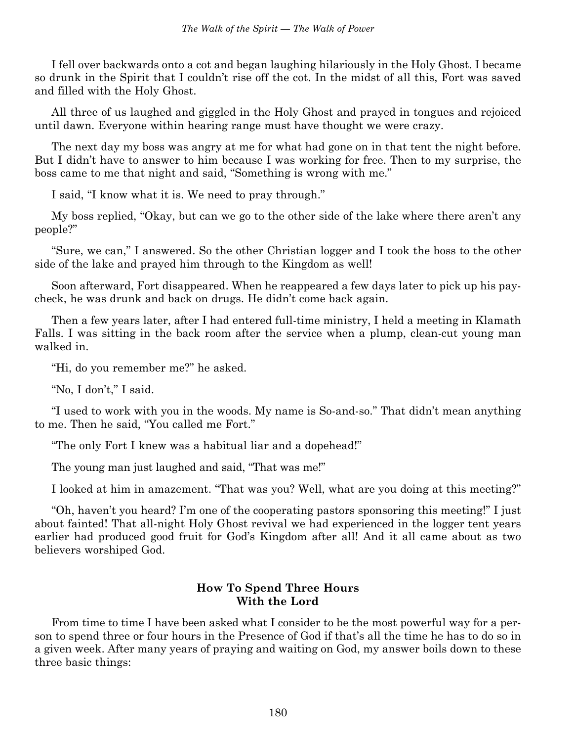I fell over backwards onto a cot and began laughing hilariously in the Holy Ghost. I became so drunk in the Spirit that I couldn't rise off the cot. In the midst of all this, Fort was saved and filled with the Holy Ghost.

All three of us laughed and giggled in the Holy Ghost and prayed in tongues and rejoiced until dawn. Everyone within hearing range must have thought we were crazy.

The next day my boss was angry at me for what had gone on in that tent the night before. But I didn't have to answer to him because I was working for free. Then to my surprise, the boss came to me that night and said, "Something is wrong with me."

I said, "I know what it is. We need to pray through."

My boss replied, "Okay, but can we go to the other side of the lake where there aren't any people?"

"Sure, we can," I answered. So the other Christian logger and I took the boss to the other side of the lake and prayed him through to the Kingdom as well!

Soon afterward, Fort disappeared. When he reappeared a few days later to pick up his paycheck, he was drunk and back on drugs. He didn't come back again.

Then a few years later, after I had entered full-time ministry, I held a meeting in Klamath Falls. I was sitting in the back room after the service when a plump, clean-cut young man walked in.

"Hi, do you remember me?" he asked.

"No, I don't," I said.

"I used to work with you in the woods. My name is So-and-so." That didn't mean anything to me. Then he said, "You called me Fort."

"The only Fort I knew was a habitual liar and a dopehead!"

The young man just laughed and said, "That was me!"

I looked at him in amazement. "That was you? Well, what are you doing at this meeting?"

"Oh, haven't you heard? I'm one of the cooperating pastors sponsoring this meeting!" I just about fainted! That all-night Holy Ghost revival we had experienced in the logger tent years earlier had produced good fruit for God's Kingdom after all! And it all came about as two believers worshiped God.

# **How To Spend Three Hours With the Lord**

From time to time I have been asked what I consider to be the most powerful way for a person to spend three or four hours in the Presence of God if that's all the time he has to do so in a given week. After many years of praying and waiting on God, my answer boils down to these three basic things: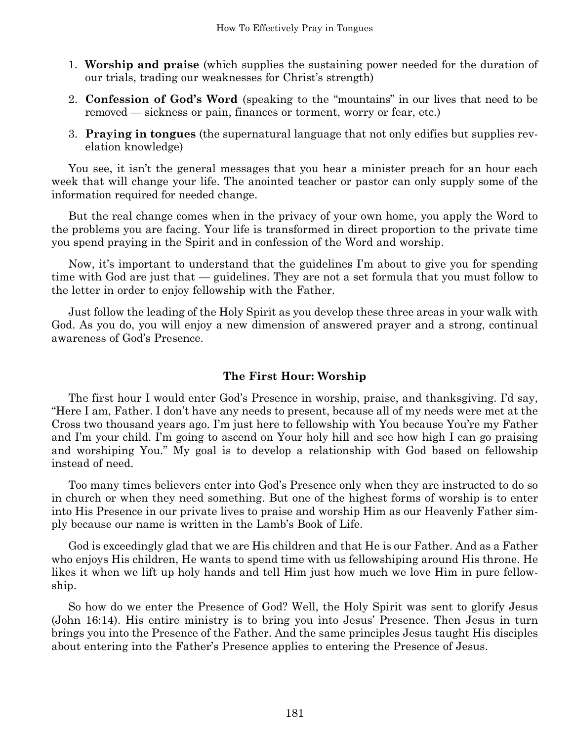- 1. **Worship and praise** (which supplies the sustaining power needed for the duration of our trials, trading our weaknesses for Christ's strength)
- 2. **Confession of God's Word** (speaking to the "mountains" in our lives that need to be removed — sickness or pain, finances or torment, worry or fear, etc.)
- 3. **Praying in tongues** (the supernatural language that not only edifies but supplies revelation knowledge)

You see, it isn't the general messages that you hear a minister preach for an hour each week that will change your life. The anointed teacher or pastor can only supply some of the information required for needed change.

But the real change comes when in the privacy of your own home, you apply the Word to the problems you are facing. Your life is transformed in direct proportion to the private time you spend praying in the Spirit and in confession of the Word and worship.

Now, it's important to understand that the guidelines I'm about to give you for spending time with God are just that — guidelines. They are not a set formula that you must follow to the letter in order to enjoy fellowship with the Father.

Just follow the leading of the Holy Spirit as you develop these three areas in your walk with God. As you do, you will enjoy a new dimension of answered prayer and a strong, continual awareness of God's Presence.

# **The First Hour: Worship**

The first hour I would enter God's Presence in worship, praise, and thanksgiving. I'd say, "Here I am, Father. I don't have any needs to present, because all of my needs were met at the Cross two thousand years ago. I'm just here to fellowship with You because You're my Father and I'm your child. I'm going to ascend on Your holy hill and see how high I can go praising and worshiping You." My goal is to develop a relationship with God based on fellowship instead of need.

Too many times believers enter into God's Presence only when they are instructed to do so in church or when they need something. But one of the highest forms of worship is to enter into His Presence in our private lives to praise and worship Him as our Heavenly Father simply because our name is written in the Lamb's Book of Life.

God is exceedingly glad that we are His children and that He is our Father. And as a Father who enjoys His children, He wants to spend time with us fellowshiping around His throne. He likes it when we lift up holy hands and tell Him just how much we love Him in pure fellowship.

So how do we enter the Presence of God? Well, the Holy Spirit was sent to glorify Jesus (John 16:14). His entire ministry is to bring you into Jesus' Presence. Then Jesus in turn brings you into the Presence of the Father. And the same principles Jesus taught His disciples about entering into the Father's Presence applies to entering the Presence of Jesus.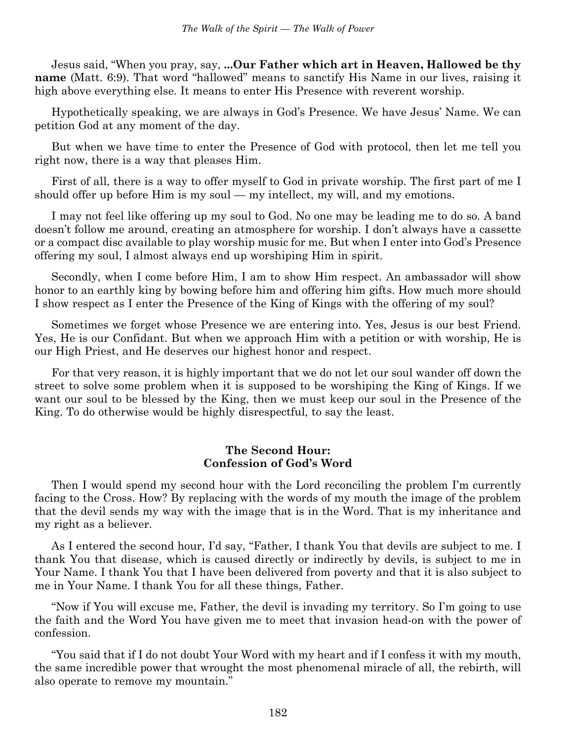Jesus said, "When you pray, say, **...Our Father which art in Heaven, Hallowed be thy name** (Matt. 6:9). That word "hallowed" means to sanctify His Name in our lives, raising it high above everything else. It means to enter His Presence with reverent worship.

Hypothetically speaking, we are always in God's Presence. We have Jesus' Name. We can petition God at any moment of the day.

But when we have time to enter the Presence of God with protocol, then let me tell you right now, there is a way that pleases Him.

First of all, there is a way to offer myself to God in private worship. The first part of me I should offer up before Him is my soul — my intellect, my will, and my emotions.

I may not feel like offering up my soul to God. No one may be leading me to do so. A band doesn't follow me around, creating an atmosphere for worship. I don't always have a cassette or a compact disc available to play worship music for me. But when I enter into God's Presence offering my soul, I almost always end up worshiping Him in spirit.

Secondly, when I come before Him, I am to show Him respect. An ambassador will show honor to an earthly king by bowing before him and offering him gifts. How much more should I show respect as I enter the Presence of the King of Kings with the offering of my soul?

Sometimes we forget whose Presence we are entering into. Yes, Jesus is our best Friend. Yes, He is our Confidant. But when we approach Him with a petition or with worship, He is our High Priest, and He deserves our highest honor and respect.

For that very reason, it is highly important that we do not let our soul wander off down the street to solve some problem when it is supposed to be worshiping the King of Kings. If we want our soul to be blessed by the King, then we must keep our soul in the Presence of the King. To do otherwise would be highly disrespectful, to say the least.

#### **The Second Hour: Confession of God's Word**

Then I would spend my second hour with the Lord reconciling the problem I'm currently facing to the Cross. How? By replacing with the words of my mouth the image of the problem that the devil sends my way with the image that is in the Word. That is my inheritance and my right as a believer.

As I entered the second hour, I'd say, "Father, I thank You that devils are subject to me. I thank You that disease, which is caused directly or indirectly by devils, is subject to me in Your Name. I thank You that I have been delivered from poverty and that it is also subject to me in Your Name. I thank You for all these things, Father.

"Now if You will excuse me, Father, the devil is invading my territory. So I'm going to use the faith and the Word You have given me to meet that invasion head-on with the power of confession.

"You said that if I do not doubt Your Word with my heart and if I confess it with my mouth, the same incredible power that wrought the most phenomenal miracle of all, the rebirth, will also operate to remove my mountain."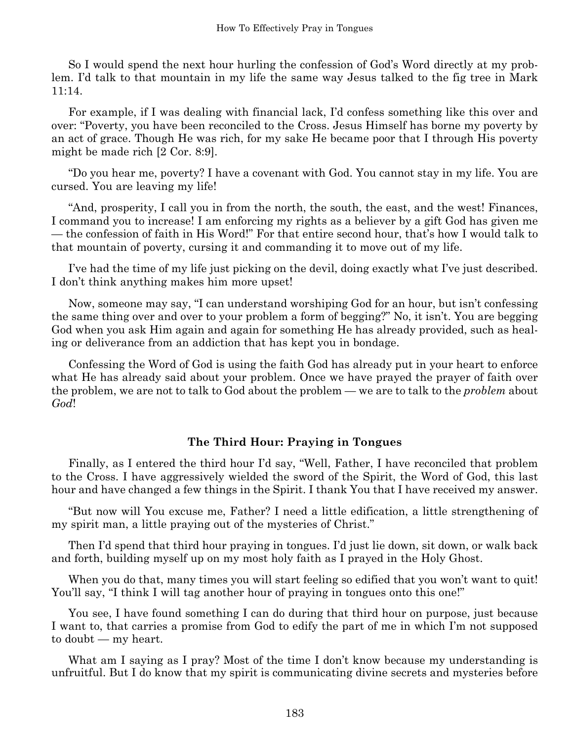So I would spend the next hour hurling the confession of God's Word directly at my problem. I'd talk to that mountain in my life the same way Jesus talked to the fig tree in Mark 11:14.

For example, if I was dealing with financial lack, I'd confess something like this over and over: "Poverty, you have been reconciled to the Cross. Jesus Himself has borne my poverty by an act of grace. Though He was rich, for my sake He became poor that I through His poverty might be made rich [2 Cor. 8:9].

"Do you hear me, poverty? I have a covenant with God. You cannot stay in my life. You are cursed. You are leaving my life!

"And, prosperity, I call you in from the north, the south, the east, and the west! Finances, I command you to increase! I am enforcing my rights as a believer by a gift God has given me — the confession of faith in His Word!" For that entire second hour, that's how I would talk to that mountain of poverty, cursing it and commanding it to move out of my life.

I've had the time of my life just picking on the devil, doing exactly what I've just described. I don't think anything makes him more upset!

Now, someone may say, "I can understand worshiping God for an hour, but isn't confessing the same thing over and over to your problem a form of begging?" No, it isn't. You are begging God when you ask Him again and again for something He has already provided, such as healing or deliverance from an addiction that has kept you in bondage.

Confessing the Word of God is using the faith God has already put in your heart to enforce what He has already said about your problem. Once we have prayed the prayer of faith over the problem, we are not to talk to God about the problem — we are to talk to the *problem* about *God*!

# **The Third Hour: Praying in Tongues**

Finally, as I entered the third hour I'd say, "Well, Father, I have reconciled that problem to the Cross. I have aggressively wielded the sword of the Spirit, the Word of God, this last hour and have changed a few things in the Spirit. I thank You that I have received my answer.

"But now will You excuse me, Father? I need a little edification, a little strengthening of my spirit man, a little praying out of the mysteries of Christ."

Then I'd spend that third hour praying in tongues. I'd just lie down, sit down, or walk back and forth, building myself up on my most holy faith as I prayed in the Holy Ghost.

When you do that, many times you will start feeling so edified that you won't want to quit! You'll say, "I think I will tag another hour of praying in tongues onto this one!"

You see, I have found something I can do during that third hour on purpose, just because I want to, that carries a promise from God to edify the part of me in which I'm not supposed to doubt — my heart.

What am I saying as I pray? Most of the time I don't know because my understanding is unfruitful. But I do know that my spirit is communicating divine secrets and mysteries before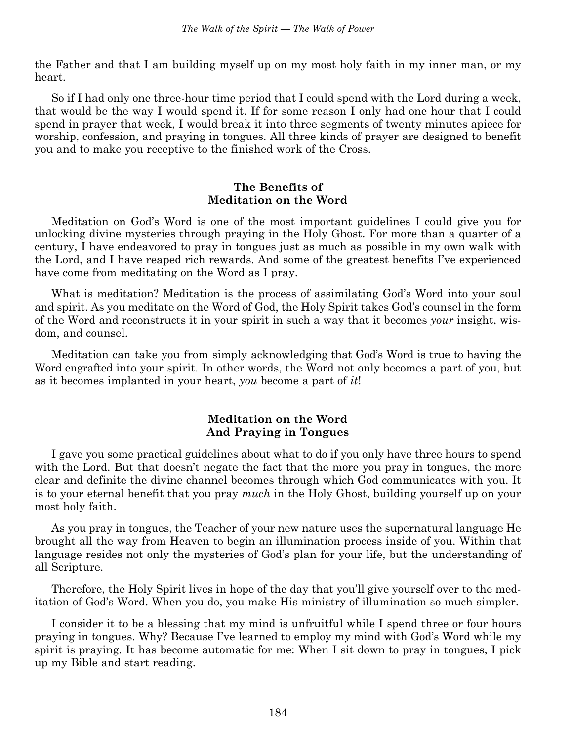the Father and that I am building myself up on my most holy faith in my inner man, or my heart.

So if I had only one three-hour time period that I could spend with the Lord during a week, that would be the way I would spend it. If for some reason I only had one hour that I could spend in prayer that week, I would break it into three segments of twenty minutes apiece for worship, confession, and praying in tongues. All three kinds of prayer are designed to benefit you and to make you receptive to the finished work of the Cross.

## **The Benefits of Meditation on the Word**

Meditation on God's Word is one of the most important guidelines I could give you for unlocking divine mysteries through praying in the Holy Ghost. For more than a quarter of a century, I have endeavored to pray in tongues just as much as possible in my own walk with the Lord, and I have reaped rich rewards. And some of the greatest benefits I've experienced have come from meditating on the Word as I pray.

What is meditation? Meditation is the process of assimilating God's Word into your soul and spirit. As you meditate on the Word of God, the Holy Spirit takes God's counsel in the form of the Word and reconstructs it in your spirit in such a way that it becomes *your* insight, wisdom, and counsel.

Meditation can take you from simply acknowledging that God's Word is true to having the Word engrafted into your spirit. In other words, the Word not only becomes a part of you, but as it becomes implanted in your heart, *you* become a part of *it*!

# **Meditation on the Word And Praying in Tongues**

I gave you some practical guidelines about what to do if you only have three hours to spend with the Lord. But that doesn't negate the fact that the more you pray in tongues, the more clear and definite the divine channel becomes through which God communicates with you. It is to your eternal benefit that you pray *much* in the Holy Ghost, building yourself up on your most holy faith.

As you pray in tongues, the Teacher of your new nature uses the supernatural language He brought all the way from Heaven to begin an illumination process inside of you. Within that language resides not only the mysteries of God's plan for your life, but the understanding of all Scripture.

Therefore, the Holy Spirit lives in hope of the day that you'll give yourself over to the meditation of God's Word. When you do, you make His ministry of illumination so much simpler.

I consider it to be a blessing that my mind is unfruitful while I spend three or four hours praying in tongues. Why? Because I've learned to employ my mind with God's Word while my spirit is praying. It has become automatic for me: When I sit down to pray in tongues, I pick up my Bible and start reading.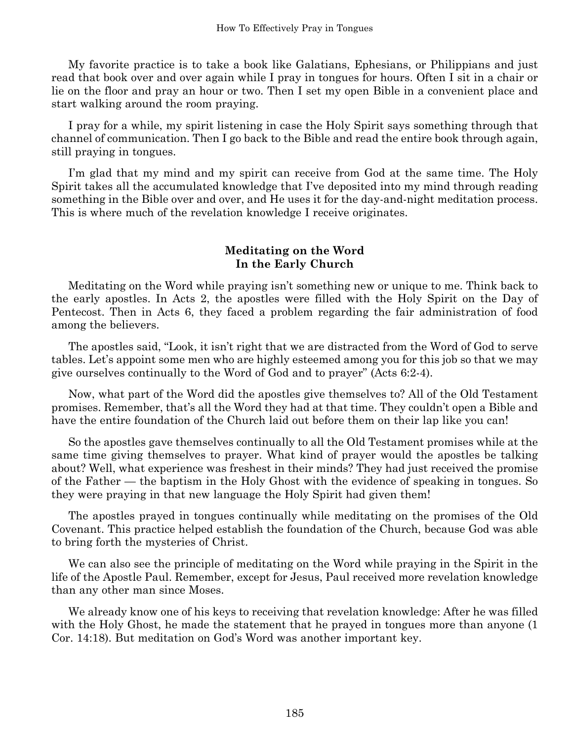My favorite practice is to take a book like Galatians, Ephesians, or Philippians and just read that book over and over again while I pray in tongues for hours. Often I sit in a chair or lie on the floor and pray an hour or two. Then I set my open Bible in a convenient place and start walking around the room praying.

I pray for a while, my spirit listening in case the Holy Spirit says something through that channel of communication. Then I go back to the Bible and read the entire book through again, still praying in tongues.

I'm glad that my mind and my spirit can receive from God at the same time. The Holy Spirit takes all the accumulated knowledge that I've deposited into my mind through reading something in the Bible over and over, and He uses it for the day-and-night meditation process. This is where much of the revelation knowledge I receive originates.

# **Meditating on the Word In the Early Church**

Meditating on the Word while praying isn't something new or unique to me. Think back to the early apostles. In Acts 2, the apostles were filled with the Holy Spirit on the Day of Pentecost. Then in Acts 6, they faced a problem regarding the fair administration of food among the believers.

The apostles said, "Look, it isn't right that we are distracted from the Word of God to serve tables. Let's appoint some men who are highly esteemed among you for this job so that we may give ourselves continually to the Word of God and to prayer" (Acts 6:2-4).

Now, what part of the Word did the apostles give themselves to? All of the Old Testament promises. Remember, that's all the Word they had at that time. They couldn't open a Bible and have the entire foundation of the Church laid out before them on their lap like you can!

So the apostles gave themselves continually to all the Old Testament promises while at the same time giving themselves to prayer. What kind of prayer would the apostles be talking about? Well, what experience was freshest in their minds? They had just received the promise of the Father — the baptism in the Holy Ghost with the evidence of speaking in tongues. So they were praying in that new language the Holy Spirit had given them!

The apostles prayed in tongues continually while meditating on the promises of the Old Covenant. This practice helped establish the foundation of the Church, because God was able to bring forth the mysteries of Christ.

We can also see the principle of meditating on the Word while praying in the Spirit in the life of the Apostle Paul. Remember, except for Jesus, Paul received more revelation knowledge than any other man since Moses.

We already know one of his keys to receiving that revelation knowledge: After he was filled with the Holy Ghost, he made the statement that he prayed in tongues more than anyone (1 Cor. 14:18). But meditation on God's Word was another important key.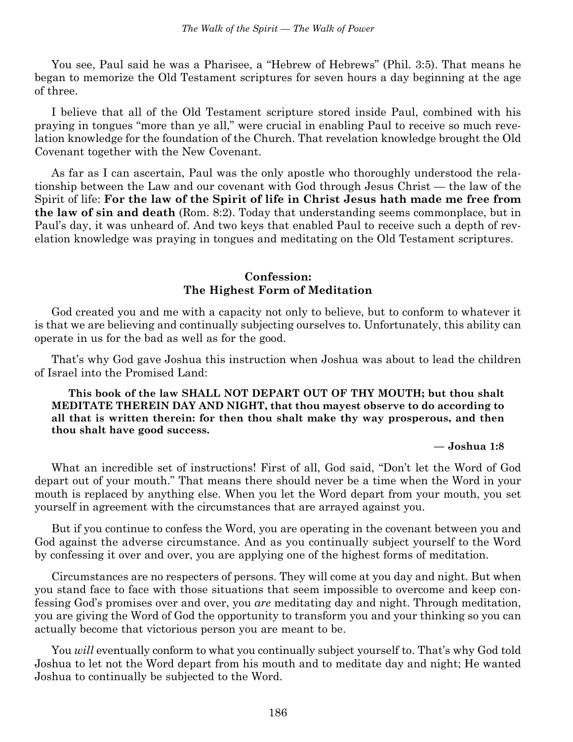You see, Paul said he was a Pharisee, a "Hebrew of Hebrews" (Phil. 3:5). That means he began to memorize the Old Testament scriptures for seven hours a day beginning at the age of three.

I believe that all of the Old Testament scripture stored inside Paul, combined with his praying in tongues "more than ye all," were crucial in enabling Paul to receive so much revelation knowledge for the foundation of the Church. That revelation knowledge brought the Old Covenant together with the New Covenant.

As far as I can ascertain, Paul was the only apostle who thoroughly understood the relationship between the Law and our covenant with God through Jesus Christ — the law of the Spirit of life: **For the law of the Spirit of life in Christ Jesus hath made me free from the law of sin and death** (Rom. 8:2). Today that understanding seems commonplace, but in Paul's day, it was unheard of. And two keys that enabled Paul to receive such a depth of revelation knowledge was praying in tongues and meditating on the Old Testament scriptures.

## **Confession: The Highest Form of Meditation**

God created you and me with a capacity not only to believe, but to conform to whatever it is that we are believing and continually subjecting ourselves to. Unfortunately, this ability can operate in us for the bad as well as for the good.

That's why God gave Joshua this instruction when Joshua was about to lead the children of Israel into the Promised Land:

**This book of the law SHALL NOT DEPART OUT OF THY MOUTH; but thou shalt MEDITATE THEREIN DAY AND NIGHT, that thou mayest observe to do according to all that is written therein: for then thou shalt make thy way prosperous, and then thou shalt have good success.**

#### **— Joshua 1:8**

What an incredible set of instructions! First of all, God said, "Don't let the Word of God depart out of your mouth." That means there should never be a time when the Word in your mouth is replaced by anything else. When you let the Word depart from your mouth, you set yourself in agreement with the circumstances that are arrayed against you.

But if you continue to confess the Word, you are operating in the covenant between you and God against the adverse circumstance. And as you continually subject yourself to the Word by confessing it over and over, you are applying one of the highest forms of meditation.

Circumstances are no respecters of persons. They will come at you day and night. But when you stand face to face with those situations that seem impossible to overcome and keep confessing God's promises over and over, you *are* meditating day and night. Through meditation, you are giving the Word of God the opportunity to transform you and your thinking so you can actually become that victorious person you are meant to be.

You *will* eventually conform to what you continually subject yourself to. That's why God told Joshua to let not the Word depart from his mouth and to meditate day and night; He wanted Joshua to continually be subjected to the Word.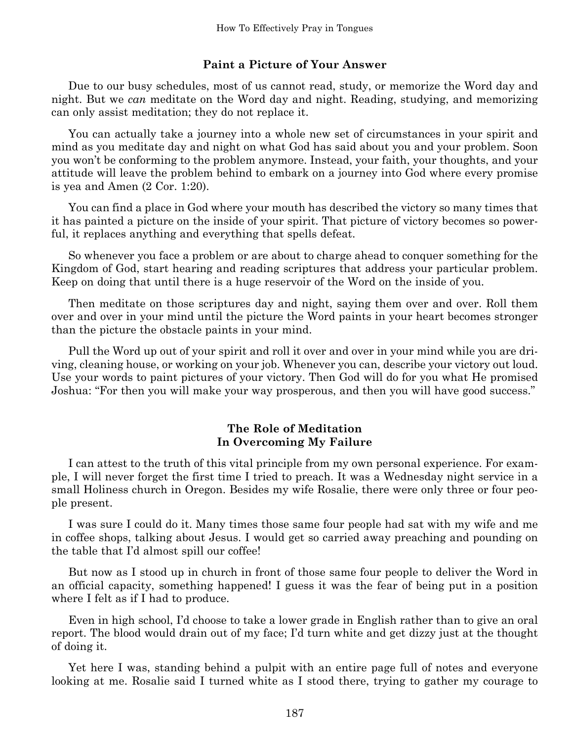# **Paint a Picture of Your Answer**

Due to our busy schedules, most of us cannot read, study, or memorize the Word day and night. But we *can* meditate on the Word day and night. Reading, studying, and memorizing can only assist meditation; they do not replace it.

You can actually take a journey into a whole new set of circumstances in your spirit and mind as you meditate day and night on what God has said about you and your problem. Soon you won't be conforming to the problem anymore. Instead, your faith, your thoughts, and your attitude will leave the problem behind to embark on a journey into God where every promise is yea and Amen (2 Cor. 1:20).

You can find a place in God where your mouth has described the victory so many times that it has painted a picture on the inside of your spirit. That picture of victory becomes so powerful, it replaces anything and everything that spells defeat.

So whenever you face a problem or are about to charge ahead to conquer something for the Kingdom of God, start hearing and reading scriptures that address your particular problem. Keep on doing that until there is a huge reservoir of the Word on the inside of you.

Then meditate on those scriptures day and night, saying them over and over. Roll them over and over in your mind until the picture the Word paints in your heart becomes stronger than the picture the obstacle paints in your mind.

Pull the Word up out of your spirit and roll it over and over in your mind while you are driving, cleaning house, or working on your job. Whenever you can, describe your victory out loud. Use your words to paint pictures of your victory. Then God will do for you what He promised Joshua: "For then you will make your way prosperous, and then you will have good success."

# **The Role of Meditation In Overcoming My Failure**

I can attest to the truth of this vital principle from my own personal experience. For example, I will never forget the first time I tried to preach. It was a Wednesday night service in a small Holiness church in Oregon. Besides my wife Rosalie, there were only three or four people present.

I was sure I could do it. Many times those same four people had sat with my wife and me in coffee shops, talking about Jesus. I would get so carried away preaching and pounding on the table that I'd almost spill our coffee!

But now as I stood up in church in front of those same four people to deliver the Word in an official capacity, something happened! I guess it was the fear of being put in a position where I felt as if I had to produce.

Even in high school, I'd choose to take a lower grade in English rather than to give an oral report. The blood would drain out of my face; I'd turn white and get dizzy just at the thought of doing it.

Yet here I was, standing behind a pulpit with an entire page full of notes and everyone looking at me. Rosalie said I turned white as I stood there, trying to gather my courage to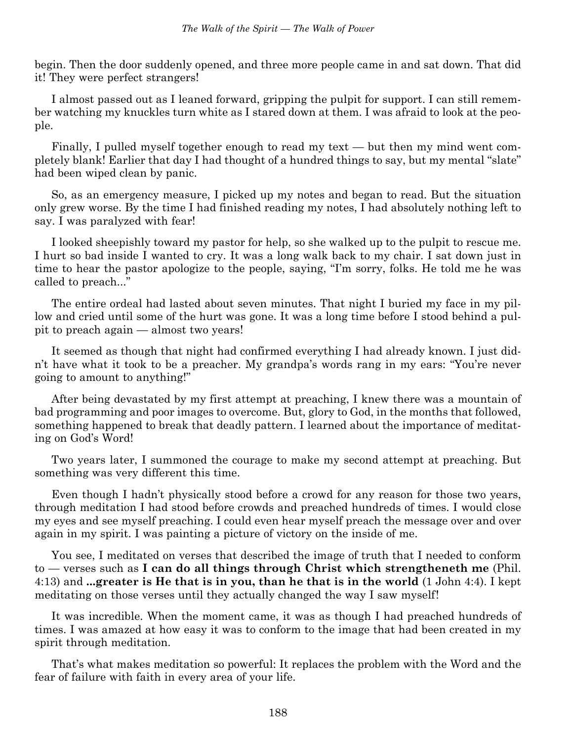begin. Then the door suddenly opened, and three more people came in and sat down. That did it! They were perfect strangers!

I almost passed out as I leaned forward, gripping the pulpit for support. I can still remember watching my knuckles turn white as I stared down at them. I was afraid to look at the people.

Finally, I pulled myself together enough to read my text — but then my mind went completely blank! Earlier that day I had thought of a hundred things to say, but my mental "slate" had been wiped clean by panic.

So, as an emergency measure, I picked up my notes and began to read. But the situation only grew worse. By the time I had finished reading my notes, I had absolutely nothing left to say. I was paralyzed with fear!

I looked sheepishly toward my pastor for help, so she walked up to the pulpit to rescue me. I hurt so bad inside I wanted to cry. It was a long walk back to my chair. I sat down just in time to hear the pastor apologize to the people, saying, "I'm sorry, folks. He told me he was called to preach..."

The entire ordeal had lasted about seven minutes. That night I buried my face in my pillow and cried until some of the hurt was gone. It was a long time before I stood behind a pulpit to preach again — almost two years!

It seemed as though that night had confirmed everything I had already known. I just didn't have what it took to be a preacher. My grandpa's words rang in my ears: "You're never going to amount to anything!"

After being devastated by my first attempt at preaching, I knew there was a mountain of bad programming and poor images to overcome. But, glory to God, in the months that followed, something happened to break that deadly pattern. I learned about the importance of meditating on God's Word!

Two years later, I summoned the courage to make my second attempt at preaching. But something was very different this time.

Even though I hadn't physically stood before a crowd for any reason for those two years, through meditation I had stood before crowds and preached hundreds of times. I would close my eyes and see myself preaching. I could even hear myself preach the message over and over again in my spirit. I was painting a picture of victory on the inside of me.

You see, I meditated on verses that described the image of truth that I needed to conform to — verses such as **I can do all things through Christ which strengtheneth me** (Phil. 4:13) and **...greater is He that is in you, than he that is in the world** (1 John 4:4). I kept meditating on those verses until they actually changed the way I saw myself!

It was incredible. When the moment came, it was as though I had preached hundreds of times. I was amazed at how easy it was to conform to the image that had been created in my spirit through meditation.

That's what makes meditation so powerful: It replaces the problem with the Word and the fear of failure with faith in every area of your life.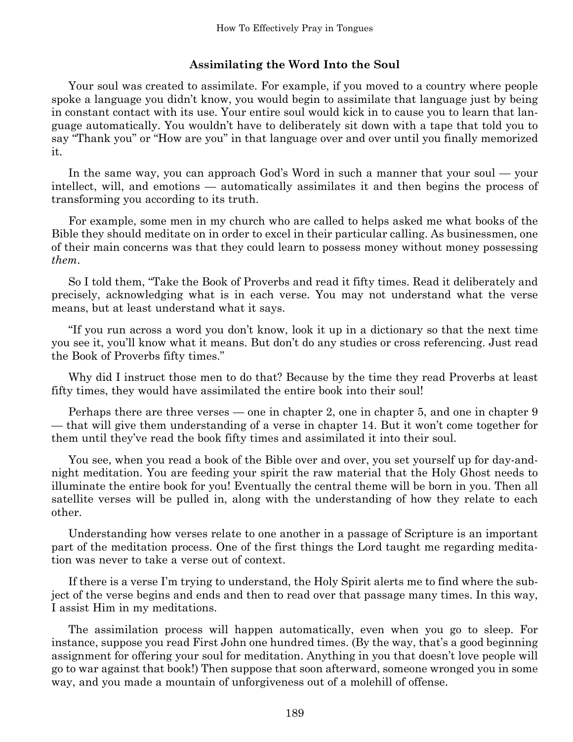# **Assimilating the Word Into the Soul**

Your soul was created to assimilate. For example, if you moved to a country where people spoke a language you didn't know, you would begin to assimilate that language just by being in constant contact with its use. Your entire soul would kick in to cause you to learn that language automatically. You wouldn't have to deliberately sit down with a tape that told you to say "Thank you" or "How are you" in that language over and over until you finally memorized it.

In the same way, you can approach God's Word in such a manner that your soul — your intellect, will, and emotions — automatically assimilates it and then begins the process of transforming you according to its truth.

For example, some men in my church who are called to helps asked me what books of the Bible they should meditate on in order to excel in their particular calling. As businessmen, one of their main concerns was that they could learn to possess money without money possessing *them*.

So I told them, "Take the Book of Proverbs and read it fifty times. Read it deliberately and precisely, acknowledging what is in each verse. You may not understand what the verse means, but at least understand what it says.

"If you run across a word you don't know, look it up in a dictionary so that the next time you see it, you'll know what it means. But don't do any studies or cross referencing. Just read the Book of Proverbs fifty times."

Why did I instruct those men to do that? Because by the time they read Proverbs at least fifty times, they would have assimilated the entire book into their soul!

Perhaps there are three verses — one in chapter 2, one in chapter 5, and one in chapter 9 — that will give them understanding of a verse in chapter 14. But it won't come together for them until they've read the book fifty times and assimilated it into their soul.

You see, when you read a book of the Bible over and over, you set yourself up for day-andnight meditation. You are feeding your spirit the raw material that the Holy Ghost needs to illuminate the entire book for you! Eventually the central theme will be born in you. Then all satellite verses will be pulled in, along with the understanding of how they relate to each other.

Understanding how verses relate to one another in a passage of Scripture is an important part of the meditation process. One of the first things the Lord taught me regarding meditation was never to take a verse out of context.

If there is a verse I'm trying to understand, the Holy Spirit alerts me to find where the subject of the verse begins and ends and then to read over that passage many times. In this way, I assist Him in my meditations.

The assimilation process will happen automatically, even when you go to sleep. For instance, suppose you read First John one hundred times. (By the way, that's a good beginning assignment for offering your soul for meditation. Anything in you that doesn't love people will go to war against that book!) Then suppose that soon afterward, someone wronged you in some way, and you made a mountain of unforgiveness out of a molehill of offense.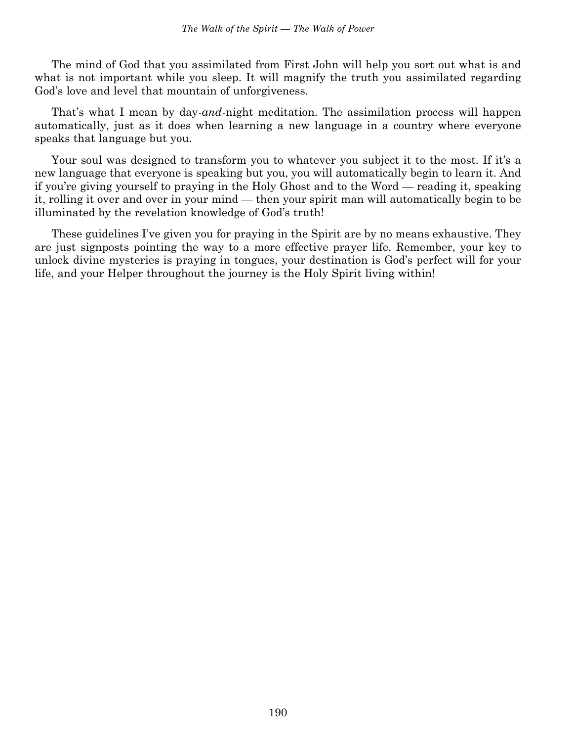The mind of God that you assimilated from First John will help you sort out what is and what is not important while you sleep. It will magnify the truth you assimilated regarding God's love and level that mountain of unforgiveness.

That's what I mean by day*-and*-night meditation. The assimilation process will happen automatically, just as it does when learning a new language in a country where everyone speaks that language but you.

Your soul was designed to transform you to whatever you subject it to the most. If it's a new language that everyone is speaking but you, you will automatically begin to learn it. And if you're giving yourself to praying in the Holy Ghost and to the Word — reading it, speaking it, rolling it over and over in your mind — then your spirit man will automatically begin to be illuminated by the revelation knowledge of God's truth!

These guidelines I've given you for praying in the Spirit are by no means exhaustive. They are just signposts pointing the way to a more effective prayer life. Remember, your key to unlock divine mysteries is praying in tongues, your destination is God's perfect will for your life, and your Helper throughout the journey is the Holy Spirit living within!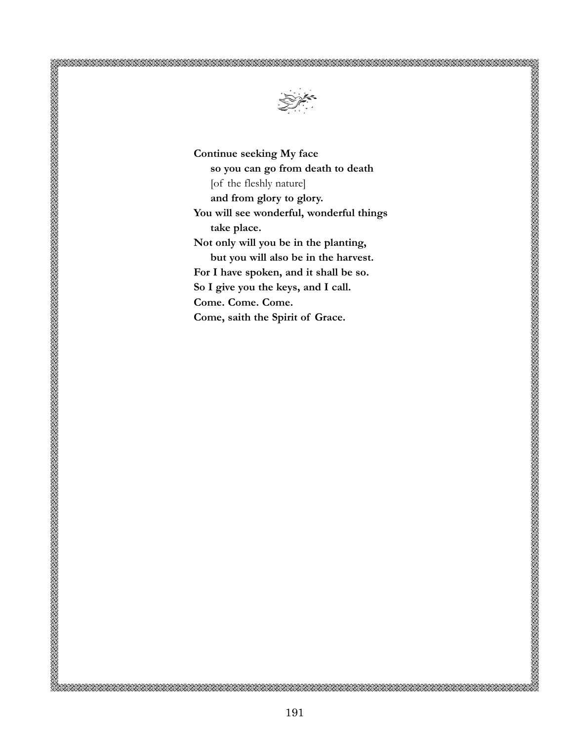

**Continue seeking My face so you can go from death to death**  [of the fleshly nature] **and from glory to glory. You will see wonderful, wonderful things take place. Not only will you be in the planting, but you will also be in the harvest. For I have spoken, and it shall be so. So I give you the keys, and I call. Come. Come. Come. Come, saith the Spirit of Grace.**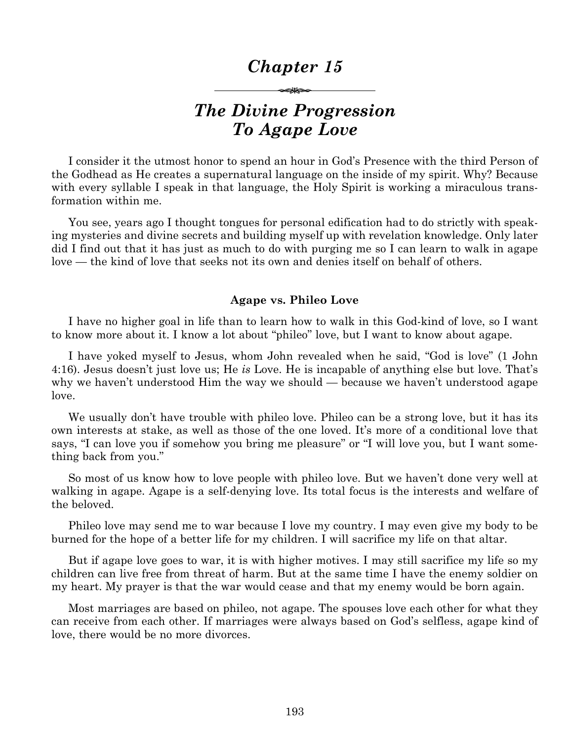# *Chapter 15*

# *The Divine Progression To Agape Love*

I consider it the utmost honor to spend an hour in God's Presence with the third Person of the Godhead as He creates a supernatural language on the inside of my spirit. Why? Because with every syllable I speak in that language, the Holy Spirit is working a miraculous transformation within me.

You see, years ago I thought tongues for personal edification had to do strictly with speaking mysteries and divine secrets and building myself up with revelation knowledge. Only later did I find out that it has just as much to do with purging me so I can learn to walk in agape love — the kind of love that seeks not its own and denies itself on behalf of others.

#### **Agape vs. Phileo Love**

I have no higher goal in life than to learn how to walk in this God-kind of love, so I want to know more about it. I know a lot about "phileo" love, but I want to know about agape.

I have yoked myself to Jesus, whom John revealed when he said, "God is love" (1 John 4:16). Jesus doesn't just love us; He *is* Love. He is incapable of anything else but love. That's why we haven't understood Him the way we should — because we haven't understood agape love.

We usually don't have trouble with phileo love. Phileo can be a strong love, but it has its own interests at stake, as well as those of the one loved. It's more of a conditional love that says, "I can love you if somehow you bring me pleasure" or "I will love you, but I want something back from you."

So most of us know how to love people with phileo love. But we haven't done very well at walking in agape. Agape is a self-denying love. Its total focus is the interests and welfare of the beloved.

Phileo love may send me to war because I love my country. I may even give my body to be burned for the hope of a better life for my children. I will sacrifice my life on that altar.

But if agape love goes to war, it is with higher motives. I may still sacrifice my life so my children can live free from threat of harm. But at the same time I have the enemy soldier on my heart. My prayer is that the war would cease and that my enemy would be born again.

Most marriages are based on phileo, not agape. The spouses love each other for what they can receive from each other. If marriages were always based on God's selfless, agape kind of love, there would be no more divorces.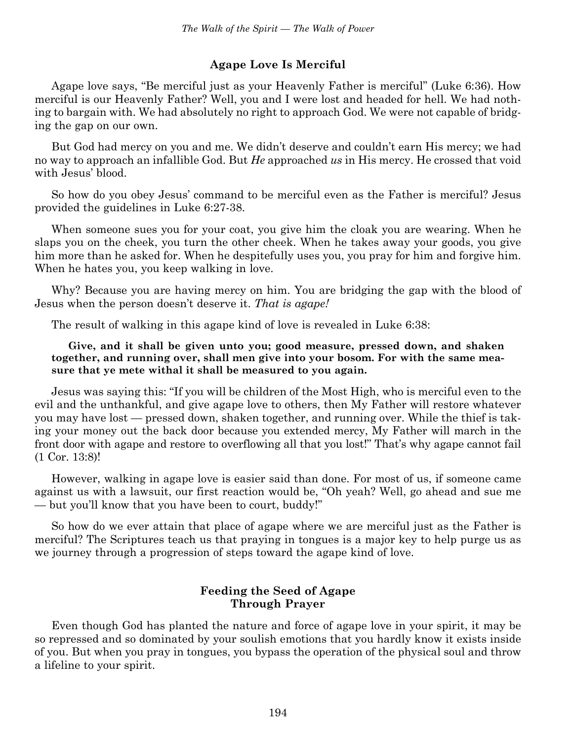# **Agape Love Is Merciful**

Agape love says, "Be merciful just as your Heavenly Father is merciful" (Luke 6:36). How merciful is our Heavenly Father? Well, you and I were lost and headed for hell. We had nothing to bargain with. We had absolutely no right to approach God. We were not capable of bridging the gap on our own.

But God had mercy on you and me. We didn't deserve and couldn't earn His mercy; we had no way to approach an infallible God. But *He* approached *us* in His mercy. He crossed that void with Jesus' blood.

So how do you obey Jesus' command to be merciful even as the Father is merciful? Jesus provided the guidelines in Luke 6:27-38.

When someone sues you for your coat, you give him the cloak you are wearing. When he slaps you on the cheek, you turn the other cheek. When he takes away your goods, you give him more than he asked for. When he despitefully uses you, you pray for him and forgive him. When he hates you, you keep walking in love.

Why? Because you are having mercy on him. You are bridging the gap with the blood of Jesus when the person doesn't deserve it. *That is agape!*

The result of walking in this agape kind of love is revealed in Luke 6:38:

#### **Give, and it shall be given unto you; good measure, pressed down, and shaken together, and running over, shall men give into your bosom. For with the same measure that ye mete withal it shall be measured to you again.**

Jesus was saying this: "If you will be children of the Most High, who is merciful even to the evil and the unthankful, and give agape love to others, then My Father will restore whatever you may have lost — pressed down, shaken together, and running over. While the thief is taking your money out the back door because you extended mercy, My Father will march in the front door with agape and restore to overflowing all that you lost!" That's why agape cannot fail (1 Cor. 13:8)!

However, walking in agape love is easier said than done. For most of us, if someone came against us with a lawsuit, our first reaction would be, "Oh yeah? Well, go ahead and sue me — but you'll know that you have been to court, buddy!"

So how do we ever attain that place of agape where we are merciful just as the Father is merciful? The Scriptures teach us that praying in tongues is a major key to help purge us as we journey through a progression of steps toward the agape kind of love.

## **Feeding the Seed of Agape Through Prayer**

Even though God has planted the nature and force of agape love in your spirit, it may be so repressed and so dominated by your soulish emotions that you hardly know it exists inside of you. But when you pray in tongues, you bypass the operation of the physical soul and throw a lifeline to your spirit.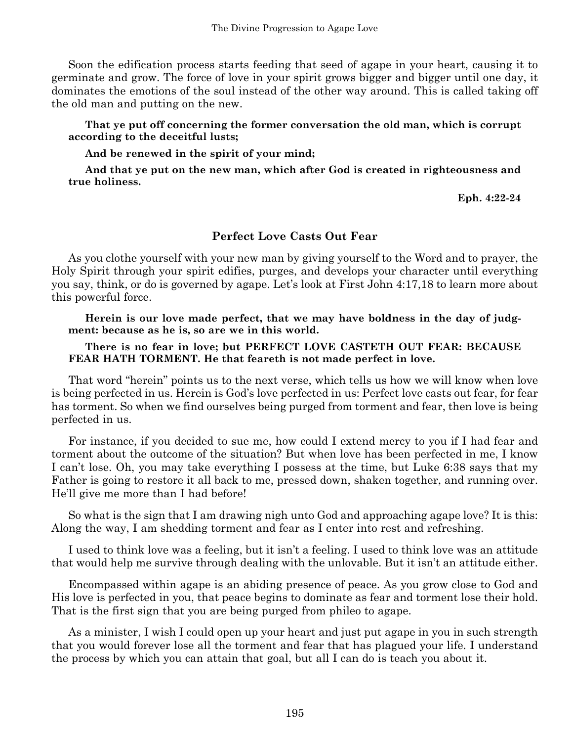Soon the edification process starts feeding that seed of agape in your heart, causing it to germinate and grow. The force of love in your spirit grows bigger and bigger until one day, it dominates the emotions of the soul instead of the other way around. This is called taking off the old man and putting on the new.

**That ye put off concerning the former conversation the old man, which is corrupt according to the deceitful lusts;**

**And be renewed in the spirit of your mind;**

**And that ye put on the new man, which after God is created in righteousness and true holiness.**

**Eph. 4:22-24**

# **Perfect Love Casts Out Fear**

As you clothe yourself with your new man by giving yourself to the Word and to prayer, the Holy Spirit through your spirit edifies, purges, and develops your character until everything you say, think, or do is governed by agape. Let's look at First John 4:17,18 to learn more about this powerful force.

**Herein is our love made perfect, that we may have boldness in the day of judgment: because as he is, so are we in this world.**

#### **There is no fear in love; but PERFECT LOVE CASTETH OUT FEAR: BECAUSE FEAR HATH TORMENT. He that feareth is not made perfect in love.**

That word "herein" points us to the next verse, which tells us how we will know when love is being perfected in us. Herein is God's love perfected in us: Perfect love casts out fear, for fear has torment. So when we find ourselves being purged from torment and fear, then love is being perfected in us.

For instance, if you decided to sue me, how could I extend mercy to you if I had fear and torment about the outcome of the situation? But when love has been perfected in me, I know I can't lose. Oh, you may take everything I possess at the time, but Luke 6:38 says that my Father is going to restore it all back to me, pressed down, shaken together, and running over. He'll give me more than I had before!

So what is the sign that I am drawing nigh unto God and approaching agape love? It is this: Along the way, I am shedding torment and fear as I enter into rest and refreshing.

I used to think love was a feeling, but it isn't a feeling. I used to think love was an attitude that would help me survive through dealing with the unlovable. But it isn't an attitude either.

Encompassed within agape is an abiding presence of peace. As you grow close to God and His love is perfected in you, that peace begins to dominate as fear and torment lose their hold. That is the first sign that you are being purged from phileo to agape.

As a minister, I wish I could open up your heart and just put agape in you in such strength that you would forever lose all the torment and fear that has plagued your life. I understand the process by which you can attain that goal, but all I can do is teach you about it.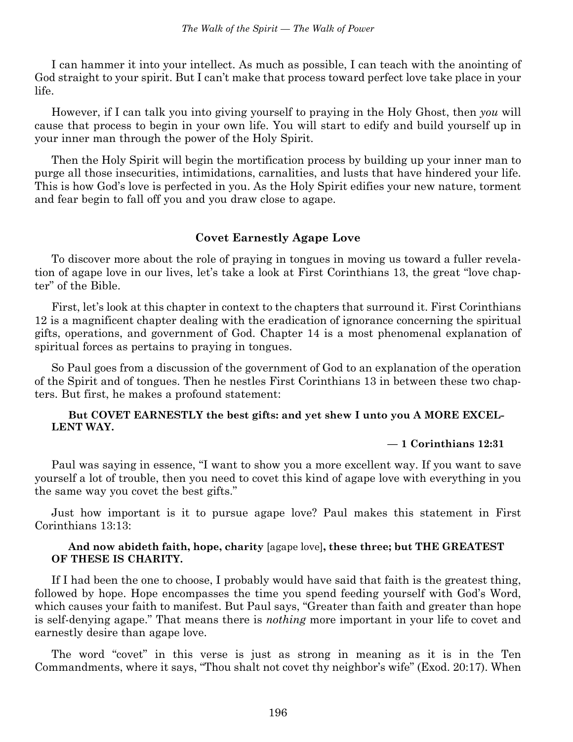I can hammer it into your intellect. As much as possible, I can teach with the anointing of God straight to your spirit. But I can't make that process toward perfect love take place in your life.

However, if I can talk you into giving yourself to praying in the Holy Ghost, then *you* will cause that process to begin in your own life. You will start to edify and build yourself up in your inner man through the power of the Holy Spirit.

Then the Holy Spirit will begin the mortification process by building up your inner man to purge all those insecurities, intimidations, carnalities, and lusts that have hindered your life. This is how God's love is perfected in you. As the Holy Spirit edifies your new nature, torment and fear begin to fall off you and you draw close to agape.

## **Covet Earnestly Agape Love**

To discover more about the role of praying in tongues in moving us toward a fuller revelation of agape love in our lives, let's take a look at First Corinthians 13, the great "love chapter" of the Bible.

First, let's look at this chapter in context to the chapters that surround it. First Corinthians 12 is a magnificent chapter dealing with the eradication of ignorance concerning the spiritual gifts, operations, and government of God. Chapter 14 is a most phenomenal explanation of spiritual forces as pertains to praying in tongues.

So Paul goes from a discussion of the government of God to an explanation of the operation of the Spirit and of tongues. Then he nestles First Corinthians 13 in between these two chapters. But first, he makes a profound statement:

#### **But COVET EARNESTLY the best gifts: and yet shew I unto you A MORE EXCEL-LENT WAY.**

#### **— 1 Corinthians 12:31**

Paul was saying in essence, "I want to show you a more excellent way. If you want to save yourself a lot of trouble, then you need to covet this kind of agape love with everything in you the same way you covet the best gifts."

Just how important is it to pursue agape love? Paul makes this statement in First Corinthians 13:13:

#### **And now abideth faith, hope, charity** [agape love]**, these three; but THE GREATEST OF THESE IS CHARITY.**

If I had been the one to choose, I probably would have said that faith is the greatest thing, followed by hope. Hope encompasses the time you spend feeding yourself with God's Word, which causes your faith to manifest. But Paul says, "Greater than faith and greater than hope is self-denying agape." That means there is *nothing* more important in your life to covet and earnestly desire than agape love.

The word "covet" in this verse is just as strong in meaning as it is in the Ten Commandments, where it says, "Thou shalt not covet thy neighbor's wife" (Exod. 20:17). When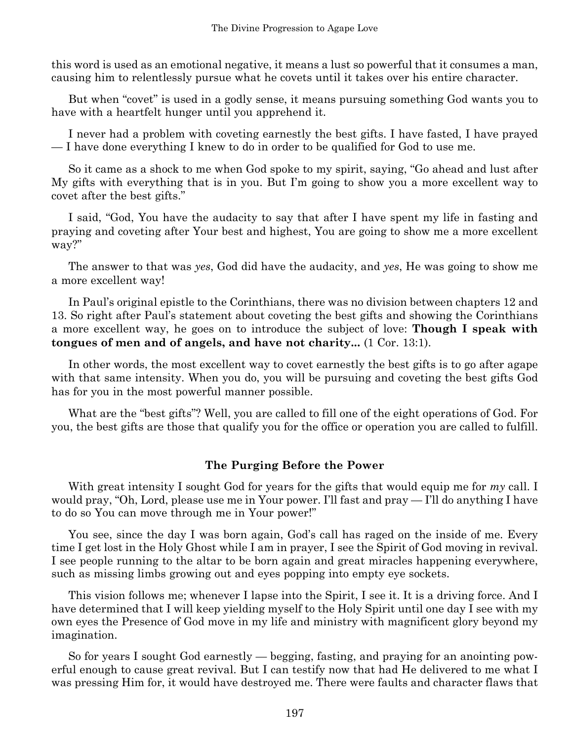this word is used as an emotional negative, it means a lust so powerful that it consumes a man, causing him to relentlessly pursue what he covets until it takes over his entire character.

But when "covet" is used in a godly sense, it means pursuing something God wants you to have with a heartfelt hunger until you apprehend it.

I never had a problem with coveting earnestly the best gifts. I have fasted, I have prayed — I have done everything I knew to do in order to be qualified for God to use me.

So it came as a shock to me when God spoke to my spirit, saying, "Go ahead and lust after My gifts with everything that is in you. But I'm going to show you a more excellent way to covet after the best gifts."

I said, "God, You have the audacity to say that after I have spent my life in fasting and praying and coveting after Your best and highest, You are going to show me a more excellent way?"

The answer to that was *yes*, God did have the audacity, and *yes*, He was going to show me a more excellent way!

In Paul's original epistle to the Corinthians, there was no division between chapters 12 and 13. So right after Paul's statement about coveting the best gifts and showing the Corinthians a more excellent way, he goes on to introduce the subject of love: **Though I speak with tongues of men and of angels, and have not charity...** (1 Cor. 13:1).

In other words, the most excellent way to covet earnestly the best gifts is to go after agape with that same intensity. When you do, you will be pursuing and coveting the best gifts God has for you in the most powerful manner possible.

What are the "best gifts"? Well, you are called to fill one of the eight operations of God. For you, the best gifts are those that qualify you for the office or operation you are called to fulfill.

#### **The Purging Before the Power**

With great intensity I sought God for years for the gifts that would equip me for *my* call. I would pray, "Oh, Lord, please use me in Your power. I'll fast and pray — I'll do anything I have to do so You can move through me in Your power!"

You see, since the day I was born again, God's call has raged on the inside of me. Every time I get lost in the Holy Ghost while I am in prayer, I see the Spirit of God moving in revival. I see people running to the altar to be born again and great miracles happening everywhere, such as missing limbs growing out and eyes popping into empty eye sockets.

This vision follows me; whenever I lapse into the Spirit, I see it. It is a driving force. And I have determined that I will keep yielding myself to the Holy Spirit until one day I see with my own eyes the Presence of God move in my life and ministry with magnificent glory beyond my imagination.

So for years I sought God earnestly — begging, fasting, and praying for an anointing powerful enough to cause great revival. But I can testify now that had He delivered to me what I was pressing Him for, it would have destroyed me. There were faults and character flaws that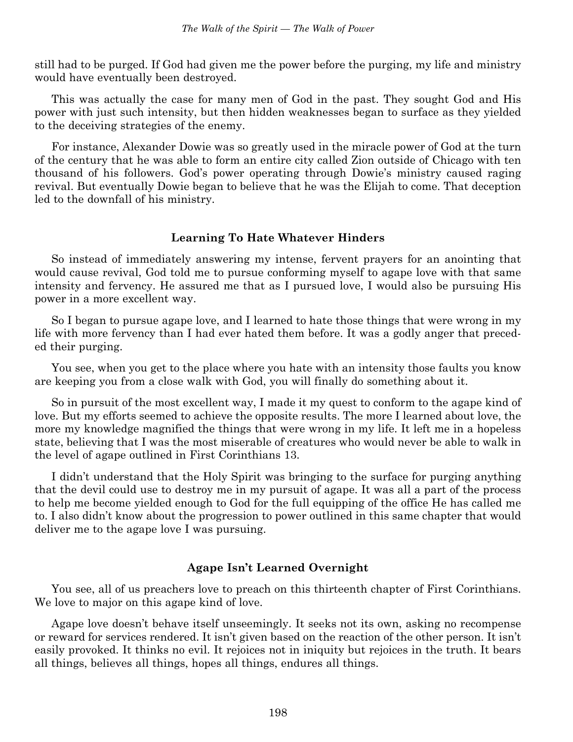still had to be purged. If God had given me the power before the purging, my life and ministry would have eventually been destroyed.

This was actually the case for many men of God in the past. They sought God and His power with just such intensity, but then hidden weaknesses began to surface as they yielded to the deceiving strategies of the enemy.

For instance, Alexander Dowie was so greatly used in the miracle power of God at the turn of the century that he was able to form an entire city called Zion outside of Chicago with ten thousand of his followers. God's power operating through Dowie's ministry caused raging revival. But eventually Dowie began to believe that he was the Elijah to come. That deception led to the downfall of his ministry.

#### **Learning To Hate Whatever Hinders**

So instead of immediately answering my intense, fervent prayers for an anointing that would cause revival, God told me to pursue conforming myself to agape love with that same intensity and fervency. He assured me that as I pursued love, I would also be pursuing His power in a more excellent way.

So I began to pursue agape love, and I learned to hate those things that were wrong in my life with more fervency than I had ever hated them before. It was a godly anger that preceded their purging.

You see, when you get to the place where you hate with an intensity those faults you know are keeping you from a close walk with God, you will finally do something about it.

So in pursuit of the most excellent way, I made it my quest to conform to the agape kind of love. But my efforts seemed to achieve the opposite results. The more I learned about love, the more my knowledge magnified the things that were wrong in my life. It left me in a hopeless state, believing that I was the most miserable of creatures who would never be able to walk in the level of agape outlined in First Corinthians 13.

I didn't understand that the Holy Spirit was bringing to the surface for purging anything that the devil could use to destroy me in my pursuit of agape. It was all a part of the process to help me become yielded enough to God for the full equipping of the office He has called me to. I also didn't know about the progression to power outlined in this same chapter that would deliver me to the agape love I was pursuing.

#### **Agape Isn't Learned Overnight**

You see, all of us preachers love to preach on this thirteenth chapter of First Corinthians. We love to major on this agape kind of love.

Agape love doesn't behave itself unseemingly. It seeks not its own, asking no recompense or reward for services rendered. It isn't given based on the reaction of the other person. It isn't easily provoked. It thinks no evil. It rejoices not in iniquity but rejoices in the truth. It bears all things, believes all things, hopes all things, endures all things.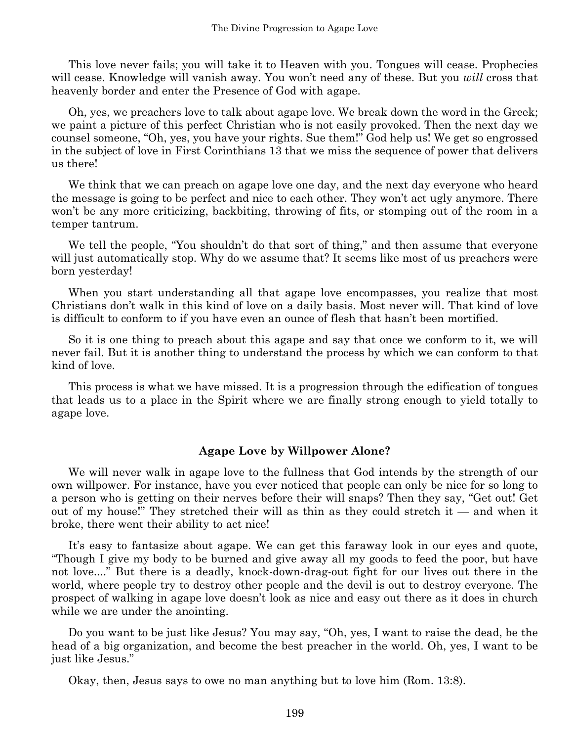This love never fails; you will take it to Heaven with you. Tongues will cease. Prophecies will cease. Knowledge will vanish away. You won't need any of these. But you *will* cross that heavenly border and enter the Presence of God with agape.

Oh, yes, we preachers love to talk about agape love. We break down the word in the Greek; we paint a picture of this perfect Christian who is not easily provoked. Then the next day we counsel someone, "Oh, yes, you have your rights. Sue them!" God help us! We get so engrossed in the subject of love in First Corinthians 13 that we miss the sequence of power that delivers us there!

We think that we can preach on agape love one day, and the next day everyone who heard the message is going to be perfect and nice to each other. They won't act ugly anymore. There won't be any more criticizing, backbiting, throwing of fits, or stomping out of the room in a temper tantrum.

We tell the people, "You shouldn't do that sort of thing," and then assume that everyone will just automatically stop. Why do we assume that? It seems like most of us preachers were born yesterday!

When you start understanding all that agape love encompasses, you realize that most Christians don't walk in this kind of love on a daily basis. Most never will. That kind of love is difficult to conform to if you have even an ounce of flesh that hasn't been mortified.

So it is one thing to preach about this agape and say that once we conform to it, we will never fail. But it is another thing to understand the process by which we can conform to that kind of love.

This process is what we have missed. It is a progression through the edification of tongues that leads us to a place in the Spirit where we are finally strong enough to yield totally to agape love.

# **Agape Love by Willpower Alone?**

We will never walk in agape love to the fullness that God intends by the strength of our own willpower. For instance, have you ever noticed that people can only be nice for so long to a person who is getting on their nerves before their will snaps? Then they say, "Get out! Get out of my house!" They stretched their will as thin as they could stretch it — and when it broke, there went their ability to act nice!

It's easy to fantasize about agape. We can get this faraway look in our eyes and quote, "Though I give my body to be burned and give away all my goods to feed the poor, but have not love...." But there is a deadly, knock-down-drag-out fight for our lives out there in the world, where people try to destroy other people and the devil is out to destroy everyone. The prospect of walking in agape love doesn't look as nice and easy out there as it does in church while we are under the anointing.

Do you want to be just like Jesus? You may say, "Oh, yes, I want to raise the dead, be the head of a big organization, and become the best preacher in the world. Oh, yes, I want to be just like Jesus."

Okay, then, Jesus says to owe no man anything but to love him (Rom. 13:8).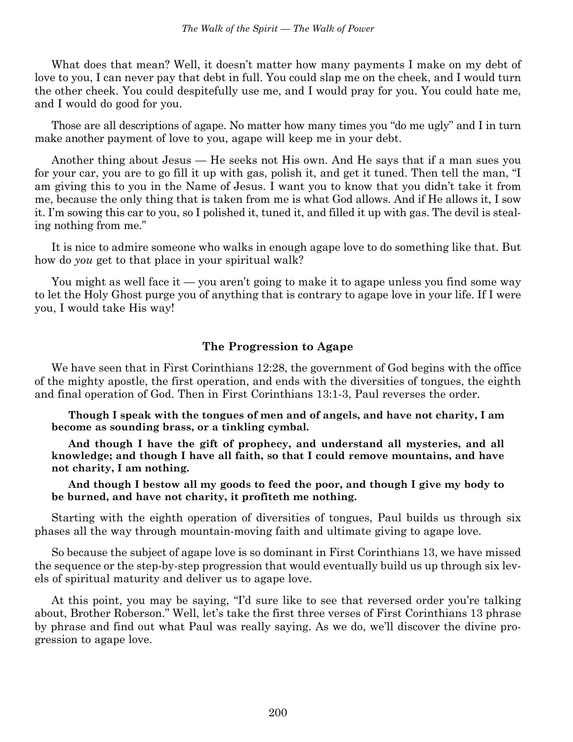What does that mean? Well, it doesn't matter how many payments I make on my debt of love to you, I can never pay that debt in full. You could slap me on the cheek, and I would turn the other cheek. You could despitefully use me, and I would pray for you. You could hate me, and I would do good for you.

Those are all descriptions of agape. No matter how many times you "do me ugly" and I in turn make another payment of love to you, agape will keep me in your debt.

Another thing about Jesus — He seeks not His own. And He says that if a man sues you for your car, you are to go fill it up with gas, polish it, and get it tuned. Then tell the man, "I am giving this to you in the Name of Jesus. I want you to know that you didn't take it from me, because the only thing that is taken from me is what God allows. And if He allows it, I sow it. I'm sowing this car to you, so I polished it, tuned it, and filled it up with gas. The devil is stealing nothing from me."

It is nice to admire someone who walks in enough agape love to do something like that. But how do *you* get to that place in your spiritual walk?

You might as well face it — you aren't going to make it to agape unless you find some way to let the Holy Ghost purge you of anything that is contrary to agape love in your life. If I were you, I would take His way!

#### **The Progression to Agape**

We have seen that in First Corinthians 12:28, the government of God begins with the office of the mighty apostle, the first operation, and ends with the diversities of tongues, the eighth and final operation of God. Then in First Corinthians 13:1-3, Paul reverses the order.

**Though I speak with the tongues of men and of angels, and have not charity, I am become as sounding brass, or a tinkling cymbal.**

**And though I have the gift of prophecy, and understand all mysteries, and all knowledge; and though I have all faith, so that I could remove mountains, and have not charity, I am nothing.**

**And though I bestow all my goods to feed the poor, and though I give my body to be burned, and have not charity, it profiteth me nothing.**

Starting with the eighth operation of diversities of tongues, Paul builds us through six phases all the way through mountain-moving faith and ultimate giving to agape love.

So because the subject of agape love is so dominant in First Corinthians 13, we have missed the sequence or the step-by-step progression that would eventually build us up through six levels of spiritual maturity and deliver us to agape love.

At this point, you may be saying, "I'd sure like to see that reversed order you're talking about, Brother Roberson." Well, let's take the first three verses of First Corinthians 13 phrase by phrase and find out what Paul was really saying. As we do, we'll discover the divine progression to agape love.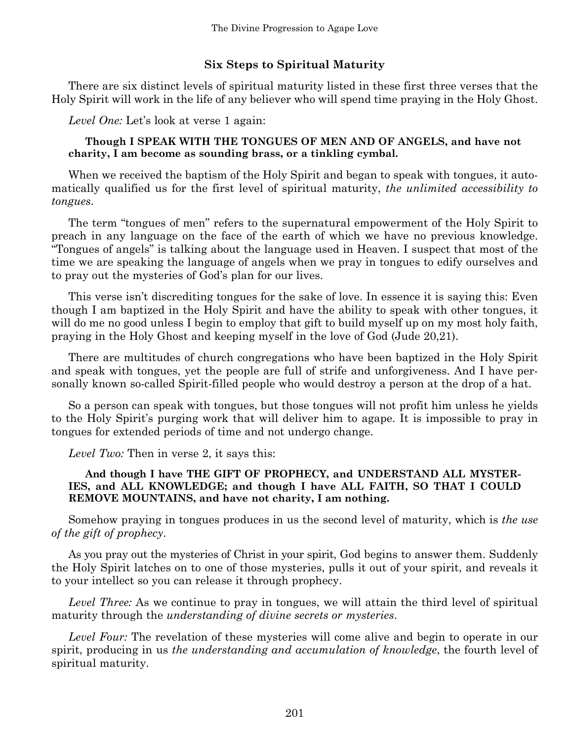# **Six Steps to Spiritual Maturity**

There are six distinct levels of spiritual maturity listed in these first three verses that the Holy Spirit will work in the life of any believer who will spend time praying in the Holy Ghost.

*Level One:* Let's look at verse 1 again:

## **Though I SPEAK WITH THE TONGUES OF MEN AND OF ANGELS, and have not charity, I am become as sounding brass, or a tinkling cymbal.**

When we received the baptism of the Holy Spirit and began to speak with tongues, it automatically qualified us for the first level of spiritual maturity, *the unlimited accessibility to tongues*.

The term "tongues of men" refers to the supernatural empowerment of the Holy Spirit to preach in any language on the face of the earth of which we have no previous knowledge. "Tongues of angels" is talking about the language used in Heaven. I suspect that most of the time we are speaking the language of angels when we pray in tongues to edify ourselves and to pray out the mysteries of God's plan for our lives.

This verse isn't discrediting tongues for the sake of love. In essence it is saying this: Even though I am baptized in the Holy Spirit and have the ability to speak with other tongues, it will do me no good unless I begin to employ that gift to build myself up on my most holy faith, praying in the Holy Ghost and keeping myself in the love of God (Jude 20,21).

There are multitudes of church congregations who have been baptized in the Holy Spirit and speak with tongues, yet the people are full of strife and unforgiveness. And I have personally known so-called Spirit-filled people who would destroy a person at the drop of a hat.

So a person can speak with tongues, but those tongues will not profit him unless he yields to the Holy Spirit's purging work that will deliver him to agape. It is impossible to pray in tongues for extended periods of time and not undergo change.

*Level Two:* Then in verse 2, it says this:

## **And though I have THE GIFT OF PROPHECY, and UNDERSTAND ALL MYSTER-IES, and ALL KNOWLEDGE; and though I have ALL FAITH, SO THAT I COULD REMOVE MOUNTAINS, and have not charity, I am nothing.**

Somehow praying in tongues produces in us the second level of maturity, which is *the use of the gift of prophecy*.

As you pray out the mysteries of Christ in your spirit, God begins to answer them. Suddenly the Holy Spirit latches on to one of those mysteries, pulls it out of your spirit, and reveals it to your intellect so you can release it through prophecy.

*Level Three:* As we continue to pray in tongues, we will attain the third level of spiritual maturity through the *understanding of divine secrets or mysteries*.

*Level Four:* The revelation of these mysteries will come alive and begin to operate in our spirit, producing in us *the understanding and accumulation of knowledge*, the fourth level of spiritual maturity.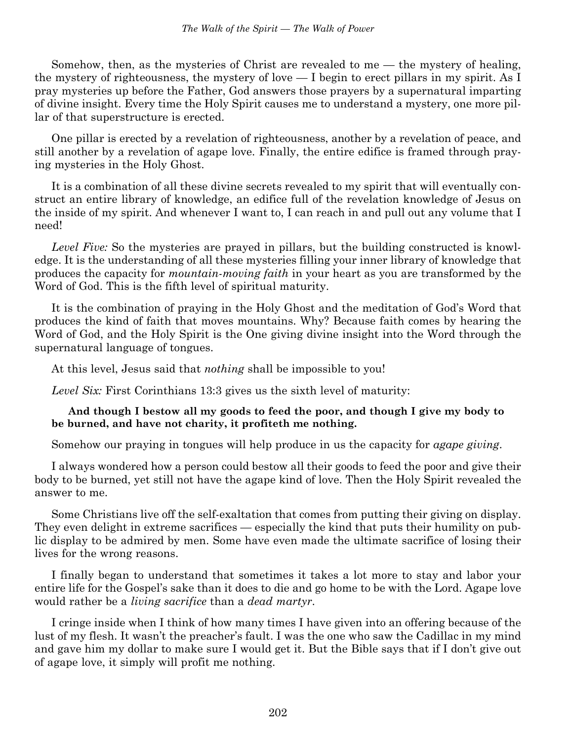Somehow, then, as the mysteries of Christ are revealed to me — the mystery of healing, the mystery of righteousness, the mystery of love — I begin to erect pillars in my spirit. As I pray mysteries up before the Father, God answers those prayers by a supernatural imparting of divine insight. Every time the Holy Spirit causes me to understand a mystery, one more pillar of that superstructure is erected.

One pillar is erected by a revelation of righteousness, another by a revelation of peace, and still another by a revelation of agape love. Finally, the entire edifice is framed through praying mysteries in the Holy Ghost.

It is a combination of all these divine secrets revealed to my spirit that will eventually construct an entire library of knowledge, an edifice full of the revelation knowledge of Jesus on the inside of my spirit. And whenever I want to, I can reach in and pull out any volume that I need!

*Level Five:* So the mysteries are prayed in pillars, but the building constructed is knowledge. It is the understanding of all these mysteries filling your inner library of knowledge that produces the capacity for *mountain-moving faith* in your heart as you are transformed by the Word of God. This is the fifth level of spiritual maturity.

It is the combination of praying in the Holy Ghost and the meditation of God's Word that produces the kind of faith that moves mountains. Why? Because faith comes by hearing the Word of God, and the Holy Spirit is the One giving divine insight into the Word through the supernatural language of tongues.

At this level, Jesus said that *nothing* shall be impossible to you!

*Level Six:* First Corinthians 13:3 gives us the sixth level of maturity:

## **And though I bestow all my goods to feed the poor, and though I give my body to be burned, and have not charity, it profiteth me nothing.**

Somehow our praying in tongues will help produce in us the capacity for *agape giving*.

I always wondered how a person could bestow all their goods to feed the poor and give their body to be burned, yet still not have the agape kind of love. Then the Holy Spirit revealed the answer to me.

Some Christians live off the self-exaltation that comes from putting their giving on display. They even delight in extreme sacrifices — especially the kind that puts their humility on public display to be admired by men. Some have even made the ultimate sacrifice of losing their lives for the wrong reasons.

I finally began to understand that sometimes it takes a lot more to stay and labor your entire life for the Gospel's sake than it does to die and go home to be with the Lord. Agape love would rather be a *living sacrifice* than a *dead martyr*.

I cringe inside when I think of how many times I have given into an offering because of the lust of my flesh. It wasn't the preacher's fault. I was the one who saw the Cadillac in my mind and gave him my dollar to make sure I would get it. But the Bible says that if I don't give out of agape love, it simply will profit me nothing.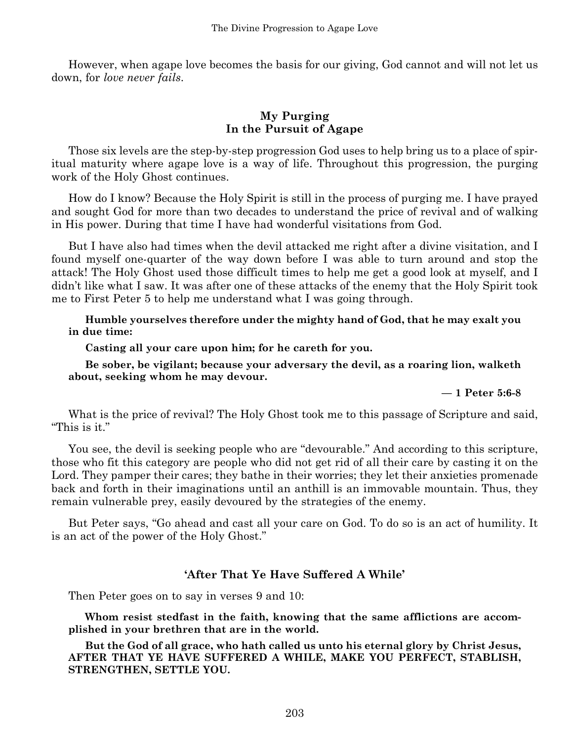However, when agape love becomes the basis for our giving, God cannot and will not let us down, for *love never fails*.

## **My Purging In the Pursuit of Agape**

Those six levels are the step-by-step progression God uses to help bring us to a place of spiritual maturity where agape love is a way of life. Throughout this progression, the purging work of the Holy Ghost continues.

How do I know? Because the Holy Spirit is still in the process of purging me. I have prayed and sought God for more than two decades to understand the price of revival and of walking in His power. During that time I have had wonderful visitations from God.

But I have also had times when the devil attacked me right after a divine visitation, and I found myself one-quarter of the way down before I was able to turn around and stop the attack! The Holy Ghost used those difficult times to help me get a good look at myself, and I didn't like what I saw. It was after one of these attacks of the enemy that the Holy Spirit took me to First Peter 5 to help me understand what I was going through.

**Humble yourselves therefore under the mighty hand of God, that he may exalt you in due time:**

**Casting all your care upon him; for he careth for you.**

**Be sober, be vigilant; because your adversary the devil, as a roaring lion, walketh about, seeking whom he may devour.** 

**— 1 Peter 5:6-8**

What is the price of revival? The Holy Ghost took me to this passage of Scripture and said, "This is it."

You see, the devil is seeking people who are "devourable." And according to this scripture, those who fit this category are people who did not get rid of all their care by casting it on the Lord. They pamper their cares; they bathe in their worries; they let their anxieties promenade back and forth in their imaginations until an anthill is an immovable mountain. Thus, they remain vulnerable prey, easily devoured by the strategies of the enemy.

But Peter says, "Go ahead and cast all your care on God. To do so is an act of humility. It is an act of the power of the Holy Ghost."

# **'After That Ye Have Suffered A While'**

Then Peter goes on to say in verses 9 and 10:

**Whom resist stedfast in the faith, knowing that the same afflictions are accomplished in your brethren that are in the world.**

**But the God of all grace, who hath called us unto his eternal glory by Christ Jesus, AFTER THAT YE HAVE SUFFERED A WHILE, MAKE YOU PERFECT, STABLISH, STRENGTHEN, SETTLE YOU.**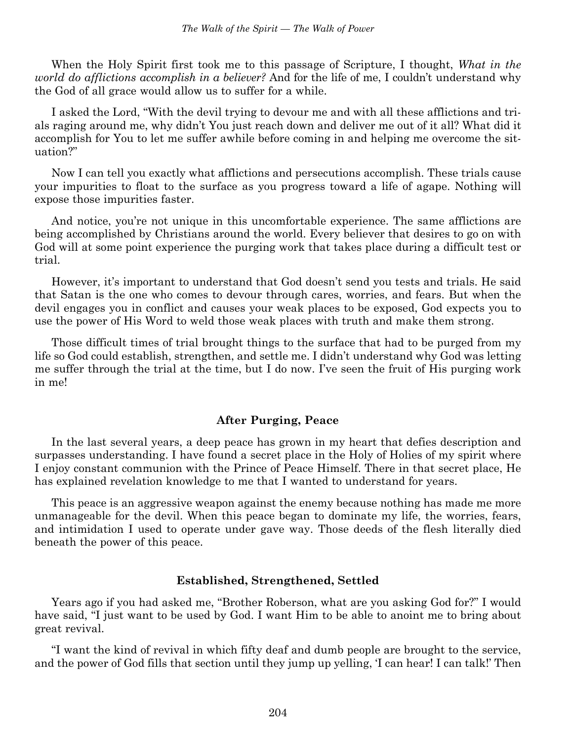When the Holy Spirit first took me to this passage of Scripture, I thought, *What in the world do afflictions accomplish in a believer?* And for the life of me, I couldn't understand why the God of all grace would allow us to suffer for a while.

I asked the Lord, "With the devil trying to devour me and with all these afflictions and trials raging around me, why didn't You just reach down and deliver me out of it all? What did it accomplish for You to let me suffer awhile before coming in and helping me overcome the situation?"

Now I can tell you exactly what afflictions and persecutions accomplish. These trials cause your impurities to float to the surface as you progress toward a life of agape. Nothing will expose those impurities faster.

And notice, you're not unique in this uncomfortable experience. The same afflictions are being accomplished by Christians around the world. Every believer that desires to go on with God will at some point experience the purging work that takes place during a difficult test or trial.

However, it's important to understand that God doesn't send you tests and trials. He said that Satan is the one who comes to devour through cares, worries, and fears. But when the devil engages you in conflict and causes your weak places to be exposed, God expects you to use the power of His Word to weld those weak places with truth and make them strong.

Those difficult times of trial brought things to the surface that had to be purged from my life so God could establish, strengthen, and settle me. I didn't understand why God was letting me suffer through the trial at the time, but I do now. I've seen the fruit of His purging work in me!

#### **After Purging, Peace**

In the last several years, a deep peace has grown in my heart that defies description and surpasses understanding. I have found a secret place in the Holy of Holies of my spirit where I enjoy constant communion with the Prince of Peace Himself. There in that secret place, He has explained revelation knowledge to me that I wanted to understand for years.

This peace is an aggressive weapon against the enemy because nothing has made me more unmanageable for the devil. When this peace began to dominate my life, the worries, fears, and intimidation I used to operate under gave way. Those deeds of the flesh literally died beneath the power of this peace.

#### **Established, Strengthened, Settled**

Years ago if you had asked me, "Brother Roberson, what are you asking God for?" I would have said, "I just want to be used by God. I want Him to be able to anoint me to bring about great revival.

"I want the kind of revival in which fifty deaf and dumb people are brought to the service, and the power of God fills that section until they jump up yelling, 'I can hear! I can talk!' Then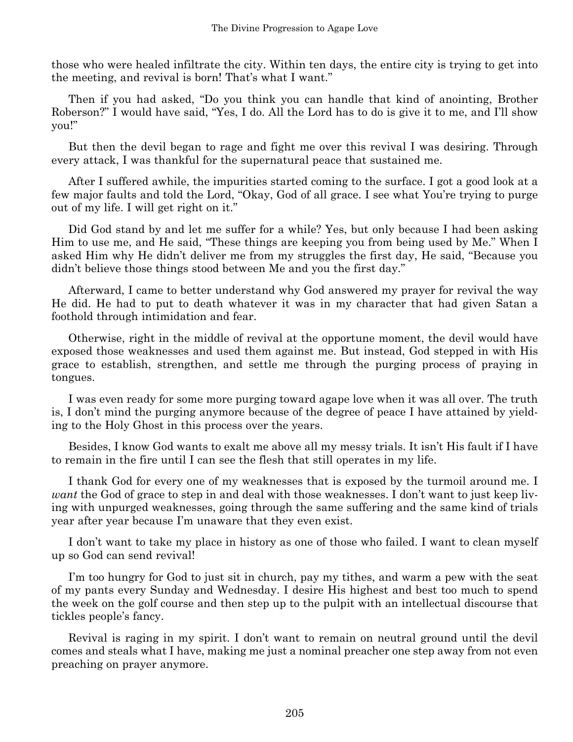those who were healed infiltrate the city. Within ten days, the entire city is trying to get into the meeting, and revival is born! That's what I want."

Then if you had asked, "Do you think you can handle that kind of anointing, Brother Roberson?" I would have said, "Yes, I do. All the Lord has to do is give it to me, and I'll show you!"

But then the devil began to rage and fight me over this revival I was desiring. Through every attack, I was thankful for the supernatural peace that sustained me.

After I suffered awhile, the impurities started coming to the surface. I got a good look at a few major faults and told the Lord, "Okay, God of all grace. I see what You're trying to purge out of my life. I will get right on it."

Did God stand by and let me suffer for a while? Yes, but only because I had been asking Him to use me, and He said, "These things are keeping you from being used by Me." When I asked Him why He didn't deliver me from my struggles the first day, He said, "Because you didn't believe those things stood between Me and you the first day."

Afterward, I came to better understand why God answered my prayer for revival the way He did. He had to put to death whatever it was in my character that had given Satan a foothold through intimidation and fear.

Otherwise, right in the middle of revival at the opportune moment, the devil would have exposed those weaknesses and used them against me. But instead, God stepped in with His grace to establish, strengthen, and settle me through the purging process of praying in tongues.

I was even ready for some more purging toward agape love when it was all over. The truth is, I don't mind the purging anymore because of the degree of peace I have attained by yielding to the Holy Ghost in this process over the years.

Besides, I know God wants to exalt me above all my messy trials. It isn't His fault if I have to remain in the fire until I can see the flesh that still operates in my life.

I thank God for every one of my weaknesses that is exposed by the turmoil around me. I *want* the God of grace to step in and deal with those weaknesses. I don't want to just keep living with unpurged weaknesses, going through the same suffering and the same kind of trials year after year because I'm unaware that they even exist.

I don't want to take my place in history as one of those who failed. I want to clean myself up so God can send revival!

I'm too hungry for God to just sit in church, pay my tithes, and warm a pew with the seat of my pants every Sunday and Wednesday. I desire His highest and best too much to spend the week on the golf course and then step up to the pulpit with an intellectual discourse that tickles people's fancy.

Revival is raging in my spirit. I don't want to remain on neutral ground until the devil comes and steals what I have, making me just a nominal preacher one step away from not even preaching on prayer anymore.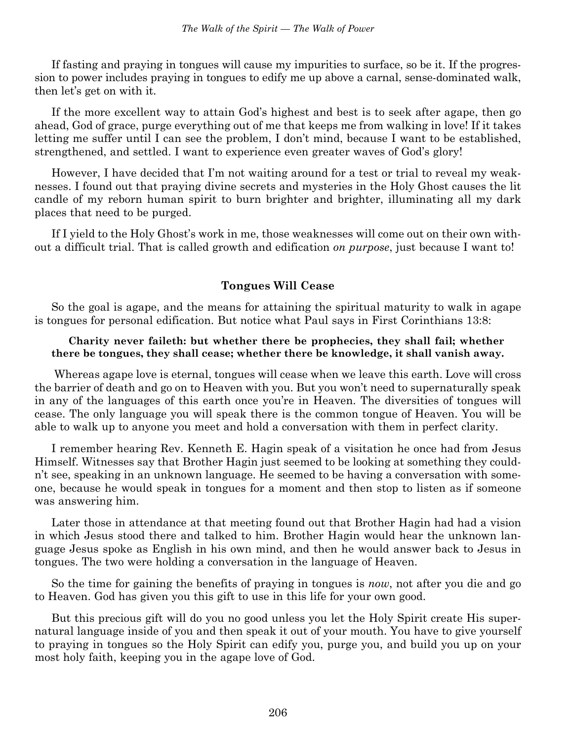If fasting and praying in tongues will cause my impurities to surface, so be it. If the progression to power includes praying in tongues to edify me up above a carnal, sense-dominated walk, then let's get on with it.

If the more excellent way to attain God's highest and best is to seek after agape, then go ahead, God of grace, purge everything out of me that keeps me from walking in love! If it takes letting me suffer until I can see the problem, I don't mind, because I want to be established, strengthened, and settled. I want to experience even greater waves of God's glory!

However, I have decided that I'm not waiting around for a test or trial to reveal my weaknesses. I found out that praying divine secrets and mysteries in the Holy Ghost causes the lit candle of my reborn human spirit to burn brighter and brighter, illuminating all my dark places that need to be purged.

If I yield to the Holy Ghost's work in me, those weaknesses will come out on their own without a difficult trial. That is called growth and edification *on purpose*, just because I want to!

## **Tongues Will Cease**

So the goal is agape, and the means for attaining the spiritual maturity to walk in agape is tongues for personal edification. But notice what Paul says in First Corinthians 13:8:

#### **Charity never faileth: but whether there be prophecies, they shall fail; whether there be tongues, they shall cease; whether there be knowledge, it shall vanish away.**

Whereas agape love is eternal, tongues will cease when we leave this earth. Love will cross the barrier of death and go on to Heaven with you. But you won't need to supernaturally speak in any of the languages of this earth once you're in Heaven. The diversities of tongues will cease. The only language you will speak there is the common tongue of Heaven. You will be able to walk up to anyone you meet and hold a conversation with them in perfect clarity.

I remember hearing Rev. Kenneth E. Hagin speak of a visitation he once had from Jesus Himself. Witnesses say that Brother Hagin just seemed to be looking at something they couldn't see, speaking in an unknown language. He seemed to be having a conversation with someone, because he would speak in tongues for a moment and then stop to listen as if someone was answering him.

Later those in attendance at that meeting found out that Brother Hagin had had a vision in which Jesus stood there and talked to him. Brother Hagin would hear the unknown language Jesus spoke as English in his own mind, and then he would answer back to Jesus in tongues. The two were holding a conversation in the language of Heaven.

So the time for gaining the benefits of praying in tongues is *now*, not after you die and go to Heaven. God has given you this gift to use in this life for your own good.

But this precious gift will do you no good unless you let the Holy Spirit create His supernatural language inside of you and then speak it out of your mouth. You have to give yourself to praying in tongues so the Holy Spirit can edify you, purge you, and build you up on your most holy faith, keeping you in the agape love of God.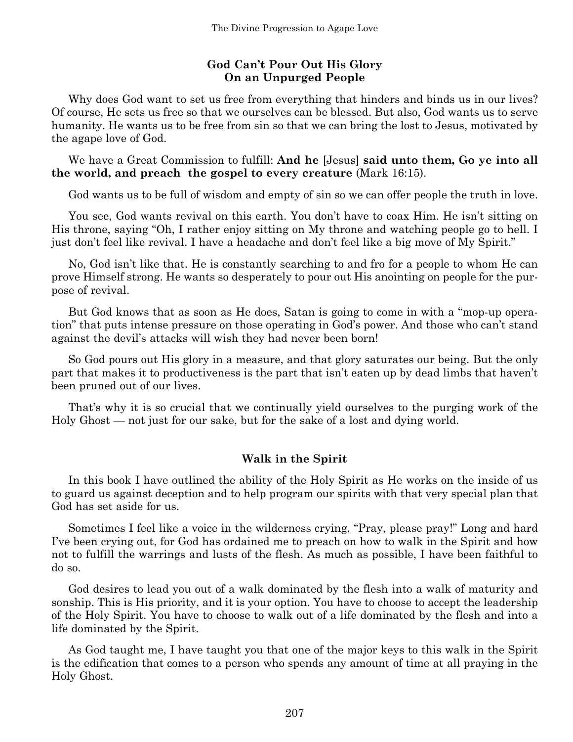# **God Can't Pour Out His Glory On an Unpurged People**

Why does God want to set us free from everything that hinders and binds us in our lives? Of course, He sets us free so that we ourselves can be blessed. But also, God wants us to serve humanity. He wants us to be free from sin so that we can bring the lost to Jesus, motivated by the agape love of God.

We have a Great Commission to fulfill: **And he** [Jesus] **said unto them, Go ye into all the world, and preach the gospel to every creature** (Mark 16:15).

God wants us to be full of wisdom and empty of sin so we can offer people the truth in love.

You see, God wants revival on this earth. You don't have to coax Him. He isn't sitting on His throne, saying "Oh, I rather enjoy sitting on My throne and watching people go to hell. I just don't feel like revival. I have a headache and don't feel like a big move of My Spirit."

No, God isn't like that. He is constantly searching to and fro for a people to whom He can prove Himself strong. He wants so desperately to pour out His anointing on people for the purpose of revival.

But God knows that as soon as He does, Satan is going to come in with a "mop-up operation" that puts intense pressure on those operating in God's power. And those who can't stand against the devil's attacks will wish they had never been born!

So God pours out His glory in a measure, and that glory saturates our being. But the only part that makes it to productiveness is the part that isn't eaten up by dead limbs that haven't been pruned out of our lives.

That's why it is so crucial that we continually yield ourselves to the purging work of the Holy Ghost — not just for our sake, but for the sake of a lost and dying world.

# **Walk in the Spirit**

In this book I have outlined the ability of the Holy Spirit as He works on the inside of us to guard us against deception and to help program our spirits with that very special plan that God has set aside for us.

Sometimes I feel like a voice in the wilderness crying, "Pray, please pray!" Long and hard I've been crying out, for God has ordained me to preach on how to walk in the Spirit and how not to fulfill the warrings and lusts of the flesh. As much as possible, I have been faithful to do so.

God desires to lead you out of a walk dominated by the flesh into a walk of maturity and sonship. This is His priority, and it is your option. You have to choose to accept the leadership of the Holy Spirit. You have to choose to walk out of a life dominated by the flesh and into a life dominated by the Spirit.

As God taught me, I have taught you that one of the major keys to this walk in the Spirit is the edification that comes to a person who spends any amount of time at all praying in the Holy Ghost.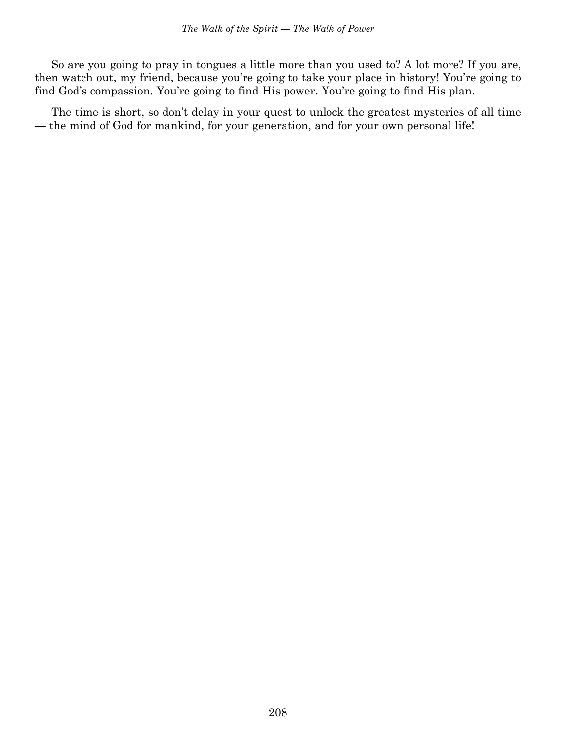So are you going to pray in tongues a little more than you used to? A lot more? If you are, then watch out, my friend, because you're going to take your place in history! You're going to find God's compassion. You're going to find His power. You're going to find His plan.

The time is short, so don't delay in your quest to unlock the greatest mysteries of all time — the mind of God for mankind, for your generation, and for your own personal life!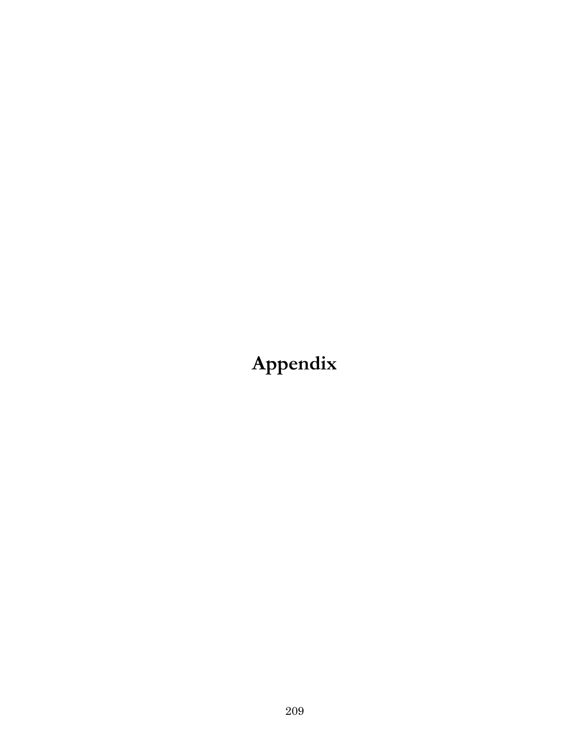**Appendix**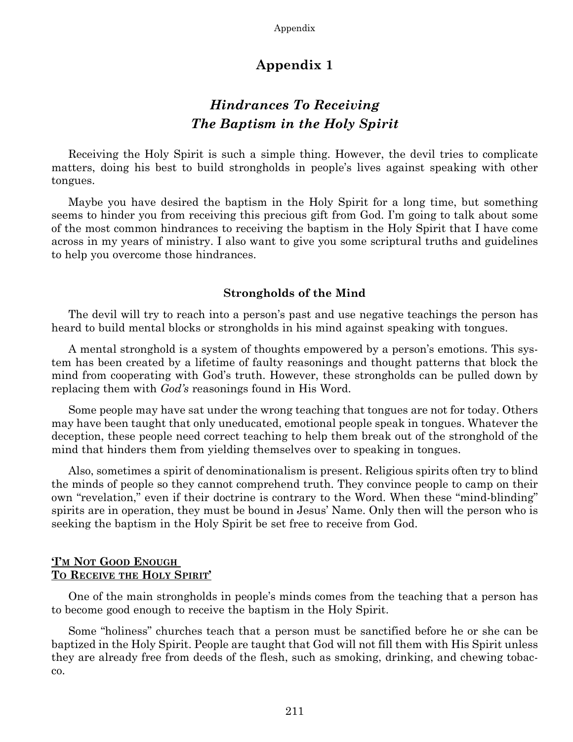Appendix

# **Appendix 1**

# *Hindrances To Receiving The Baptism in the Holy Spirit*

Receiving the Holy Spirit is such a simple thing. However, the devil tries to complicate matters, doing his best to build strongholds in people's lives against speaking with other tongues.

Maybe you have desired the baptism in the Holy Spirit for a long time, but something seems to hinder you from receiving this precious gift from God. I'm going to talk about some of the most common hindrances to receiving the baptism in the Holy Spirit that I have come across in my years of ministry. I also want to give you some scriptural truths and guidelines to help you overcome those hindrances.

#### **Strongholds of the Mind**

The devil will try to reach into a person's past and use negative teachings the person has heard to build mental blocks or strongholds in his mind against speaking with tongues.

A mental stronghold is a system of thoughts empowered by a person's emotions. This system has been created by a lifetime of faulty reasonings and thought patterns that block the mind from cooperating with God's truth. However, these strongholds can be pulled down by replacing them with *God's* reasonings found in His Word.

Some people may have sat under the wrong teaching that tongues are not for today. Others may have been taught that only uneducated, emotional people speak in tongues. Whatever the deception, these people need correct teaching to help them break out of the stronghold of the mind that hinders them from yielding themselves over to speaking in tongues.

Also, sometimes a spirit of denominationalism is present. Religious spirits often try to blind the minds of people so they cannot comprehend truth. They convince people to camp on their own "revelation," even if their doctrine is contrary to the Word. When these "mind-blinding" spirits are in operation, they must be bound in Jesus' Name. Only then will the person who is seeking the baptism in the Holy Spirit be set free to receive from God.

#### **'I'M NOT GOOD ENOUGH TO RECEIVE THE HOLY SPIRIT'**

One of the main strongholds in people's minds comes from the teaching that a person has to become good enough to receive the baptism in the Holy Spirit.

Some "holiness" churches teach that a person must be sanctified before he or she can be baptized in the Holy Spirit. People are taught that God will not fill them with His Spirit unless they are already free from deeds of the flesh, such as smoking, drinking, and chewing tobacco.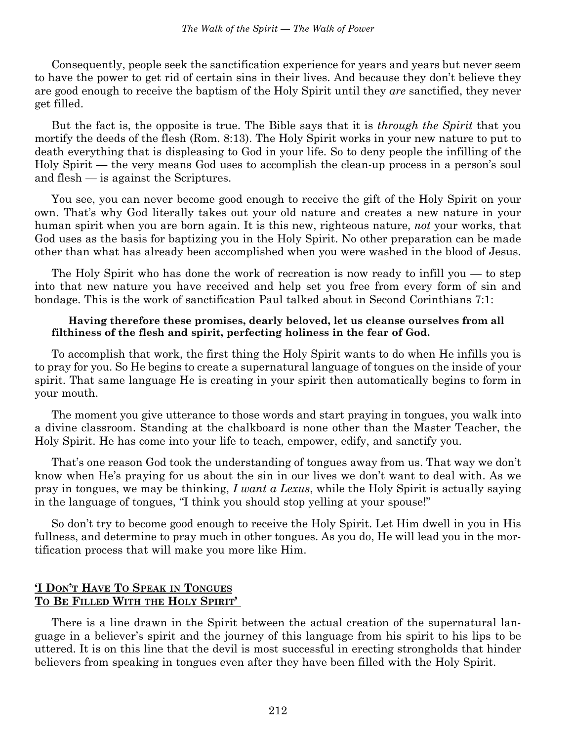Consequently, people seek the sanctification experience for years and years but never seem to have the power to get rid of certain sins in their lives. And because they don't believe they are good enough to receive the baptism of the Holy Spirit until they *are* sanctified, they never get filled.

But the fact is, the opposite is true. The Bible says that it is *through the Spirit* that you mortify the deeds of the flesh (Rom. 8:13). The Holy Spirit works in your new nature to put to death everything that is displeasing to God in your life. So to deny people the infilling of the Holy Spirit — the very means God uses to accomplish the clean-up process in a person's soul and flesh — is against the Scriptures.

You see, you can never become good enough to receive the gift of the Holy Spirit on your own. That's why God literally takes out your old nature and creates a new nature in your human spirit when you are born again. It is this new, righteous nature, *not* your works, that God uses as the basis for baptizing you in the Holy Spirit. No other preparation can be made other than what has already been accomplished when you were washed in the blood of Jesus.

The Holy Spirit who has done the work of recreation is now ready to infill you — to step into that new nature you have received and help set you free from every form of sin and bondage. This is the work of sanctification Paul talked about in Second Corinthians 7:1:

## **Having therefore these promises, dearly beloved, let us cleanse ourselves from all filthiness of the flesh and spirit, perfecting holiness in the fear of God.**

To accomplish that work, the first thing the Holy Spirit wants to do when He infills you is to pray for you. So He begins to create a supernatural language of tongues on the inside of your spirit. That same language He is creating in your spirit then automatically begins to form in your mouth.

The moment you give utterance to those words and start praying in tongues, you walk into a divine classroom. Standing at the chalkboard is none other than the Master Teacher, the Holy Spirit. He has come into your life to teach, empower, edify, and sanctify you.

That's one reason God took the understanding of tongues away from us. That way we don't know when He's praying for us about the sin in our lives we don't want to deal with. As we pray in tongues, we may be thinking, *I want a Lexus*, while the Holy Spirit is actually saying in the language of tongues, "I think you should stop yelling at your spouse!"

So don't try to become good enough to receive the Holy Spirit. Let Him dwell in you in His fullness, and determine to pray much in other tongues. As you do, He will lead you in the mortification process that will make you more like Him.

# **'I DON'T HAVE TO SPEAK IN TONGUES TO BE FILLED WITH THE HOLY SPIRIT'**

There is a line drawn in the Spirit between the actual creation of the supernatural language in a believer's spirit and the journey of this language from his spirit to his lips to be uttered. It is on this line that the devil is most successful in erecting strongholds that hinder believers from speaking in tongues even after they have been filled with the Holy Spirit.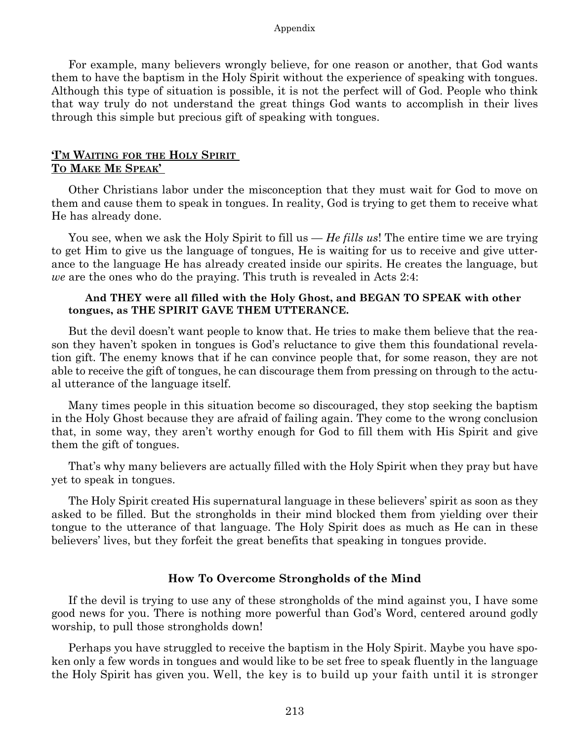#### Appendix

For example, many believers wrongly believe, for one reason or another, that God wants them to have the baptism in the Holy Spirit without the experience of speaking with tongues. Although this type of situation is possible, it is not the perfect will of God. People who think that way truly do not understand the great things God wants to accomplish in their lives through this simple but precious gift of speaking with tongues.

#### **'I'M WAITING FOR THE HOLY SPIRIT TO MAKE ME SPEAK'**

Other Christians labor under the misconception that they must wait for God to move on them and cause them to speak in tongues. In reality, God is trying to get them to receive what He has already done.

You see, when we ask the Holy Spirit to fill us — *He fills us*! The entire time we are trying to get Him to give us the language of tongues, He is waiting for us to receive and give utterance to the language He has already created inside our spirits. He creates the language, but *we* are the ones who do the praying. This truth is revealed in Acts 2:4:

#### **And THEY were all filled with the Holy Ghost, and BEGAN TO SPEAK with other tongues, as THE SPIRIT GAVE THEM UTTERANCE.**

But the devil doesn't want people to know that. He tries to make them believe that the reason they haven't spoken in tongues is God's reluctance to give them this foundational revelation gift. The enemy knows that if he can convince people that, for some reason, they are not able to receive the gift of tongues, he can discourage them from pressing on through to the actual utterance of the language itself.

Many times people in this situation become so discouraged, they stop seeking the baptism in the Holy Ghost because they are afraid of failing again. They come to the wrong conclusion that, in some way, they aren't worthy enough for God to fill them with His Spirit and give them the gift of tongues.

That's why many believers are actually filled with the Holy Spirit when they pray but have yet to speak in tongues.

The Holy Spirit created His supernatural language in these believers' spirit as soon as they asked to be filled. But the strongholds in their mind blocked them from yielding over their tongue to the utterance of that language. The Holy Spirit does as much as He can in these believers' lives, but they forfeit the great benefits that speaking in tongues provide.

#### **How To Overcome Strongholds of the Mind**

If the devil is trying to use any of these strongholds of the mind against you, I have some good news for you. There is nothing more powerful than God's Word, centered around godly worship, to pull those strongholds down!

Perhaps you have struggled to receive the baptism in the Holy Spirit. Maybe you have spoken only a few words in tongues and would like to be set free to speak fluently in the language the Holy Spirit has given you. Well, the key is to build up your faith until it is stronger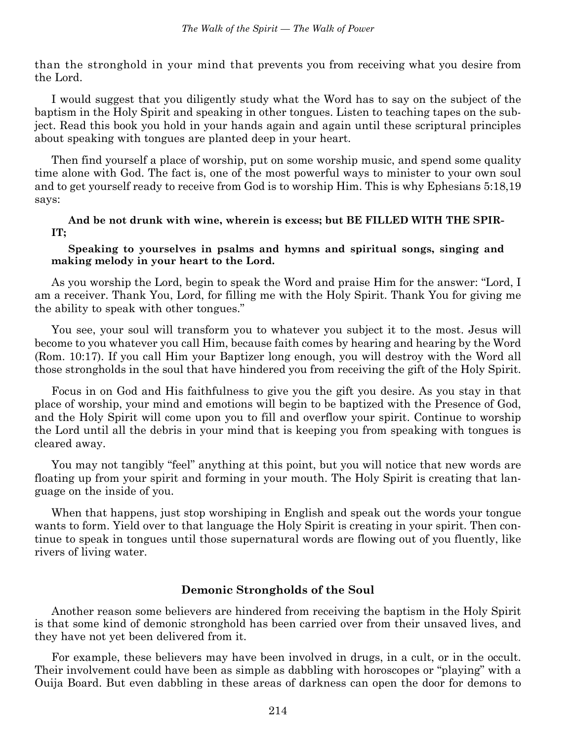than the stronghold in your mind that prevents you from receiving what you desire from the Lord.

I would suggest that you diligently study what the Word has to say on the subject of the baptism in the Holy Spirit and speaking in other tongues. Listen to teaching tapes on the subject. Read this book you hold in your hands again and again until these scriptural principles about speaking with tongues are planted deep in your heart.

Then find yourself a place of worship, put on some worship music, and spend some quality time alone with God. The fact is, one of the most powerful ways to minister to your own soul and to get yourself ready to receive from God is to worship Him. This is why Ephesians 5:18,19 says:

#### **And be not drunk with wine, wherein is excess; but BE FILLED WITH THE SPIR-IT;**

#### **Speaking to yourselves in psalms and hymns and spiritual songs, singing and making melody in your heart to the Lord.**

As you worship the Lord, begin to speak the Word and praise Him for the answer: "Lord, I am a receiver. Thank You, Lord, for filling me with the Holy Spirit. Thank You for giving me the ability to speak with other tongues."

You see, your soul will transform you to whatever you subject it to the most. Jesus will become to you whatever you call Him, because faith comes by hearing and hearing by the Word (Rom. 10:17). If you call Him your Baptizer long enough, you will destroy with the Word all those strongholds in the soul that have hindered you from receiving the gift of the Holy Spirit.

Focus in on God and His faithfulness to give you the gift you desire. As you stay in that place of worship, your mind and emotions will begin to be baptized with the Presence of God, and the Holy Spirit will come upon you to fill and overflow your spirit. Continue to worship the Lord until all the debris in your mind that is keeping you from speaking with tongues is cleared away.

You may not tangibly "feel" anything at this point, but you will notice that new words are floating up from your spirit and forming in your mouth. The Holy Spirit is creating that language on the inside of you.

When that happens, just stop worshiping in English and speak out the words your tongue wants to form. Yield over to that language the Holy Spirit is creating in your spirit. Then continue to speak in tongues until those supernatural words are flowing out of you fluently, like rivers of living water.

#### **Demonic Strongholds of the Soul**

Another reason some believers are hindered from receiving the baptism in the Holy Spirit is that some kind of demonic stronghold has been carried over from their unsaved lives, and they have not yet been delivered from it.

For example, these believers may have been involved in drugs, in a cult, or in the occult. Their involvement could have been as simple as dabbling with horoscopes or "playing" with a Ouija Board. But even dabbling in these areas of darkness can open the door for demons to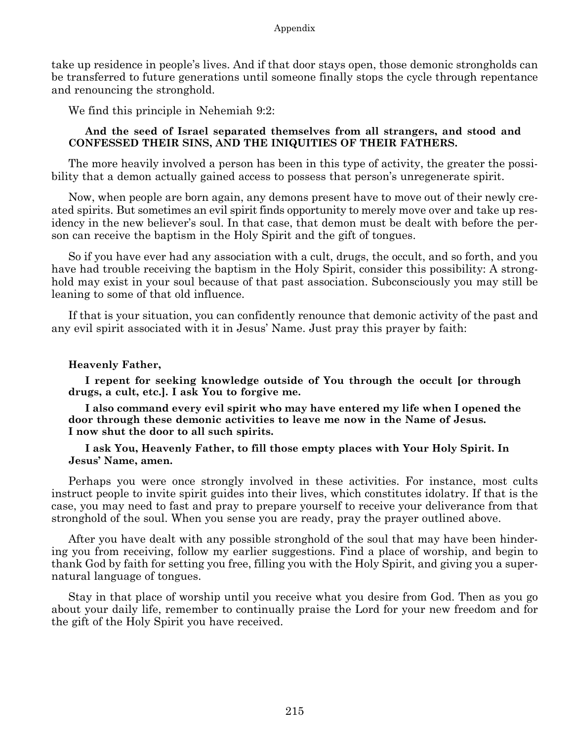#### Appendix

take up residence in people's lives. And if that door stays open, those demonic strongholds can be transferred to future generations until someone finally stops the cycle through repentance and renouncing the stronghold.

We find this principle in Nehemiah 9:2:

#### **And the seed of Israel separated themselves from all strangers, and stood and CONFESSED THEIR SINS, AND THE INIQUITIES OF THEIR FATHERS.**

The more heavily involved a person has been in this type of activity, the greater the possibility that a demon actually gained access to possess that person's unregenerate spirit.

Now, when people are born again, any demons present have to move out of their newly created spirits. But sometimes an evil spirit finds opportunity to merely move over and take up residency in the new believer's soul. In that case, that demon must be dealt with before the person can receive the baptism in the Holy Spirit and the gift of tongues.

So if you have ever had any association with a cult, drugs, the occult, and so forth, and you have had trouble receiving the baptism in the Holy Spirit, consider this possibility: A stronghold may exist in your soul because of that past association. Subconsciously you may still be leaning to some of that old influence.

If that is your situation, you can confidently renounce that demonic activity of the past and any evil spirit associated with it in Jesus' Name. Just pray this prayer by faith:

#### **Heavenly Father,**

**I repent for seeking knowledge outside of You through the occult [or through drugs, a cult, etc.]. I ask You to forgive me.** 

**I also command every evil spirit who may have entered my life when I opened the door through these demonic activities to leave me now in the Name of Jesus. I now shut the door to all such spirits.** 

**I ask You, Heavenly Father, to fill those empty places with Your Holy Spirit. In Jesus' Name, amen.**

Perhaps you were once strongly involved in these activities. For instance, most cults instruct people to invite spirit guides into their lives, which constitutes idolatry. If that is the case, you may need to fast and pray to prepare yourself to receive your deliverance from that stronghold of the soul. When you sense you are ready, pray the prayer outlined above.

After you have dealt with any possible stronghold of the soul that may have been hindering you from receiving, follow my earlier suggestions. Find a place of worship, and begin to thank God by faith for setting you free, filling you with the Holy Spirit, and giving you a supernatural language of tongues.

Stay in that place of worship until you receive what you desire from God. Then as you go about your daily life, remember to continually praise the Lord for your new freedom and for the gift of the Holy Spirit you have received.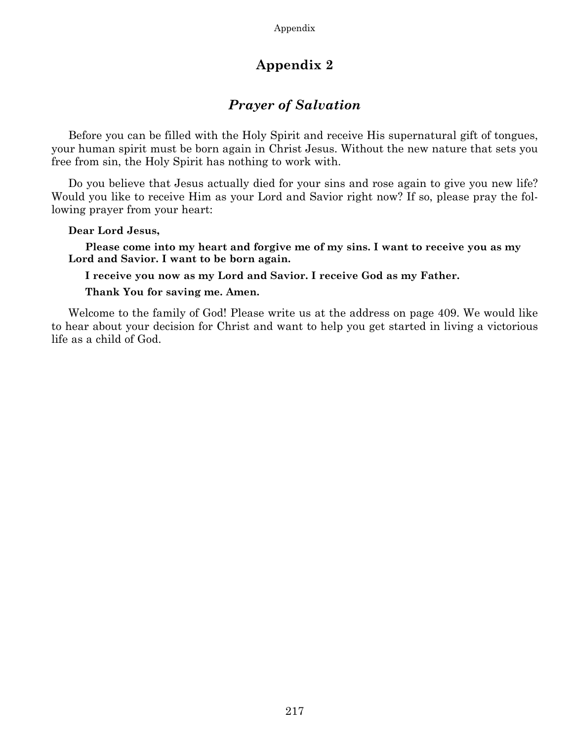Appendix

## **Appendix 2**

# *Prayer of Salvation*

Before you can be filled with the Holy Spirit and receive His supernatural gift of tongues, your human spirit must be born again in Christ Jesus. Without the new nature that sets you free from sin, the Holy Spirit has nothing to work with.

Do you believe that Jesus actually died for your sins and rose again to give you new life? Would you like to receive Him as your Lord and Savior right now? If so, please pray the following prayer from your heart:

### **Dear Lord Jesus,**

**Please come into my heart and forgive me of my sins. I want to receive you as my Lord and Savior. I want to be born again.**

**I receive you now as my Lord and Savior. I receive God as my Father.** 

**Thank You for saving me. Amen.**

Welcome to the family of God! Please write us at the address on page 409. We would like to hear about your decision for Christ and want to help you get started in living a victorious life as a child of God.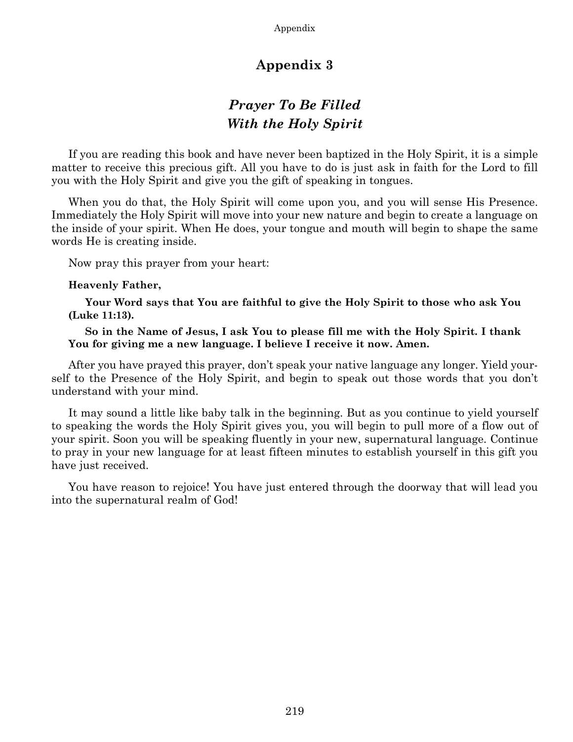Appendix

## **Appendix 3**

# *Prayer To Be Filled With the Holy Spirit*

If you are reading this book and have never been baptized in the Holy Spirit, it is a simple matter to receive this precious gift. All you have to do is just ask in faith for the Lord to fill you with the Holy Spirit and give you the gift of speaking in tongues.

When you do that, the Holy Spirit will come upon you, and you will sense His Presence. Immediately the Holy Spirit will move into your new nature and begin to create a language on the inside of your spirit. When He does, your tongue and mouth will begin to shape the same words He is creating inside.

Now pray this prayer from your heart:

#### **Heavenly Father,**

**Your Word says that You are faithful to give the Holy Spirit to those who ask You (Luke 11:13).**

**So in the Name of Jesus, I ask You to please fill me with the Holy Spirit. I thank You for giving me a new language. I believe I receive it now. Amen.**

After you have prayed this prayer, don't speak your native language any longer. Yield yourself to the Presence of the Holy Spirit, and begin to speak out those words that you don't understand with your mind.

It may sound a little like baby talk in the beginning. But as you continue to yield yourself to speaking the words the Holy Spirit gives you, you will begin to pull more of a flow out of your spirit. Soon you will be speaking fluently in your new, supernatural language. Continue to pray in your new language for at least fifteen minutes to establish yourself in this gift you have just received.

You have reason to rejoice! You have just entered through the doorway that will lead you into the supernatural realm of God!